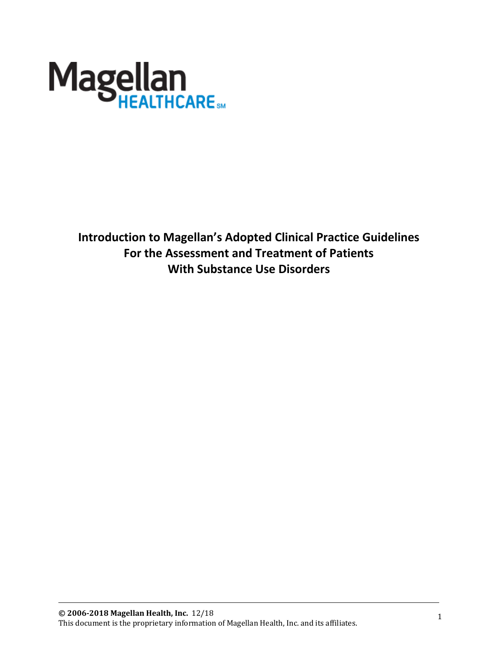

**Introduction to Magellan's Adopted Clinical Practice Guidelines For the Assessment and Treatment of Patients With Substance Use Disorders**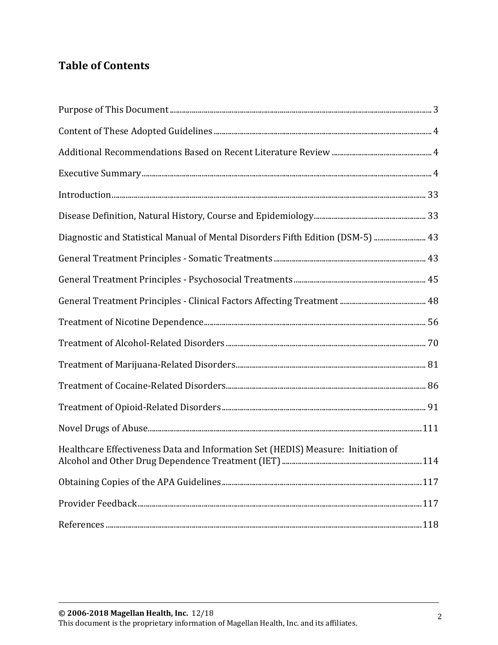# **Table of Contents**

| $Introduction 33$                                                                   |  |
|-------------------------------------------------------------------------------------|--|
|                                                                                     |  |
| 03 meta Diagnostic and Statistical Manual of Mental Disorders Fifth Edition (DSM-5) |  |
|                                                                                     |  |
|                                                                                     |  |
|                                                                                     |  |
|                                                                                     |  |
|                                                                                     |  |
|                                                                                     |  |
|                                                                                     |  |
|                                                                                     |  |
|                                                                                     |  |
| Healthcare Effectiveness Data and Information Set (HEDIS) Measure: Initiation of    |  |
|                                                                                     |  |
|                                                                                     |  |
|                                                                                     |  |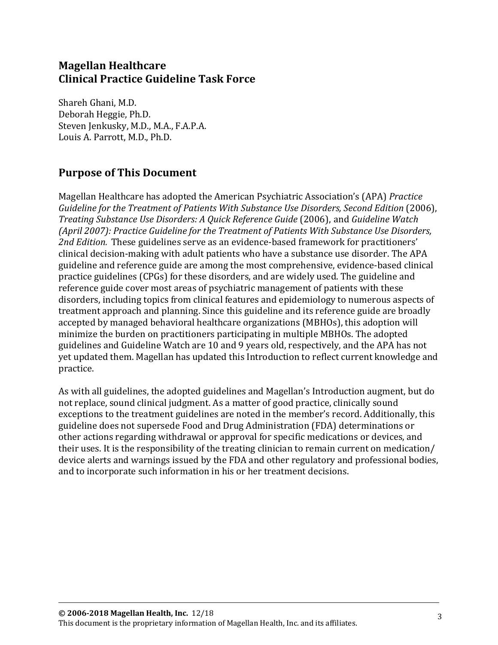# **Magellan Healthcare Clinical Practice Guideline Task Force**

Shareh Ghani, M.D. Deborah Heggie, Ph.D. Steven Jenkusky, M.D., M.A., F.A.P.A. Louis A. Parrott, M.D., Ph.D.

## <span id="page-2-0"></span>**Purpose of This Document**

Magellan Healthcare has adopted the American Psychiatric Association's (APA) *Practice Guideline for the Treatment of Patients With Substance Use Disorders, Second Edition* (2006), *Treating Substance Use Disorders: A Quick Reference Guide* (2006), and *Guideline Watch (April 2007): Practice Guideline for the Treatment of Patients With Substance Use Disorders, 2nd Edition.* These guidelines serve as an evidence-based framework for practitioners' clinical decision-making with adult patients who have a substance use disorder. The APA guideline and reference guide are among the most comprehensive, evidence-based clinical practice guidelines (CPGs) for these disorders, and are widely used. The guideline and reference guide cover most areas of psychiatric management of patients with these disorders, including topics from clinical features and epidemiology to numerous aspects of treatment approach and planning. Since this guideline and its reference guide are broadly accepted by managed behavioral healthcare organizations (MBHOs), this adoption will minimize the burden on practitioners participating in multiple MBHOs. The adopted guidelines and Guideline Watch are 10 and 9 years old, respectively, and the APA has not yet updated them. Magellan has updated this Introduction to reflect current knowledge and practice.

As with all guidelines, the adopted guidelines and Magellan's Introduction augment, but do not replace, sound clinical judgment. As a matter of good practice, clinically sound exceptions to the treatment guidelines are noted in the member's record. Additionally, this guideline does not supersede Food and Drug Administration (FDA) determinations or other actions regarding withdrawal or approval for specific medications or devices, and their uses. It is the responsibility of the treating clinician to remain current on medication/ device alerts and warnings issued by the FDA and other regulatory and professional bodies, and to incorporate such information in his or her treatment decisions.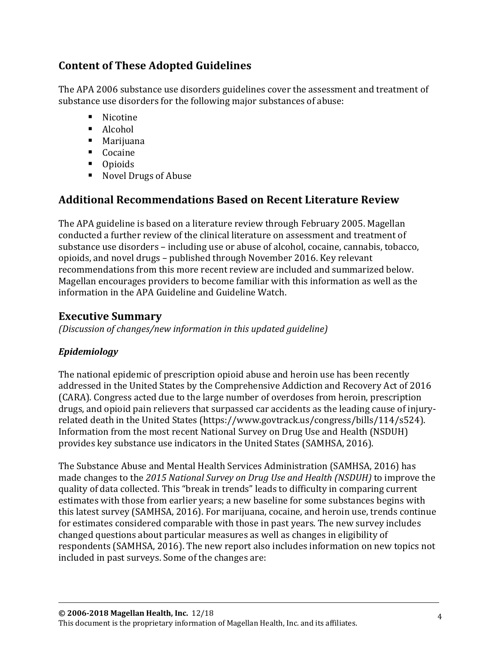# <span id="page-3-0"></span>**Content of These Adopted Guidelines**

The APA 2006 substance use disorders guidelines cover the assessment and treatment of substance use disorders for the following major substances of abuse:

- Nicotine
- Alcohol
- Marijuana
- Cocaine
- Opioids
- Novel Drugs of Abuse

# <span id="page-3-1"></span>**Additional Recommendations Based on Recent Literature Review**

The APA guideline is based on a literature review through February 2005. Magellan conducted a further review of the clinical literature on assessment and treatment of substance use disorders – including use or abuse of alcohol, cocaine, cannabis, tobacco, opioids, and novel drugs – published through November 2016. Key relevant recommendations from this more recent review are included and summarized below. Magellan encourages providers to become familiar with this information as well as the information in the APA Guideline and Guideline Watch.

## <span id="page-3-2"></span>**Executive Summary**

*(Discussion of changes/new information in this updated guideline)*

### *Epidemiology*

The national epidemic of prescription opioid abuse and heroin use has been recently addressed in the United States by the Comprehensive Addiction and Recovery Act of 2016 (CARA). Congress acted due to the large number of overdoses from heroin, prescription drugs, and opioid pain relievers that surpassed car accidents as the leading cause of injuryrelated death in the United States [\(https://www.govtrack.us/congress/bills/114/s524\)](https://www.govtrack.us/congress/bills/114/s524). Information from the most recent National Survey on Drug Use and Health (NSDUH) provides key substance use indicators in the United States (SAMHSA, 2016).

The Substance Abuse and Mental Health Services Administration (SAMHSA, 2016) has made changes to the *2015 National Survey on Drug Use and Health (NSDUH)* to improve the quality of data collected. This "break in trends" leads to difficulty in comparing current estimates with those from earlier years; a new baseline for some substances begins with this latest survey (SAMHSA, 2016). For marijuana, cocaine, and heroin use, trends continue for estimates considered comparable with those in past years. The new survey includes changed questions about particular measures as well as changes in eligibility of respondents (SAMHSA, 2016). The new report also includes information on new topics not included in past surveys. Some of the changes are: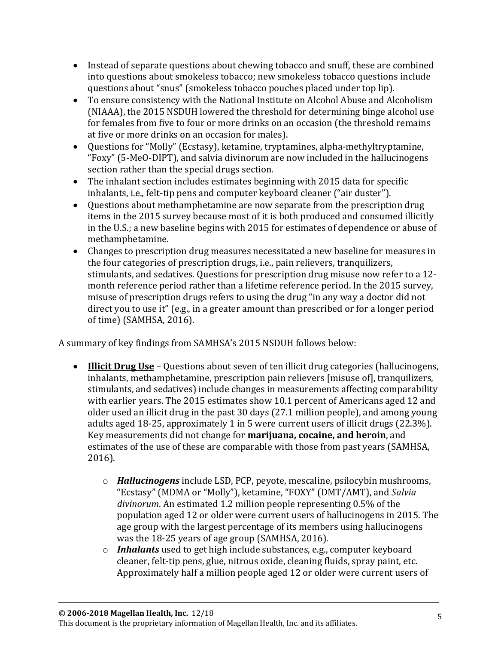- Instead of separate questions about chewing tobacco and snuff, these are combined into questions about smokeless tobacco; new smokeless tobacco questions include questions about "snus" (smokeless tobacco pouches placed under top lip).
- To ensure consistency with the National Institute on Alcohol Abuse and Alcoholism (NIAAA), the 2015 NSDUH lowered the threshold for determining binge alcohol use for females from five to four or more drinks on an occasion (the threshold remains at five or more drinks on an occasion for males).
- Questions for "Molly" (Ecstasy), ketamine, tryptamines, alpha-methyltryptamine, "Foxy" (5-MeO-DIPT), and salvia divinorum are now included in the hallucinogens section rather than the special drugs section.
- The inhalant section includes estimates beginning with 2015 data for specific inhalants, i.e., felt-tip pens and computer keyboard cleaner ("air duster").
- Questions about methamphetamine are now separate from the prescription drug items in the 2015 survey because most of it is both produced and consumed illicitly in the U.S.; a new baseline begins with 2015 for estimates of dependence or abuse of methamphetamine.
- Changes to prescription drug measures necessitated a new baseline for measures in the four categories of prescription drugs, i.e., pain relievers, tranquilizers, stimulants, and sedatives. Questions for prescription drug misuse now refer to a 12 month reference period rather than a lifetime reference period. In the 2015 survey, misuse of prescription drugs refers to using the drug "in any way a doctor did not direct you to use it" (e.g., in a greater amount than prescribed or for a longer period of time) (SAMHSA, 2016).

A summary of key findings from SAMHSA's 2015 NSDUH follows below:

- **Illicit Drug Use** Questions about seven of ten illicit drug categories (hallucinogens, inhalants, methamphetamine, prescription pain relievers [misuse of], tranquilizers, stimulants, and sedatives) include changes in measurements affecting comparability with earlier years. The 2015 estimates show 10.1 percent of Americans aged 12 and older used an illicit drug in the past 30 days (27.1 million people), and among young adults aged 18-25, approximately 1 in 5 were current users of illicit drugs (22.3%). Key measurements did not change for **marijuana, cocaine, and heroin**, and estimates of the use of these are comparable with those from past years (SAMHSA, 2016).
	- o *Hallucinogens* include LSD, PCP, peyote, mescaline, psilocybin mushrooms, "Ecstasy" (MDMA or "Molly"), ketamine, "FOXY" (DMT/AMT), and *Salvia divinorum*. An estimated 1.2 million people representing 0.5% of the population aged 12 or older were current users of hallucinogens in 2015. The age group with the largest percentage of its members using hallucinogens was the 18-25 years of age group (SAMHSA, 2016).
	- o *Inhalants* used to get high include substances, e.g., computer keyboard cleaner, felt-tip pens, glue, nitrous oxide, cleaning fluids, spray paint, etc. Approximately half a million people aged 12 or older were current users of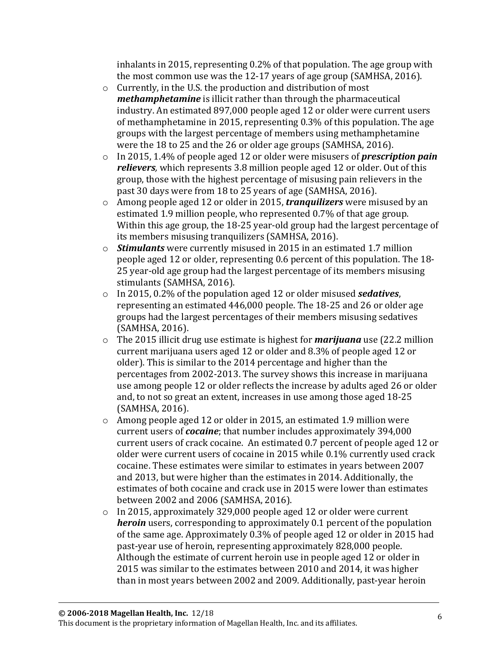inhalants in 2015, representing 0.2% of that population. The age group with the most common use was the 12-17 years of age group (SAMHSA, 2016).

- o Currently, in the U.S. the production and distribution of most *methamphetamine* is illicit rather than through the pharmaceutical industry. An estimated 897,000 people aged 12 or older were current users of methamphetamine in 2015, representing 0.3% of this population. The age groups with the largest percentage of members using methamphetamine were the 18 to 25 and the 26 or older age groups (SAMHSA, 2016).
- o In 2015, 1.4% of people aged 12 or older were misusers of *prescription pain relievers,* which represents 3.8 million people aged 12 or older. Out of this group, those with the highest percentage of misusing pain relievers in the past 30 days were from 18 to 25 years of age (SAMHSA, 2016).
- o Among people aged 12 or older in 2015, *tranquilizers* were misused by an estimated 1.9 million people, who represented 0.7% of that age group. Within this age group, the 18-25 year-old group had the largest percentage of its members misusing tranquilizers (SAMHSA, 2016).
- o *Stimulants* were currently misused in 2015 in an estimated 1.7 million people aged 12 or older, representing 0.6 percent of this population. The 18- 25 year-old age group had the largest percentage of its members misusing stimulants (SAMHSA, 2016).
- o In 2015, 0.2% of the population aged 12 or older misused *sedatives*, representing an estimated 446,000 people. The 18-25 and 26 or older age groups had the largest percentages of their members misusing sedatives (SAMHSA, 2016).
- o The 2015 illicit drug use estimate is highest for *marijuana* use (22.2 million current marijuana users aged 12 or older and 8.3% of people aged 12 or older). This is similar to the 2014 percentage and higher than the percentages from 2002-2013. The survey shows this increase in marijuana use among people 12 or older reflects the increase by adults aged 26 or older and, to not so great an extent, increases in use among those aged 18-25 (SAMHSA, 2016).
- o Among people aged 12 or older in 2015, an estimated 1.9 million were current users of *cocaine*; that number includes approximately 394,000 current users of crack cocaine. An estimated 0.7 percent of people aged 12 or older were current users of cocaine in 2015 while 0.1% currently used crack cocaine. These estimates were similar to estimates in years between 2007 and 2013, but were higher than the estimates in 2014. Additionally, the estimates of both cocaine and crack use in 2015 were lower than estimates between 2002 and 2006 (SAMHSA, 2016).
- o In 2015, approximately 329,000 people aged 12 or older were current *heroin* users, corresponding to approximately 0.1 percent of the population of the same age. Approximately 0.3% of people aged 12 or older in 2015 had past-year use of heroin, representing approximately 828,000 people. Although the estimate of current heroin use in people aged 12 or older in 2015 was similar to the estimates between 2010 and 2014, it was higher than in most years between 2002 and 2009. Additionally, past-year heroin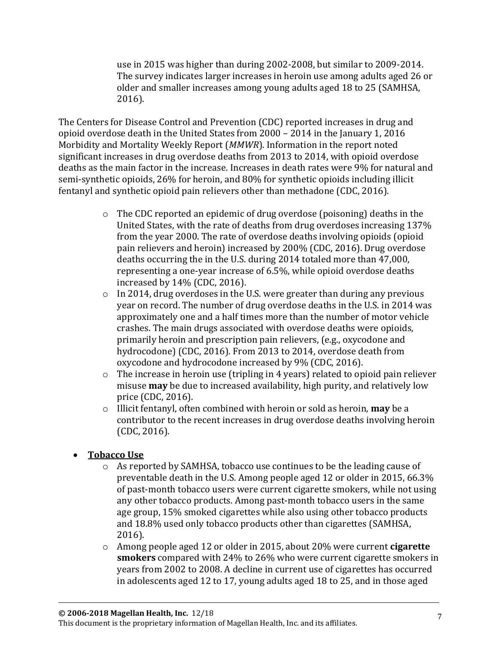use in 2015 was higher than during 2002-2008, but similar to 2009-2014. The survey indicates larger increases in heroin use among adults aged 26 or older and smaller increases among young adults aged 18 to 25 (SAMHSA, 2016).

The Centers for Disease Control and Prevention (CDC) reported increases in drug and opioid overdose death in the United States from 2000 – 2014 in the January 1, 2016 Morbidity and Mortality Weekly Report (*MMWR*). Information in the report noted significant increases in drug overdose deaths from 2013 to 2014, with opioid overdose deaths as the main factor in the increase. Increases in death rates were 9% for natural and semi-synthetic opioids, 26% for heroin, and 80% for synthetic opioids including illicit fentanyl and synthetic opioid pain relievers other than methadone (CDC, 2016).

- o The CDC reported an epidemic of drug overdose (poisoning) deaths in the United States, with the rate of deaths from drug overdoses increasing 137% from the year 2000. The rate of overdose deaths involving opioids (opioid pain relievers and heroin) increased by 200% (CDC, 2016). Drug overdose deaths occurring the in the U.S. during 2014 totaled more than 47,000, representing a one-year increase of 6.5%, while opioid overdose deaths increased by 14% (CDC, 2016).
- $\circ$  In 2014, drug overdoses in the U.S. were greater than during any previous year on record. The number of drug overdose deaths in the U.S. in 2014 was approximately one and a half times more than the number of motor vehicle crashes. The main drugs associated with overdose deaths were opioids, primarily heroin and prescription pain relievers, (e.g., oxycodone and hydrocodone) (CDC, 2016). From 2013 to 2014, overdose death from oxycodone and hydrocodone increased by 9% (CDC, 2016).
- o The increase in heroin use (tripling in 4 years) related to opioid pain reliever misuse **may** be due to increased availability, high purity, and relatively low price (CDC, 2016).
- o Illicit fentanyl, often combined with heroin or sold as heroin, **may** be a contributor to the recent increases in drug overdose deaths involving heroin (CDC, 2016).
- **Tobacco Use**
	- o As reported by SAMHSA, tobacco use continues to be the leading cause of preventable death in the U.S. Among people aged 12 or older in 2015, 66.3% of past-month tobacco users were current cigarette smokers, while not using any other tobacco products. Among past-month tobacco users in the same age group, 15% smoked cigarettes while also using other tobacco products and 18.8% used only tobacco products other than cigarettes (SAMHSA, 2016).
	- o Among people aged 12 or older in 2015, about 20% were current **cigarette smokers** compared with 24% to 26% who were current cigarette smokers in years from 2002 to 2008. A decline in current use of cigarettes has occurred in adolescents aged 12 to 17, young adults aged 18 to 25, and in those aged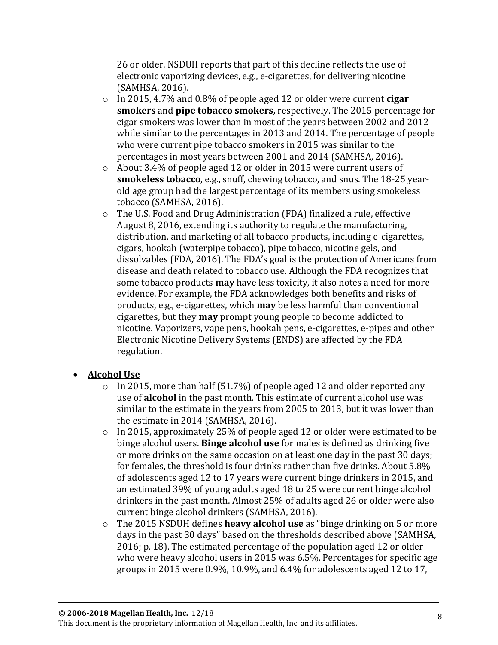26 or older. NSDUH reports that part of this decline reflects the use of electronic vaporizing devices, e.g., e-cigarettes, for delivering nicotine (SAMHSA, 2016).

- o In 2015, 4.7% and 0.8% of people aged 12 or older were current **cigar smokers** and **pipe tobacco smokers,** respectively. The 2015 percentage for cigar smokers was lower than in most of the years between 2002 and 2012 while similar to the percentages in 2013 and 2014. The percentage of people who were current pipe tobacco smokers in 2015 was similar to the percentages in most years between 2001 and 2014 (SAMHSA, 2016).
- o About 3.4% of people aged 12 or older in 2015 were current users of **smokeless tobacco**, e.g., snuff, chewing tobacco, and snus. The 18-25 yearold age group had the largest percentage of its members using smokeless tobacco (SAMHSA, 2016).
- o The U.S. Food and Drug Administration (FDA) finalized a rule, effective August 8, 2016, extending its authority to regulate the manufacturing, distribution, and marketing of all tobacco products, including e-cigarettes, cigars, hookah (waterpipe tobacco), pipe tobacco, nicotine gels, and dissolvables (FDA, 2016). The FDA's goal is the protection of Americans from disease and death related to tobacco use. Although the FDA recognizes that some tobacco products **may** have less toxicity, it also notes a need for more evidence. For example, the FDA acknowledges both benefits and risks of products, e.g., e-cigarettes, which **may** be less harmful than conventional cigarettes, but they **may** prompt young people to become addicted to nicotine. Vaporizers, vape pens, hookah pens, e-cigarettes, e-pipes and other Electronic Nicotine Delivery Systems (ENDS) are affected by the FDA regulation.

### • **Alcohol Use**

- $\circ$  In 2015, more than half (51.7%) of people aged 12 and older reported any use of **alcohol** in the past month. This estimate of current alcohol use was similar to the estimate in the years from 2005 to 2013, but it was lower than the estimate in 2014 (SAMHSA, 2016).
- o In 2015, approximately 25% of people aged 12 or older were estimated to be binge alcohol users. **Binge alcohol use** for males is defined as drinking five or more drinks on the same occasion on at least one day in the past 30 days; for females, the threshold is four drinks rather than five drinks. About 5.8% of adolescents aged 12 to 17 years were current binge drinkers in 2015, and an estimated 39% of young adults aged 18 to 25 were current binge alcohol drinkers in the past month. Almost 25% of adults aged 26 or older were also current binge alcohol drinkers (SAMHSA, 2016).
- o The 2015 NSDUH defines **heavy alcohol use** as "binge drinking on 5 or more days in the past 30 days" based on the thresholds described above (SAMHSA, 2016; p. 18). The estimated percentage of the population aged 12 or older who were heavy alcohol users in 2015 was 6.5%. Percentages for specific age groups in 2015 were 0.9%, 10.9%, and 6.4% for adolescents aged 12 to 17,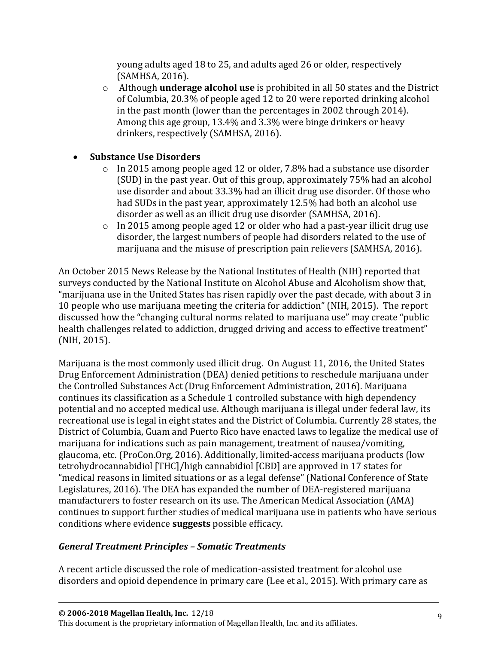young adults aged 18 to 25, and adults aged 26 or older, respectively (SAMHSA, 2016).

o Although **underage alcohol use** is prohibited in all 50 states and the District of Columbia, 20.3% of people aged 12 to 20 were reported drinking alcohol in the past month (lower than the percentages in 2002 through 2014). Among this age group, 13.4% and 3.3% were binge drinkers or heavy drinkers, respectively (SAMHSA, 2016).

### • **Substance Use Disorders**

- $\circ$  In 2015 among people aged 12 or older, 7.8% had a substance use disorder (SUD) in the past year. Out of this group, approximately 75% had an alcohol use disorder and about 33.3% had an illicit drug use disorder. Of those who had SUDs in the past year, approximately 12.5% had both an alcohol use disorder as well as an illicit drug use disorder (SAMHSA, 2016).
- o In 2015 among people aged 12 or older who had a past-year illicit drug use disorder, the largest numbers of people had disorders related to the use of marijuana and the misuse of prescription pain relievers (SAMHSA, 2016).

An October 2015 News Release by the National Institutes of Health (NIH) reported that surveys conducted by the National Institute on Alcohol Abuse and Alcoholism show that, "marijuana use in the United States has risen rapidly over the past decade, with about 3 in 10 people who use marijuana meeting the criteria for addiction" (NIH, 2015). The report discussed how the "changing cultural norms related to marijuana use" may create "public health challenges related to addiction, drugged driving and access to effective treatment" (NIH, 2015).

Marijuana is the most commonly used illicit drug. On August 11, 2016, the United States Drug Enforcement Administration (DEA) denied petitions to reschedule marijuana under the Controlled Substances Act (Drug Enforcement Administration, 2016). Marijuana continues its classification as a Schedule 1 controlled substance with high dependency potential and no accepted medical use. Although marijuana is illegal under federal law, its recreational use is legal in eight states and the District of Columbia. Currently 28 states, the District of Columbia, Guam and Puerto Rico have enacted laws to legalize the medical use of marijuana for indications such as pain management, treatment of nausea/vomiting, glaucoma, etc. (ProCon.Org, 2016). Additionally, limited-access marijuana products (low tetrohydrocannabidiol [THC]/high cannabidiol [CBD] are approved in 17 states for "medical reasons in limited situations or as a legal defense" (National Conference of State Legislatures, 2016). The DEA has expanded the number of DEA-registered marijuana manufacturers to foster research on its use. The American Medical Association (AMA) continues to support further studies of medical marijuana use in patients who have serious conditions where evidence **suggests** possible efficacy.

### *General Treatment Principles – Somatic Treatments*

A recent article discussed the role of medication-assisted treatment for alcohol use disorders and opioid dependence in primary care (Lee et al., 2015). With primary care as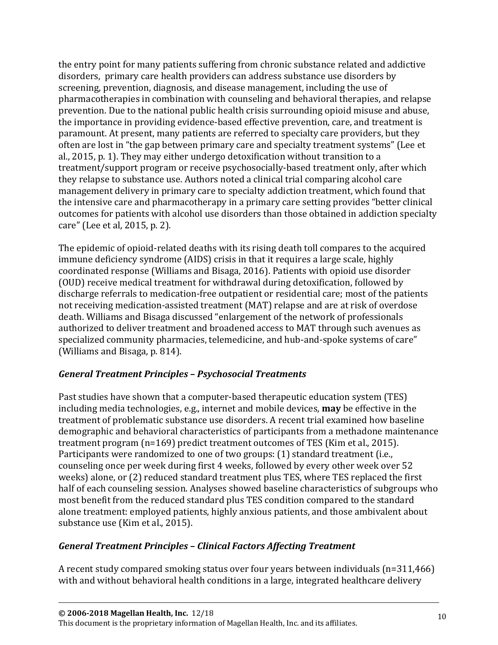the entry point for many patients suffering from chronic substance related and addictive disorders, primary care health providers can address substance use disorders by screening, prevention, diagnosis, and disease management, including the use of pharmacotherapies in combination with counseling and behavioral therapies, and relapse prevention. Due to the national public health crisis surrounding opioid misuse and abuse, the importance in providing evidence-based effective prevention, care, and treatment is paramount. At present, many patients are referred to specialty care providers, but they often are lost in "the gap between primary care and specialty treatment systems" (Lee et al., 2015, p. 1). They may either undergo detoxification without transition to a treatment/support program or receive psychosocially-based treatment only, after which they relapse to substance use. Authors noted a clinical trial comparing alcohol care management delivery in primary care to specialty addiction treatment, which found that the intensive care and pharmacotherapy in a primary care setting provides "better clinical outcomes for patients with alcohol use disorders than those obtained in addiction specialty care" (Lee et al, 2015, p. 2).

The epidemic of opioid-related deaths with its rising death toll compares to the acquired immune deficiency syndrome (AIDS) crisis in that it requires a large scale, highly coordinated response (Williams and Bisaga, 2016). Patients with opioid use disorder (OUD) receive medical treatment for withdrawal during detoxification, followed by discharge referrals to medication-free outpatient or residential care; most of the patients not receiving medication-assisted treatment (MAT) relapse and are at risk of overdose death. Williams and Bisaga discussed "enlargement of the network of professionals authorized to deliver treatment and broadened access to MAT through such avenues as specialized community pharmacies, telemedicine, and hub-and-spoke systems of care" (Williams and Bisaga, p. 814).

### *General Treatment Principles – Psychosocial Treatments*

Past studies have shown that a computer-based therapeutic education system (TES) including media technologies, e.g., internet and mobile devices, **may** be effective in the treatment of problematic substance use disorders. A recent trial examined how baseline demographic and behavioral characteristics of participants from a methadone maintenance treatment program (n=169) predict treatment outcomes of TES (Kim et al., 2015). Participants were randomized to one of two groups: (1) standard treatment (i.e., counseling once per week during first 4 weeks, followed by every other week over 52 weeks) alone, or (2) reduced standard treatment plus TES, where TES replaced the first half of each counseling session. Analyses showed baseline characteristics of subgroups who most benefit from the reduced standard plus TES condition compared to the standard alone treatment: employed patients, highly anxious patients, and those ambivalent about substance use (Kim et al., 2015).

#### *General Treatment Principles – Clinical Factors Affecting Treatment*

A recent study compared smoking status over four years between individuals (n=311,466) with and without behavioral health conditions in a large, integrated healthcare delivery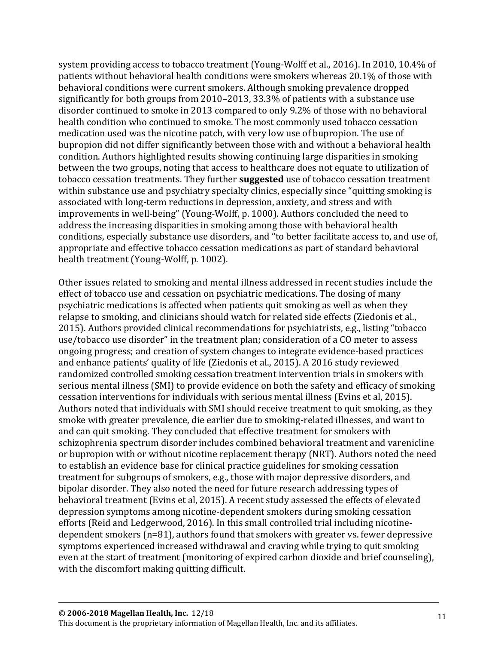system providing access to tobacco treatment (Young-Wolff et al., 2016). In 2010, 10.4% of patients without behavioral health conditions were smokers whereas 20.1% of those with behavioral conditions were current smokers. Although smoking prevalence dropped significantly for both groups from 2010–2013, 33.3% of patients with a substance use disorder continued to smoke in 2013 compared to only 9.2% of those with no behavioral health condition who continued to smoke. The most commonly used tobacco cessation medication used was the nicotine patch, with very low use of bupropion. The use of bupropion did not differ significantly between those with and without a behavioral health condition. Authors highlighted results showing continuing large disparities in smoking between the two groups, noting that access to healthcare does not equate to utilization of tobacco cessation treatments. They further **suggested** use of tobacco cessation treatment within substance use and psychiatry specialty clinics, especially since "quitting smoking is associated with long-term reductions in depression, anxiety, and stress and with improvements in well-being" (Young-Wolff, p. 1000). Authors concluded the need to address the increasing disparities in smoking among those with behavioral health conditions, especially substance use disorders, and "to better facilitate access to, and use of, appropriate and effective tobacco cessation medications as part of standard behavioral health treatment (Young-Wolff, p. 1002).

Other issues related to smoking and mental illness addressed in recent studies include the effect of tobacco use and cessation on psychiatric medications. The dosing of many psychiatric medications is affected when patients quit smoking as well as when they relapse to smoking, and clinicians should watch for related side effects (Ziedonis et al., 2015). Authors provided clinical recommendations for psychiatrists, e.g., listing "tobacco use/tobacco use disorder" in the treatment plan; consideration of a CO meter to assess ongoing progress; and creation of system changes to integrate evidence-based practices and enhance patients' quality of life (Ziedonis et al., 2015). A 2016 study reviewed randomized controlled smoking cessation treatment intervention trials in smokers with serious mental illness (SMI) to provide evidence on both the safety and efficacy of smoking cessation interventions for individuals with serious mental illness (Evins et al, 2015). Authors noted that individuals with SMI should receive treatment to quit smoking, as they smoke with greater prevalence, die earlier due to smoking-related illnesses, and want to and can quit smoking. They concluded that effective treatment for smokers with schizophrenia spectrum disorder includes combined behavioral treatment and varenicline or bupropion with or without nicotine replacement therapy (NRT). Authors noted the need to establish an evidence base for clinical practice guidelines for smoking cessation treatment for subgroups of smokers, e.g., those with major depressive disorders, and bipolar disorder. They also noted the need for future research addressing types of behavioral treatment (Evins et al, 2015). A recent study assessed the effects of elevated depression symptoms among nicotine-dependent smokers during smoking cessation efforts (Reid and Ledgerwood, 2016). In this small controlled trial including nicotinedependent smokers (n=81), authors found that smokers with greater vs. fewer depressive symptoms experienced increased withdrawal and craving while trying to quit smoking even at the start of treatment (monitoring of expired carbon dioxide and brief counseling), with the discomfort making quitting difficult.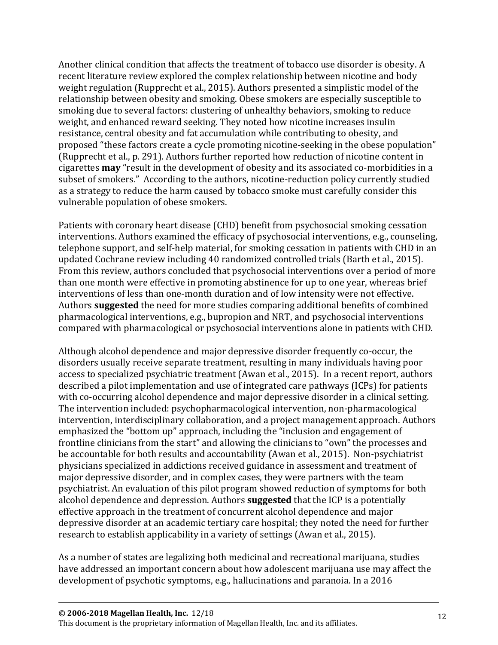Another clinical condition that affects the treatment of tobacco use disorder is obesity. A recent literature review explored the complex relationship between nicotine and body weight regulation (Rupprecht et al., 2015). Authors presented a simplistic model of the relationship between obesity and smoking. Obese smokers are especially susceptible to smoking due to several factors: clustering of unhealthy behaviors, smoking to reduce weight, and enhanced reward seeking. They noted how nicotine increases insulin resistance, central obesity and fat accumulation while contributing to obesity, and proposed "these factors create a cycle promoting nicotine-seeking in the obese population" (Rupprecht et al., p. 291). Authors further reported how reduction of nicotine content in cigarettes **may** "result in the development of obesity and its associated co-morbidities in a subset of smokers." According to the authors, nicotine-reduction policy currently studied as a strategy to reduce the harm caused by tobacco smoke must carefully consider this vulnerable population of obese smokers.

Patients with coronary heart disease (CHD) benefit from psychosocial smoking cessation interventions. Authors examined the efficacy of psychosocial interventions, e.g., counseling, telephone support, and self-help material, for smoking cessation in patients with CHD in an updated Cochrane review including 40 randomized controlled trials (Barth et al., 2015). From this review, authors concluded that psychosocial interventions over a period of more than one month were effective in promoting abstinence for up to one year, whereas brief interventions of less than one-month duration and of low intensity were not effective. Authors **suggested** the need for more studies comparing additional benefits of combined pharmacological interventions, e.g., bupropion and NRT, and psychosocial interventions compared with pharmacological or psychosocial interventions alone in patients with CHD.

Although alcohol dependence and major depressive disorder frequently co-occur, the disorders usually receive separate treatment, resulting in many individuals having poor access to specialized psychiatric treatment (Awan et al., 2015). In a recent report, authors described a pilot implementation and use of integrated care pathways (ICPs) for patients with co-occurring alcohol dependence and major depressive disorder in a clinical setting. The intervention included: psychopharmacological intervention, non-pharmacological intervention, interdisciplinary collaboration, and a project management approach. Authors emphasized the "bottom up" approach, including the "inclusion and engagement of frontline clinicians from the start" and allowing the clinicians to "own" the processes and be accountable for both results and accountability (Awan et al., 2015). Non-psychiatrist physicians specialized in addictions received guidance in assessment and treatment of major depressive disorder, and in complex cases, they were partners with the team psychiatrist. An evaluation of this pilot program showed reduction of symptoms for both alcohol dependence and depression. Authors **suggested** that the ICP is a potentially effective approach in the treatment of concurrent alcohol dependence and major depressive disorder at an academic tertiary care hospital; they noted the need for further research to establish applicability in a variety of settings (Awan et al., 2015).

As a number of states are legalizing both medicinal and recreational marijuana, studies have addressed an important concern about how adolescent marijuana use may affect the development of psychotic symptoms, e.g., hallucinations and paranoia. In a 2016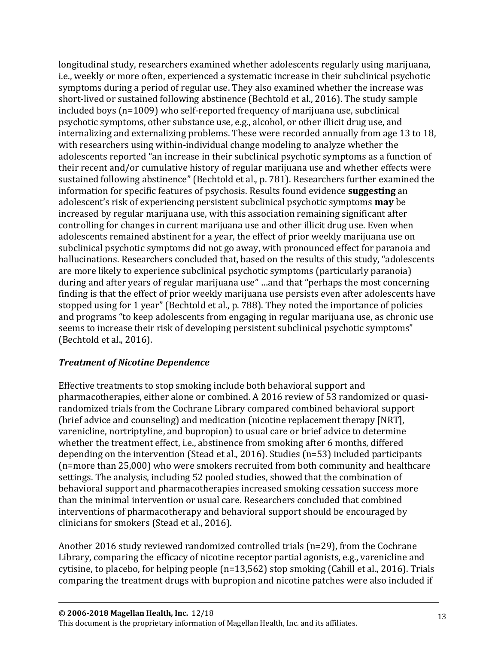longitudinal study, researchers examined whether adolescents regularly using marijuana, i.e., weekly or more often, experienced a systematic increase in their subclinical psychotic symptoms during a period of regular use. They also examined whether the increase was short-lived or sustained following abstinence (Bechtold et al., 2016). The study sample included boys (n=1009) who self-reported frequency of marijuana use, subclinical psychotic symptoms, other substance use, e.g., alcohol, or other illicit drug use, and internalizing and externalizing problems. These were recorded annually from age 13 to 18, with researchers using within-individual change modeling to analyze whether the adolescents reported "an increase in their subclinical psychotic symptoms as a function of their recent and/or cumulative history of regular marijuana use and whether effects were sustained following abstinence" (Bechtold et al., p. 781). Researchers further examined the information for specific features of psychosis. Results found evidence **suggesting** an adolescent's risk of experiencing persistent subclinical psychotic symptoms **may** be increased by regular marijuana use, with this association remaining significant after controlling for changes in current marijuana use and other illicit drug use. Even when adolescents remained abstinent for a year, the effect of prior weekly marijuana use on subclinical psychotic symptoms did not go away, with pronounced effect for paranoia and hallucinations. Researchers concluded that, based on the results of this study, "adolescents are more likely to experience subclinical psychotic symptoms (particularly paranoia) during and after years of regular marijuana use" …and that "perhaps the most concerning finding is that the effect of prior weekly marijuana use persists even after adolescents have stopped using for 1 year" (Bechtold et al., p. 788). They noted the importance of policies and programs "to keep adolescents from engaging in regular marijuana use, as chronic use seems to increase their risk of developing persistent subclinical psychotic symptoms" (Bechtold et al., 2016).

#### *Treatment of Nicotine Dependence*

Effective treatments to stop smoking include both behavioral support and pharmacotherapies, either alone or combined. A 2016 review of 53 randomized or quasirandomized trials from the Cochrane Library compared combined behavioral support (brief advice and counseling) and medication (nicotine replacement therapy [NRT], varenicline, nortriptyline, and bupropion) to usual care or brief advice to determine whether the treatment effect, i.e., abstinence from smoking after 6 months, differed depending on the intervention (Stead et al., 2016). Studies (n=53) included participants (n=more than 25,000) who were smokers recruited from both community and healthcare settings. The analysis, including 52 pooled studies, showed that the combination of behavioral support and pharmacotherapies increased smoking cessation success more than the minimal intervention or usual care. Researchers concluded that combined interventions of pharmacotherapy and behavioral support should be encouraged by clinicians for smokers (Stead et al., 2016).

Another 2016 study reviewed randomized controlled trials (n=29), from the Cochrane Library, comparing the efficacy of nicotine receptor partial agonists, e.g., varenicline and cytisine, to placebo, for helping people (n=13,562) stop smoking (Cahill et al., 2016). Trials comparing the treatment drugs with bupropion and nicotine patches were also included if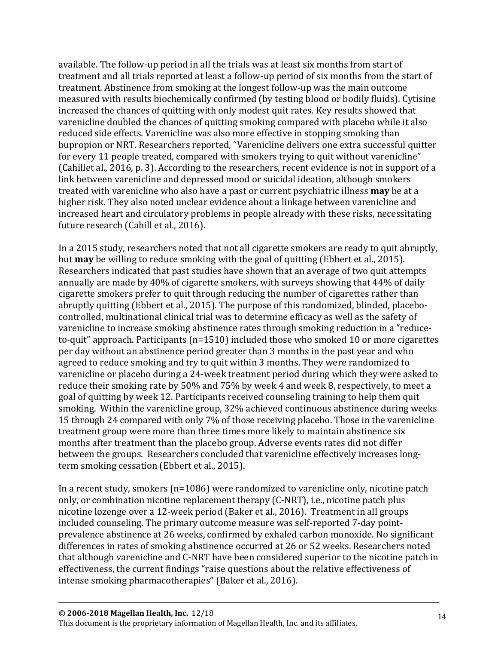available. The follow-up period in all the trials was at least six months from start of treatment and all trials reported at least a follow-up period of six months from the start of treatment. Abstinence from smoking at the longest follow-up was the main outcome measured with results biochemically confirmed (by testing blood or bodily fluids). Cytisine increased the chances of quitting with only modest quit rates. Key results showed that varenicline doubled the chances of quitting smoking compared with placebo while it also reduced side effects. Varenicline was also more effective in stopping smoking than bupropion or NRT. Researchers reported, "Varenicline delivers one extra successful quitter for every 11 people treated, compared with smokers trying to quit without varenicline" (Cahillet al., 2016, p. 3). According to the researchers, recent evidence is not in support of a link between varenicline and depressed mood or suicidal ideation, although smokers treated with varenicline who also have a past or current psychiatric illness **may** be at a higher risk. They also noted unclear evidence about a linkage between varenicline and increased heart and circulatory problems in people already with these risks, necessitating future research (Cahill et al., 2016).

In a 2015 study, researchers noted that not all cigarette smokers are ready to quit abruptly, but **may** be willing to reduce smoking with the goal of quitting (Ebbert et al., 2015). Researchers indicated that past studies have shown that an average of two quit attempts annually are made by 40% of cigarette smokers, with surveys showing that 44% of daily cigarette smokers prefer to quit through reducing the number of cigarettes rather than abruptly quitting (Ebbert et al., 2015). The purpose of this randomized, blinded, placebocontrolled, multinational clinical trial was to determine efficacy as well as the safety of varenicline to increase smoking abstinence rates through smoking reduction in a "reduceto-quit" approach. Participants (n=1510) included those who smoked 10 or more cigarettes per day without an abstinence period greater than 3 months in the past year and who agreed to reduce smoking and try to quit within 3 months. They were randomized to varenicline or placebo during a 24-week treatment period during which they were asked to reduce their smoking rate by 50% and 75% by week 4 and week 8, respectively, to meet a goal of quitting by week 12. Participants received counseling training to help them quit smoking. Within the varenicline group, 32% achieved continuous abstinence during weeks 15 through 24 compared with only 7% of those receiving placebo. Those in the varenicline treatment group were more than three times more likely to maintain abstinence six months after treatment than the placebo group. Adverse events rates did not differ between the groups. Researchers concluded that varenicline effectively increases longterm smoking cessation (Ebbert et al., 2015).

In a recent study, smokers (n=1086) were randomized to varenicline only, nicotine patch only, or combination nicotine replacement therapy (C-NRT), i.e., nicotine patch plus nicotine lozenge over a 12-week period (Baker et al., 2016). Treatment in all groups included counseling. The primary outcome measure was self-reported 7-day pointprevalence abstinence at 26 weeks, confirmed by exhaled carbon monoxide. No significant differences in rates of smoking abstinence occurred at 26 or 52 weeks. Researchers noted that although varenicline and C-NRT have been considered superior to the nicotine patch in effectiveness, the current findings "raise questions about the relative effectiveness of intense smoking pharmacotherapies" (Baker et al., 2016).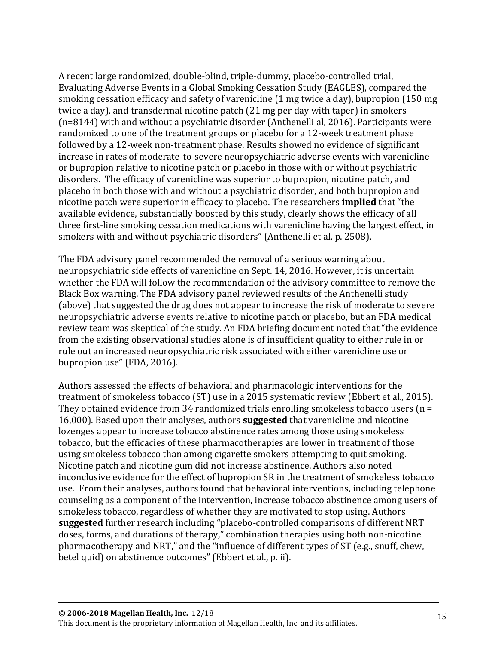A recent large randomized, double-blind, triple-dummy, placebo-controlled trial, Evaluating Adverse Events in a Global Smoking Cessation Study (EAGLES), compared the smoking cessation efficacy and safety of varenicline (1 mg twice a day), bupropion (150 mg twice a day), and transdermal nicotine patch (21 mg per day with taper) in smokers (n=8144) with and without a psychiatric disorder (Anthenelli al, 2016). Participants were randomized to one of the treatment groups or placebo for a 12-week treatment phase followed by a 12-week non-treatment phase. Results showed no evidence of significant increase in rates of moderate-to-severe neuropsychiatric adverse events with varenicline or bupropion relative to nicotine patch or placebo in those with or without psychiatric disorders. The efficacy of varenicline was superior to bupropion, nicotine patch, and placebo in both those with and without a psychiatric disorder, and both bupropion and nicotine patch were superior in efficacy to placebo. The researchers **implied** that "the available evidence, substantially boosted by this study, clearly shows the efficacy of all three first-line smoking cessation medications with varenicline having the largest effect, in smokers with and without psychiatric disorders" (Anthenelli et al, p. 2508).

The FDA advisory panel recommended the removal of a serious warning about neuropsychiatric side effects of varenicline on Sept. 14, 2016. However, it is uncertain whether the FDA will follow the recommendation of the advisory committee to remove the Black Box warning. The FDA advisory panel reviewed results of the Anthenelli study (above) that suggested the drug does not appear to increase the risk of moderate to severe neuropsychiatric adverse events relative to nicotine patch or placebo, but an FDA medical review team was skeptical of the study. An FDA briefing document noted that "the evidence from the existing observational studies alone is of insufficient quality to either rule in or rule out an increased neuropsychiatric risk associated with either varenicline use or bupropion use" (FDA, 2016).

Authors assessed the effects of behavioral and pharmacologic interventions for the treatment of smokeless tobacco (ST) use in a 2015 systematic review (Ebbert et al., 2015). They obtained evidence from 34 randomized trials enrolling smokeless tobacco users  $(n =$ 16,000). Based upon their analyses, authors **suggested** that varenicline and nicotine lozenges appear to increase tobacco abstinence rates among those using smokeless tobacco, but the efficacies of these pharmacotherapies are lower in treatment of those using smokeless tobacco than among cigarette smokers attempting to quit smoking. Nicotine patch and nicotine gum did not increase abstinence. Authors also noted inconclusive evidence for the effect of bupropion SR in the treatment of smokeless tobacco use. From their analyses, authors found that behavioral interventions, including telephone counseling as a component of the intervention, increase tobacco abstinence among users of smokeless tobacco, regardless of whether they are motivated to stop using. Authors **suggested** further research including "placebo-controlled comparisons of different NRT doses, forms, and durations of therapy," combination therapies using both non-nicotine pharmacotherapy and NRT," and the "influence of different types of ST (e.g., snuff, chew, betel quid) on abstinence outcomes" (Ebbert et al., p. ii).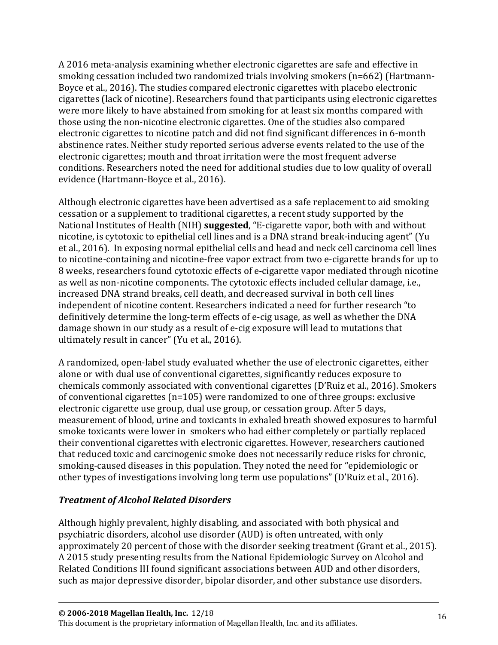A 2016 meta-analysis examining whether electronic cigarettes are safe and effective in smoking cessation included two randomized trials involving smokers (n=662) (Hartmann-Boyce et al., 2016). The studies compared electronic cigarettes with placebo electronic cigarettes (lack of nicotine). Researchers found that participants using electronic cigarettes were more likely to have abstained from smoking for at least six months compared with those using the non-nicotine electronic cigarettes. One of the studies also compared electronic cigarettes to nicotine patch and did not find significant differences in 6-month abstinence rates. Neither study reported serious adverse events related to the use of the electronic cigarettes; mouth and throat irritation were the most frequent adverse conditions. Researchers noted the need for additional studies due to low quality of overall evidence (Hartmann-Boyce et al., 2016).

Although electronic cigarettes have been advertised as a safe replacement to aid smoking cessation or a supplement to traditional cigarettes, a recent study supported by the National Institutes of Health (NIH) **suggested**, "E-cigarette vapor, both with and without nicotine, is cytotoxic to epithelial cell lines and is a DNA strand break-inducing agent" (Yu et al., 2016). In exposing normal epithelial cells and head and neck cell carcinoma cell lines to nicotine-containing and nicotine-free vapor extract from two e-cigarette brands for up to 8 weeks, researchers found cytotoxic effects of e-cigarette vapor mediated through nicotine as well as non-nicotine components. The cytotoxic effects included cellular damage, i.e., increased DNA strand breaks, cell death, and decreased survival in both cell lines independent of nicotine content. Researchers indicated a need for further research "to definitively determine the long-term effects of e-cig usage, as well as whether the DNA damage shown in our study as a result of e-cig exposure will lead to mutations that ultimately result in cancer" (Yu et al., 2016).

A randomized, open-label study evaluated whether the use of electronic cigarettes, either alone or with dual use of conventional cigarettes, significantly reduces exposure to chemicals commonly associated with conventional cigarettes (D'Ruiz et al., 2016). Smokers of conventional cigarettes (n=105) were randomized to one of three groups: exclusive electronic cigarette use group, dual use group, or cessation group. After 5 days, measurement of blood, urine and toxicants in exhaled breath showed exposures to harmful smoke toxicants were lower in smokers who had either completely or partially replaced their conventional cigarettes with electronic cigarettes. However, researchers cautioned that reduced toxic and carcinogenic smoke does not necessarily reduce risks for chronic, smoking-caused diseases in this population. They noted the need for "epidemiologic or other types of investigations involving long term use populations" (D'Ruiz et al., 2016).

#### *Treatment of Alcohol Related Disorders*

Although highly prevalent, highly disabling, and associated with both physical and psychiatric disorders, alcohol use disorder (AUD) is often untreated, with only approximately 20 percent of those with the disorder seeking treatment (Grant et al., 2015). A 2015 study presenting results from the National Epidemiologic Survey on Alcohol and Related Conditions III found significant associations between AUD and other disorders, such as major depressive disorder, bipolar disorder, and other substance use disorders.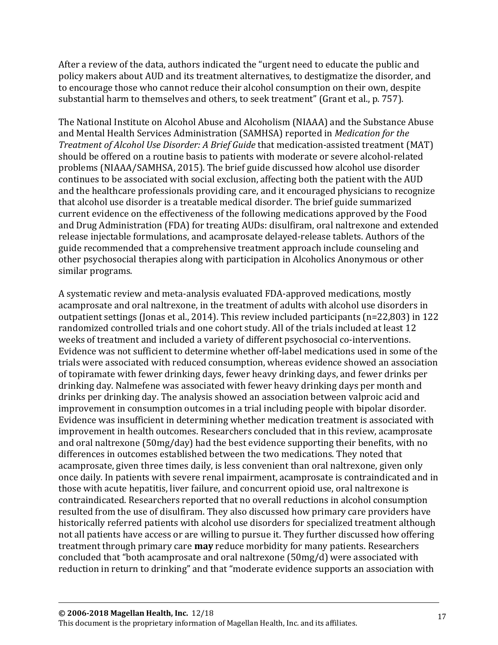After a review of the data, authors indicated the "urgent need to educate the public and policy makers about AUD and its treatment alternatives, to destigmatize the disorder, and to encourage those who cannot reduce their alcohol consumption on their own, despite substantial harm to themselves and others, to seek treatment" (Grant et al., p. 757).

The National Institute on Alcohol Abuse and Alcoholism (NIAAA) and the Substance Abuse and Mental Health Services Administration (SAMHSA) reported in *Medication for the Treatment of Alcohol Use Disorder: A Brief Guide* that medication-assisted treatment (MAT) should be offered on a routine basis to patients with moderate or severe alcohol-related problems (NIAAA/SAMHSA, 2015). The brief guide discussed how alcohol use disorder continues to be associated with social exclusion, affecting both the patient with the AUD and the healthcare professionals providing care, and it encouraged physicians to recognize that alcohol use disorder is a treatable medical disorder. The brief guide summarized current evidence on the effectiveness of the following medications approved by the Food and Drug Administration (FDA) for treating AUDs: disulfiram, oral naltrexone and extended release injectable formulations, and acamprosate delayed-release tablets. Authors of the guide recommended that a comprehensive treatment approach include counseling and other psychosocial therapies along with participation in Alcoholics Anonymous or other similar programs.

A systematic review and meta-analysis evaluated FDA-approved medications, mostly acamprosate and oral naltrexone, in the treatment of adults with alcohol use disorders in outpatient settings (Jonas et al., 2014). This review included participants (n=22,803) in 122 randomized controlled trials and one cohort study. All of the trials included at least 12 weeks of treatment and included a variety of different psychosocial co-interventions. Evidence was not sufficient to determine whether off-label medications used in some of the trials were associated with reduced consumption, whereas evidence showed an association of topiramate with fewer drinking days, fewer heavy drinking days, and fewer drinks per drinking day. Nalmefene was associated with fewer heavy drinking days per month and drinks per drinking day. The analysis showed an association between valproic acid and improvement in consumption outcomes in a trial including people with bipolar disorder. Evidence was insufficient in determining whether medication treatment is associated with improvement in health outcomes. Researchers concluded that in this review, acamprosate and oral naltrexone (50mg/day) had the best evidence supporting their benefits, with no differences in outcomes established between the two medications. They noted that acamprosate, given three times daily, is less convenient than oral naltrexone, given only once daily. In patients with severe renal impairment, acamprosate is contraindicated and in those with acute hepatitis, liver failure, and concurrent opioid use, oral naltrexone is contraindicated. Researchers reported that no overall reductions in alcohol consumption resulted from the use of disulfiram. They also discussed how primary care providers have historically referred patients with alcohol use disorders for specialized treatment although not all patients have access or are willing to pursue it. They further discussed how offering treatment through primary care **may** reduce morbidity for many patients. Researchers concluded that "both acamprosate and oral naltrexone (50mg/d) were associated with reduction in return to drinking" and that "moderate evidence supports an association with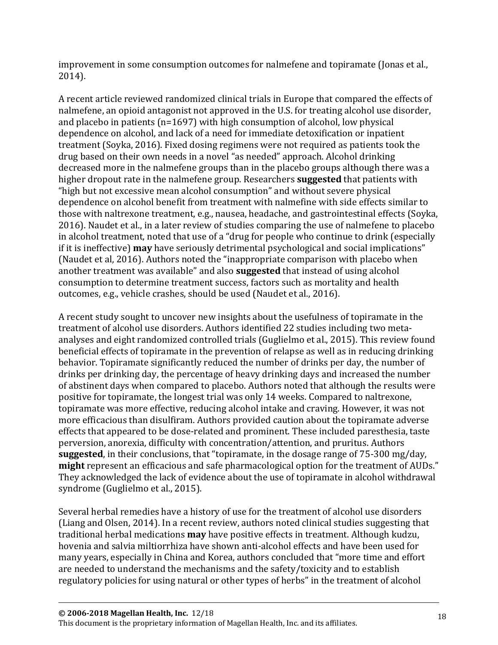improvement in some consumption outcomes for nalmefene and topiramate (Jonas et al., 2014).

A recent article reviewed randomized clinical trials in Europe that compared the effects of nalmefene, an opioid antagonist not approved in the U.S. for treating alcohol use disorder, and placebo in patients ( $n=1697$ ) with high consumption of alcohol, low physical dependence on alcohol, and lack of a need for immediate detoxification or inpatient treatment (Soyka, 2016). Fixed dosing regimens were not required as patients took the drug based on their own needs in a novel "as needed" approach. Alcohol drinking decreased more in the nalmefene groups than in the placebo groups although there was a higher dropout rate in the nalmefene group. Researchers **suggested** that patients with "high but not excessive mean alcohol consumption" and without severe physical dependence on alcohol benefit from treatment with nalmefine with side effects similar to those with naltrexone treatment, e.g., nausea, headache, and gastrointestinal effects (Soyka, 2016). Naudet et al., in a later review of studies comparing the use of nalmefene to placebo in alcohol treatment, noted that use of a "drug for people who continue to drink (especially if it is ineffective) **may** have seriously detrimental psychological and social implications" (Naudet et al, 2016). Authors noted the "inappropriate comparison with placebo when another treatment was available" and also **suggested** that instead of using alcohol consumption to determine treatment success, factors such as mortality and health outcomes, e.g., vehicle crashes, should be used (Naudet et al., 2016).

A recent study sought to uncover new insights about the usefulness of topiramate in the treatment of alcohol use disorders. Authors identified 22 studies including two metaanalyses and eight randomized controlled trials (Guglielmo et al., 2015). This review found beneficial effects of topiramate in the prevention of relapse as well as in reducing drinking behavior. Topiramate significantly reduced the number of drinks per day, the number of drinks per drinking day, the percentage of heavy drinking days and increased the number of abstinent days when compared to placebo. Authors noted that although the results were positive for topiramate, the longest trial was only 14 weeks. Compared to naltrexone, topiramate was more effective, reducing alcohol intake and craving. However, it was not more efficacious than disulfiram. Authors provided caution about the topiramate adverse effects that appeared to be dose-related and prominent. These included paresthesia, taste perversion, anorexia, difficulty with concentration/attention, and pruritus. Authors **suggested**, in their conclusions, that "topiramate, in the dosage range of 75-300 mg/day, **might** represent an efficacious and safe pharmacological option for the treatment of AUDs." They acknowledged the lack of evidence about the use of topiramate in alcohol withdrawal syndrome (Guglielmo et al., 2015).

Several herbal remedies have a history of use for the treatment of alcohol use disorders (Liang and Olsen, 2014). In a recent review, authors noted clinical studies suggesting that traditional herbal medications **may** have positive effects in treatment. Although kudzu, hovenia and salvia miltiorrhiza have shown anti-alcohol effects and have been used for many years, especially in China and Korea, authors concluded that "more time and effort are needed to understand the mechanisms and the safety/toxicity and to establish regulatory policies for using natural or other types of herbs" in the treatment of alcohol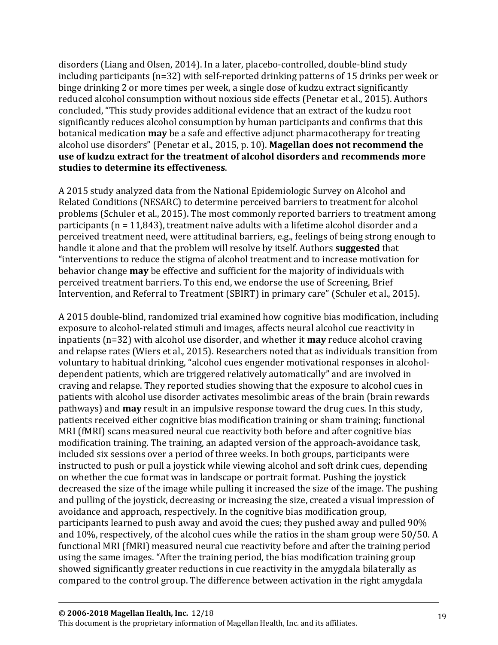disorders (Liang and Olsen, 2014). In a later, placebo-controlled, double-blind study including participants (n=32) with self-reported drinking patterns of 15 drinks per week or binge drinking 2 or more times per week, a single dose of kudzu extract significantly reduced alcohol consumption without noxious side effects (Penetar et al., 2015). Authors concluded, "This study provides additional evidence that an extract of the kudzu root significantly reduces alcohol consumption by human participants and confirms that this botanical medication **may** be a safe and effective adjunct pharmacotherapy for treating alcohol use disorders" (Penetar et al., 2015, p. 10). **Magellan does not recommend the use of kudzu extract for the treatment of alcohol disorders and recommends more studies to determine its effectiveness**.

A 2015 study analyzed data from the National Epidemiologic Survey on Alcohol and Related Conditions (NESARC) to determine perceived barriers to treatment for alcohol problems (Schuler et al., 2015). The most commonly reported barriers to treatment among participants (n = 11,843), treatment naïve adults with a lifetime alcohol disorder and a perceived treatment need, were attitudinal barriers, e.g., feelings of being strong enough to handle it alone and that the problem will resolve by itself. Authors **suggested** that "interventions to reduce the stigma of alcohol treatment and to increase motivation for behavior change **may** be effective and sufficient for the majority of individuals with perceived treatment barriers. To this end, we endorse the use of Screening, Brief Intervention, and Referral to Treatment (SBIRT) in primary care" (Schuler et al., 2015).

A 2015 double-blind, randomized trial examined how cognitive bias modification, including exposure to alcohol-related stimuli and images, affects neural alcohol cue reactivity in inpatients (n=32) with alcohol use disorder, and whether it **may** reduce alcohol craving and relapse rates (Wiers et al., 2015). Researchers noted that as individuals transition from voluntary to habitual drinking, "alcohol cues engender motivational responses in alcoholdependent patients, which are triggered relatively automatically" and are involved in craving and relapse. They reported studies showing that the exposure to alcohol cues in patients with alcohol use disorder activates mesolimbic areas of the brain (brain rewards pathways) and **may** result in an impulsive response toward the drug cues. In this study, patients received either cognitive bias modification training or sham training; functional MRI (fMRI) scans measured neural cue reactivity both before and after cognitive bias modification training. The training, an adapted version of the approach-avoidance task, included six sessions over a period of three weeks. In both groups, participants were instructed to push or pull a joystick while viewing alcohol and soft drink cues, depending on whether the cue format was in landscape or portrait format. Pushing the joystick decreased the size of the image while pulling it increased the size of the image. The pushing and pulling of the joystick, decreasing or increasing the size, created a visual impression of avoidance and approach, respectively. In the cognitive bias modification group, participants learned to push away and avoid the cues; they pushed away and pulled 90% and 10%, respectively, of the alcohol cues while the ratios in the sham group were 50/50. A functional MRI (fMRI) measured neural cue reactivity before and after the training period using the same images. "After the training period, the bias modification training group showed significantly greater reductions in cue reactivity in the amygdala bilaterally as compared to the control group. The difference between activation in the right amygdala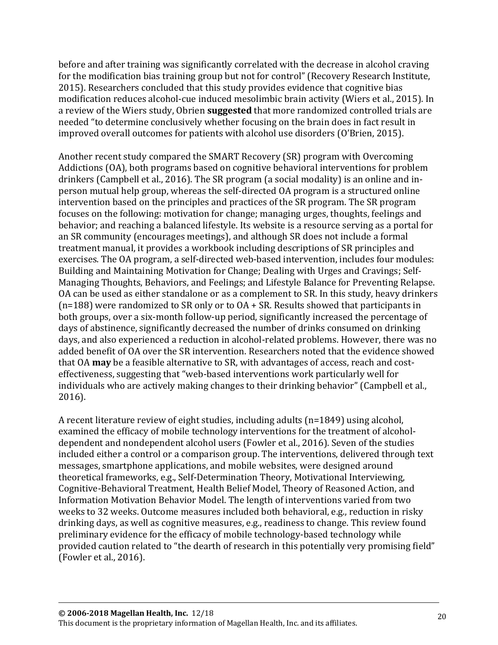before and after training was significantly correlated with the decrease in alcohol craving for the modification bias training group but not for control" (Recovery Research Institute, 2015). Researchers concluded that this study provides evidence that cognitive bias modification reduces alcohol-cue induced mesolimbic brain activity (Wiers et al., 2015). In a review of the Wiers study, Obrien **suggested** that more randomized controlled trials are needed "to determine conclusively whether focusing on the brain does in fact result in improved overall outcomes for patients with alcohol use disorders (O'Brien, 2015).

Another recent study compared the SMART Recovery (SR) program with Overcoming Addictions (OA), both programs based on cognitive behavioral interventions for problem drinkers (Campbell et al., 2016). The SR program (a social modality) is an online and inperson mutual help group, whereas the self-directed OA program is a structured online intervention based on the principles and practices of the SR program. The SR program focuses on the following: motivation for change; managing urges, thoughts, feelings and behavior; and reaching a balanced lifestyle. Its website is a resource serving as a portal for an SR community (encourages meetings), and although SR does not include a formal treatment manual, it provides a workbook including descriptions of SR principles and exercises. The OA program, a self-directed web-based intervention, includes four modules: Building and Maintaining Motivation for Change; Dealing with Urges and Cravings; Self-Managing Thoughts, Behaviors, and Feelings; and Lifestyle Balance for Preventing Relapse. OA can be used as either standalone or as a complement to SR. In this study, heavy drinkers (n=188) were randomized to SR only or to OA + SR. Results showed that participants in both groups, over a six-month follow-up period, significantly increased the percentage of days of abstinence, significantly decreased the number of drinks consumed on drinking days, and also experienced a reduction in alcohol-related problems. However, there was no added benefit of OA over the SR intervention. Researchers noted that the evidence showed that OA **may** be a feasible alternative to SR, with advantages of access, reach and costeffectiveness, suggesting that "web-based interventions work particularly well for individuals who are actively making changes to their drinking behavior" (Campbell et al., 2016).

A recent literature review of eight studies, including adults (n=1849) using alcohol, examined the efficacy of mobile technology interventions for the treatment of alcoholdependent and nondependent alcohol users (Fowler et al., 2016). Seven of the studies included either a control or a comparison group. The interventions, delivered through text messages, smartphone applications, and mobile websites, were designed around theoretical frameworks, e.g., Self-Determination Theory, Motivational Interviewing, Cognitive-Behavioral Treatment, Health Belief Model, Theory of Reasoned Action, and Information Motivation Behavior Model. The length of interventions varied from two weeks to 32 weeks. Outcome measures included both behavioral, e.g., reduction in risky drinking days, as well as cognitive measures, e.g., readiness to change. This review found preliminary evidence for the efficacy of mobile technology-based technology while provided caution related to "the dearth of research in this potentially very promising field" (Fowler et al., 2016).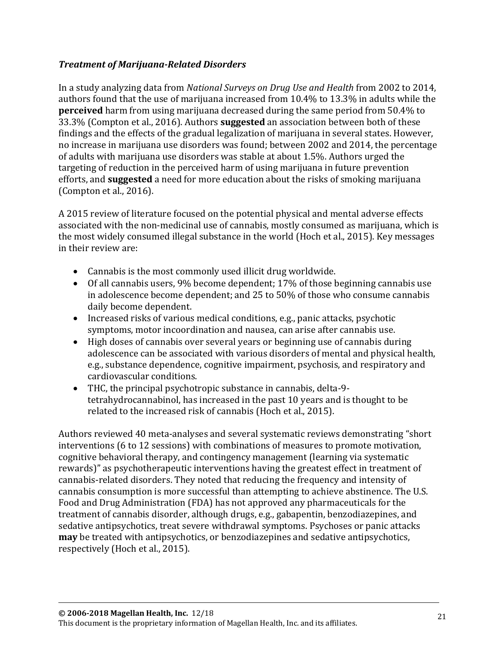#### *Treatment of Marijuana-Related Disorders*

In a study analyzing data from *National Surveys on Drug Use and Health* from 2002 to 2014, authors found that the use of marijuana increased from 10.4% to 13.3% in adults while the **perceived** harm from using marijuana decreased during the same period from 50.4% to 33.3% (Compton et al., 2016). Authors **suggested** an association between both of these findings and the effects of the gradual legalization of marijuana in several states. However, no increase in marijuana use disorders was found; between 2002 and 2014, the percentage of adults with marijuana use disorders was stable at about 1.5%. Authors urged the targeting of reduction in the perceived harm of using marijuana in future prevention efforts, and **suggested** a need for more education about the risks of smoking marijuana (Compton et al., 2016).

A 2015 review of literature focused on the potential physical and mental adverse effects associated with the non-medicinal use of cannabis, mostly consumed as marijuana, which is the most widely consumed illegal substance in the world (Hoch et al., 2015). Key messages in their review are:

- Cannabis is the most commonly used illicit drug worldwide.
- Of all cannabis users, 9% become dependent; 17% of those beginning cannabis use in adolescence become dependent; and 25 to 50% of those who consume cannabis daily become dependent.
- Increased risks of various medical conditions, e.g., panic attacks, psychotic symptoms, motor incoordination and nausea, can arise after cannabis use.
- High doses of cannabis over several years or beginning use of cannabis during adolescence can be associated with various disorders of mental and physical health, e.g., substance dependence, cognitive impairment, psychosis, and respiratory and cardiovascular conditions.
- THC, the principal psychotropic substance in cannabis, delta-9 tetrahydrocannabinol, has increased in the past 10 years and is thought to be related to the increased risk of cannabis (Hoch et al., 2015).

Authors reviewed 40 meta-analyses and several systematic reviews demonstrating "short interventions (6 to 12 sessions) with combinations of measures to promote motivation, cognitive behavioral therapy, and contingency management (learning via systematic rewards)" as psychotherapeutic interventions having the greatest effect in treatment of cannabis-related disorders. They noted that reducing the frequency and intensity of cannabis consumption is more successful than attempting to achieve abstinence. The U.S. Food and Drug Administration (FDA) has not approved any pharmaceuticals for the treatment of cannabis disorder, although drugs, e.g., gabapentin, benzodiazepines, and sedative antipsychotics, treat severe withdrawal symptoms. Psychoses or panic attacks **may** be treated with antipsychotics, or benzodiazepines and sedative antipsychotics, respectively (Hoch et al., 2015).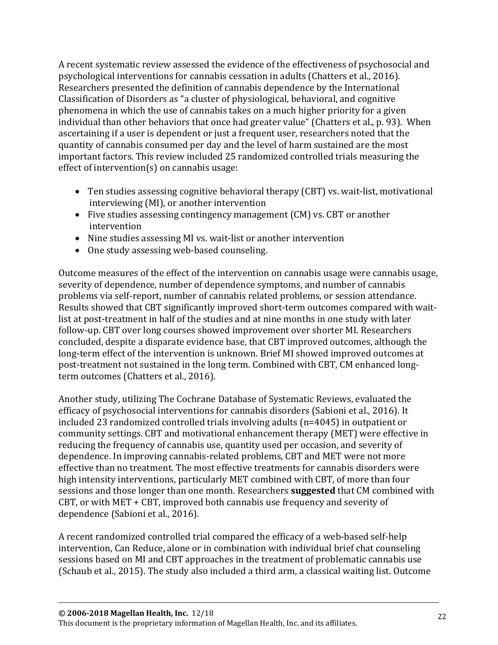A recent systematic review assessed the evidence of the effectiveness of psychosocial and psychological interventions for cannabis cessation in adults (Chatters et al., 2016). Researchers presented the definition of cannabis dependence by the International Classification of Disorders as "a cluster of physiological, behavioral, and cognitive phenomena in which the use of cannabis takes on a much higher priority for a given individual than other behaviors that once had greater value" (Chatters et al., p. 93). When ascertaining if a user is dependent or just a frequent user, researchers noted that the quantity of cannabis consumed per day and the level of harm sustained are the most important factors. This review included 25 randomized controlled trials measuring the effect of intervention(s) on cannabis usage:

- Ten studies assessing cognitive behavioral therapy (CBT) vs. wait-list, motivational interviewing (MI), or another intervention
- Five studies assessing contingency management (CM) vs. CBT or another intervention
- Nine studies assessing MI vs. wait-list or another intervention
- One study assessing web-based counseling.

Outcome measures of the effect of the intervention on cannabis usage were cannabis usage, severity of dependence, number of dependence symptoms, and number of cannabis problems via self-report, number of cannabis related problems, or session attendance. Results showed that CBT significantly improved short-term outcomes compared with waitlist at post-treatment in half of the studies and at nine months in one study with later follow-up. CBT over long courses showed improvement over shorter MI. Researchers concluded, despite a disparate evidence base, that CBT improved outcomes, although the long-term effect of the intervention is unknown. Brief MI showed improved outcomes at post-treatment not sustained in the long term. Combined with CBT, CM enhanced longterm outcomes (Chatters et al., 2016).

Another study, utilizing The Cochrane Database of Systematic Reviews, evaluated the efficacy of psychosocial interventions for cannabis disorders (Sabioni et al., 2016). It included 23 randomized controlled trials involving adults (n=4045) in outpatient or community settings. CBT and motivational enhancement therapy (MET) were effective in reducing the frequency of cannabis use, quantity used per occasion, and severity of dependence. In improving cannabis-related problems, CBT and MET were not more effective than no treatment. The most effective treatments for cannabis disorders were high intensity interventions, particularly MET combined with CBT, of more than four sessions and those longer than one month. Researchers **suggested** that CM combined with CBT, or with MET + CBT, improved both cannabis use frequency and severity of dependence (Sabioni et al., 2016).

A recent randomized controlled trial compared the efficacy of a web-based self-help intervention, Can Reduce, alone or in combination with individual brief chat counseling sessions based on MI and CBT approaches in the treatment of problematic cannabis use (Schaub et al., 2015). The study also included a third arm, a classical waiting list. Outcome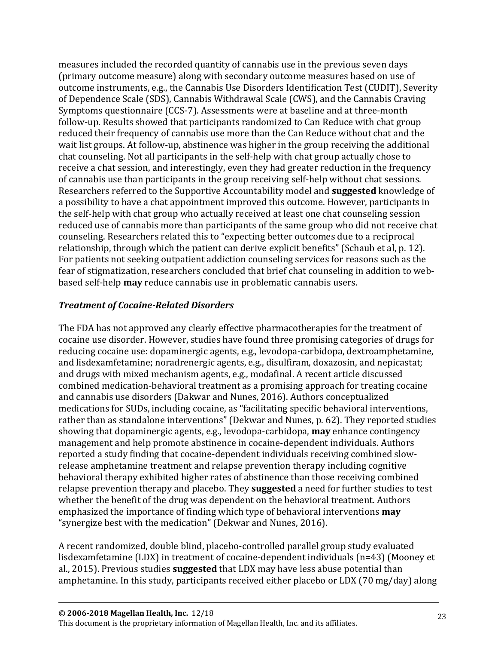measures included the recorded quantity of cannabis use in the previous seven days (primary outcome measure) along with secondary outcome measures based on use of outcome instruments, e.g., the Cannabis Use Disorders Identification Test (CUDIT), Severity of Dependence Scale (SDS), Cannabis Withdrawal Scale (CWS), and the Cannabis Craving Symptoms questionnaire (CCS-7). Assessments were at baseline and at three-month follow-up. Results showed that participants randomized to Can Reduce with chat group reduced their frequency of cannabis use more than the Can Reduce without chat and the wait list groups. At follow-up, abstinence was higher in the group receiving the additional chat counseling. Not all participants in the self-help with chat group actually chose to receive a chat session, and interestingly, even they had greater reduction in the frequency of cannabis use than participants in the group receiving self-help without chat sessions. Researchers referred to the Supportive Accountability model and **suggested** knowledge of a possibility to have a chat appointment improved this outcome. However, participants in the self-help with chat group who actually received at least one chat counseling session reduced use of cannabis more than participants of the same group who did not receive chat counseling. Researchers related this to "expecting better outcomes due to a reciprocal relationship, through which the patient can derive explicit benefits" (Schaub et al, p. 12). For patients not seeking outpatient addiction counseling services for reasons such as the fear of stigmatization, researchers concluded that brief chat counseling in addition to webbased self-help **may** reduce cannabis use in problematic cannabis users.

#### *Treatment of Cocaine-Related Disorders*

The FDA has not approved any clearly effective pharmacotherapies for the treatment of cocaine use disorder. However, studies have found three promising categories of drugs for reducing cocaine use: dopaminergic agents, e.g., levodopa-carbidopa, dextroamphetamine, and lisdexamfetamine; noradrenergic agents, e.g., disulfiram, doxazosin, and nepicastat; and drugs with mixed mechanism agents, e.g., modafinal. A recent article discussed combined medication-behavioral treatment as a promising approach for treating cocaine and cannabis use disorders (Dakwar and Nunes, 2016). Authors conceptualized medications for SUDs, including cocaine, as "facilitating specific behavioral interventions, rather than as standalone interventions" (Dekwar and Nunes, p. 62). They reported studies showing that dopaminergic agents, e.g., levodopa-carbidopa, **may** enhance contingency management and help promote abstinence in cocaine-dependent individuals. Authors reported a study finding that cocaine-dependent individuals receiving combined slowrelease amphetamine treatment and relapse prevention therapy including cognitive behavioral therapy exhibited higher rates of abstinence than those receiving combined relapse prevention therapy and placebo. They **suggested** a need for further studies to test whether the benefit of the drug was dependent on the behavioral treatment. Authors emphasized the importance of finding which type of behavioral interventions **may** "synergize best with the medication" (Dekwar and Nunes, 2016).

A recent randomized, double blind, placebo-controlled parallel group study evaluated lisdexamfetamine (LDX) in treatment of cocaine-dependent individuals (n=43) (Mooney et al., 2015). Previous studies **suggested** that LDX may have less abuse potential than amphetamine. In this study, participants received either placebo or LDX (70 mg/day) along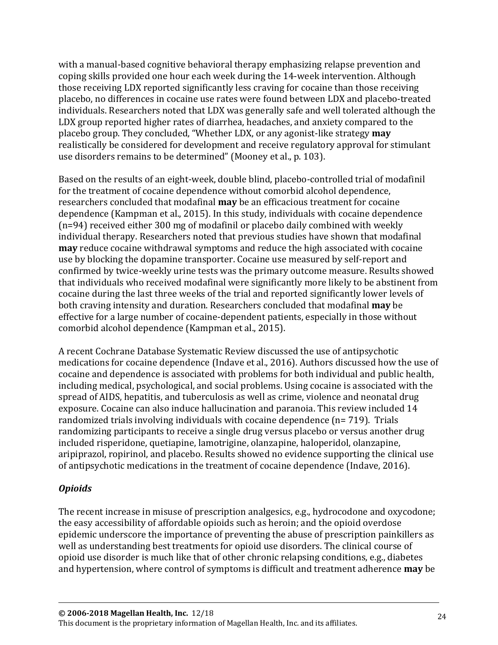with a manual-based cognitive behavioral therapy emphasizing relapse prevention and coping skills provided one hour each week during the 14-week intervention. Although those receiving LDX reported significantly less craving for cocaine than those receiving placebo, no differences in cocaine use rates were found between LDX and placebo-treated individuals. Researchers noted that LDX was generally safe and well tolerated although the LDX group reported higher rates of diarrhea, headaches, and anxiety compared to the placebo group. They concluded, "Whether LDX, or any agonist-like strategy **may** realistically be considered for development and receive regulatory approval for stimulant use disorders remains to be determined" (Mooney et al., p. 103).

Based on the results of an eight-week, double blind, placebo-controlled trial of modafinil for the treatment of cocaine dependence without comorbid alcohol dependence, researchers concluded that modafinal **may** be an efficacious treatment for cocaine dependence (Kampman et al., 2015). In this study, individuals with cocaine dependence (n=94) received either 300 mg of modafinil or placebo daily combined with weekly individual therapy. Researchers noted that previous studies have shown that modafinal **may** reduce cocaine withdrawal symptoms and reduce the high associated with cocaine use by blocking the dopamine transporter. Cocaine use measured by self-report and confirmed by twice-weekly urine tests was the primary outcome measure. Results showed that individuals who received modafinal were significantly more likely to be abstinent from cocaine during the last three weeks of the trial and reported significantly lower levels of both craving intensity and duration. Researchers concluded that modafinal **may** be effective for a large number of cocaine-dependent patients, especially in those without comorbid alcohol dependence (Kampman et al., 2015).

A recent Cochrane Database Systematic Review discussed the use of antipsychotic medications for cocaine dependence (Indave et al., 2016). Authors discussed how the use of cocaine and dependence is associated with problems for both individual and public health, including medical, psychological, and social problems. Using cocaine is associated with the spread of AIDS, hepatitis, and tuberculosis as well as crime, violence and neonatal drug exposure. Cocaine can also induce hallucination and paranoia. This review included 14 randomized trials involving individuals with cocaine dependence (n= 719). Trials randomizing participants to receive a single drug versus placebo or versus another drug included risperidone, quetiapine, lamotrigine, olanzapine, haloperidol, olanzapine, aripiprazol, ropirinol, and placebo. Results showed no evidence supporting the clinical use of antipsychotic medications in the treatment of cocaine dependence (Indave, 2016).

### *Opioids*

The recent increase in misuse of prescription analgesics, e.g., hydrocodone and oxycodone; the easy accessibility of affordable opioids such as heroin; and the opioid overdose epidemic underscore the importance of preventing the abuse of prescription painkillers as well as understanding best treatments for opioid use disorders. The clinical course of opioid use disorder is much like that of other chronic relapsing conditions, e.g., diabetes and hypertension, where control of symptoms is difficult and treatment adherence **may** be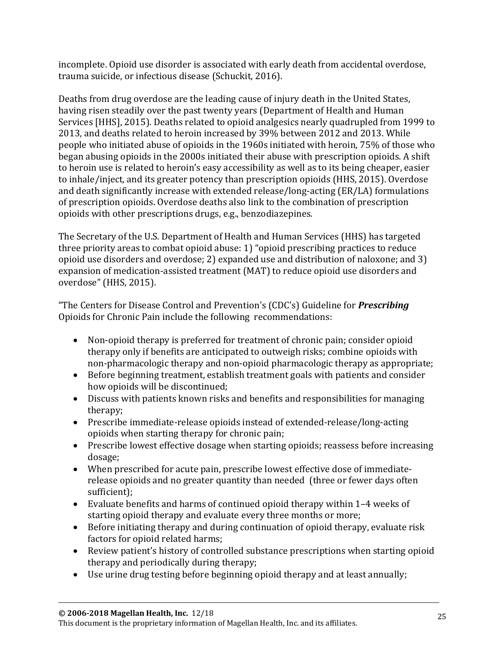incomplete. Opioid use disorder is associated with early death from accidental overdose, trauma suicide, or infectious disease (Schuckit, 2016).

Deaths from drug overdose are the leading cause of injury death in the United States, having risen steadily over the past twenty years (Department of Health and Human Services [HHS], 2015). Deaths related to opioid analgesics nearly quadrupled from 1999 to 2013, and deaths related to heroin increased by 39% between 2012 and 2013. While people who initiated abuse of opioids in the 1960s initiated with heroin, 75% of those who began abusing opioids in the 2000s initiated their abuse with prescription opioids. A shift to heroin use is related to heroin's easy accessibility as well as to its being cheaper, easier to inhale/inject, and its greater potency than prescription opioids (HHS, 2015). Overdose and death significantly increase with extended release/long-acting (ER/LA) formulations of prescription opioids. Overdose deaths also link to the combination of prescription opioids with other prescriptions drugs, e.g., benzodiazepines.

The Secretary of the U.S. Department of Health and Human Services (HHS) has targeted three priority areas to combat opioid abuse: 1) "opioid prescribing practices to reduce opioid use disorders and overdose; 2) expanded use and distribution of naloxone; and 3) expansion of medication-assisted treatment (MAT) to reduce opioid use disorders and overdose" (HHS, 2015).

"The Centers for Disease Control and Prevention's (CDC's) Guideline for *Prescribing* Opioids for Chronic Pain include the following recommendations:

- Non-opioid therapy is preferred for treatment of chronic pain; consider opioid therapy only if benefits are anticipated to outweigh risks; combine opioids with non-pharmacologic therapy and non-opioid pharmacologic therapy as appropriate;
- Before beginning treatment, establish treatment goals with patients and consider how opioids will be discontinued;
- Discuss with patients known risks and benefits and responsibilities for managing therapy;
- Prescribe immediate-release opioids instead of extended-release/long-acting opioids when starting therapy for chronic pain;
- Prescribe lowest effective dosage when starting opioids; reassess before increasing dosage;
- When prescribed for acute pain, prescribe lowest effective dose of immediaterelease opioids and no greater quantity than needed (three or fewer days often sufficient);
- Evaluate benefits and harms of continued opioid therapy within 1–4 weeks of starting opioid therapy and evaluate every three months or more;
- Before initiating therapy and during continuation of opioid therapy, evaluate risk factors for opioid related harms;
- Review patient's history of controlled substance prescriptions when starting opioid therapy and periodically during therapy;
- Use urine drug testing before beginning opioid therapy and at least annually;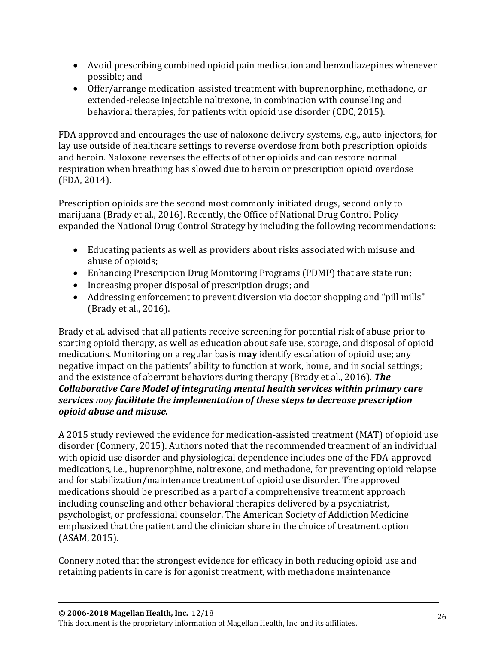- Avoid prescribing combined opioid pain medication and benzodiazepines whenever possible; and
- Offer/arrange medication-assisted treatment with buprenorphine, methadone, or extended-release injectable naltrexone, in combination with counseling and behavioral therapies, for patients with opioid use disorder (CDC, 2015).

FDA approved and encourages the use of naloxone delivery systems, e.g., auto-injectors, for lay use outside of healthcare settings to reverse overdose from both prescription opioids and heroin. Naloxone reverses the effects of other opioids and can restore normal respiration when breathing has slowed due to heroin or prescription opioid overdose (FDA, 2014).

Prescription opioids are the second most commonly initiated drugs, second only to marijuana (Brady et al., 2016). Recently, the Office of National Drug Control Policy expanded the National Drug Control Strategy by including the following recommendations:

- Educating patients as well as providers about risks associated with misuse and abuse of opioids;
- Enhancing Prescription Drug Monitoring Programs (PDMP) that are state run;
- Increasing proper disposal of prescription drugs; and
- Addressing enforcement to prevent diversion via doctor shopping and "pill mills" (Brady et al., 2016).

Brady et al. advised that all patients receive screening for potential risk of abuse prior to starting opioid therapy, as well as education about safe use, storage, and disposal of opioid medications. Monitoring on a regular basis **may** identify escalation of opioid use; any negative impact on the patients' ability to function at work, home, and in social settings; and the existence of aberrant behaviors during therapy (Brady et al., 2016). *The Collaborative Care Model of integrating mental health services within primary care services may facilitate the implementation of these steps to decrease prescription opioid abuse and misuse.*

A 2015 study reviewed the evidence for medication-assisted treatment (MAT) of opioid use disorder (Connery, 2015). Authors noted that the recommended treatment of an individual with opioid use disorder and physiological dependence includes one of the FDA-approved medications, i.e., buprenorphine, naltrexone, and methadone, for preventing opioid relapse and for stabilization/maintenance treatment of opioid use disorder. The approved medications should be prescribed as a part of a comprehensive treatment approach including counseling and other behavioral therapies delivered by a psychiatrist, psychologist, or professional counselor. The American Society of Addiction Medicine emphasized that the patient and the clinician share in the choice of treatment option (ASAM, 2015).

Connery noted that the strongest evidence for efficacy in both reducing opioid use and retaining patients in care is for agonist treatment, with methadone maintenance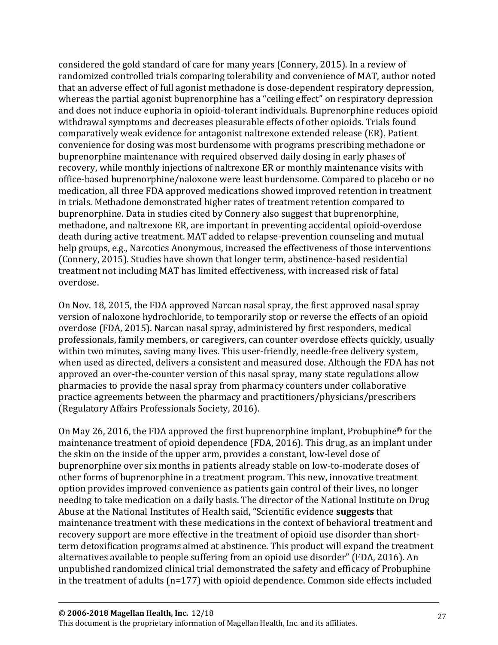considered the gold standard of care for many years (Connery, 2015). In a review of randomized controlled trials comparing tolerability and convenience of MAT, author noted that an adverse effect of full agonist methadone is dose-dependent respiratory depression, whereas the partial agonist buprenorphine has a "ceiling effect" on respiratory depression and does not induce euphoria in opioid-tolerant individuals. Buprenorphine reduces opioid withdrawal symptoms and decreases pleasurable effects of other opioids. Trials found comparatively weak evidence for antagonist naltrexone extended release (ER). Patient convenience for dosing was most burdensome with programs prescribing methadone or buprenorphine maintenance with required observed daily dosing in early phases of recovery, while monthly injections of naltrexone ER or monthly maintenance visits with office-based buprenorphine/naloxone were least burdensome. Compared to placebo or no medication, all three FDA approved medications showed improved retention in treatment in trials. Methadone demonstrated higher rates of treatment retention compared to buprenorphine. Data in studies cited by Connery also suggest that buprenorphine, methadone, and naltrexone ER, are important in preventing accidental opioid-overdose death during active treatment. MAT added to relapse-prevention counseling and mutual help groups, e.g., Narcotics Anonymous, increased the effectiveness of those interventions (Connery, 2015). Studies have shown that longer term, abstinence-based residential treatment not including MAT has limited effectiveness, with increased risk of fatal overdose.

On Nov. 18, 2015, the FDA approved Narcan nasal spray, the first approved nasal spray version of naloxone hydrochloride, to temporarily stop or reverse the effects of an opioid overdose (FDA, 2015). Narcan nasal spray, administered by first responders, medical professionals, family members, or caregivers, can counter overdose effects quickly, usually within two minutes, saving many lives. This user-friendly, needle-free delivery system, when used as directed, delivers a consistent and measured dose. Although the FDA has not approved an over-the-counter version of this nasal spray, many state regulations allow pharmacies to provide the nasal spray from pharmacy counters under collaborative practice agreements between the pharmacy and practitioners/physicians/prescribers (Regulatory Affairs Professionals Society, 2016).

On May 26, 2016, the FDA approved the first buprenorphine implant, Probuphine® for the maintenance treatment of opioid dependence (FDA, 2016). This drug, as an implant under the skin on the inside of the upper arm, provides a constant, low-level dose of buprenorphine over six months in patients already stable on low-to-moderate doses of other forms of buprenorphine in a treatment program. This new, innovative treatment option provides improved convenience as patients gain control of their lives, no longer needing to take medication on a daily basis. The director of the National Institute on Drug Abuse at the National Institutes of Health said, "Scientific evidence **suggests** that maintenance treatment with these medications in the context of behavioral treatment and recovery support are more effective in the treatment of opioid use disorder than shortterm detoxification programs aimed at abstinence. This product will expand the treatment alternatives available to people suffering from an opioid use disorder" (FDA, 2016). An unpublished randomized clinical trial demonstrated the safety and efficacy of Probuphine in the treatment of adults (n=177) with opioid dependence. Common side effects included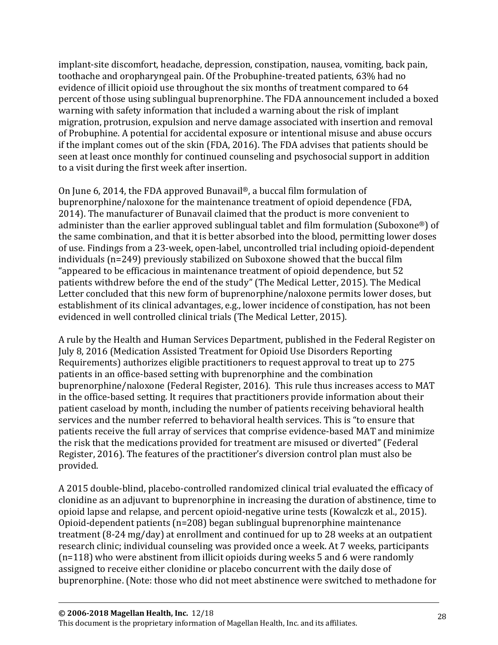implant-site discomfort, headache, depression, constipation, nausea, vomiting, back pain, toothache and oropharyngeal pain. Of the Probuphine-treated patients, 63% had no evidence of illicit opioid use throughout the six months of treatment compared to 64 percent of those using sublingual buprenorphine. The FDA announcement included a boxed warning with safety information that included a warning about the risk of implant migration, protrusion, expulsion and nerve damage associated with insertion and removal of Probuphine. A potential for accidental exposure or intentional misuse and abuse occurs if the implant comes out of the skin (FDA, 2016). The FDA advises that patients should be seen at least once monthly for continued counseling and psychosocial support in addition to a visit during the first week after insertion.

On June 6, 2014, the FDA approved Bunavail®, a buccal film formulation of buprenorphine/naloxone for the maintenance treatment of opioid dependence (FDA, 2014). The manufacturer of Bunavail claimed that the product is more convenient to administer than the earlier approved sublingual tablet and film formulation (Suboxone®) of the same combination, and that it is better absorbed into the blood, permitting lower doses of use. Findings from a 23-week, open-label, uncontrolled trial including opioid-dependent individuals (n=249) previously stabilized on Suboxone showed that the buccal film "appeared to be efficacious in maintenance treatment of opioid dependence, but 52 patients withdrew before the end of the study" (The Medical Letter, 2015). The Medical Letter concluded that this new form of buprenorphine/naloxone permits lower doses, but establishment of its clinical advantages, e.g., lower incidence of constipation, has not been evidenced in well controlled clinical trials (The Medical Letter, 2015).

A rule by the Health and Human Services Department, published in the Federal Register on July 8, 2016 (Medication Assisted Treatment for Opioid Use Disorders Reporting Requirements) authorizes eligible practitioners to request approval to treat up to 275 patients in an office-based setting with buprenorphine and the combination buprenorphine/naloxone (Federal Register, 2016). This rule thus increases access to MAT in the office-based setting. It requires that practitioners provide information about their patient caseload by month, including the number of patients receiving behavioral health services and the number referred to behavioral health services. This is "to ensure that patients receive the full array of services that comprise evidence-based MAT and minimize the risk that the medications provided for treatment are misused or diverted" (Federal Register, 2016). The features of the practitioner's diversion control plan must also be provided.

A 2015 double-blind, placebo-controlled randomized clinical trial evaluated the efficacy of clonidine as an adjuvant to buprenorphine in increasing the duration of abstinence, time to opioid lapse and relapse, and percent opioid-negative urine tests (Kowalczk et al., 2015). Opioid-dependent patients (n=208) began sublingual buprenorphine maintenance treatment (8-24 mg/day) at enrollment and continued for up to 28 weeks at an outpatient research clinic; individual counseling was provided once a week. At 7 weeks, participants (n=118) who were abstinent from illicit opioids during weeks 5 and 6 were randomly assigned to receive either clonidine or placebo concurrent with the daily dose of buprenorphine. (Note: those who did not meet abstinence were switched to methadone for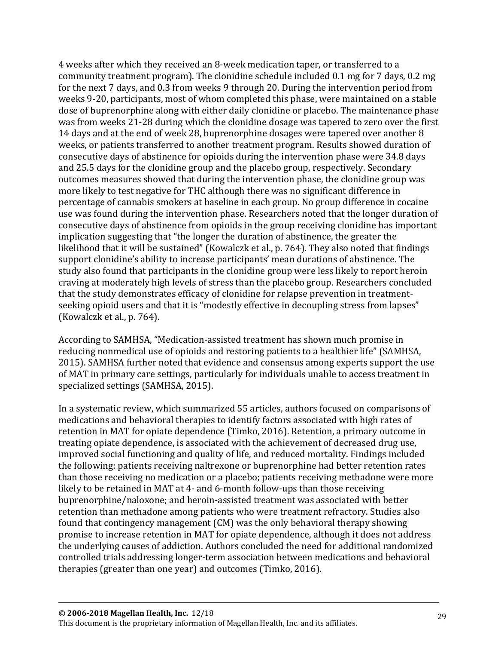4 weeks after which they received an 8-week medication taper, or transferred to a community treatment program). The clonidine schedule included 0.1 mg for 7 days, 0.2 mg for the next 7 days, and 0.3 from weeks 9 through 20. During the intervention period from weeks 9-20, participants, most of whom completed this phase, were maintained on a stable dose of buprenorphine along with either daily clonidine or placebo. The maintenance phase was from weeks 21-28 during which the clonidine dosage was tapered to zero over the first 14 days and at the end of week 28, buprenorphine dosages were tapered over another 8 weeks, or patients transferred to another treatment program. Results showed duration of consecutive days of abstinence for opioids during the intervention phase were 34.8 days and 25.5 days for the clonidine group and the placebo group, respectively. Secondary outcomes measures showed that during the intervention phase, the clonidine group was more likely to test negative for THC although there was no significant difference in percentage of cannabis smokers at baseline in each group. No group difference in cocaine use was found during the intervention phase. Researchers noted that the longer duration of consecutive days of abstinence from opioids in the group receiving clonidine has important implication suggesting that "the longer the duration of abstinence, the greater the likelihood that it will be sustained" (Kowalczk et al., p. 764). They also noted that findings support clonidine's ability to increase participants' mean durations of abstinence. The study also found that participants in the clonidine group were less likely to report heroin craving at moderately high levels of stress than the placebo group. Researchers concluded that the study demonstrates efficacy of clonidine for relapse prevention in treatmentseeking opioid users and that it is "modestly effective in decoupling stress from lapses" (Kowalczk et al., p. 764).

According to SAMHSA, "Medication-assisted treatment has shown much promise in reducing nonmedical use of opioids and restoring patients to a healthier life" (SAMHSA, 2015). SAMHSA further noted that evidence and consensus among experts support the use of MAT in primary care settings, particularly for individuals unable to access treatment in specialized settings (SAMHSA, 2015).

In a systematic review, which summarized 55 articles, authors focused on comparisons of medications and behavioral therapies to identify factors associated with high rates of retention in MAT for opiate dependence (Timko, 2016). Retention, a primary outcome in treating opiate dependence, is associated with the achievement of decreased drug use, improved social functioning and quality of life, and reduced mortality. Findings included the following: patients receiving naltrexone or buprenorphine had better retention rates than those receiving no medication or a placebo; patients receiving methadone were more likely to be retained in MAT at 4- and 6-month follow-ups than those receiving buprenorphine/naloxone; and heroin-assisted treatment was associated with better retention than methadone among patients who were treatment refractory. Studies also found that contingency management (CM) was the only behavioral therapy showing promise to increase retention in MAT for opiate dependence, although it does not address the underlying causes of addiction. Authors concluded the need for additional randomized controlled trials addressing longer-term association between medications and behavioral therapies (greater than one year) and outcomes (Timko, 2016).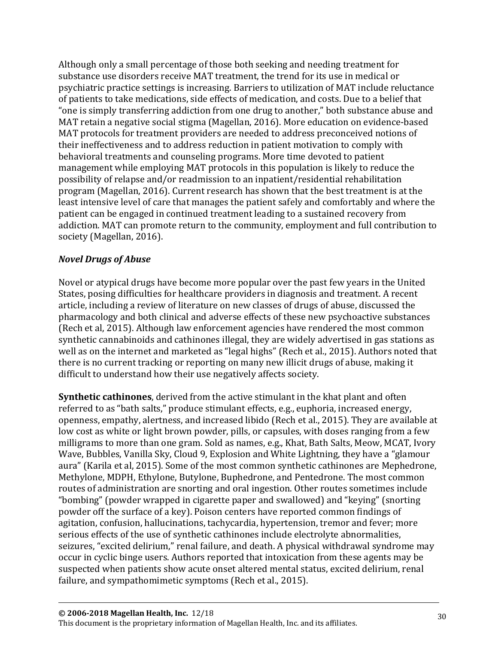Although only a small percentage of those both seeking and needing treatment for substance use disorders receive MAT treatment, the trend for its use in medical or psychiatric practice settings is increasing. Barriers to utilization of MAT include reluctance of patients to take medications, side effects of medication, and costs. Due to a belief that "one is simply transferring addiction from one drug to another," both substance abuse and MAT retain a negative social stigma (Magellan, 2016). More education on evidence-based MAT protocols for treatment providers are needed to address preconceived notions of their ineffectiveness and to address reduction in patient motivation to comply with behavioral treatments and counseling programs. More time devoted to patient management while employing MAT protocols in this population is likely to reduce the possibility of relapse and/or readmission to an inpatient/residential rehabilitation program (Magellan, 2016). Current research has shown that the best treatment is at the least intensive level of care that manages the patient safely and comfortably and where the patient can be engaged in continued treatment leading to a sustained recovery from addiction. MAT can promote return to the community, employment and full contribution to society (Magellan, 2016).

#### *Novel Drugs of Abuse*

Novel or atypical drugs have become more popular over the past few years in the United States, posing difficulties for healthcare providers in diagnosis and treatment. A recent article, including a review of literature on new classes of drugs of abuse, discussed the pharmacology and both clinical and adverse effects of these new psychoactive substances (Rech et al, 2015). Although law enforcement agencies have rendered the most common synthetic cannabinoids and cathinones illegal, they are widely advertised in gas stations as well as on the internet and marketed as "legal highs" (Rech et al., 2015). Authors noted that there is no current tracking or reporting on many new illicit drugs of abuse, making it difficult to understand how their use negatively affects society.

**Synthetic cathinones**, derived from the active stimulant in the khat plant and often referred to as "bath salts," produce stimulant effects, e.g., euphoria, increased energy, openness, empathy, alertness, and increased libido (Rech et al., 2015). They are available at low cost as white or light brown powder, pills, or capsules, with doses ranging from a few milligrams to more than one gram. Sold as names, e.g., Khat, Bath Salts, Meow, MCAT, Ivory Wave, Bubbles, Vanilla Sky, Cloud 9, Explosion and White Lightning, they have a "glamour aura" (Karila et al, 2015). Some of the most common synthetic cathinones are Mephedrone, Methylone, MDPH, Ethylone, Butylone, Buphedrone, and Pentedrone. The most common routes of administration are snorting and oral ingestion. Other routes sometimes include "bombing" (powder wrapped in cigarette paper and swallowed) and "keying" (snorting powder off the surface of a key). Poison centers have reported common findings of agitation, confusion, hallucinations, tachycardia, hypertension, tremor and fever; more serious effects of the use of synthetic cathinones include electrolyte abnormalities, seizures, "excited delirium," renal failure, and death. A physical withdrawal syndrome may occur in cyclic binge users. Authors reported that intoxication from these agents may be suspected when patients show acute onset altered mental status, excited delirium, renal failure, and sympathomimetic symptoms (Rech et al., 2015).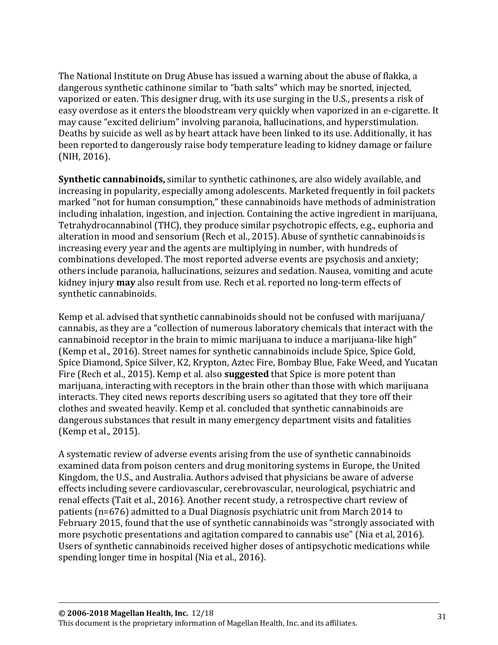The National Institute on Drug Abuse has issued a warning about the abuse of flakka, a dangerous synthetic cathinone similar to "bath salts" which may be snorted, injected, vaporized or eaten. This designer drug, with its use surging in the U.S., presents a risk of easy overdose as it enters the bloodstream very quickly when vaporized in an e-cigarette. It may cause "excited delirium" involving paranoia, hallucinations, and hyperstimulation. Deaths by suicide as well as by heart attack have been linked to its use. Additionally, it has been reported to dangerously raise body temperature leading to kidney damage or failure (NIH, 2016).

**Synthetic cannabinoids,** similar to synthetic cathinones, are also widely available, and increasing in popularity, especially among adolescents. Marketed frequently in foil packets marked "not for human consumption," these cannabinoids have methods of administration including inhalation, ingestion, and injection. Containing the active ingredient in marijuana, Tetrahydrocannabinol (THC), they produce similar psychotropic effects, e.g., euphoria and alteration in mood and sensorium (Rech et al., 2015). Abuse of synthetic cannabinoids is increasing every year and the agents are multiplying in number, with hundreds of combinations developed. The most reported adverse events are psychosis and anxiety; others include paranoia, hallucinations, seizures and sedation. Nausea, vomiting and acute kidney injury **may** also result from use. Rech et al. reported no long-term effects of synthetic cannabinoids.

Kemp et al. advised that synthetic cannabinoids should not be confused with marijuana/ cannabis, as they are a "collection of numerous laboratory chemicals that interact with the cannabinoid receptor in the brain to mimic marijuana to induce a marijuana-like high" (Kemp et al., 2016). Street names for synthetic cannabinoids include Spice, Spice Gold, Spice Diamond, Spice Silver, K2, Krypton, Aztec Fire, Bombay Blue, Fake Weed, and Yucatan Fire (Rech et al., 2015). Kemp et al. also **suggested** that Spice is more potent than marijuana, interacting with receptors in the brain other than those with which marijuana interacts. They cited news reports describing users so agitated that they tore off their clothes and sweated heavily. Kemp et al. concluded that synthetic cannabinoids are dangerous substances that result in many emergency department visits and fatalities (Kemp et al., 2015).

A systematic review of adverse events arising from the use of synthetic cannabinoids examined data from poison centers and drug monitoring systems in Europe, the United Kingdom, the U.S., and Australia. Authors advised that physicians be aware of adverse effects including severe cardiovascular, cerebrovascular, neurological, psychiatric and renal effects (Tait et al., 2016). Another recent study, a retrospective chart review of patients (n=676) admitted to a Dual Diagnosis psychiatric unit from March 2014 to February 2015, found that the use of synthetic cannabinoids was "strongly associated with more psychotic presentations and agitation compared to cannabis use" (Nia et al, 2016). Users of synthetic cannabinoids received higher doses of antipsychotic medications while spending longer time in hospital (Nia et al., 2016).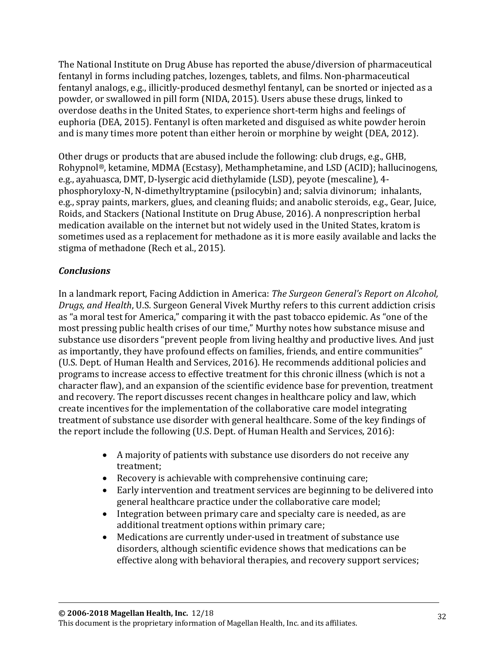The National Institute on Drug Abuse has reported the abuse/diversion of pharmaceutical fentanyl in forms including patches, lozenges, tablets, and films. Non-pharmaceutical fentanyl analogs, e.g., illicitly-produced desmethyl fentanyl, can be snorted or injected as a powder, or swallowed in pill form (NIDA, 2015). Users abuse these drugs, linked to overdose deaths in the United States, to experience short-term highs and feelings of euphoria (DEA, 2015). Fentanyl is often marketed and disguised as white powder heroin and is many times more potent than either heroin or morphine by weight (DEA, 2012).

Other drugs or products that are abused include the following: club drugs, e.g., GHB, Rohypnol®, ketamine, MDMA (Ecstasy), Methamphetamine, and LSD (ACID); hallucinogens, e.g., ayahuasca, DMT, D-lysergic acid diethylamide (LSD), peyote (mescaline), 4 phosphoryloxy-N, N-dimethyltryptamine (psilocybin) and; salvia divinorum; inhalants, e.g., spray paints, markers, glues, and cleaning fluids; and anabolic steroids, e.g., Gear, Juice, Roids, and Stackers (National Institute on Drug Abuse, 2016). A nonprescription herbal medication available on the internet but not widely used in the United States, kratom is sometimes used as a replacement for methadone as it is more easily available and lacks the stigma of methadone (Rech et al., 2015).

### *Conclusions*

In a landmark report, Facing Addiction in America: *The Surgeon General's Report on Alcohol, Drugs, and Health*, U.S. Surgeon General Vivek Murthy refers to this current addiction crisis as "a moral test for America," comparing it with the past tobacco epidemic. As "one of the most pressing public health crises of our time," Murthy notes how substance misuse and substance use disorders "prevent people from living healthy and productive lives. And just as importantly, they have profound effects on families, friends, and entire communities" (U.S. Dept. of Human Health and Services, 2016). He recommends additional policies and programs to increase access to effective treatment for this chronic illness (which is not a character flaw), and an expansion of the scientific evidence base for prevention, treatment and recovery. The report discusses recent changes in healthcare policy and law, which create incentives for the implementation of the collaborative care model integrating treatment of substance use disorder with general healthcare. Some of the key findings of the report include the following (U.S. Dept. of Human Health and Services, 2016):

- A majority of patients with substance use disorders do not receive any treatment;
- Recovery is achievable with comprehensive continuing care;
- Early intervention and treatment services are beginning to be delivered into general healthcare practice under the collaborative care model;
- Integration between primary care and specialty care is needed, as are additional treatment options within primary care;
- Medications are currently under-used in treatment of substance use disorders, although scientific evidence shows that medications can be effective along with behavioral therapies, and recovery support services;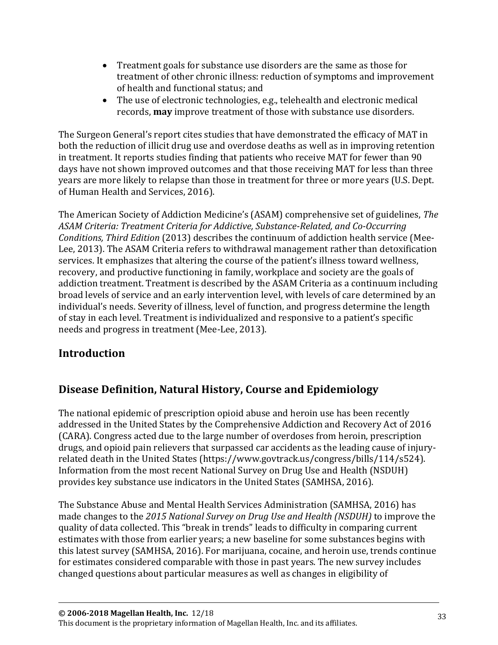- Treatment goals for substance use disorders are the same as those for treatment of other chronic illness: reduction of symptoms and improvement of health and functional status; and
- The use of electronic technologies, e.g., telehealth and electronic medical records, **may** improve treatment of those with substance use disorders.

The Surgeon General's report cites studies that have demonstrated the efficacy of MAT in both the reduction of illicit drug use and overdose deaths as well as in improving retention in treatment. It reports studies finding that patients who receive MAT for fewer than 90 days have not shown improved outcomes and that those receiving MAT for less than three years are more likely to relapse than those in treatment for three or more years (U.S. Dept. of Human Health and Services, 2016).

The American Society of Addiction Medicine's (ASAM) comprehensive set of guidelines, *The ASAM Criteria: Treatment Criteria for Addictive, Substance-Related, and Co-Occurring Conditions, Third Edition* (2013) describes the continuum of addiction health service (Mee-Lee, 2013). The ASAM Criteria refers to withdrawal management rather than detoxification services. It emphasizes that altering the course of the patient's illness toward wellness, recovery, and productive functioning in family, workplace and society are the goals of addiction treatment. Treatment is described by the ASAM Criteria as a continuum including broad levels of service and an early intervention level, with levels of care determined by an individual's needs. Severity of illness, level of function, and progress determine the length of stay in each level. Treatment is individualized and responsive to a patient's specific needs and progress in treatment (Mee-Lee, 2013).

# <span id="page-32-0"></span>**[Introduction](#page-32-0)**

# <span id="page-32-1"></span>**Disease Definition, Natural History, Course and Epidemiology**

The national epidemic of prescription opioid abuse and heroin use has been recently addressed in the United States by the Comprehensive Addiction and Recovery Act of 2016 (CARA). Congress acted due to the large number of overdoses from heroin, prescription drugs, and opioid pain relievers that surpassed car accidents as the leading cause of injuryrelated death in the United States [\(https://www.govtrack.us/congress/bills/114/s524\)](https://www.govtrack.us/congress/bills/114/s524). Information from the most recent National Survey on Drug Use and Health (NSDUH) provides key substance use indicators in the United States (SAMHSA, 2016).

The Substance Abuse and Mental Health Services Administration (SAMHSA, 2016) has made changes to the *2015 National Survey on Drug Use and Health (NSDUH)* to improve the quality of data collected. This "break in trends" leads to difficulty in comparing current estimates with those from earlier years; a new baseline for some substances begins with this latest survey (SAMHSA, 2016). For marijuana, cocaine, and heroin use, trends continue for estimates considered comparable with those in past years. The new survey includes changed questions about particular measures as well as changes in eligibility of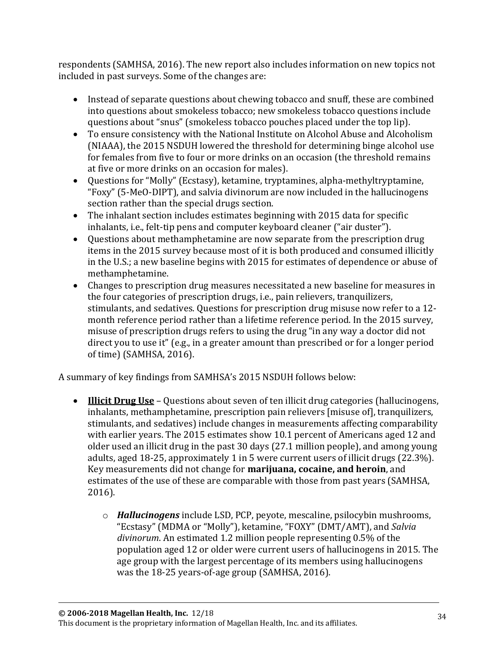respondents (SAMHSA, 2016). The new report also includes information on new topics not included in past surveys. Some of the changes are:

- Instead of separate questions about chewing tobacco and snuff, these are combined into questions about smokeless tobacco; new smokeless tobacco questions include questions about "snus" (smokeless tobacco pouches placed under the top lip).
- To ensure consistency with the National Institute on Alcohol Abuse and Alcoholism (NIAAA), the 2015 NSDUH lowered the threshold for determining binge alcohol use for females from five to four or more drinks on an occasion (the threshold remains at five or more drinks on an occasion for males).
- Questions for "Molly" (Ecstasy), ketamine, tryptamines, alpha-methyltryptamine, "Foxy" (5-MeO-DIPT), and salvia divinorum are now included in the hallucinogens section rather than the special drugs section.
- The inhalant section includes estimates beginning with 2015 data for specific inhalants, i.e., felt-tip pens and computer keyboard cleaner ("air duster").
- Questions about methamphetamine are now separate from the prescription drug items in the 2015 survey because most of it is both produced and consumed illicitly in the U.S.; a new baseline begins with 2015 for estimates of dependence or abuse of methamphetamine.
- Changes to prescription drug measures necessitated a new baseline for measures in the four categories of prescription drugs, i.e., pain relievers, tranquilizers, stimulants, and sedatives. Questions for prescription drug misuse now refer to a 12 month reference period rather than a lifetime reference period. In the 2015 survey, misuse of prescription drugs refers to using the drug "in any way a doctor did not direct you to use it" (e.g., in a greater amount than prescribed or for a longer period of time) (SAMHSA, 2016).

A summary of key findings from SAMHSA's 2015 NSDUH follows below:

- **Illicit Drug Use** Questions about seven of ten illicit drug categories (hallucinogens, inhalants, methamphetamine, prescription pain relievers [misuse of], tranquilizers, stimulants, and sedatives) include changes in measurements affecting comparability with earlier years. The 2015 estimates show 10.1 percent of Americans aged 12 and older used an illicit drug in the past 30 days (27.1 million people), and among young adults, aged 18-25, approximately 1 in 5 were current users of illicit drugs (22.3%). Key measurements did not change for **marijuana, cocaine, and heroin**, and estimates of the use of these are comparable with those from past years (SAMHSA, 2016).
	- o *Hallucinogens* include LSD, PCP, peyote, mescaline, psilocybin mushrooms, "Ecstasy" (MDMA or "Molly"), ketamine, "FOXY" (DMT/AMT), and *Salvia divinorum*. An estimated 1.2 million people representing 0.5% of the population aged 12 or older were current users of hallucinogens in 2015. The age group with the largest percentage of its members using hallucinogens was the 18-25 years-of-age group (SAMHSA, 2016).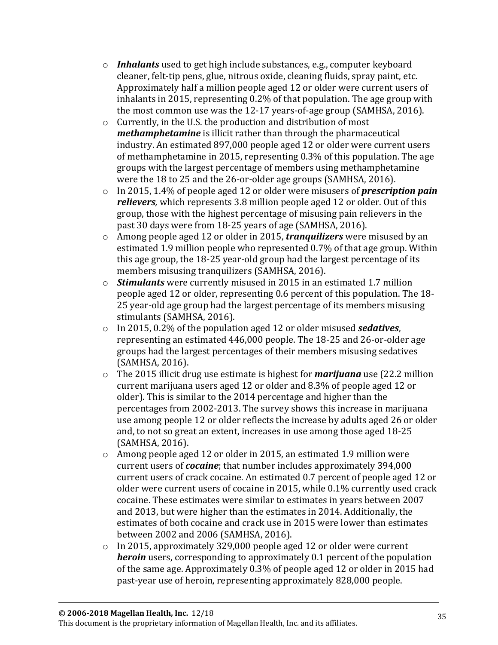- o *Inhalants* used to get high include substances, e.g., computer keyboard cleaner, felt-tip pens, glue, nitrous oxide, cleaning fluids, spray paint, etc. Approximately half a million people aged 12 or older were current users of inhalants in 2015, representing 0.2% of that population. The age group with the most common use was the 12-17 years-of-age group (SAMHSA, 2016).
- o Currently, in the U.S. the production and distribution of most *methamphetamine* is illicit rather than through the pharmaceutical industry. An estimated 897,000 people aged 12 or older were current users of methamphetamine in 2015, representing 0.3% of this population. The age groups with the largest percentage of members using methamphetamine were the 18 to 25 and the 26-or-older age groups (SAMHSA, 2016).
- o In 2015, 1.4% of people aged 12 or older were misusers of *prescription pain relievers,* which represents 3.8 million people aged 12 or older. Out of this group, those with the highest percentage of misusing pain relievers in the past 30 days were from 18-25 years of age (SAMHSA, 2016).
- o Among people aged 12 or older in 2015, *tranquilizers* were misused by an estimated 1.9 million people who represented 0.7% of that age group. Within this age group, the 18-25 year-old group had the largest percentage of its members misusing tranquilizers (SAMHSA, 2016).
- o *Stimulants* were currently misused in 2015 in an estimated 1.7 million people aged 12 or older, representing 0.6 percent of this population. The 18- 25 year-old age group had the largest percentage of its members misusing stimulants (SAMHSA, 2016).
- o In 2015, 0.2% of the population aged 12 or older misused *sedatives*, representing an estimated 446,000 people. The 18-25 and 26-or-older age groups had the largest percentages of their members misusing sedatives (SAMHSA, 2016).
- o The 2015 illicit drug use estimate is highest for *marijuana* use (22.2 million current marijuana users aged 12 or older and 8.3% of people aged 12 or older). This is similar to the 2014 percentage and higher than the percentages from 2002-2013. The survey shows this increase in marijuana use among people 12 or older reflects the increase by adults aged 26 or older and, to not so great an extent, increases in use among those aged 18-25 (SAMHSA, 2016).
- $\circ$  Among people aged 12 or older in 2015, an estimated 1.9 million were current users of *cocaine*; that number includes approximately 394,000 current users of crack cocaine. An estimated 0.7 percent of people aged 12 or older were current users of cocaine in 2015, while 0.1% currently used crack cocaine. These estimates were similar to estimates in years between 2007 and 2013, but were higher than the estimates in 2014. Additionally, the estimates of both cocaine and crack use in 2015 were lower than estimates between 2002 and 2006 (SAMHSA, 2016).
- o In 2015, approximately 329,000 people aged 12 or older were current *heroin* users, corresponding to approximately 0.1 percent of the population of the same age. Approximately 0.3% of people aged 12 or older in 2015 had past-year use of heroin, representing approximately 828,000 people.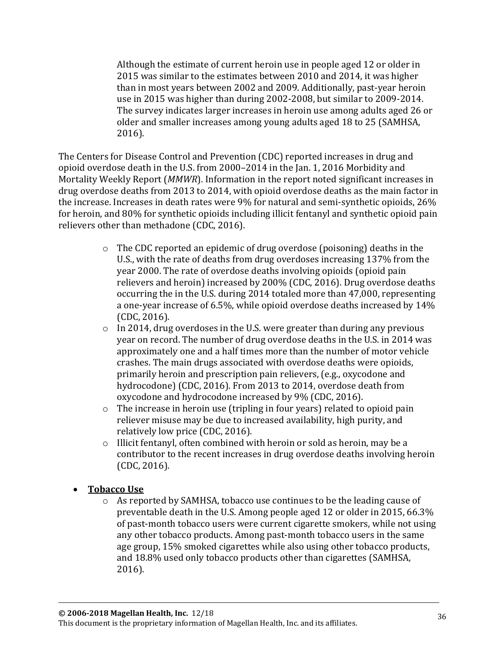Although the estimate of current heroin use in people aged 12 or older in 2015 was similar to the estimates between 2010 and 2014, it was higher than in most years between 2002 and 2009. Additionally, past-year heroin use in 2015 was higher than during 2002-2008, but similar to 2009-2014. The survey indicates larger increases in heroin use among adults aged 26 or older and smaller increases among young adults aged 18 to 25 (SAMHSA, 2016).

The Centers for Disease Control and Prevention (CDC) reported increases in drug and opioid overdose death in the U.S. from 2000–2014 in the Jan. 1, 2016 Morbidity and Mortality Weekly Report (*MMWR*). Information in the report noted significant increases in drug overdose deaths from 2013 to 2014, with opioid overdose deaths as the main factor in the increase. Increases in death rates were 9% for natural and semi-synthetic opioids, 26% for heroin, and 80% for synthetic opioids including illicit fentanyl and synthetic opioid pain relievers other than methadone (CDC, 2016).

- $\circ$  The CDC reported an epidemic of drug overdose (poisoning) deaths in the U.S., with the rate of deaths from drug overdoses increasing 137% from the year 2000. The rate of overdose deaths involving opioids (opioid pain relievers and heroin) increased by 200% (CDC, 2016). Drug overdose deaths occurring the in the U.S. during 2014 totaled more than 47,000, representing a one-year increase of 6.5%, while opioid overdose deaths increased by 14% (CDC, 2016).
- o In 2014, drug overdoses in the U.S. were greater than during any previous year on record. The number of drug overdose deaths in the U.S. in 2014 was approximately one and a half times more than the number of motor vehicle crashes. The main drugs associated with overdose deaths were opioids, primarily heroin and prescription pain relievers, (e.g., oxycodone and hydrocodone) (CDC, 2016). From 2013 to 2014, overdose death from oxycodone and hydrocodone increased by 9% (CDC, 2016).
- o The increase in heroin use (tripling in four years) related to opioid pain reliever misuse may be due to increased availability, high purity, and relatively low price (CDC, 2016).
- $\circ$  Illicit fentanyl, often combined with heroin or sold as heroin, may be a contributor to the recent increases in drug overdose deaths involving heroin (CDC, 2016).
- **Tobacco Use**
	- $\circ$  As reported by SAMHSA, tobacco use continues to be the leading cause of preventable death in the U.S. Among people aged 12 or older in 2015, 66.3% of past-month tobacco users were current cigarette smokers, while not using any other tobacco products. Among past-month tobacco users in the same age group, 15% smoked cigarettes while also using other tobacco products, and 18.8% used only tobacco products other than cigarettes (SAMHSA, 2016).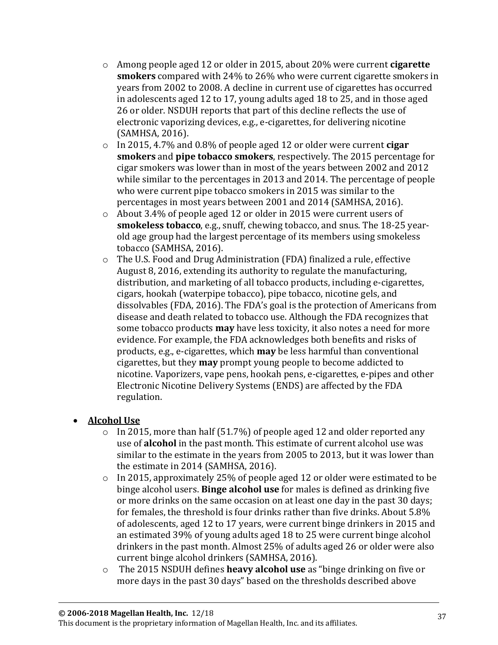- o Among people aged 12 or older in 2015, about 20% were current **cigarette smokers** compared with 24% to 26% who were current cigarette smokers in years from 2002 to 2008. A decline in current use of cigarettes has occurred in adolescents aged 12 to 17, young adults aged 18 to 25, and in those aged 26 or older. NSDUH reports that part of this decline reflects the use of electronic vaporizing devices, e.g., e-cigarettes, for delivering nicotine (SAMHSA, 2016).
- o In 2015, 4.7% and 0.8% of people aged 12 or older were current **cigar smokers** and **pipe tobacco smokers**, respectively. The 2015 percentage for cigar smokers was lower than in most of the years between 2002 and 2012 while similar to the percentages in 2013 and 2014. The percentage of people who were current pipe tobacco smokers in 2015 was similar to the percentages in most years between 2001 and 2014 (SAMHSA, 2016).
- o About 3.4% of people aged 12 or older in 2015 were current users of **smokeless tobacco**, e.g., snuff, chewing tobacco, and snus. The 18-25 yearold age group had the largest percentage of its members using smokeless tobacco (SAMHSA, 2016).
- $\circ$  The U.S. Food and Drug Administration (FDA) finalized a rule, effective August 8, 2016, extending its authority to regulate the manufacturing, distribution, and marketing of all tobacco products, including e-cigarettes, cigars, hookah (waterpipe tobacco), pipe tobacco, nicotine gels, and dissolvables (FDA, 2016). The FDA's goal is the protection of Americans from disease and death related to tobacco use. Although the FDA recognizes that some tobacco products **may** have less toxicity, it also notes a need for more evidence. For example, the FDA acknowledges both benefits and risks of products, e.g., e-cigarettes, which **may** be less harmful than conventional cigarettes, but they **may** prompt young people to become addicted to nicotine. Vaporizers, vape pens, hookah pens, e-cigarettes, e-pipes and other Electronic Nicotine Delivery Systems (ENDS) are affected by the FDA regulation.

#### • **Alcohol Use**

- $\circ$  In 2015, more than half (51.7%) of people aged 12 and older reported any use of **alcohol** in the past month. This estimate of current alcohol use was similar to the estimate in the years from 2005 to 2013, but it was lower than the estimate in 2014 (SAMHSA, 2016).
- o In 2015, approximately 25% of people aged 12 or older were estimated to be binge alcohol users. **Binge alcohol use** for males is defined as drinking five or more drinks on the same occasion on at least one day in the past 30 days; for females, the threshold is four drinks rather than five drinks. About 5.8% of adolescents, aged 12 to 17 years, were current binge drinkers in 2015 and an estimated 39% of young adults aged 18 to 25 were current binge alcohol drinkers in the past month. Almost 25% of adults aged 26 or older were also current binge alcohol drinkers (SAMHSA, 2016).
- o The 2015 NSDUH defines **heavy alcohol use** as "binge drinking on five or more days in the past 30 days" based on the thresholds described above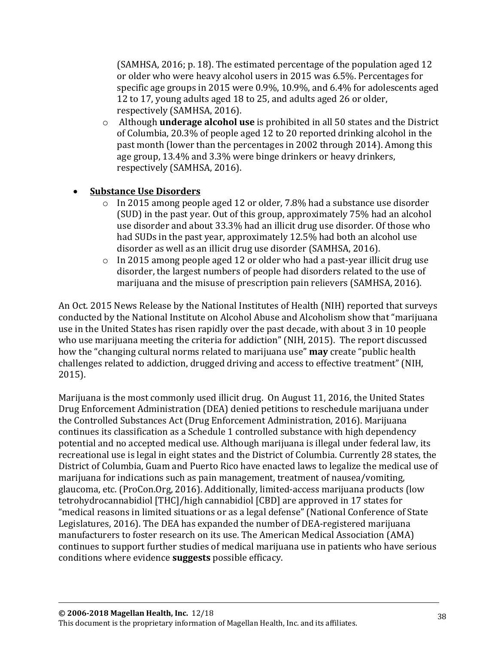(SAMHSA, 2016; p. 18). The estimated percentage of the population aged 12 or older who were heavy alcohol users in 2015 was 6.5%. Percentages for specific age groups in 2015 were 0.9%, 10.9%, and 6.4% for adolescents aged 12 to 17, young adults aged 18 to 25, and adults aged 26 or older, respectively (SAMHSA, 2016).

o Although **underage alcohol use** is prohibited in all 50 states and the District of Columbia, 20.3% of people aged 12 to 20 reported drinking alcohol in the past month (lower than the percentages in 2002 through 2014). Among this age group, 13.4% and 3.3% were binge drinkers or heavy drinkers, respectively (SAMHSA, 2016).

#### • **Substance Use Disorders**

- o In 2015 among people aged 12 or older, 7.8% had a substance use disorder (SUD) in the past year. Out of this group, approximately 75% had an alcohol use disorder and about 33.3% had an illicit drug use disorder. Of those who had SUDs in the past year, approximately 12.5% had both an alcohol use disorder as well as an illicit drug use disorder (SAMHSA, 2016).
- o In 2015 among people aged 12 or older who had a past-year illicit drug use disorder, the largest numbers of people had disorders related to the use of marijuana and the misuse of prescription pain relievers (SAMHSA, 2016).

An Oct. 2015 News Release by the National Institutes of Health (NIH) reported that surveys conducted by the National Institute on Alcohol Abuse and Alcoholism show that "marijuana use in the United States has risen rapidly over the past decade, with about 3 in 10 people who use marijuana meeting the criteria for addiction" (NIH, 2015). The report discussed how the "changing cultural norms related to marijuana use" **may** create "public health challenges related to addiction, drugged driving and access to effective treatment" (NIH, 2015).

Marijuana is the most commonly used illicit drug. On August 11, 2016, the United States Drug Enforcement Administration (DEA) denied petitions to reschedule marijuana under the Controlled Substances Act (Drug Enforcement Administration, 2016). Marijuana continues its classification as a Schedule 1 controlled substance with high dependency potential and no accepted medical use. Although marijuana is illegal under federal law, its recreational use is legal in eight states and the District of Columbia. Currently 28 states, the District of Columbia, Guam and Puerto Rico have enacted laws to legalize the medical use of marijuana for indications such as pain management, treatment of nausea/vomiting, glaucoma, etc. (ProCon.Org, 2016). Additionally, limited-access marijuana products (low tetrohydrocannabidiol [THC]/high cannabidiol [CBD] are approved in 17 states for "medical reasons in limited situations or as a legal defense" (National Conference of State Legislatures, 2016). The DEA has expanded the number of DEA-registered marijuana manufacturers to foster research on its use. The American Medical Association (AMA) continues to support further studies of medical marijuana use in patients who have serious conditions where evidence **suggests** possible efficacy.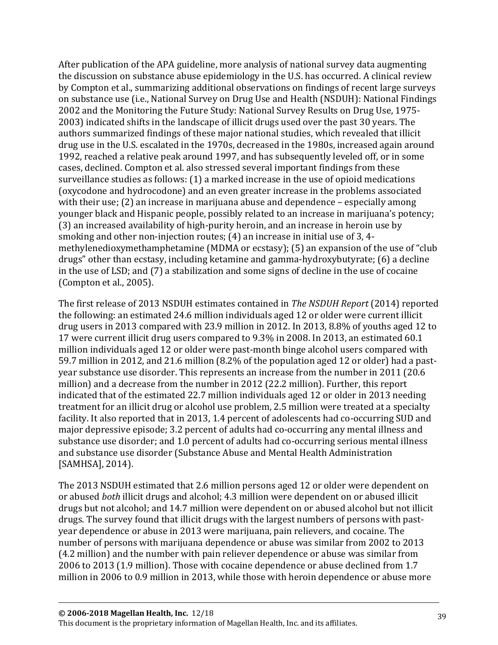After publication of the APA guideline, more analysis of national survey data augmenting the discussion on substance abuse epidemiology in the U.S. has occurred. A clinical review by Compton et al., summarizing additional observations on findings of recent large surveys on substance use (i.e., National Survey on Drug Use and Health (NSDUH): National Findings 2002 and the Monitoring the Future Study: National Survey Results on Drug Use, 1975- 2003) indicated shifts in the landscape of illicit drugs used over the past 30 years. The authors summarized findings of these major national studies, which revealed that illicit drug use in the U.S. escalated in the 1970s, decreased in the 1980s, increased again around 1992, reached a relative peak around 1997, and has subsequently leveled off, or in some cases, declined. Compton et al. also stressed several important findings from these surveillance studies as follows: (1) a marked increase in the use of opioid medications (oxycodone and hydrocodone) and an even greater increase in the problems associated with their use; (2) an increase in marijuana abuse and dependence – especially among younger black and Hispanic people, possibly related to an increase in marijuana's potency; (3) an increased availability of high-purity heroin, and an increase in heroin use by smoking and other non-injection routes; (4) an increase in initial use of 3, 4 methylenedioxymethamphetamine (MDMA or ecstasy); (5) an expansion of the use of "club drugs" other than ecstasy, including ketamine and gamma-hydroxybutyrate; (6) a decline in the use of LSD; and (7) a stabilization and some signs of decline in the use of cocaine (Compton et al., 2005).

The first release of 2013 NSDUH estimates contained in *The NSDUH Report* (2014) reported the following: an estimated 24.6 million individuals aged 12 or older were current illicit drug users in 2013 compared with 23.9 million in 2012. In 2013, 8.8% of youths aged 12 to 17 were current illicit drug users compared to 9.3% in 2008. In 2013, an estimated 60.1 million individuals aged 12 or older were past-month binge alcohol users compared with 59.7 million in 2012, and 21.6 million (8.2% of the population aged 12 or older) had a pastyear substance use disorder. This represents an increase from the number in 2011 (20.6 million) and a decrease from the number in 2012 (22.2 million). Further, this report indicated that of the estimated 22.7 million individuals aged 12 or older in 2013 needing treatment for an illicit drug or alcohol use problem, 2.5 million were treated at a specialty facility. It also reported that in 2013, 1.4 percent of adolescents had co-occurring SUD and major depressive episode; 3.2 percent of adults had co-occurring any mental illness and substance use disorder; and 1.0 percent of adults had co-occurring serious mental illness and substance use disorder (Substance Abuse and Mental Health Administration [SAMHSA], 2014).

The 2013 NSDUH estimated that 2.6 million persons aged 12 or older were dependent on or abused *both* illicit drugs and alcohol; 4.3 million were dependent on or abused illicit drugs but not alcohol; and 14.7 million were dependent on or abused alcohol but not illicit drugs. The survey found that illicit drugs with the largest numbers of persons with pastyear dependence or abuse in 2013 were marijuana, pain relievers, and cocaine. The number of persons with marijuana dependence or abuse was similar from 2002 to 2013 (4.2 million) and the number with pain reliever dependence or abuse was similar from 2006 to 2013 (1.9 million). Those with cocaine dependence or abuse declined from 1.7 million in 2006 to 0.9 million in 2013, while those with heroin dependence or abuse more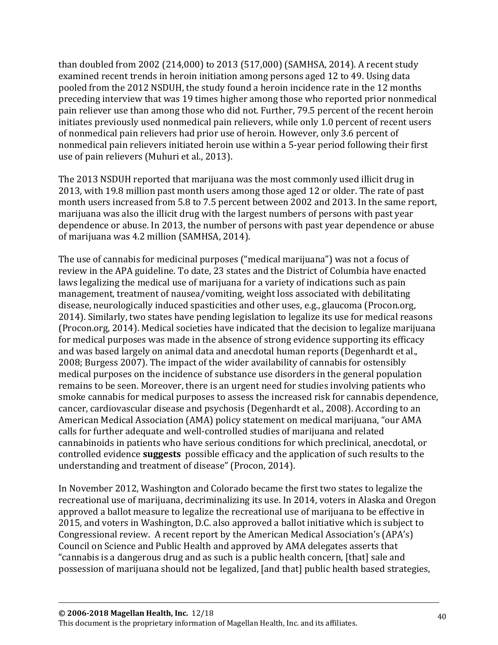than doubled from 2002 (214,000) to 2013 (517,000) (SAMHSA, 2014). A recent study examined recent trends in heroin initiation among persons aged 12 to 49. Using data pooled from the 2012 NSDUH, the study found a heroin incidence rate in the 12 months preceding interview that was 19 times higher among those who reported prior nonmedical pain reliever use than among those who did not. Further, 79.5 percent of the recent heroin initiates previously used nonmedical pain relievers, while only 1.0 percent of recent users of nonmedical pain relievers had prior use of heroin. However, only 3.6 percent of nonmedical pain relievers initiated heroin use within a 5-year period following their first use of pain relievers (Muhuri et al., 2013).

The 2013 NSDUH reported that marijuana was the most commonly used illicit drug in 2013, with 19.8 million past month users among those aged 12 or older. The rate of past month users increased from 5.8 to 7.5 percent between 2002 and 2013. In the same report, marijuana was also the illicit drug with the largest numbers of persons with past year dependence or abuse. In 2013, the number of persons with past year dependence or abuse of marijuana was 4.2 million (SAMHSA, 2014).

The use of cannabis for medicinal purposes ("medical marijuana") was not a focus of review in the APA guideline. To date, 23 states and the District of Columbia have enacted laws legalizing the medical use of marijuana for a variety of indications such as pain management, treatment of nausea/vomiting, weight loss associated with debilitating disease, neurologically induced spasticities and other uses, e.g., glaucoma (Procon.org, 2014). Similarly, two states have pending legislation to legalize its use for medical reasons (Procon.org, 2014). Medical societies have indicated that the decision to legalize marijuana for medical purposes was made in the absence of strong evidence supporting its efficacy and was based largely on animal data and anecdotal human reports (Degenhardt et al., 2008; Burgess 2007). The impact of the wider availability of cannabis for ostensibly medical purposes on the incidence of substance use disorders in the general population remains to be seen. Moreover, there is an urgent need for studies involving patients who smoke cannabis for medical purposes to assess the increased risk for cannabis dependence, cancer, cardiovascular disease and psychosis (Degenhardt et al., 2008). According to an American Medical Association (AMA) policy statement on medical marijuana, "our AMA calls for further adequate and well-controlled studies of marijuana and related cannabinoids in patients who have serious conditions for which preclinical, anecdotal, or controlled evidence **suggests** possible efficacy and the application of such results to the understanding and treatment of disease" (Procon, 2014).

In November 2012, Washington and Colorado became the first two states to legalize the recreational use of marijuana, decriminalizing its use. In 2014, voters in Alaska and Oregon approved a ballot measure to legalize the recreational use of marijuana to be effective in 2015, and voters in Washington, D.C. also approved a ballot initiative which is subject to Congressional review. A recent report by the American Medical Association's (APA's) Council on Science and Public Health and approved by AMA delegates asserts that "cannabis is a dangerous drug and as such is a public health concern, [that] sale and possession of marijuana should not be legalized, [and that] public health based strategies,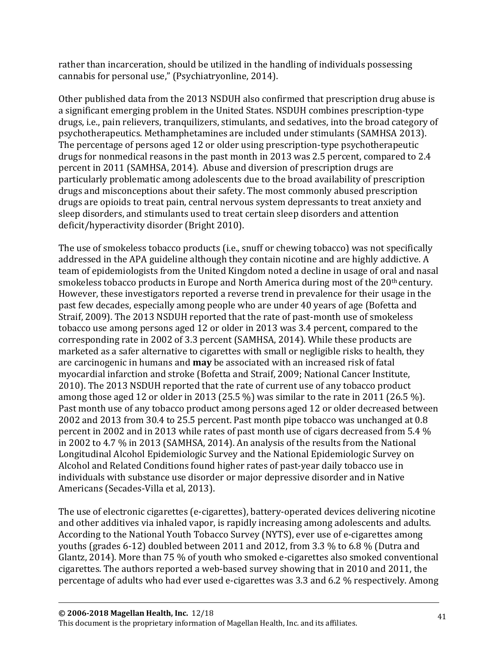rather than incarceration, should be utilized in the handling of individuals possessing cannabis for personal use," (Psychiatryonline, 2014).

Other published data from the 2013 NSDUH also confirmed that prescription drug abuse is a significant emerging problem in the United States. NSDUH combines prescription-type drugs, i.e., pain relievers, tranquilizers, stimulants, and sedatives, into the broad category of psychotherapeutics. Methamphetamines are included under stimulants (SAMHSA 2013). The percentage of persons aged 12 or older using prescription-type psychotherapeutic drugs for nonmedical reasons in the past month in 2013 was 2.5 percent, compared to 2.4 percent in 2011 (SAMHSA, 2014). Abuse and diversion of prescription drugs are particularly problematic among adolescents due to the broad availability of prescription drugs and misconceptions about their safety. The most commonly abused prescription drugs are opioids to treat pain, central nervous system depressants to treat anxiety and sleep disorders, and stimulants used to treat certain sleep disorders and attention deficit/hyperactivity disorder (Bright 2010).

The use of smokeless tobacco products (i.e., snuff or chewing tobacco) was not specifically addressed in the APA guideline although they contain nicotine and are highly addictive. A team of epidemiologists from the United Kingdom noted a decline in usage of oral and nasal smokeless tobacco products in Europe and North America during most of the 20<sup>th</sup> century. However, these investigators reported a reverse trend in prevalence for their usage in the past few decades, especially among people who are under 40 years of age (Bofetta and Straif, 2009). The 2013 NSDUH reported that the rate of past-month use of smokeless tobacco use among persons aged 12 or older in 2013 was 3.4 percent, compared to the corresponding rate in 2002 of 3.3 percent (SAMHSA, 2014). While these products are marketed as a safer alternative to cigarettes with small or negligible risks to health, they are carcinogenic in humans and **may** be associated with an increased risk of fatal myocardial infarction and stroke (Bofetta and Straif, 2009; National Cancer Institute, 2010). The 2013 NSDUH reported that the rate of current use of any tobacco product among those aged 12 or older in 2013 (25.5 %) was similar to the rate in 2011 (26.5 %). Past month use of any tobacco product among persons aged 12 or older decreased between 2002 and 2013 from 30.4 to 25.5 percent. Past month pipe tobacco was unchanged at 0.8 percent in 2002 and in 2013 while rates of past month use of cigars decreased from 5.4 % in 2002 to 4.7 % in 2013 (SAMHSA, 2014). An analysis of the results from the National Longitudinal Alcohol Epidemiologic Survey and the National Epidemiologic Survey on Alcohol and Related Conditions found higher rates of past-year daily tobacco use in individuals with substance use disorder or major depressive disorder and in Native Americans (Secades-Villa et al, 2013).

The use of electronic cigarettes (e-cigarettes), battery-operated devices delivering nicotine and other additives via inhaled vapor, is rapidly increasing among adolescents and adults. According to the National Youth Tobacco Survey (NYTS), ever use of e-cigarettes among youths (grades 6-12) doubled between 2011 and 2012, from 3.3 % to 6.8 % (Dutra and Glantz, 2014). More than 75 % of youth who smoked e-cigarettes also smoked conventional cigarettes. The authors reported a web-based survey showing that in 2010 and 2011, the percentage of adults who had ever used e-cigarettes was 3.3 and 6.2 % respectively. Among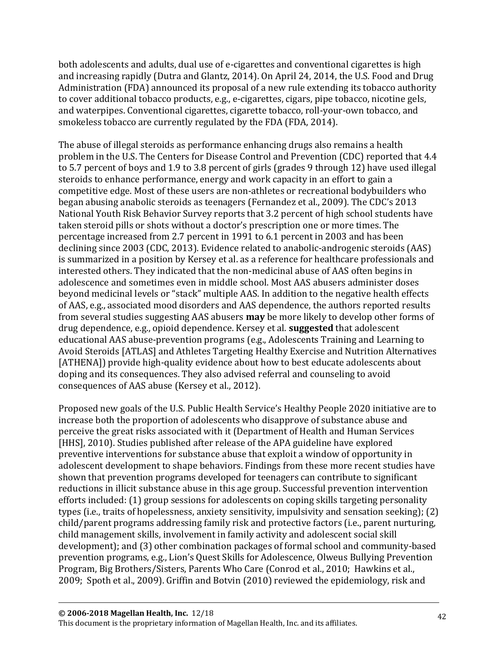both adolescents and adults, dual use of e-cigarettes and conventional cigarettes is high and increasing rapidly (Dutra and Glantz, 2014). On April 24, 2014, the U.S. Food and Drug Administration (FDA) announced its proposal of a new rule extending its tobacco authority to cover additional tobacco products, e.g., e-cigarettes, cigars, pipe tobacco, nicotine gels, and waterpipes. Conventional cigarettes, cigarette tobacco, roll-your-own tobacco, and smokeless tobacco are currently regulated by the FDA (FDA, 2014).

The abuse of illegal steroids as performance enhancing drugs also remains a health problem in the U.S. The Centers for Disease Control and Prevention (CDC) reported that 4.4 to 5.7 percent of boys and 1.9 to 3.8 percent of girls (grades 9 through 12) have used illegal steroids to enhance performance, energy and work capacity in an effort to gain a competitive edge. Most of these users are non-athletes or recreational bodybuilders who began abusing anabolic steroids as teenagers (Fernandez et al., 2009). The CDC's 2013 National Youth Risk Behavior Survey reports that 3.2 percent of high school students have taken steroid pills or shots without a doctor's prescription one or more times. The percentage increased from 2.7 percent in 1991 to 6.1 percent in 2003 and has been declining since 2003 (CDC, 2013). Evidence related to anabolic-androgenic steroids (AAS) is summarized in a position by Kersey et al. as a reference for healthcare professionals and interested others. They indicated that the non-medicinal abuse of AAS often begins in adolescence and sometimes even in middle school. Most AAS abusers administer doses beyond medicinal levels or "stack" multiple AAS. In addition to the negative health effects of AAS, e.g., associated mood disorders and AAS dependence, the authors reported results from several studies suggesting AAS abusers **may** be more likely to develop other forms of drug dependence, e.g., opioid dependence. Kersey et al. **suggested** that adolescent educational AAS abuse-prevention programs (e.g., Adolescents Training and Learning to Avoid Steroids [ATLAS] and Athletes Targeting Healthy Exercise and Nutrition Alternatives [ATHENA]) provide high-quality evidence about how to best educate adolescents about doping and its consequences. They also advised referral and counseling to avoid consequences of AAS abuse (Kersey et al., 2012).

Proposed new goals of the U.S. Public Health Service's Healthy People 2020 initiative are to increase both the proportion of adolescents who disapprove of substance abuse and perceive the great risks associated with it (Department of Health and Human Services [HHS], 2010). Studies published after release of the APA guideline have explored preventive interventions for substance abuse that exploit a window of opportunity in adolescent development to shape behaviors. Findings from these more recent studies have shown that prevention programs developed for teenagers can contribute to significant reductions in illicit substance abuse in this age group. Successful prevention intervention efforts included: (1) group sessions for adolescents on coping skills targeting personality types (i.e., traits of hopelessness, anxiety sensitivity, impulsivity and sensation seeking); (2) child/parent programs addressing family risk and protective factors (i.e., parent nurturing, child management skills, involvement in family activity and adolescent social skill development); and (3) other combination packages of formal school and community-based prevention programs, e.g., Lion's Quest Skills for Adolescence, Olweus Bullying Prevention Program, Big Brothers/Sisters, Parents Who Care (Conrod et al., 2010; Hawkins et al., 2009; Spoth et al., 2009). Griffin and Botvin (2010) reviewed the epidemiology, risk and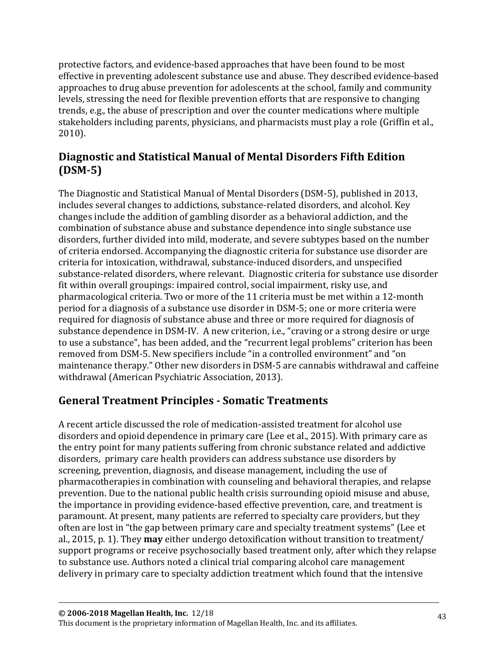protective factors, and evidence-based approaches that have been found to be most effective in preventing adolescent substance use and abuse. They described evidence-based approaches to drug abuse prevention for adolescents at the school, family and community levels, stressing the need for flexible prevention efforts that are responsive to changing trends, e.g., the abuse of prescription and over the counter medications where multiple stakeholders including parents, physicians, and pharmacists must play a role (Griffin et al., 2010).

## **Diagnostic and Statistical Manual of Mental Disorders Fifth Edition (DSM-5)**

The Diagnostic and Statistical Manual of Mental Disorders (DSM-5), published in 2013, includes several changes to addictions, substance-related disorders, and alcohol. Key changes include the addition of gambling disorder as a behavioral addiction, and the combination of substance abuse and substance dependence into single substance use disorders, further divided into mild, moderate, and severe subtypes based on the number of criteria endorsed. Accompanying the diagnostic criteria for substance use disorder are criteria for intoxication, withdrawal, substance-induced disorders, and unspecified substance-related disorders, where relevant. Diagnostic criteria for substance use disorder fit within overall groupings: impaired control, social impairment, risky use, and pharmacological criteria. Two or more of the 11 criteria must be met within a 12-month period for a diagnosis of a substance use disorder in DSM-5; one or more criteria were required for diagnosis of substance abuse and three or more required for diagnosis of substance dependence in DSM-IV. A new criterion, i.e., "craving or a strong desire or urge to use a substance", has been added, and the "recurrent legal problems" criterion has been removed from DSM-5. New specifiers include "in a controlled environment" and "on maintenance therapy." Other new disorders in DSM-5 are cannabis withdrawal and caffeine withdrawal (American Psychiatric Association, 2013).

## **General Treatment Principles - Somatic Treatments**

A recent article discussed the role of medication-assisted treatment for alcohol use disorders and opioid dependence in primary care (Lee et al., 2015). With primary care as the entry point for many patients suffering from chronic substance related and addictive disorders, primary care health providers can address substance use disorders by screening, prevention, diagnosis, and disease management, including the use of pharmacotherapies in combination with counseling and behavioral therapies, and relapse prevention. Due to the national public health crisis surrounding opioid misuse and abuse, the importance in providing evidence-based effective prevention, care, and treatment is paramount. At present, many patients are referred to specialty care providers, but they often are lost in "the gap between primary care and specialty treatment systems" (Lee et al., 2015, p. 1). They **may** either undergo detoxification without transition to treatment/ support programs or receive psychosocially based treatment only, after which they relapse to substance use. Authors noted a clinical trial comparing alcohol care management delivery in primary care to specialty addiction treatment which found that the intensive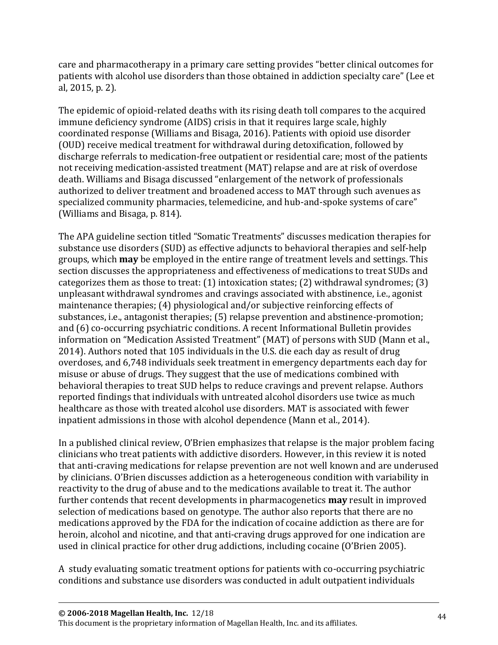care and pharmacotherapy in a primary care setting provides "better clinical outcomes for patients with alcohol use disorders than those obtained in addiction specialty care" (Lee et al, 2015, p. 2).

The epidemic of opioid-related deaths with its rising death toll compares to the acquired immune deficiency syndrome (AIDS) crisis in that it requires large scale, highly coordinated response (Williams and Bisaga, 2016). Patients with opioid use disorder (OUD) receive medical treatment for withdrawal during detoxification, followed by discharge referrals to medication-free outpatient or residential care; most of the patients not receiving medication-assisted treatment (MAT) relapse and are at risk of overdose death. Williams and Bisaga discussed "enlargement of the network of professionals authorized to deliver treatment and broadened access to MAT through such avenues as specialized community pharmacies, telemedicine, and hub-and-spoke systems of care" (Williams and Bisaga, p. 814).

The APA guideline section titled "Somatic Treatments" discusses medication therapies for substance use disorders (SUD) as effective adjuncts to behavioral therapies and self-help groups, which **may** be employed in the entire range of treatment levels and settings. This section discusses the appropriateness and effectiveness of medications to treat SUDs and categorizes them as those to treat: (1) intoxication states; (2) withdrawal syndromes; (3) unpleasant withdrawal syndromes and cravings associated with abstinence, i.e., agonist maintenance therapies; (4) physiological and/or subjective reinforcing effects of substances, i.e., antagonist therapies; (5) relapse prevention and abstinence-promotion; and (6) co-occurring psychiatric conditions. A recent Informational Bulletin provides information on "Medication Assisted Treatment" (MAT) of persons with SUD (Mann et al., 2014). Authors noted that 105 individuals in the U.S. die each day as result of drug overdoses, and 6,748 individuals seek treatment in emergency departments each day for misuse or abuse of drugs. They suggest that the use of medications combined with behavioral therapies to treat SUD helps to reduce cravings and prevent relapse. Authors reported findings that individuals with untreated alcohol disorders use twice as much healthcare as those with treated alcohol use disorders. MAT is associated with fewer inpatient admissions in those with alcohol dependence (Mann et al., 2014).

In a published clinical review, O'Brien emphasizes that relapse is the major problem facing clinicians who treat patients with addictive disorders. However, in this review it is noted that anti-craving medications for relapse prevention are not well known and are underused by clinicians. O'Brien discusses addiction as a heterogeneous condition with variability in reactivity to the drug of abuse and to the medications available to treat it. The author further contends that recent developments in pharmacogenetics **may** result in improved selection of medications based on genotype. The author also reports that there are no medications approved by the FDA for the indication of cocaine addiction as there are for heroin, alcohol and nicotine, and that anti-craving drugs approved for one indication are used in clinical practice for other drug addictions, including cocaine (O'Brien 2005).

A study evaluating somatic treatment options for patients with co-occurring psychiatric conditions and substance use disorders was conducted in adult outpatient individuals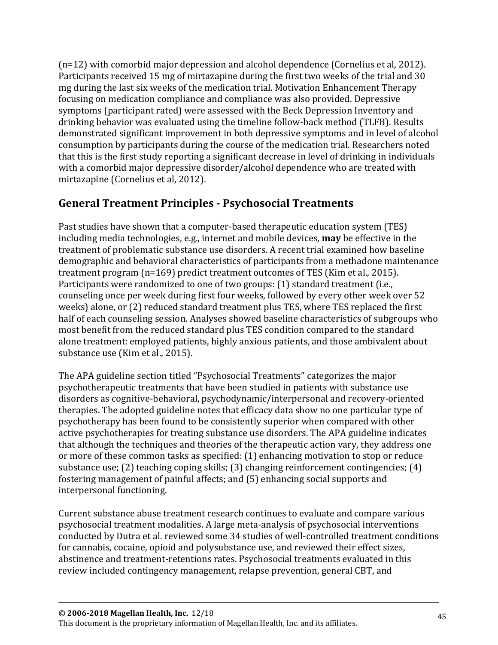(n=12) with comorbid major depression and alcohol dependence (Cornelius et al, 2012). Participants received 15 mg of mirtazapine during the first two weeks of the trial and 30 mg during the last six weeks of the medication trial. Motivation Enhancement Therapy focusing on medication compliance and compliance was also provided. Depressive symptoms (participant rated) were assessed with the Beck Depression Inventory and drinking behavior was evaluated using the timeline follow-back method (TLFB). Results demonstrated significant improvement in both depressive symptoms and in level of alcohol consumption by participants during the course of the medication trial. Researchers noted that this is the first study reporting a significant decrease in level of drinking in individuals with a comorbid major depressive disorder/alcohol dependence who are treated with mirtazapine (Cornelius et al, 2012).

## **General Treatment Principles - Psychosocial Treatments**

Past studies have shown that a computer-based therapeutic education system (TES) including media technologies, e.g., internet and mobile devices, **may** be effective in the treatment of problematic substance use disorders. A recent trial examined how baseline demographic and behavioral characteristics of participants from a methadone maintenance treatment program (n=169) predict treatment outcomes of TES (Kim et al., 2015). Participants were randomized to one of two groups: (1) standard treatment (i.e., counseling once per week during first four weeks, followed by every other week over 52 weeks) alone, or (2) reduced standard treatment plus TES, where TES replaced the first half of each counseling session. Analyses showed baseline characteristics of subgroups who most benefit from the reduced standard plus TES condition compared to the standard alone treatment: employed patients, highly anxious patients, and those ambivalent about substance use (Kim et al., 2015).

The APA guideline section titled "Psychosocial Treatments" categorizes the major psychotherapeutic treatments that have been studied in patients with substance use disorders as cognitive-behavioral, psychodynamic/interpersonal and recovery-oriented therapies. The adopted guideline notes that efficacy data show no one particular type of psychotherapy has been found to be consistently superior when compared with other active psychotherapies for treating substance use disorders. The APA guideline indicates that although the techniques and theories of the therapeutic action vary, they address one or more of these common tasks as specified: (1) enhancing motivation to stop or reduce substance use; (2) teaching coping skills; (3) changing reinforcement contingencies; (4) fostering management of painful affects; and (5) enhancing social supports and interpersonal functioning.

Current substance abuse treatment research continues to evaluate and compare various psychosocial treatment modalities. A large meta-analysis of psychosocial interventions conducted by Dutra et al. reviewed some 34 studies of well-controlled treatment conditions for cannabis, cocaine, opioid and polysubstance use, and reviewed their effect sizes, abstinence and treatment-retentions rates. Psychosocial treatments evaluated in this review included contingency management, relapse prevention, general CBT, and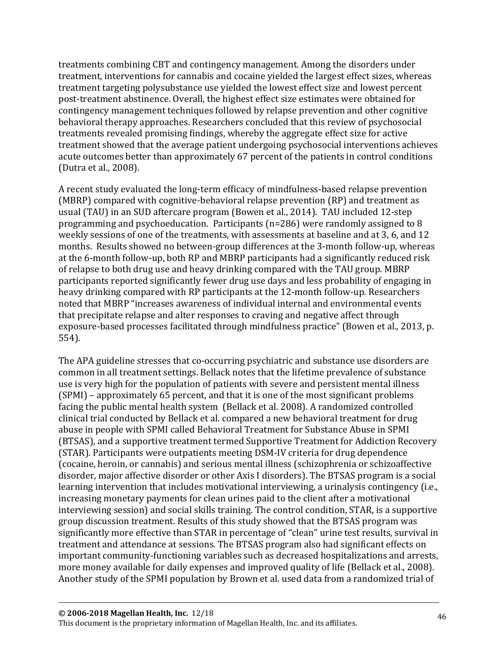treatments combining CBT and contingency management. Among the disorders under treatment, interventions for cannabis and cocaine yielded the largest effect sizes, whereas treatment targeting polysubstance use yielded the lowest effect size and lowest percent post-treatment abstinence. Overall, the highest effect size estimates were obtained for contingency management techniques followed by relapse prevention and other cognitive behavioral therapy approaches. Researchers concluded that this review of psychosocial treatments revealed promising findings, whereby the aggregate effect size for active treatment showed that the average patient undergoing psychosocial interventions achieves acute outcomes better than approximately 67 percent of the patients in control conditions (Dutra et al., 2008).

A recent study evaluated the long-term efficacy of mindfulness-based relapse prevention (MBRP) compared with cognitive-behavioral relapse prevention (RP) and treatment as usual (TAU) in an SUD aftercare program (Bowen et al., 2014). TAU included 12-step programming and psychoeducation. Participants (n=286) were randomly assigned to 8 weekly sessions of one of the treatments, with assessments at baseline and at 3, 6, and 12 months. Results showed no between-group differences at the 3-month follow-up, whereas at the 6-month follow-up, both RP and MBRP participants had a significantly reduced risk of relapse to both drug use and heavy drinking compared with the TAU group. MBRP participants reported significantly fewer drug use days and less probability of engaging in heavy drinking compared with RP participants at the 12-month follow-up. Researchers noted that MBRP "increases awareness of individual internal and environmental events that precipitate relapse and alter responses to craving and negative affect through exposure-based processes facilitated through mindfulness practice" (Bowen et al., 2013, p. 554).

The APA guideline stresses that co-occurring psychiatric and substance use disorders are common in all treatment settings. Bellack notes that the lifetime prevalence of substance use is very high for the population of patients with severe and persistent mental illness (SPMI) – approximately 65 percent, and that it is one of the most significant problems facing the public mental health system (Bellack et al. 2008). A randomized controlled clinical trial conducted by Bellack et al. compared a new behavioral treatment for drug abuse in people with SPMI called Behavioral Treatment for Substance Abuse in SPMI (BTSAS), and a supportive treatment termed Supportive Treatment for Addiction Recovery (STAR). Participants were outpatients meeting DSM-IV criteria for drug dependence (cocaine, heroin, or cannabis) and serious mental illness (schizophrenia or schizoaffective disorder, major affective disorder or other Axis I disorders). The BTSAS program is a social learning intervention that includes motivational interviewing, a urinalysis contingency (i.e., increasing monetary payments for clean urines paid to the client after a motivational interviewing session) and social skills training. The control condition, STAR, is a supportive group discussion treatment. Results of this study showed that the BTSAS program was significantly more effective than STAR in percentage of "clean" urine test results, survival in treatment and attendance at sessions. The BTSAS program also had significant effects on important community-functioning variables such as decreased hospitalizations and arrests, more money available for daily expenses and improved quality of life (Bellack et al., 2008). Another study of the SPMI population by Brown et al. used data from a randomized trial of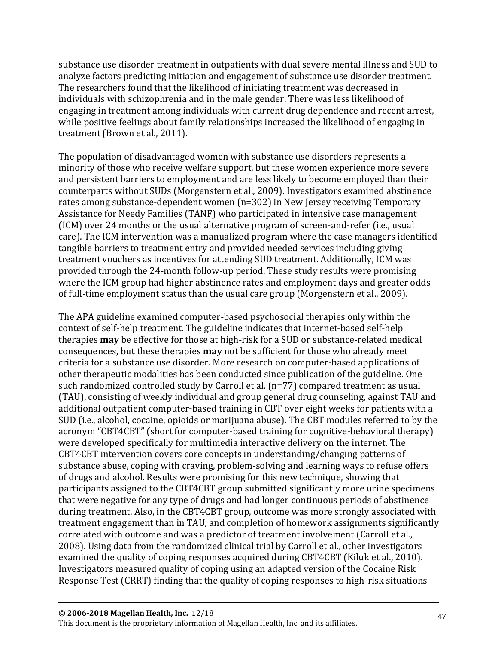substance use disorder treatment in outpatients with dual severe mental illness and SUD to analyze factors predicting initiation and engagement of substance use disorder treatment. The researchers found that the likelihood of initiating treatment was decreased in individuals with schizophrenia and in the male gender. There was less likelihood of engaging in treatment among individuals with current drug dependence and recent arrest, while positive feelings about family relationships increased the likelihood of engaging in treatment (Brown et al., 2011).

The population of disadvantaged women with substance use disorders represents a minority of those who receive welfare support, but these women experience more severe and persistent barriers to employment and are less likely to become employed than their counterparts without SUDs (Morgenstern et al., 2009). Investigators examined abstinence rates among substance-dependent women (n=302) in New Jersey receiving Temporary Assistance for Needy Families (TANF) who participated in intensive case management (ICM) over 24 months or the usual alternative program of screen-and-refer (i.e., usual care). The ICM intervention was a manualized program where the case managers identified tangible barriers to treatment entry and provided needed services including giving treatment vouchers as incentives for attending SUD treatment. Additionally, ICM was provided through the 24-month follow-up period. These study results were promising where the ICM group had higher abstinence rates and employment days and greater odds of full-time employment status than the usual care group (Morgenstern et al., 2009).

The APA guideline examined computer-based psychosocial therapies only within the context of self-help treatment. The guideline indicates that internet-based self-help therapies **may** be effective for those at high-risk for a SUD or substance-related medical consequences, but these therapies **may** not be sufficient for those who already meet criteria for a substance use disorder. More research on computer-based applications of other therapeutic modalities has been conducted since publication of the guideline. One such randomized controlled study by Carroll et al. (n=77) compared treatment as usual (TAU), consisting of weekly individual and group general drug counseling, against TAU and additional outpatient computer-based training in CBT over eight weeks for patients with a SUD (i.e., alcohol, cocaine, opioids or marijuana abuse). The CBT modules referred to by the acronym "CBT4CBT" (short for computer-based training for cognitive-behavioral therapy) were developed specifically for multimedia interactive delivery on the internet. The CBT4CBT intervention covers core concepts in understanding/changing patterns of substance abuse, coping with craving, problem-solving and learning ways to refuse offers of drugs and alcohol. Results were promising for this new technique, showing that participants assigned to the CBT4CBT group submitted significantly more urine specimens that were negative for any type of drugs and had longer continuous periods of abstinence during treatment. Also, in the CBT4CBT group, outcome was more strongly associated with treatment engagement than in TAU, and completion of homework assignments significantly correlated with outcome and was a predictor of treatment involvement (Carroll et al., 2008). Using data from the randomized clinical trial by Carroll et al., other investigators examined the quality of coping responses acquired during CBT4CBT (Kiluk et al., 2010). Investigators measured quality of coping using an adapted version of the Cocaine Risk Response Test (CRRT) finding that the quality of coping responses to high-risk situations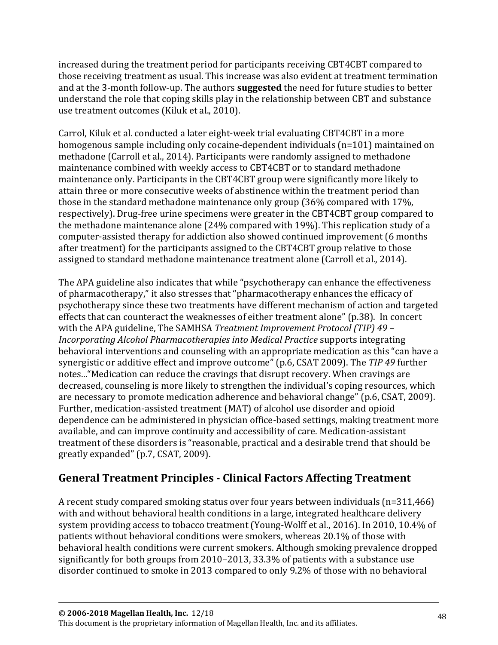increased during the treatment period for participants receiving CBT4CBT compared to those receiving treatment as usual. This increase was also evident at treatment termination and at the 3-month follow-up. The authors **suggested** the need for future studies to better understand the role that coping skills play in the relationship between CBT and substance use treatment outcomes (Kiluk et al., 2010).

Carrol, Kiluk et al. conducted a later eight-week trial evaluating CBT4CBT in a more homogenous sample including only cocaine-dependent individuals (n=101) maintained on methadone (Carroll et al., 2014). Participants were randomly assigned to methadone maintenance combined with weekly access to CBT4CBT or to standard methadone maintenance only. Participants in the CBT4CBT group were significantly more likely to attain three or more consecutive weeks of abstinence within the treatment period than those in the standard methadone maintenance only group (36% compared with 17%, respectively). Drug-free urine specimens were greater in the CBT4CBT group compared to the methadone maintenance alone (24% compared with 19%). This replication study of a computer-assisted therapy for addiction also showed continued improvement (6 months after treatment) for the participants assigned to the CBT4CBT group relative to those assigned to standard methadone maintenance treatment alone (Carroll et al., 2014).

The APA guideline also indicates that while "psychotherapy can enhance the effectiveness of pharmacotherapy," it also stresses that "pharmacotherapy enhances the efficacy of psychotherapy since these two treatments have different mechanism of action and targeted effects that can counteract the weaknesses of either treatment alone" (p.38). In concert with the APA guideline, The SAMHSA *Treatment Improvement Protocol (TIP) 49 – Incorporating Alcohol Pharmacotherapies into Medical Practice* supports integrating behavioral interventions and counseling with an appropriate medication as this "can have a synergistic or additive effect and improve outcome" (p.6, CSAT 2009). The *TIP 49* further notes..."Medication can reduce the cravings that disrupt recovery. When cravings are decreased, counseling is more likely to strengthen the individual's coping resources, which are necessary to promote medication adherence and behavioral change" (p.6, CSAT, 2009). Further, medication-assisted treatment (MAT) of alcohol use disorder and opioid dependence can be administered in physician office-based settings, making treatment more available, and can improve continuity and accessibility of care. Medication-assistant treatment of these disorders is "reasonable, practical and a desirable trend that should be greatly expanded" (p.7, CSAT, 2009).

# **General Treatment Principles - Clinical Factors Affecting Treatment**

A recent study compared smoking status over four years between individuals (n=311,466) with and without behavioral health conditions in a large, integrated healthcare delivery system providing access to tobacco treatment (Young-Wolff et al., 2016). In 2010, 10.4% of patients without behavioral conditions were smokers, whereas 20.1% of those with behavioral health conditions were current smokers. Although smoking prevalence dropped significantly for both groups from 2010–2013, 33.3% of patients with a substance use disorder continued to smoke in 2013 compared to only 9.2% of those with no behavioral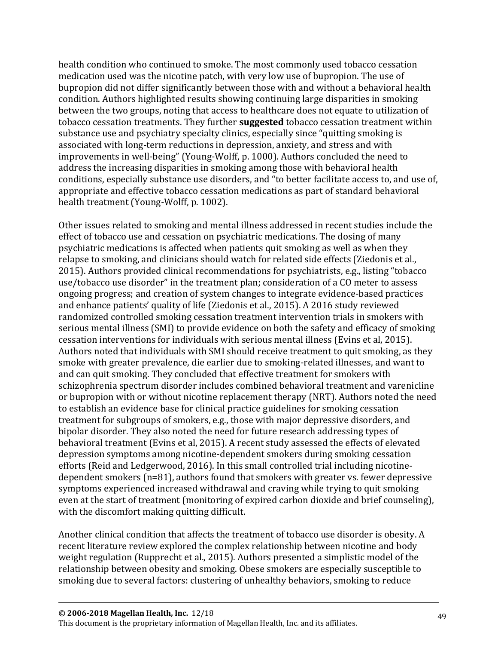health condition who continued to smoke. The most commonly used tobacco cessation medication used was the nicotine patch, with very low use of bupropion. The use of bupropion did not differ significantly between those with and without a behavioral health condition. Authors highlighted results showing continuing large disparities in smoking between the two groups, noting that access to healthcare does not equate to utilization of tobacco cessation treatments. They further **suggested** tobacco cessation treatment within substance use and psychiatry specialty clinics, especially since "quitting smoking is associated with long-term reductions in depression, anxiety, and stress and with improvements in well-being" (Young-Wolff, p. 1000). Authors concluded the need to address the increasing disparities in smoking among those with behavioral health conditions, especially substance use disorders, and "to better facilitate access to, and use of, appropriate and effective tobacco cessation medications as part of standard behavioral health treatment (Young-Wolff, p. 1002).

Other issues related to smoking and mental illness addressed in recent studies include the effect of tobacco use and cessation on psychiatric medications. The dosing of many psychiatric medications is affected when patients quit smoking as well as when they relapse to smoking, and clinicians should watch for related side effects (Ziedonis et al., 2015). Authors provided clinical recommendations for psychiatrists, e.g., listing "tobacco use/tobacco use disorder" in the treatment plan; consideration of a CO meter to assess ongoing progress; and creation of system changes to integrate evidence-based practices and enhance patients' quality of life (Ziedonis et al., 2015). A 2016 study reviewed randomized controlled smoking cessation treatment intervention trials in smokers with serious mental illness (SMI) to provide evidence on both the safety and efficacy of smoking cessation interventions for individuals with serious mental illness (Evins et al, 2015). Authors noted that individuals with SMI should receive treatment to quit smoking, as they smoke with greater prevalence, die earlier due to smoking-related illnesses, and want to and can quit smoking. They concluded that effective treatment for smokers with schizophrenia spectrum disorder includes combined behavioral treatment and varenicline or bupropion with or without nicotine replacement therapy (NRT). Authors noted the need to establish an evidence base for clinical practice guidelines for smoking cessation treatment for subgroups of smokers, e.g., those with major depressive disorders, and bipolar disorder. They also noted the need for future research addressing types of behavioral treatment (Evins et al, 2015). A recent study assessed the effects of elevated depression symptoms among nicotine-dependent smokers during smoking cessation efforts (Reid and Ledgerwood, 2016). In this small controlled trial including nicotinedependent smokers (n=81), authors found that smokers with greater vs. fewer depressive symptoms experienced increased withdrawal and craving while trying to quit smoking even at the start of treatment (monitoring of expired carbon dioxide and brief counseling), with the discomfort making quitting difficult.

Another clinical condition that affects the treatment of tobacco use disorder is obesity. A recent literature review explored the complex relationship between nicotine and body weight regulation (Rupprecht et al., 2015). Authors presented a simplistic model of the relationship between obesity and smoking. Obese smokers are especially susceptible to smoking due to several factors: clustering of unhealthy behaviors, smoking to reduce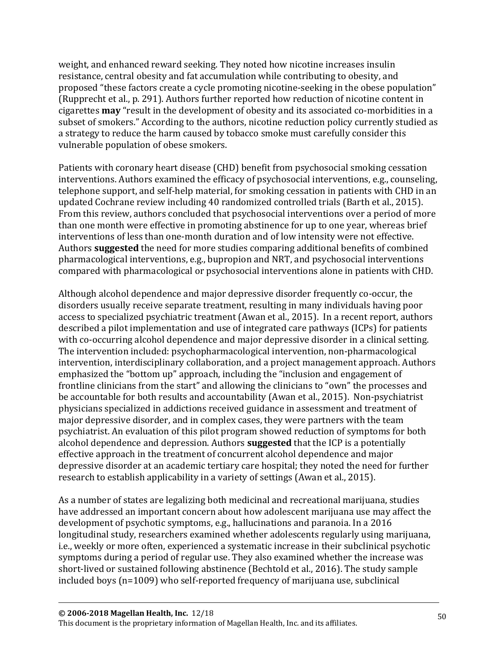weight, and enhanced reward seeking. They noted how nicotine increases insulin resistance, central obesity and fat accumulation while contributing to obesity, and proposed "these factors create a cycle promoting nicotine-seeking in the obese population" (Rupprecht et al., p. 291). Authors further reported how reduction of nicotine content in cigarettes **may** "result in the development of obesity and its associated co-morbidities in a subset of smokers." According to the authors, nicotine reduction policy currently studied as a strategy to reduce the harm caused by tobacco smoke must carefully consider this vulnerable population of obese smokers.

Patients with coronary heart disease (CHD) benefit from psychosocial smoking cessation interventions. Authors examined the efficacy of psychosocial interventions, e.g., counseling, telephone support, and self-help material, for smoking cessation in patients with CHD in an updated Cochrane review including 40 randomized controlled trials (Barth et al., 2015). From this review, authors concluded that psychosocial interventions over a period of more than one month were effective in promoting abstinence for up to one year, whereas brief interventions of less than one-month duration and of low intensity were not effective. Authors **suggested** the need for more studies comparing additional benefits of combined pharmacological interventions, e.g., bupropion and NRT, and psychosocial interventions compared with pharmacological or psychosocial interventions alone in patients with CHD.

Although alcohol dependence and major depressive disorder frequently co-occur, the disorders usually receive separate treatment, resulting in many individuals having poor access to specialized psychiatric treatment (Awan et al., 2015). In a recent report, authors described a pilot implementation and use of integrated care pathways (ICPs) for patients with co-occurring alcohol dependence and major depressive disorder in a clinical setting. The intervention included: psychopharmacological intervention, non-pharmacological intervention, interdisciplinary collaboration, and a project management approach. Authors emphasized the "bottom up" approach, including the "inclusion and engagement of frontline clinicians from the start" and allowing the clinicians to "own" the processes and be accountable for both results and accountability (Awan et al., 2015). Non-psychiatrist physicians specialized in addictions received guidance in assessment and treatment of major depressive disorder, and in complex cases, they were partners with the team psychiatrist. An evaluation of this pilot program showed reduction of symptoms for both alcohol dependence and depression. Authors **suggested** that the ICP is a potentially effective approach in the treatment of concurrent alcohol dependence and major depressive disorder at an academic tertiary care hospital; they noted the need for further research to establish applicability in a variety of settings (Awan et al., 2015).

As a number of states are legalizing both medicinal and recreational marijuana, studies have addressed an important concern about how adolescent marijuana use may affect the development of psychotic symptoms, e.g., hallucinations and paranoia. In a 2016 longitudinal study, researchers examined whether adolescents regularly using marijuana, i.e., weekly or more often, experienced a systematic increase in their subclinical psychotic symptoms during a period of regular use. They also examined whether the increase was short-lived or sustained following abstinence (Bechtold et al., 2016). The study sample included boys (n=1009) who self-reported frequency of marijuana use, subclinical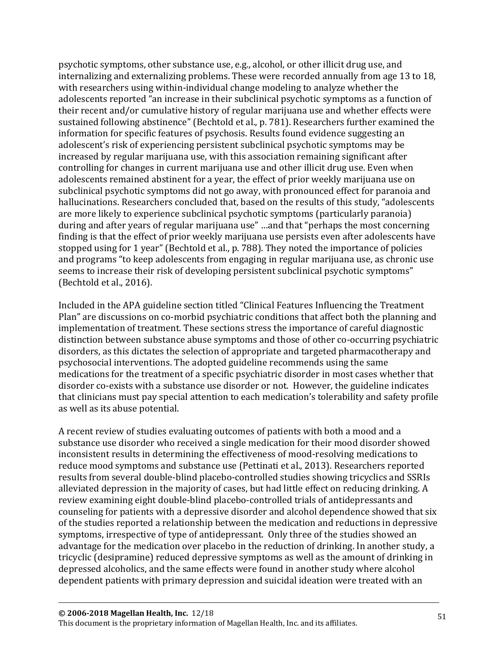psychotic symptoms, other substance use, e.g., alcohol, or other illicit drug use, and internalizing and externalizing problems. These were recorded annually from age 13 to 18, with researchers using within-individual change modeling to analyze whether the adolescents reported "an increase in their subclinical psychotic symptoms as a function of their recent and/or cumulative history of regular marijuana use and whether effects were sustained following abstinence" (Bechtold et al., p. 781). Researchers further examined the information for specific features of psychosis. Results found evidence suggesting an adolescent's risk of experiencing persistent subclinical psychotic symptoms may be increased by regular marijuana use, with this association remaining significant after controlling for changes in current marijuana use and other illicit drug use. Even when adolescents remained abstinent for a year, the effect of prior weekly marijuana use on subclinical psychotic symptoms did not go away, with pronounced effect for paranoia and hallucinations. Researchers concluded that, based on the results of this study, "adolescents are more likely to experience subclinical psychotic symptoms (particularly paranoia) during and after years of regular marijuana use" …and that "perhaps the most concerning finding is that the effect of prior weekly marijuana use persists even after adolescents have stopped using for 1 year" (Bechtold et al., p. 788). They noted the importance of policies and programs "to keep adolescents from engaging in regular marijuana use, as chronic use seems to increase their risk of developing persistent subclinical psychotic symptoms" (Bechtold et al., 2016).

Included in the APA guideline section titled "Clinical Features Influencing the Treatment Plan" are discussions on co-morbid psychiatric conditions that affect both the planning and implementation of treatment. These sections stress the importance of careful diagnostic distinction between substance abuse symptoms and those of other co-occurring psychiatric disorders, as this dictates the selection of appropriate and targeted pharmacotherapy and psychosocial interventions. The adopted guideline recommends using the same medications for the treatment of a specific psychiatric disorder in most cases whether that disorder co-exists with a substance use disorder or not. However, the guideline indicates that clinicians must pay special attention to each medication's tolerability and safety profile as well as its abuse potential.

A recent review of studies evaluating outcomes of patients with both a mood and a substance use disorder who received a single medication for their mood disorder showed inconsistent results in determining the effectiveness of mood-resolving medications to reduce mood symptoms and substance use (Pettinati et al., 2013). Researchers reported results from several double-blind placebo-controlled studies showing tricyclics and SSRIs alleviated depression in the majority of cases, but had little effect on reducing drinking. A review examining eight double-blind placebo-controlled trials of antidepressants and counseling for patients with a depressive disorder and alcohol dependence showed that six of the studies reported a relationship between the medication and reductions in depressive symptoms, irrespective of type of antidepressant. Only three of the studies showed an advantage for the medication over placebo in the reduction of drinking. In another study, a tricyclic (desipramine) reduced depressive symptoms as well as the amount of drinking in depressed alcoholics, and the same effects were found in another study where alcohol dependent patients with primary depression and suicidal ideation were treated with an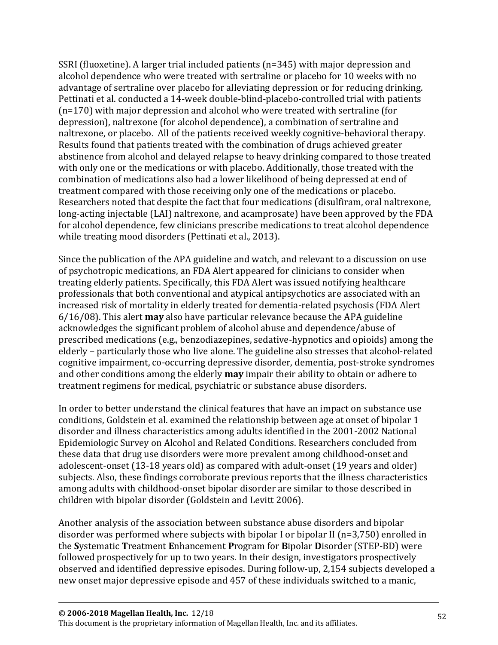SSRI (fluoxetine). A larger trial included patients (n=345) with major depression and alcohol dependence who were treated with sertraline or placebo for 10 weeks with no advantage of sertraline over placebo for alleviating depression or for reducing drinking. Pettinati et al. conducted a 14-week double-blind-placebo-controlled trial with patients (n=170) with major depression and alcohol who were treated with sertraline (for depression), naltrexone (for alcohol dependence), a combination of sertraline and naltrexone, or placebo. All of the patients received weekly cognitive-behavioral therapy. Results found that patients treated with the combination of drugs achieved greater abstinence from alcohol and delayed relapse to heavy drinking compared to those treated with only one or the medications or with placebo. Additionally, those treated with the combination of medications also had a lower likelihood of being depressed at end of treatment compared with those receiving only one of the medications or placebo. Researchers noted that despite the fact that four medications (disulfiram, oral naltrexone, long-acting injectable (LAI) naltrexone, and acamprosate) have been approved by the FDA for alcohol dependence, few clinicians prescribe medications to treat alcohol dependence while treating mood disorders (Pettinati et al., 2013).

Since the publication of the APA guideline and watch, and relevant to a discussion on use of psychotropic medications, an FDA Alert appeared for clinicians to consider when treating elderly patients. Specifically, this FDA Alert was issued notifying healthcare professionals that both conventional and atypical antipsychotics are associated with an increased risk of mortality in elderly treated for dementia-related psychosis (FDA Alert 6/16/08). This alert **may** also have particular relevance because the APA guideline acknowledges the significant problem of alcohol abuse and dependence/abuse of prescribed medications (e.g., benzodiazepines, sedative-hypnotics and opioids) among the elderly – particularly those who live alone. The guideline also stresses that alcohol-related cognitive impairment, co-occurring depressive disorder, dementia, post-stroke syndromes and other conditions among the elderly **may** impair their ability to obtain or adhere to treatment regimens for medical, psychiatric or substance abuse disorders.

In order to better understand the clinical features that have an impact on substance use conditions, Goldstein et al. examined the relationship between age at onset of bipolar 1 disorder and illness characteristics among adults identified in the 2001-2002 National Epidemiologic Survey on Alcohol and Related Conditions. Researchers concluded from these data that drug use disorders were more prevalent among childhood-onset and adolescent-onset (13-18 years old) as compared with adult-onset (19 years and older) subjects. Also, these findings corroborate previous reports that the illness characteristics among adults with childhood-onset bipolar disorder are similar to those described in children with bipolar disorder (Goldstein and Levitt 2006).

Another analysis of the association between substance abuse disorders and bipolar disorder was performed where subjects with bipolar I or bipolar II (n=3,750) enrolled in the **S**ystematic **T**reatment **E**nhancement **P**rogram for **B**ipolar **D**isorder (STEP-BD) were followed prospectively for up to two years. In their design, investigators prospectively observed and identified depressive episodes. During follow-up, 2,154 subjects developed a new onset major depressive episode and 457 of these individuals switched to a manic,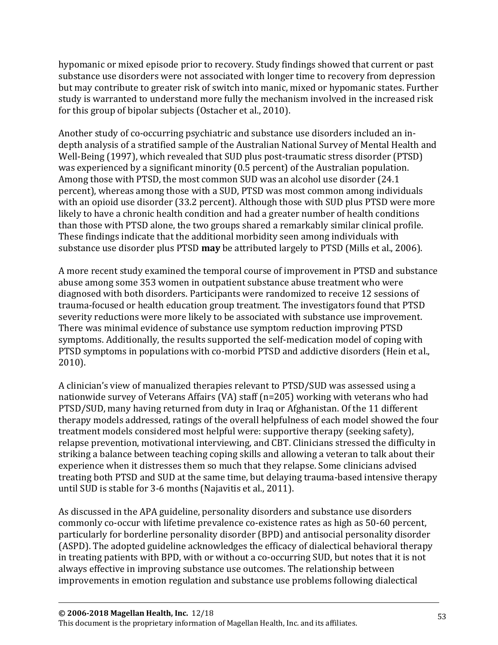hypomanic or mixed episode prior to recovery. Study findings showed that current or past substance use disorders were not associated with longer time to recovery from depression but may contribute to greater risk of switch into manic, mixed or hypomanic states. Further study is warranted to understand more fully the mechanism involved in the increased risk for this group of bipolar subjects (Ostacher et al., 2010).

Another study of co-occurring psychiatric and substance use disorders included an indepth analysis of a stratified sample of the Australian National Survey of Mental Health and Well-Being (1997), which revealed that SUD plus post-traumatic stress disorder (PTSD) was experienced by a significant minority (0.5 percent) of the Australian population. Among those with PTSD, the most common SUD was an alcohol use disorder (24.1 percent), whereas among those with a SUD, PTSD was most common among individuals with an opioid use disorder (33.2 percent). Although those with SUD plus PTSD were more likely to have a chronic health condition and had a greater number of health conditions than those with PTSD alone, the two groups shared a remarkably similar clinical profile. These findings indicate that the additional morbidity seen among individuals with substance use disorder plus PTSD **may** be attributed largely to PTSD (Mills et al., 2006).

A more recent study examined the temporal course of improvement in PTSD and substance abuse among some 353 women in outpatient substance abuse treatment who were diagnosed with both disorders. Participants were randomized to receive 12 sessions of trauma-focused or health education group treatment. The investigators found that PTSD severity reductions were more likely to be associated with substance use improvement. There was minimal evidence of substance use symptom reduction improving PTSD symptoms. Additionally, the results supported the self-medication model of coping with PTSD symptoms in populations with co-morbid PTSD and addictive disorders (Hein et al., 2010).

A clinician's view of manualized therapies relevant to PTSD/SUD was assessed using a nationwide survey of Veterans Affairs (VA) staff (n=205) working with veterans who had PTSD/SUD, many having returned from duty in Iraq or Afghanistan. Of the 11 different therapy models addressed, ratings of the overall helpfulness of each model showed the four treatment models considered most helpful were: supportive therapy (seeking safety), relapse prevention, motivational interviewing, and CBT. Clinicians stressed the difficulty in striking a balance between teaching coping skills and allowing a veteran to talk about their experience when it distresses them so much that they relapse. Some clinicians advised treating both PTSD and SUD at the same time, but delaying trauma-based intensive therapy until SUD is stable for 3-6 months (Najavitis et al., 2011).

As discussed in the APA guideline, personality disorders and substance use disorders commonly co-occur with lifetime prevalence co-existence rates as high as 50-60 percent, particularly for borderline personality disorder (BPD) and antisocial personality disorder (ASPD). The adopted guideline acknowledges the efficacy of dialectical behavioral therapy in treating patients with BPD, with or without a co-occurring SUD, but notes that it is not always effective in improving substance use outcomes. The relationship between improvements in emotion regulation and substance use problems following dialectical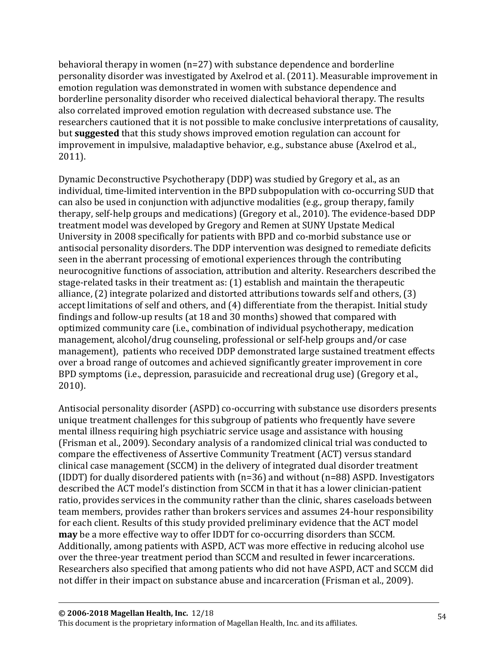behavioral therapy in women (n=27) with substance dependence and borderline personality disorder was investigated by Axelrod et al. (2011). Measurable improvement in emotion regulation was demonstrated in women with substance dependence and borderline personality disorder who received dialectical behavioral therapy. The results also correlated improved emotion regulation with decreased substance use. The researchers cautioned that it is not possible to make conclusive interpretations of causality, but **suggested** that this study shows improved emotion regulation can account for improvement in impulsive, maladaptive behavior, e.g., substance abuse (Axelrod et al., 2011).

Dynamic Deconstructive Psychotherapy (DDP) was studied by Gregory et al., as an individual, time-limited intervention in the BPD subpopulation with co-occurring SUD that can also be used in conjunction with adjunctive modalities (e.g., group therapy, family therapy, self-help groups and medications) (Gregory et al., 2010). The evidence-based DDP treatment model was developed by Gregory and Remen at SUNY Upstate Medical University in 2008 specifically for patients with BPD and co-morbid substance use or antisocial personality disorders. The DDP intervention was designed to remediate deficits seen in the aberrant processing of emotional experiences through the contributing neurocognitive functions of association, attribution and alterity. Researchers described the stage-related tasks in their treatment as: (1) establish and maintain the therapeutic alliance, (2) integrate polarized and distorted attributions towards self and others, (3) accept limitations of self and others, and (4) differentiate from the therapist. Initial study findings and follow-up results (at 18 and 30 months) showed that compared with optimized community care (i.e., combination of individual psychotherapy, medication management, alcohol/drug counseling, professional or self-help groups and/or case management), patients who received DDP demonstrated large sustained treatment effects over a broad range of outcomes and achieved significantly greater improvement in core BPD symptoms (i.e., depression, parasuicide and recreational drug use) (Gregory et al., 2010).

Antisocial personality disorder (ASPD) co-occurring with substance use disorders presents unique treatment challenges for this subgroup of patients who frequently have severe mental illness requiring high psychiatric service usage and assistance with housing (Frisman et al., 2009). Secondary analysis of a randomized clinical trial was conducted to compare the effectiveness of Assertive Community Treatment (ACT) versus standard clinical case management (SCCM) in the delivery of integrated dual disorder treatment (IDDT) for dually disordered patients with (n=36) and without (n=88) ASPD. Investigators described the ACT model's distinction from SCCM in that it has a lower clinician-patient ratio, provides services in the community rather than the clinic, shares caseloads between team members, provides rather than brokers services and assumes 24-hour responsibility for each client. Results of this study provided preliminary evidence that the ACT model **may** be a more effective way to offer IDDT for co-occurring disorders than SCCM. Additionally, among patients with ASPD, ACT was more effective in reducing alcohol use over the three-year treatment period than SCCM and resulted in fewer incarcerations. Researchers also specified that among patients who did not have ASPD, ACT and SCCM did not differ in their impact on substance abuse and incarceration (Frisman et al., 2009).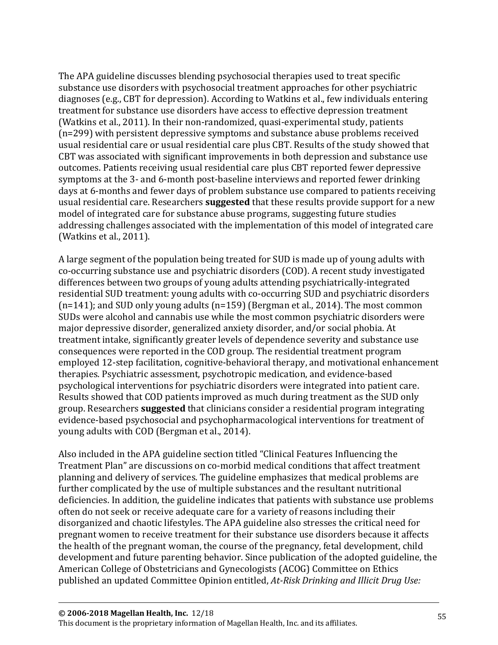The APA guideline discusses blending psychosocial therapies used to treat specific substance use disorders with psychosocial treatment approaches for other psychiatric diagnoses (e.g., CBT for depression). According to Watkins et al., few individuals entering treatment for substance use disorders have access to effective depression treatment (Watkins et al., 2011). In their non-randomized, quasi-experimental study, patients (n=299) with persistent depressive symptoms and substance abuse problems received usual residential care or usual residential care plus CBT. Results of the study showed that CBT was associated with significant improvements in both depression and substance use outcomes. Patients receiving usual residential care plus CBT reported fewer depressive symptoms at the 3- and 6-month post-baseline interviews and reported fewer drinking days at 6-months and fewer days of problem substance use compared to patients receiving usual residential care. Researchers **suggested** that these results provide support for a new model of integrated care for substance abuse programs, suggesting future studies addressing challenges associated with the implementation of this model of integrated care (Watkins et al., 2011).

A large segment of the population being treated for SUD is made up of young adults with co-occurring substance use and psychiatric disorders (COD). A recent study investigated differences between two groups of young adults attending psychiatrically-integrated residential SUD treatment: young adults with co-occurring SUD and psychiatric disorders (n=141); and SUD only young adults (n=159) (Bergman et al., 2014). The most common SUDs were alcohol and cannabis use while the most common psychiatric disorders were major depressive disorder, generalized anxiety disorder, and/or social phobia. At treatment intake, significantly greater levels of dependence severity and substance use consequences were reported in the COD group. The residential treatment program employed 12-step facilitation, cognitive-behavioral therapy, and motivational enhancement therapies. Psychiatric assessment, psychotropic medication, and evidence-based psychological interventions for psychiatric disorders were integrated into patient care. Results showed that COD patients improved as much during treatment as the SUD only group. Researchers **suggested** that clinicians consider a residential program integrating evidence-based psychosocial and psychopharmacological interventions for treatment of young adults with COD (Bergman et al., 2014).

Also included in the APA guideline section titled "Clinical Features Influencing the Treatment Plan" are discussions on co-morbid medical conditions that affect treatment planning and delivery of services. The guideline emphasizes that medical problems are further complicated by the use of multiple substances and the resultant nutritional deficiencies. In addition, the guideline indicates that patients with substance use problems often do not seek or receive adequate care for a variety of reasons including their disorganized and chaotic lifestyles. The APA guideline also stresses the critical need for pregnant women to receive treatment for their substance use disorders because it affects the health of the pregnant woman, the course of the pregnancy, fetal development, child development and future parenting behavior. Since publication of the adopted guideline, the American College of Obstetricians and Gynecologists (ACOG) Committee on Ethics published an updated Committee Opinion entitled, *At-Risk Drinking and Illicit Drug Use:*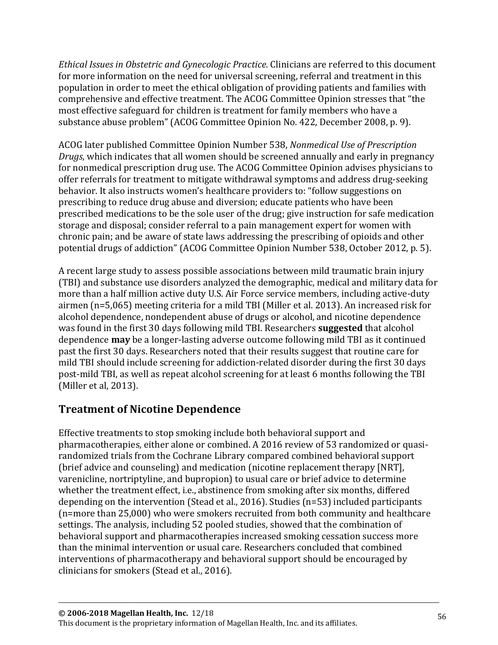*Ethical Issues in Obstetric and Gynecologic Practice.* Clinicians are referred to this document for more information on the need for universal screening, referral and treatment in this population in order to meet the ethical obligation of providing patients and families with comprehensive and effective treatment. The ACOG Committee Opinion stresses that "the most effective safeguard for children is treatment for family members who have a substance abuse problem" (ACOG Committee Opinion No. 422, December 2008, p. 9).

ACOG later published Committee Opinion Number 538, *Nonmedical Use of Prescription Drugs*, which indicates that all women should be screened annually and early in pregnancy for nonmedical prescription drug use. The ACOG Committee Opinion advises physicians to offer referrals for treatment to mitigate withdrawal symptoms and address drug-seeking behavior. It also instructs women's healthcare providers to: "follow suggestions on prescribing to reduce drug abuse and diversion; educate patients who have been prescribed medications to be the sole user of the drug; give instruction for safe medication storage and disposal; consider referral to a pain management expert for women with chronic pain; and be aware of state laws addressing the prescribing of opioids and other potential drugs of addiction" (ACOG Committee Opinion Number 538, October 2012, p. 5).

A recent large study to assess possible associations between mild traumatic brain injury (TBI) and substance use disorders analyzed the demographic, medical and military data for more than a half million active duty U.S. Air Force service members, including active-duty airmen (n=5,065) meeting criteria for a mild TBI (Miller et al. 2013). An increased risk for alcohol dependence, nondependent abuse of drugs or alcohol, and nicotine dependence was found in the first 30 days following mild TBI. Researchers **suggested** that alcohol dependence **may** be a longer-lasting adverse outcome following mild TBI as it continued past the first 30 days. Researchers noted that their results suggest that routine care for mild TBI should include screening for addiction-related disorder during the first 30 days post-mild TBI, as well as repeat alcohol screening for at least 6 months following the TBI (Miller et al, 2013).

## **Treatment of Nicotine Dependence**

Effective treatments to stop smoking include both behavioral support and pharmacotherapies, either alone or combined. A 2016 review of 53 randomized or quasirandomized trials from the Cochrane Library compared combined behavioral support (brief advice and counseling) and medication (nicotine replacement therapy [NRT], varenicline, nortriptyline, and bupropion) to usual care or brief advice to determine whether the treatment effect, i.e., abstinence from smoking after six months, differed depending on the intervention (Stead et al., 2016). Studies (n=53) included participants (n=more than 25,000) who were smokers recruited from both community and healthcare settings. The analysis, including 52 pooled studies, showed that the combination of behavioral support and pharmacotherapies increased smoking cessation success more than the minimal intervention or usual care. Researchers concluded that combined interventions of pharmacotherapy and behavioral support should be encouraged by clinicians for smokers (Stead et al., 2016).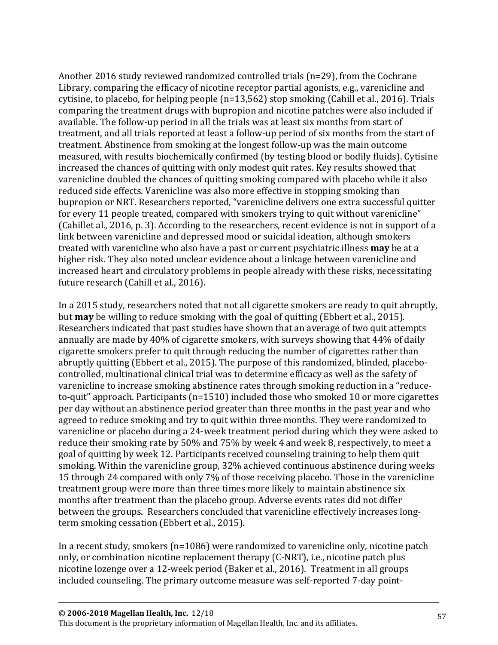Another 2016 study reviewed randomized controlled trials (n=29), from the Cochrane Library, comparing the efficacy of nicotine receptor partial agonists, e.g., varenicline and cytisine, to placebo, for helping people (n=13,562) stop smoking (Cahill et al., 2016). Trials comparing the treatment drugs with bupropion and nicotine patches were also included if available. The follow-up period in all the trials was at least six months from start of treatment, and all trials reported at least a follow-up period of six months from the start of treatment. Abstinence from smoking at the longest follow-up was the main outcome measured, with results biochemically confirmed (by testing blood or bodily fluids). Cytisine increased the chances of quitting with only modest quit rates. Key results showed that varenicline doubled the chances of quitting smoking compared with placebo while it also reduced side effects. Varenicline was also more effective in stopping smoking than bupropion or NRT. Researchers reported, "varenicline delivers one extra successful quitter for every 11 people treated, compared with smokers trying to quit without varenicline" (Cahillet al., 2016, p. 3). According to the researchers, recent evidence is not in support of a link between varenicline and depressed mood or suicidal ideation, although smokers treated with varenicline who also have a past or current psychiatric illness **may** be at a higher risk. They also noted unclear evidence about a linkage between varenicline and increased heart and circulatory problems in people already with these risks, necessitating future research (Cahill et al., 2016).

In a 2015 study, researchers noted that not all cigarette smokers are ready to quit abruptly, but **may** be willing to reduce smoking with the goal of quitting (Ebbert et al., 2015). Researchers indicated that past studies have shown that an average of two quit attempts annually are made by 40% of cigarette smokers, with surveys showing that 44% of daily cigarette smokers prefer to quit through reducing the number of cigarettes rather than abruptly quitting (Ebbert et al., 2015). The purpose of this randomized, blinded, placebocontrolled, multinational clinical trial was to determine efficacy as well as the safety of varenicline to increase smoking abstinence rates through smoking reduction in a "reduceto-quit" approach. Participants (n=1510) included those who smoked 10 or more cigarettes per day without an abstinence period greater than three months in the past year and who agreed to reduce smoking and try to quit within three months. They were randomized to varenicline or placebo during a 24-week treatment period during which they were asked to reduce their smoking rate by 50% and 75% by week 4 and week 8, respectively, to meet a goal of quitting by week 12. Participants received counseling training to help them quit smoking. Within the varenicline group, 32% achieved continuous abstinence during weeks 15 through 24 compared with only 7% of those receiving placebo. Those in the varenicline treatment group were more than three times more likely to maintain abstinence six months after treatment than the placebo group. Adverse events rates did not differ between the groups. Researchers concluded that varenicline effectively increases longterm smoking cessation (Ebbert et al., 2015).

In a recent study, smokers (n=1086) were randomized to varenicline only, nicotine patch only, or combination nicotine replacement therapy (C-NRT), i.e., nicotine patch plus nicotine lozenge over a 12-week period (Baker et al., 2016). Treatment in all groups included counseling. The primary outcome measure was self-reported 7-day point-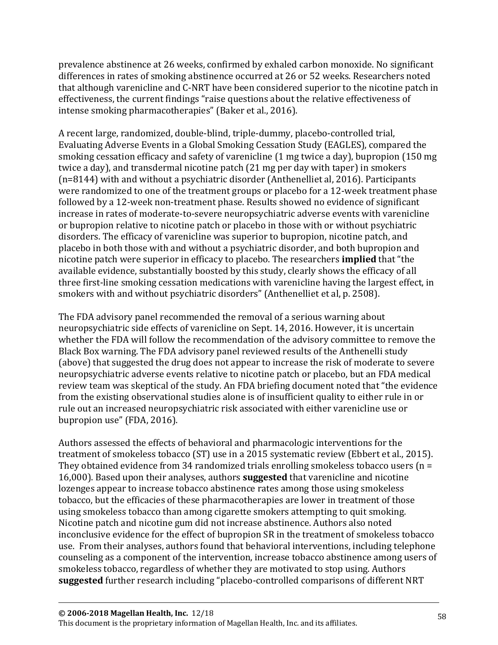prevalence abstinence at 26 weeks, confirmed by exhaled carbon monoxide. No significant differences in rates of smoking abstinence occurred at 26 or 52 weeks. Researchers noted that although varenicline and C-NRT have been considered superior to the nicotine patch in effectiveness, the current findings "raise questions about the relative effectiveness of intense smoking pharmacotherapies" (Baker et al., 2016).

A recent large, randomized, double-blind, triple-dummy, placebo-controlled trial, Evaluating Adverse Events in a Global Smoking Cessation Study (EAGLES), compared the smoking cessation efficacy and safety of varenicline (1 mg twice a day), bupropion (150 mg twice a day), and transdermal nicotine patch (21 mg per day with taper) in smokers (n=8144) with and without a psychiatric disorder (Anthenelliet al, 2016). Participants were randomized to one of the treatment groups or placebo for a 12-week treatment phase followed by a 12-week non-treatment phase. Results showed no evidence of significant increase in rates of moderate-to-severe neuropsychiatric adverse events with varenicline or bupropion relative to nicotine patch or placebo in those with or without psychiatric disorders. The efficacy of varenicline was superior to bupropion, nicotine patch, and placebo in both those with and without a psychiatric disorder, and both bupropion and nicotine patch were superior in efficacy to placebo. The researchers **implied** that "the available evidence, substantially boosted by this study, clearly shows the efficacy of all three first-line smoking cessation medications with varenicline having the largest effect, in smokers with and without psychiatric disorders" (Anthenelliet et al, p. 2508).

The FDA advisory panel recommended the removal of a serious warning about neuropsychiatric side effects of varenicline on Sept. 14, 2016. However, it is uncertain whether the FDA will follow the recommendation of the advisory committee to remove the Black Box warning. The FDA advisory panel reviewed results of the Anthenelli study (above) that suggested the drug does not appear to increase the risk of moderate to severe neuropsychiatric adverse events relative to nicotine patch or placebo, but an FDA medical review team was skeptical of the study. An FDA briefing document noted that "the evidence from the existing observational studies alone is of insufficient quality to either rule in or rule out an increased neuropsychiatric risk associated with either varenicline use or bupropion use" (FDA, 2016).

Authors assessed the effects of behavioral and pharmacologic interventions for the treatment of smokeless tobacco (ST) use in a 2015 systematic review (Ebbert et al., 2015). They obtained evidence from 34 randomized trials enrolling smokeless tobacco users  $(n =$ 16,000). Based upon their analyses, authors **suggested** that varenicline and nicotine lozenges appear to increase tobacco abstinence rates among those using smokeless tobacco, but the efficacies of these pharmacotherapies are lower in treatment of those using smokeless tobacco than among cigarette smokers attempting to quit smoking. Nicotine patch and nicotine gum did not increase abstinence. Authors also noted inconclusive evidence for the effect of bupropion SR in the treatment of smokeless tobacco use. From their analyses, authors found that behavioral interventions, including telephone counseling as a component of the intervention, increase tobacco abstinence among users of smokeless tobacco, regardless of whether they are motivated to stop using. Authors **suggested** further research including "placebo-controlled comparisons of different NRT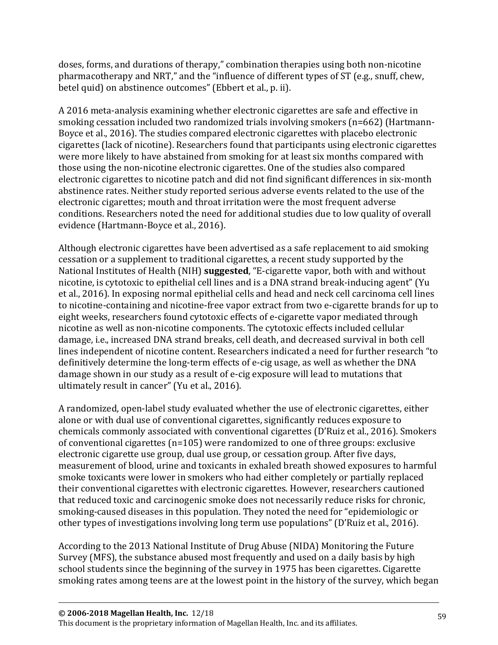doses, forms, and durations of therapy," combination therapies using both non-nicotine pharmacotherapy and NRT," and the "influence of different types of ST (e.g., snuff, chew, betel quid) on abstinence outcomes" (Ebbert et al., p. ii).

A 2016 meta-analysis examining whether electronic cigarettes are safe and effective in smoking cessation included two randomized trials involving smokers (n=662) (Hartmann-Boyce et al., 2016). The studies compared electronic cigarettes with placebo electronic cigarettes (lack of nicotine). Researchers found that participants using electronic cigarettes were more likely to have abstained from smoking for at least six months compared with those using the non-nicotine electronic cigarettes. One of the studies also compared electronic cigarettes to nicotine patch and did not find significant differences in six-month abstinence rates. Neither study reported serious adverse events related to the use of the electronic cigarettes; mouth and throat irritation were the most frequent adverse conditions. Researchers noted the need for additional studies due to low quality of overall evidence (Hartmann-Boyce et al., 2016).

Although electronic cigarettes have been advertised as a safe replacement to aid smoking cessation or a supplement to traditional cigarettes, a recent study supported by the National Institutes of Health (NIH) **suggested**, "E-cigarette vapor, both with and without nicotine, is cytotoxic to epithelial cell lines and is a DNA strand break-inducing agent" (Yu et al., 2016). In exposing normal epithelial cells and head and neck cell carcinoma cell lines to nicotine-containing and nicotine-free vapor extract from two e-cigarette brands for up to eight weeks, researchers found cytotoxic effects of e-cigarette vapor mediated through nicotine as well as non-nicotine components. The cytotoxic effects included cellular damage, i.e., increased DNA strand breaks, cell death, and decreased survival in both cell lines independent of nicotine content. Researchers indicated a need for further research "to definitively determine the long-term effects of e-cig usage, as well as whether the DNA damage shown in our study as a result of e-cig exposure will lead to mutations that ultimately result in cancer" (Yu et al., 2016).

A randomized, open-label study evaluated whether the use of electronic cigarettes, either alone or with dual use of conventional cigarettes, significantly reduces exposure to chemicals commonly associated with conventional cigarettes (D'Ruiz et al., 2016). Smokers of conventional cigarettes (n=105) were randomized to one of three groups: exclusive electronic cigarette use group, dual use group, or cessation group. After five days, measurement of blood, urine and toxicants in exhaled breath showed exposures to harmful smoke toxicants were lower in smokers who had either completely or partially replaced their conventional cigarettes with electronic cigarettes. However, researchers cautioned that reduced toxic and carcinogenic smoke does not necessarily reduce risks for chronic, smoking-caused diseases in this population. They noted the need for "epidemiologic or other types of investigations involving long term use populations" (D'Ruiz et al., 2016).

According to the 2013 National Institute of Drug Abuse (NIDA) Monitoring the Future Survey (MFS), the substance abused most frequently and used on a daily basis by high school students since the beginning of the survey in 1975 has been cigarettes. Cigarette smoking rates among teens are at the lowest point in the history of the survey, which began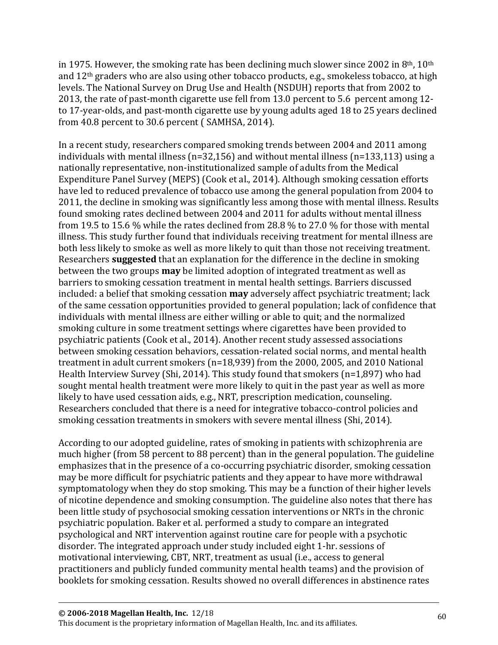in 1975. However, the smoking rate has been declining much slower since 2002 in 8<sup>th</sup>, 10<sup>th</sup> and 12th graders who are also using other tobacco products, e.g., smokeless tobacco, at high levels. The National Survey on Drug Use and Health (NSDUH) reports that from 2002 to 2013, the rate of past-month cigarette use fell from 13.0 percent to 5.6 percent among 12 to 17-year-olds, and past-month cigarette use by young adults aged 18 to 25 years declined from 40.8 percent to 30.6 percent ( SAMHSA, 2014).

In a recent study, researchers compared smoking trends between 2004 and 2011 among individuals with mental illness (n=32,156) and without mental illness (n=133,113) using a nationally representative, non-institutionalized sample of adults from the Medical Expenditure Panel Survey (MEPS) (Cook et al., 2014). Although smoking cessation efforts have led to reduced prevalence of tobacco use among the general population from 2004 to 2011, the decline in smoking was significantly less among those with mental illness. Results found smoking rates declined between 2004 and 2011 for adults without mental illness from 19.5 to 15.6 % while the rates declined from 28.8 % to 27.0 % for those with mental illness. This study further found that individuals receiving treatment for mental illness are both less likely to smoke as well as more likely to quit than those not receiving treatment. Researchers **suggested** that an explanation for the difference in the decline in smoking between the two groups **may** be limited adoption of integrated treatment as well as barriers to smoking cessation treatment in mental health settings. Barriers discussed included: a belief that smoking cessation **may** adversely affect psychiatric treatment; lack of the same cessation opportunities provided to general population; lack of confidence that individuals with mental illness are either willing or able to quit; and the normalized smoking culture in some treatment settings where cigarettes have been provided to psychiatric patients (Cook et al., 2014). Another recent study assessed associations between smoking cessation behaviors, cessation-related social norms, and mental health treatment in adult current smokers (n=18,939) from the 2000, 2005, and 2010 National Health Interview Survey (Shi, 2014). This study found that smokers (n=1,897) who had sought mental health treatment were more likely to quit in the past year as well as more likely to have used cessation aids, e.g., NRT, prescription medication, counseling. Researchers concluded that there is a need for integrative tobacco-control policies and smoking cessation treatments in smokers with severe mental illness (Shi, 2014).

According to our adopted guideline, rates of smoking in patients with schizophrenia are much higher (from 58 percent to 88 percent) than in the general population. The guideline emphasizes that in the presence of a co-occurring psychiatric disorder, smoking cessation may be more difficult for psychiatric patients and they appear to have more withdrawal symptomatology when they do stop smoking. This may be a function of their higher levels of nicotine dependence and smoking consumption. The guideline also notes that there has been little study of psychosocial smoking cessation interventions or NRTs in the chronic psychiatric population. Baker et al. performed a study to compare an integrated psychological and NRT intervention against routine care for people with a psychotic disorder. The integrated approach under study included eight 1-hr. sessions of motivational interviewing, CBT, NRT, treatment as usual (i.e., access to general practitioners and publicly funded community mental health teams) and the provision of booklets for smoking cessation. Results showed no overall differences in abstinence rates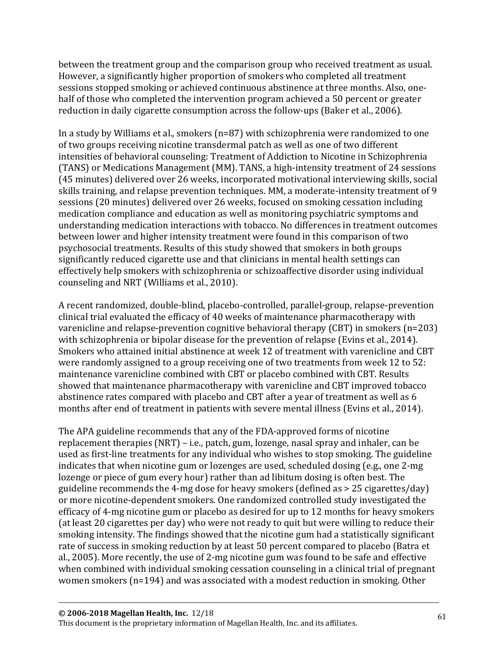between the treatment group and the comparison group who received treatment as usual. However, a significantly higher proportion of smokers who completed all treatment sessions stopped smoking or achieved continuous abstinence at three months. Also, onehalf of those who completed the intervention program achieved a 50 percent or greater reduction in daily cigarette consumption across the follow-ups (Baker et al., 2006).

In a study by Williams et al., smokers (n=87) with schizophrenia were randomized to one of two groups receiving nicotine transdermal patch as well as one of two different intensities of behavioral counseling: Treatment of Addiction to Nicotine in Schizophrenia (TANS) or Medications Management (MM). TANS, a high-intensity treatment of 24 sessions (45 minutes) delivered over 26 weeks, incorporated motivational interviewing skills, social skills training, and relapse prevention techniques. MM, a moderate-intensity treatment of 9 sessions (20 minutes) delivered over 26 weeks, focused on smoking cessation including medication compliance and education as well as monitoring psychiatric symptoms and understanding medication interactions with tobacco. No differences in treatment outcomes between lower and higher intensity treatment were found in this comparison of two psychosocial treatments. Results of this study showed that smokers in both groups significantly reduced cigarette use and that clinicians in mental health settings can effectively help smokers with schizophrenia or schizoaffective disorder using individual counseling and NRT (Williams et al., 2010).

A recent randomized, double-blind, placebo-controlled, parallel-group, relapse-prevention clinical trial evaluated the efficacy of 40 weeks of maintenance pharmacotherapy with varenicline and relapse-prevention cognitive behavioral therapy (CBT) in smokers (n=203) with schizophrenia or bipolar disease for the prevention of relapse (Evins et al., 2014). Smokers who attained initial abstinence at week 12 of treatment with varenicline and CBT were randomly assigned to a group receiving one of two treatments from week 12 to 52: maintenance varenicline combined with CBT or placebo combined with CBT. Results showed that maintenance pharmacotherapy with varenicline and CBT improved tobacco abstinence rates compared with placebo and CBT after a year of treatment as well as 6 months after end of treatment in patients with severe mental illness (Evins et al., 2014).

The APA guideline recommends that any of the FDA-approved forms of nicotine replacement therapies (NRT) – i.e., patch, gum, lozenge, nasal spray and inhaler, can be used as first-line treatments for any individual who wishes to stop smoking. The guideline indicates that when nicotine gum or lozenges are used, scheduled dosing (e.g., one 2-mg lozenge or piece of gum every hour) rather than ad libitum dosing is often best. The guideline recommends the 4-mg dose for heavy smokers (defined as > 25 cigarettes/day) or more nicotine-dependent smokers. One randomized controlled study investigated the efficacy of 4-mg nicotine gum or placebo as desired for up to 12 months for heavy smokers (at least 20 cigarettes per day) who were not ready to quit but were willing to reduce their smoking intensity. The findings showed that the nicotine gum had a statistically significant rate of success in smoking reduction by at least 50 percent compared to placebo (Batra et al., 2005). More recently, the use of 2-mg nicotine gum was found to be safe and effective when combined with individual smoking cessation counseling in a clinical trial of pregnant women smokers (n=194) and was associated with a modest reduction in smoking. Other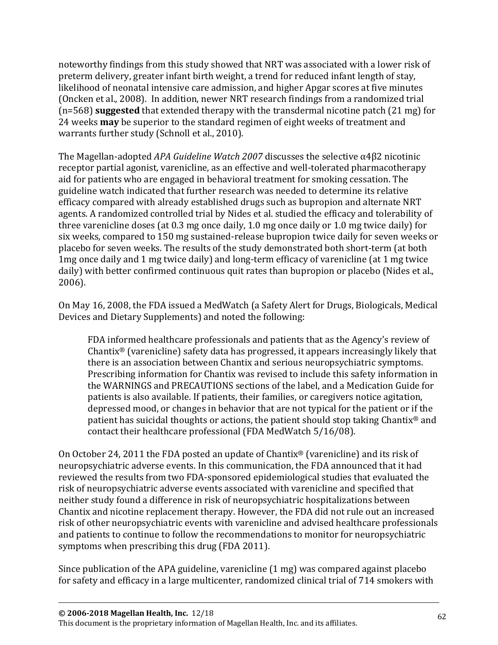noteworthy findings from this study showed that NRT was associated with a lower risk of preterm delivery, greater infant birth weight, a trend for reduced infant length of stay, likelihood of neonatal intensive care admission, and higher Apgar scores at five minutes (Oncken et al., 2008). In addition, newer NRT research findings from a randomized trial (n=568) **suggested** that extended therapy with the transdermal nicotine patch (21 mg) for 24 weeks **may** be superior to the standard regimen of eight weeks of treatment and warrants further study (Schnoll et al., 2010).

The Magellan-adopted *APA Guideline Watch 2007* discusses the selective α4β2 nicotinic receptor partial agonist, varenicline, as an effective and well-tolerated pharmacotherapy aid for patients who are engaged in behavioral treatment for smoking cessation. The guideline watch indicated that further research was needed to determine its relative efficacy compared with already established drugs such as bupropion and alternate NRT agents. A randomized controlled trial by Nides et al. studied the efficacy and tolerability of three varenicline doses (at 0.3 mg once daily, 1.0 mg once daily or 1.0 mg twice daily) for six weeks, compared to 150 mg sustained-release bupropion twice daily for seven weeks or placebo for seven weeks. The results of the study demonstrated both short-term (at both 1mg once daily and 1 mg twice daily) and long-term efficacy of varenicline (at 1 mg twice daily) with better confirmed continuous quit rates than bupropion or placebo (Nides et al., 2006).

On May 16, 2008, the FDA issued a MedWatch (a Safety Alert for Drugs, Biologicals, Medical Devices and Dietary Supplements) and noted the following:

FDA informed healthcare professionals and patients that as the Agency's review of Chantix® (varenicline) safety data has progressed, it appears increasingly likely that there is an association between Chantix and serious neuropsychiatric symptoms. Prescribing information for Chantix was revised to include this safety information in the WARNINGS and PRECAUTIONS sections of the label, and a Medication Guide for patients is also available. If patients, their families, or caregivers notice agitation, depressed mood, or changes in behavior that are not typical for the patient or if the patient has suicidal thoughts or actions, the patient should stop taking Chantix® and contact their healthcare professional (FDA MedWatch 5/16/08).

On October 24, 2011 the FDA posted an update of Chantix® (varenicline) and its risk of neuropsychiatric adverse events. In this communication, the FDA announced that it had reviewed the results from two FDA-sponsored epidemiological studies that evaluated the risk of neuropsychiatric adverse events associated with varenicline and specified that neither study found a difference in risk of neuropsychiatric hospitalizations between Chantix and nicotine replacement therapy. However, the FDA did not rule out an increased risk of other neuropsychiatric events with varenicline and advised healthcare professionals and patients to continue to follow the recommendations to monitor for neuropsychiatric symptoms when prescribing this drug (FDA 2011).

Since publication of the APA guideline, varenicline (1 mg) was compared against placebo for safety and efficacy in a large multicenter, randomized clinical trial of 714 smokers with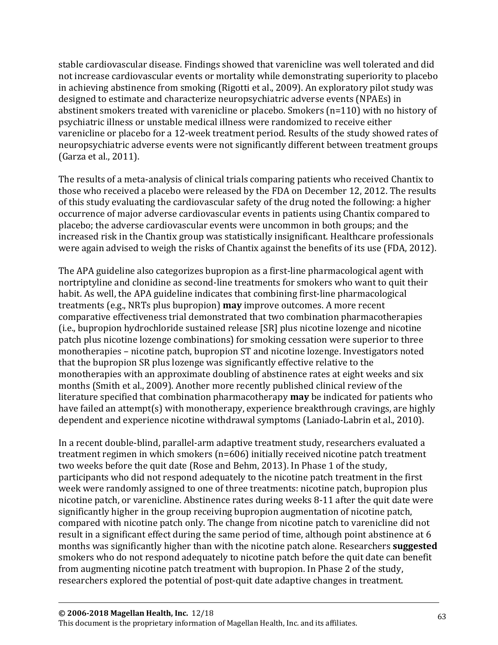stable cardiovascular disease. Findings showed that varenicline was well tolerated and did not increase cardiovascular events or mortality while demonstrating superiority to placebo in achieving abstinence from smoking (Rigotti et al., 2009). An exploratory pilot study was designed to estimate and characterize neuropsychiatric adverse events (NPAEs) in abstinent smokers treated with varenicline or placebo. Smokers (n=110) with no history of psychiatric illness or unstable medical illness were randomized to receive either varenicline or placebo for a 12-week treatment period. Results of the study showed rates of neuropsychiatric adverse events were not significantly different between treatment groups (Garza et al., 2011).

The results of a meta-analysis of clinical trials comparing patients who received Chantix to those who received a placebo were released by the FDA on December 12, 2012. The results of this study evaluating the cardiovascular safety of the drug noted the following: a higher occurrence of major adverse cardiovascular events in patients using Chantix compared to placebo; the adverse cardiovascular events were uncommon in both groups; and the increased risk in the Chantix group was statistically insignificant. Healthcare professionals were again advised to weigh the risks of Chantix against the benefits of its use (FDA, 2012).

The APA guideline also categorizes bupropion as a first-line pharmacological agent with nortriptyline and clonidine as second-line treatments for smokers who want to quit their habit. As well, the APA guideline indicates that combining first-line pharmacological treatments (e.g., NRTs plus bupropion) **may** improve outcomes. A more recent comparative effectiveness trial demonstrated that two combination pharmacotherapies (i.e., bupropion hydrochloride sustained release [SR] plus nicotine lozenge and nicotine patch plus nicotine lozenge combinations) for smoking cessation were superior to three monotherapies – nicotine patch, bupropion ST and nicotine lozenge. Investigators noted that the bupropion SR plus lozenge was significantly effective relative to the monotherapies with an approximate doubling of abstinence rates at eight weeks and six months (Smith et al., 2009). Another more recently published clinical review of the literature specified that combination pharmacotherapy **may** be indicated for patients who have failed an attempt(s) with monotherapy, experience breakthrough cravings, are highly dependent and experience nicotine withdrawal symptoms (Laniado-Labrin et al., 2010).

In a recent double-blind, parallel-arm adaptive treatment study, researchers evaluated a treatment regimen in which smokers (n=606) initially received nicotine patch treatment two weeks before the quit date (Rose and Behm, 2013). In Phase 1 of the study, participants who did not respond adequately to the nicotine patch treatment in the first week were randomly assigned to one of three treatments: nicotine patch, bupropion plus nicotine patch, or varenicline. Abstinence rates during weeks 8-11 after the quit date were significantly higher in the group receiving bupropion augmentation of nicotine patch, compared with nicotine patch only. The change from nicotine patch to varenicline did not result in a significant effect during the same period of time, although point abstinence at 6 months was significantly higher than with the nicotine patch alone. Researchers **suggested** smokers who do not respond adequately to nicotine patch before the quit date can benefit from augmenting nicotine patch treatment with bupropion. In Phase 2 of the study, researchers explored the potential of post-quit date adaptive changes in treatment.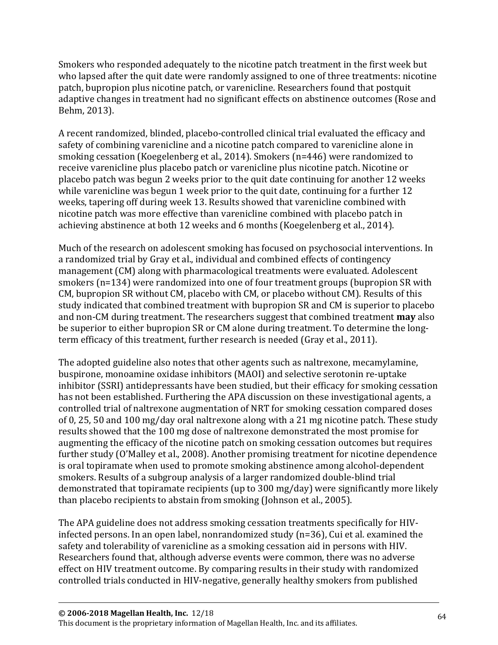Smokers who responded adequately to the nicotine patch treatment in the first week but who lapsed after the quit date were randomly assigned to one of three treatments: nicotine patch, bupropion plus nicotine patch, or varenicline. Researchers found that postquit adaptive changes in treatment had no significant effects on abstinence outcomes (Rose and Behm, 2013).

A recent randomized, blinded, placebo-controlled clinical trial evaluated the efficacy and safety of combining varenicline and a nicotine patch compared to varenicline alone in smoking cessation (Koegelenberg et al., 2014). Smokers (n=446) were randomized to receive varenicline plus placebo patch or varenicline plus nicotine patch. Nicotine or placebo patch was begun 2 weeks prior to the quit date continuing for another 12 weeks while varenicline was begun 1 week prior to the quit date, continuing for a further 12 weeks, tapering off during week 13. Results showed that varenicline combined with nicotine patch was more effective than varenicline combined with placebo patch in achieving abstinence at both 12 weeks and 6 months (Koegelenberg et al., 2014).

Much of the research on adolescent smoking has focused on psychosocial interventions. In a randomized trial by Gray et al., individual and combined effects of contingency management (CM) along with pharmacological treatments were evaluated. Adolescent smokers (n=134) were randomized into one of four treatment groups (bupropion SR with CM, bupropion SR without CM, placebo with CM, or placebo without CM). Results of this study indicated that combined treatment with bupropion SR and CM is superior to placebo and non-CM during treatment. The researchers suggest that combined treatment **may** also be superior to either bupropion SR or CM alone during treatment. To determine the longterm efficacy of this treatment, further research is needed (Gray et al., 2011).

The adopted guideline also notes that other agents such as naltrexone, mecamylamine, buspirone, monoamine oxidase inhibitors (MAOI) and selective serotonin re-uptake inhibitor (SSRI) antidepressants have been studied, but their efficacy for smoking cessation has not been established. Furthering the APA discussion on these investigational agents, a controlled trial of naltrexone augmentation of NRT for smoking cessation compared doses of 0, 25, 50 and 100 mg/day oral naltrexone along with a 21 mg nicotine patch. These study results showed that the 100 mg dose of naltrexone demonstrated the most promise for augmenting the efficacy of the nicotine patch on smoking cessation outcomes but requires further study (O'Malley et al., 2008). Another promising treatment for nicotine dependence is oral topiramate when used to promote smoking abstinence among alcohol-dependent smokers. Results of a subgroup analysis of a larger randomized double-blind trial demonstrated that topiramate recipients (up to 300 mg/day) were significantly more likely than placebo recipients to abstain from smoking (Johnson et al., 2005).

The APA guideline does not address smoking cessation treatments specifically for HIVinfected persons. In an open label, nonrandomized study (n=36), Cui et al. examined the safety and tolerability of varenicline as a smoking cessation aid in persons with HIV. Researchers found that, although adverse events were common, there was no adverse effect on HIV treatment outcome. By comparing results in their study with randomized controlled trials conducted in HIV-negative, generally healthy smokers from published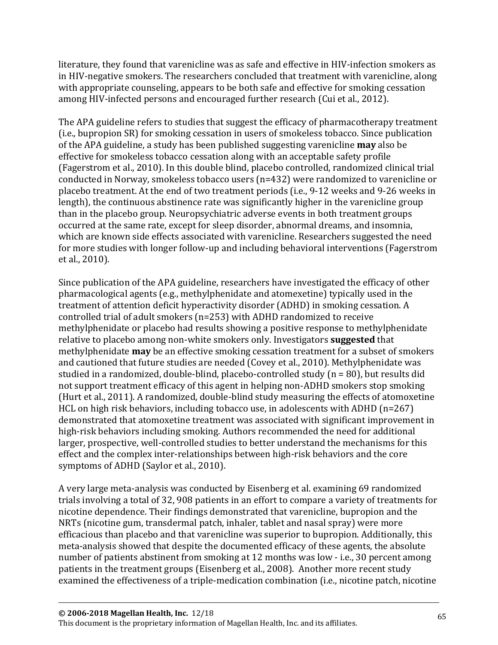literature, they found that varenicline was as safe and effective in HIV-infection smokers as in HIV-negative smokers. The researchers concluded that treatment with varenicline, along with appropriate counseling, appears to be both safe and effective for smoking cessation among HIV-infected persons and encouraged further research (Cui et al., 2012).

The APA guideline refers to studies that suggest the efficacy of pharmacotherapy treatment (i.e., bupropion SR) for smoking cessation in users of smokeless tobacco. Since publication of the APA guideline, a study has been published suggesting varenicline **may** also be effective for smokeless tobacco cessation along with an acceptable safety profile (Fagerstrom et al., 2010). In this double blind, placebo controlled, randomized clinical trial conducted in Norway, smokeless tobacco users (n=432) were randomized to varenicline or placebo treatment. At the end of two treatment periods (i.e., 9-12 weeks and 9-26 weeks in length), the continuous abstinence rate was significantly higher in the varenicline group than in the placebo group. Neuropsychiatric adverse events in both treatment groups occurred at the same rate, except for sleep disorder, abnormal dreams, and insomnia, which are known side effects associated with varenicline. Researchers suggested the need for more studies with longer follow-up and including behavioral interventions (Fagerstrom et al., 2010).

Since publication of the APA guideline, researchers have investigated the efficacy of other pharmacological agents (e.g., methylphenidate and atomexetine) typically used in the treatment of attention deficit hyperactivity disorder (ADHD) in smoking cessation. A controlled trial of adult smokers (n=253) with ADHD randomized to receive methylphenidate or placebo had results showing a positive response to methylphenidate relative to placebo among non-white smokers only. Investigators **suggested** that methylphenidate **may** be an effective smoking cessation treatment for a subset of smokers and cautioned that future studies are needed (Covey et al., 2010). Methylphenidate was studied in a randomized, double-blind, placebo-controlled study (n = 80), but results did not support treatment efficacy of this agent in helping non-ADHD smokers stop smoking (Hurt et al., 2011). A randomized, double-blind study measuring the effects of atomoxetine HCL on high risk behaviors, including tobacco use, in adolescents with ADHD (n=267) demonstrated that atomoxetine treatment was associated with significant improvement in high-risk behaviors including smoking. Authors recommended the need for additional larger, prospective, well-controlled studies to better understand the mechanisms for this effect and the complex inter-relationships between high-risk behaviors and the core symptoms of ADHD (Saylor et al., 2010).

A very large meta-analysis was conducted by Eisenberg et al. examining 69 randomized trials involving a total of 32, 908 patients in an effort to compare a variety of treatments for nicotine dependence. Their findings demonstrated that varenicline, bupropion and the NRTs (nicotine gum, transdermal patch, inhaler, tablet and nasal spray) were more efficacious than placebo and that varenicline was superior to bupropion. Additionally, this meta-analysis showed that despite the documented efficacy of these agents, the absolute number of patients abstinent from smoking at 12 months was low - i.e., 30 percent among patients in the treatment groups (Eisenberg et al., 2008). Another more recent study examined the effectiveness of a triple-medication combination (i.e., nicotine patch, nicotine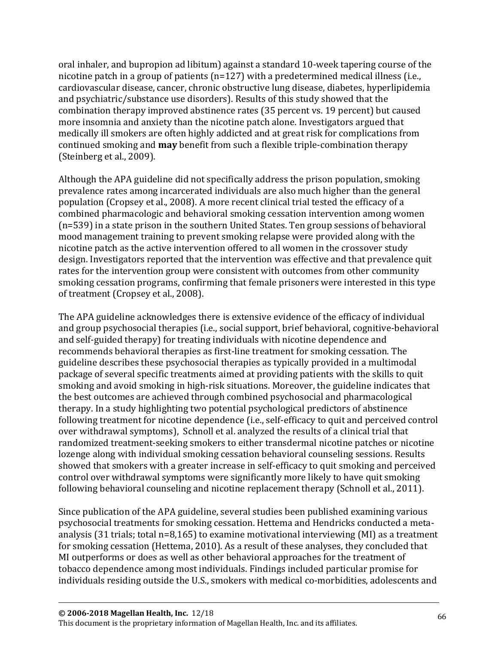oral inhaler, and bupropion ad libitum) against a standard 10-week tapering course of the nicotine patch in a group of patients (n=127) with a predetermined medical illness (i.e., cardiovascular disease, cancer, chronic obstructive lung disease, diabetes, hyperlipidemia and psychiatric/substance use disorders). Results of this study showed that the combination therapy improved abstinence rates (35 percent vs. 19 percent) but caused more insomnia and anxiety than the nicotine patch alone. Investigators argued that medically ill smokers are often highly addicted and at great risk for complications from continued smoking and **may** benefit from such a flexible triple-combination therapy (Steinberg et al., 2009).

Although the APA guideline did not specifically address the prison population, smoking prevalence rates among incarcerated individuals are also much higher than the general population (Cropsey et al., 2008). A more recent clinical trial tested the efficacy of a combined pharmacologic and behavioral smoking cessation intervention among women (n=539) in a state prison in the southern United States. Ten group sessions of behavioral mood management training to prevent smoking relapse were provided along with the nicotine patch as the active intervention offered to all women in the crossover study design. Investigators reported that the intervention was effective and that prevalence quit rates for the intervention group were consistent with outcomes from other community smoking cessation programs, confirming that female prisoners were interested in this type of treatment (Cropsey et al., 2008).

The APA guideline acknowledges there is extensive evidence of the efficacy of individual and group psychosocial therapies (i.e., social support, brief behavioral, cognitive-behavioral and self-guided therapy) for treating individuals with nicotine dependence and recommends behavioral therapies as first-line treatment for smoking cessation. The guideline describes these psychosocial therapies as typically provided in a multimodal package of several specific treatments aimed at providing patients with the skills to quit smoking and avoid smoking in high-risk situations. Moreover, the guideline indicates that the best outcomes are achieved through combined psychosocial and pharmacological therapy. In a study highlighting two potential psychological predictors of abstinence following treatment for nicotine dependence (i.e., self-efficacy to quit and perceived control over withdrawal symptoms), Schnoll et al. analyzed the results of a clinical trial that randomized treatment-seeking smokers to either transdermal nicotine patches or nicotine lozenge along with individual smoking cessation behavioral counseling sessions. Results showed that smokers with a greater increase in self-efficacy to quit smoking and perceived control over withdrawal symptoms were significantly more likely to have quit smoking following behavioral counseling and nicotine replacement therapy (Schnoll et al., 2011).

Since publication of the APA guideline, several studies been published examining various psychosocial treatments for smoking cessation. Hettema and Hendricks conducted a metaanalysis (31 trials; total n=8,165) to examine motivational interviewing (MI) as a treatment for smoking cessation (Hettema, 2010). As a result of these analyses, they concluded that MI outperforms or does as well as other behavioral approaches for the treatment of tobacco dependence among most individuals. Findings included particular promise for individuals residing outside the U.S., smokers with medical co-morbidities, adolescents and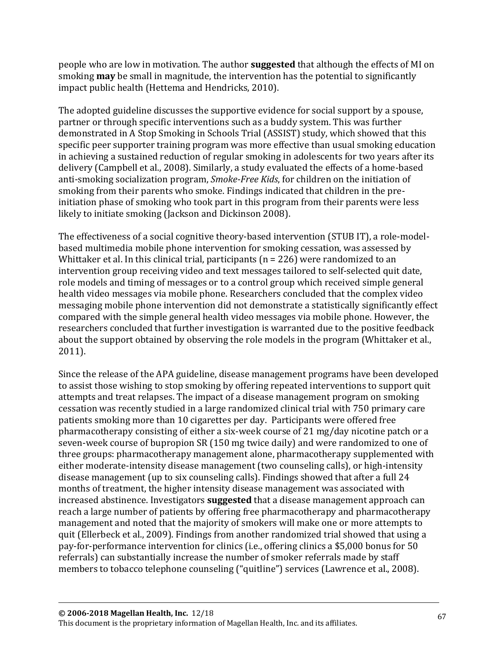people who are low in motivation. The author **suggested** that although the effects of MI on smoking **may** be small in magnitude, the intervention has the potential to significantly impact public health (Hettema and Hendricks, 2010).

The adopted guideline discusses the supportive evidence for social support by a spouse, partner or through specific interventions such as a buddy system. This was further demonstrated in A Stop Smoking in Schools Trial (ASSIST) study, which showed that this specific peer supporter training program was more effective than usual smoking education in achieving a sustained reduction of regular smoking in adolescents for two years after its delivery (Campbell et al., 2008). Similarly, a study evaluated the effects of a home-based anti-smoking socialization program, *Smoke-Free Kids*, for children on the initiation of smoking from their parents who smoke. Findings indicated that children in the preinitiation phase of smoking who took part in this program from their parents were less likely to initiate smoking (Jackson and Dickinson 2008).

The effectiveness of a social cognitive theory-based intervention (STUB IT), a role-modelbased multimedia mobile phone intervention for smoking cessation, was assessed by Whittaker et al. In this clinical trial, participants ( $n = 226$ ) were randomized to an intervention group receiving video and text messages tailored to self-selected quit date, role models and timing of messages or to a control group which received simple general health video messages via mobile phone. Researchers concluded that the complex video messaging mobile phone intervention did not demonstrate a statistically significantly effect compared with the simple general health video messages via mobile phone. However, the researchers concluded that further investigation is warranted due to the positive feedback about the support obtained by observing the role models in the program (Whittaker et al., 2011).

Since the release of the APA guideline, disease management programs have been developed to assist those wishing to stop smoking by offering repeated interventions to support quit attempts and treat relapses. The impact of a disease management program on smoking cessation was recently studied in a large randomized clinical trial with 750 primary care patients smoking more than 10 cigarettes per day. Participants were offered free pharmacotherapy consisting of either a six-week course of 21 mg/day nicotine patch or a seven-week course of bupropion SR (150 mg twice daily) and were randomized to one of three groups: pharmacotherapy management alone, pharmacotherapy supplemented with either moderate-intensity disease management (two counseling calls), or high-intensity disease management (up to six counseling calls). Findings showed that after a full 24 months of treatment, the higher intensity disease management was associated with increased abstinence. Investigators **suggested** that a disease management approach can reach a large number of patients by offering free pharmacotherapy and pharmacotherapy management and noted that the majority of smokers will make one or more attempts to quit (Ellerbeck et al., 2009). Findings from another randomized trial showed that using a pay-for-performance intervention for clinics (i.e., offering clinics a \$5,000 bonus for 50 referrals) can substantially increase the number of smoker referrals made by staff members to tobacco telephone counseling ("quitline") services (Lawrence et al., 2008).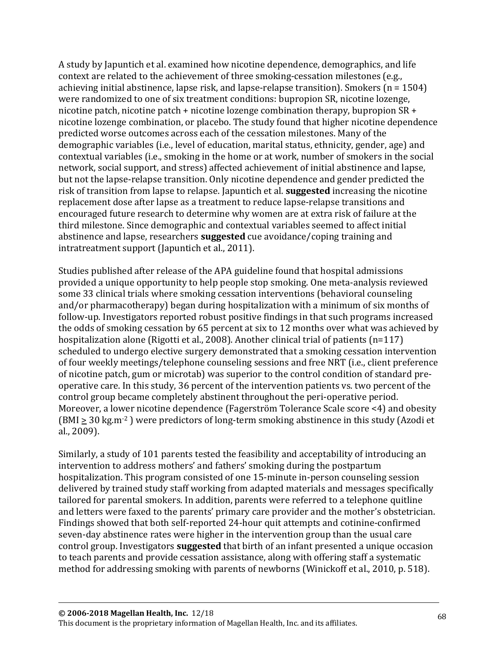A study by Japuntich et al. examined how nicotine dependence, demographics, and life context are related to the achievement of three smoking-cessation milestones (e.g., achieving initial abstinence, lapse risk, and lapse-relapse transition). Smokers ( $n = 1504$ ) were randomized to one of six treatment conditions: bupropion SR, nicotine lozenge, nicotine patch, nicotine patch + nicotine lozenge combination therapy, bupropion SR + nicotine lozenge combination, or placebo. The study found that higher nicotine dependence predicted worse outcomes across each of the cessation milestones. Many of the demographic variables (i.e., level of education, marital status, ethnicity, gender, age) and contextual variables (i.e., smoking in the home or at work, number of smokers in the social network, social support, and stress) affected achievement of initial abstinence and lapse, but not the lapse-relapse transition. Only nicotine dependence and gender predicted the risk of transition from lapse to relapse. Japuntich et al. **suggested** increasing the nicotine replacement dose after lapse as a treatment to reduce lapse-relapse transitions and encouraged future research to determine why women are at extra risk of failure at the third milestone. Since demographic and contextual variables seemed to affect initial abstinence and lapse, researchers **suggested** cue avoidance/coping training and intratreatment support (Japuntich et al., 2011).

Studies published after release of the APA guideline found that hospital admissions provided a unique opportunity to help people stop smoking. One meta-analysis reviewed some 33 clinical trials where smoking cessation interventions (behavioral counseling and/or pharmacotherapy) began during hospitalization with a minimum of six months of follow-up. Investigators reported robust positive findings in that such programs increased the odds of smoking cessation by 65 percent at six to 12 months over what was achieved by hospitalization alone (Rigotti et al., 2008). Another clinical trial of patients (n=117) scheduled to undergo elective surgery demonstrated that a smoking cessation intervention of four weekly meetings/telephone counseling sessions and free NRT (i.e., client preference of nicotine patch, gum or microtab) was superior to the control condition of standard preoperative care. In this study, 36 percent of the intervention patients vs. two percent of the control group became completely abstinent throughout the peri-operative period. Moreover, a lower nicotine dependence (Fagerström Tolerance Scale score <4) and obesity  $(BMI \geq 30 \text{ kg.m}^{-2})$  were predictors of long-term smoking abstinence in this study (Azodi et al., 2009).

Similarly, a study of 101 parents tested the feasibility and acceptability of introducing an intervention to address mothers' and fathers' smoking during the postpartum hospitalization. This program consisted of one 15-minute in-person counseling session delivered by trained study staff working from adapted materials and messages specifically tailored for parental smokers. In addition, parents were referred to a telephone quitline and letters were faxed to the parents' primary care provider and the mother's obstetrician. Findings showed that both self-reported 24-hour quit attempts and cotinine-confirmed seven-day abstinence rates were higher in the intervention group than the usual care control group. Investigators **suggested** that birth of an infant presented a unique occasion to teach parents and provide cessation assistance, along with offering staff a systematic method for addressing smoking with parents of newborns (Winickoff et al., 2010, p. 518).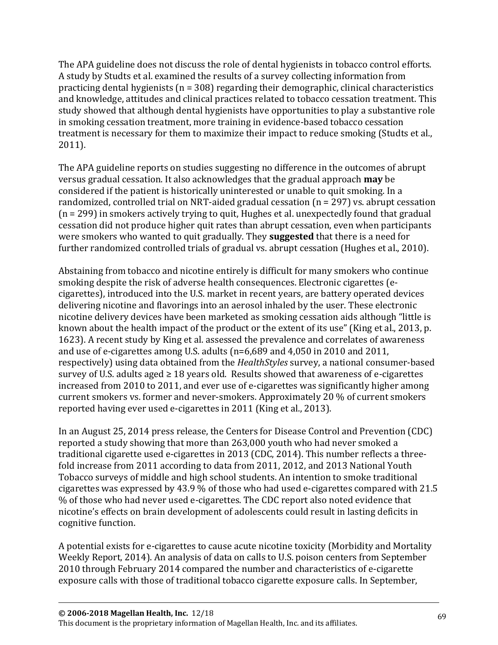The APA guideline does not discuss the role of dental hygienists in tobacco control efforts. A study by Studts et al. examined the results of a survey collecting information from practicing dental hygienists (n = 308) regarding their demographic, clinical characteristics and knowledge, attitudes and clinical practices related to tobacco cessation treatment. This study showed that although dental hygienists have opportunities to play a substantive role in smoking cessation treatment, more training in evidence-based tobacco cessation treatment is necessary for them to maximize their impact to reduce smoking (Studts et al., 2011).

The APA guideline reports on studies suggesting no difference in the outcomes of abrupt versus gradual cessation. It also acknowledges that the gradual approach **may** be considered if the patient is historically uninterested or unable to quit smoking. In a randomized, controlled trial on NRT-aided gradual cessation (n = 297) vs. abrupt cessation (n = 299) in smokers actively trying to quit, Hughes et al. unexpectedly found that gradual cessation did not produce higher quit rates than abrupt cessation, even when participants were smokers who wanted to quit gradually. They **suggested** that there is a need for further randomized controlled trials of gradual vs. abrupt cessation (Hughes et al., 2010).

Abstaining from tobacco and nicotine entirely is difficult for many smokers who continue smoking despite the risk of adverse health consequences. Electronic cigarettes (ecigarettes), introduced into the U.S. market in recent years, are battery operated devices delivering nicotine and flavorings into an aerosol inhaled by the user. These electronic nicotine delivery devices have been marketed as smoking cessation aids although "little is known about the health impact of the product or the extent of its use" (King et al., 2013, p. 1623). A recent study by King et al. assessed the prevalence and correlates of awareness and use of e-cigarettes among U.S. adults (n=6,689 and 4,050 in 2010 and 2011, respectively) using data obtained from the *HealthStyles* survey, a national consumer-based survey of U.S. adults aged  $\geq 18$  years old. Results showed that awareness of e-cigarettes increased from 2010 to 2011, and ever use of e-cigarettes was significantly higher among current smokers vs. former and never-smokers. Approximately 20 % of current smokers reported having ever used e-cigarettes in 2011 (King et al., 2013).

In an August 25, 2014 press release, the Centers for Disease Control and Prevention (CDC) reported a study showing that more than 263,000 youth who had never smoked a traditional cigarette used e-cigarettes in 2013 (CDC, 2014). This number reflects a threefold increase from 2011 according to data from 2011, 2012, and 2013 National Youth Tobacco surveys of middle and high school students. An intention to smoke traditional cigarettes was expressed by 43.9 % of those who had used e-cigarettes compared with 21.5 % of those who had never used e-cigarettes. The CDC report also noted evidence that nicotine's effects on brain development of adolescents could result in lasting deficits in cognitive function.

A potential exists for e-cigarettes to cause acute nicotine toxicity (Morbidity and Mortality Weekly Report, 2014). An analysis of data on calls to U.S. poison centers from September 2010 through February 2014 compared the number and characteristics of e-cigarette exposure calls with those of traditional tobacco cigarette exposure calls. In September,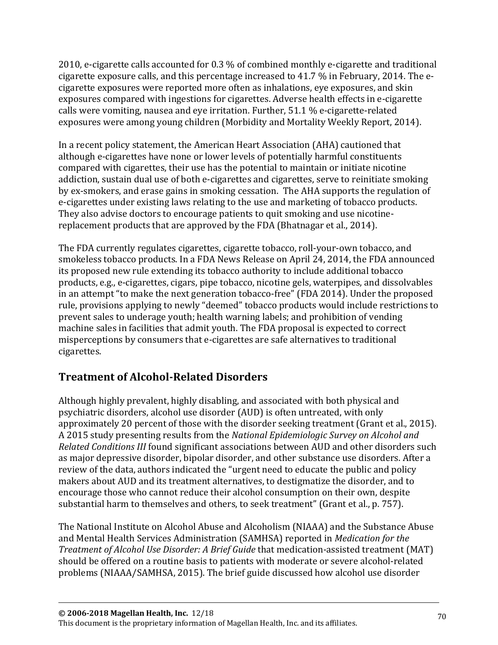2010, e-cigarette calls accounted for 0.3 % of combined monthly e-cigarette and traditional cigarette exposure calls, and this percentage increased to 41.7 % in February, 2014. The ecigarette exposures were reported more often as inhalations, eye exposures, and skin exposures compared with ingestions for cigarettes. Adverse health effects in e-cigarette calls were vomiting, nausea and eye irritation. Further, 51.1 % e-cigarette-related exposures were among young children (Morbidity and Mortality Weekly Report, 2014).

In a recent policy statement, the American Heart Association (AHA) cautioned that although e-cigarettes have none or lower levels of potentially harmful constituents compared with cigarettes, their use has the potential to maintain or initiate nicotine addiction, sustain dual use of both e-cigarettes and cigarettes, serve to reinitiate smoking by ex-smokers, and erase gains in smoking cessation. The AHA supports the regulation of e-cigarettes under existing laws relating to the use and marketing of tobacco products. They also advise doctors to encourage patients to quit smoking and use nicotinereplacement products that are approved by the FDA (Bhatnagar et al., 2014).

The FDA currently regulates cigarettes, cigarette tobacco, roll-your-own tobacco, and smokeless tobacco products. In a FDA News Release on April 24, 2014, the FDA announced its proposed new rule extending its tobacco authority to include additional tobacco products, e.g., e-cigarettes, cigars, pipe tobacco, nicotine gels, waterpipes, and dissolvables in an attempt "to make the next generation tobacco-free" (FDA 2014). Under the proposed rule, provisions applying to newly "deemed" tobacco products would include restrictions to prevent sales to underage youth; health warning labels; and prohibition of vending machine sales in facilities that admit youth. The FDA proposal is expected to correct misperceptions by consumers that e-cigarettes are safe alternatives to traditional cigarettes.

## **Treatment of Alcohol-Related Disorders**

Although highly prevalent, highly disabling, and associated with both physical and psychiatric disorders, alcohol use disorder (AUD) is often untreated, with only approximately 20 percent of those with the disorder seeking treatment (Grant et al., 2015). A 2015 study presenting results from the *National Epidemiologic Survey on Alcohol and Related Conditions III* found significant associations between AUD and other disorders such as major depressive disorder, bipolar disorder, and other substance use disorders. After a review of the data, authors indicated the "urgent need to educate the public and policy makers about AUD and its treatment alternatives, to destigmatize the disorder, and to encourage those who cannot reduce their alcohol consumption on their own, despite substantial harm to themselves and others, to seek treatment" (Grant et al., p. 757).

The National Institute on Alcohol Abuse and Alcoholism (NIAAA) and the Substance Abuse and Mental Health Services Administration (SAMHSA) reported in *Medication for the Treatment of Alcohol Use Disorder: A Brief Guide* that medication-assisted treatment (MAT) should be offered on a routine basis to patients with moderate or severe alcohol-related problems (NIAAA/SAMHSA, 2015). The brief guide discussed how alcohol use disorder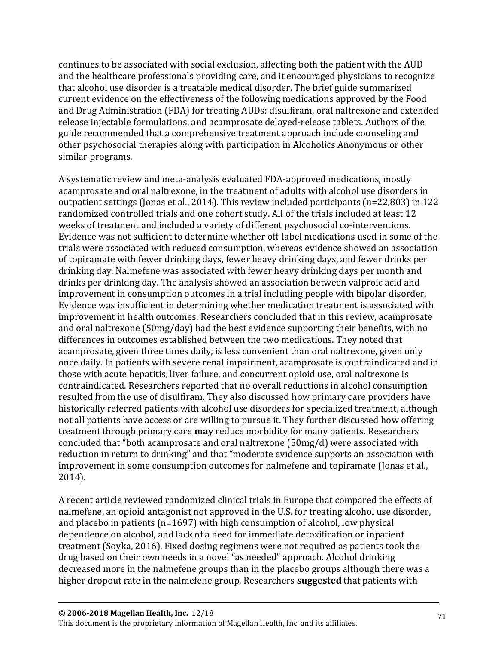continues to be associated with social exclusion, affecting both the patient with the AUD and the healthcare professionals providing care, and it encouraged physicians to recognize that alcohol use disorder is a treatable medical disorder. The brief guide summarized current evidence on the effectiveness of the following medications approved by the Food and Drug Administration (FDA) for treating AUDs: disulfiram, oral naltrexone and extended release injectable formulations, and acamprosate delayed-release tablets. Authors of the guide recommended that a comprehensive treatment approach include counseling and other psychosocial therapies along with participation in Alcoholics Anonymous or other similar programs.

A systematic review and meta-analysis evaluated FDA-approved medications, mostly acamprosate and oral naltrexone, in the treatment of adults with alcohol use disorders in outpatient settings (Jonas et al., 2014). This review included participants (n=22,803) in 122 randomized controlled trials and one cohort study. All of the trials included at least 12 weeks of treatment and included a variety of different psychosocial co-interventions. Evidence was not sufficient to determine whether off-label medications used in some of the trials were associated with reduced consumption, whereas evidence showed an association of topiramate with fewer drinking days, fewer heavy drinking days, and fewer drinks per drinking day. Nalmefene was associated with fewer heavy drinking days per month and drinks per drinking day. The analysis showed an association between valproic acid and improvement in consumption outcomes in a trial including people with bipolar disorder. Evidence was insufficient in determining whether medication treatment is associated with improvement in health outcomes. Researchers concluded that in this review, acamprosate and oral naltrexone (50mg/day) had the best evidence supporting their benefits, with no differences in outcomes established between the two medications. They noted that acamprosate, given three times daily, is less convenient than oral naltrexone, given only once daily. In patients with severe renal impairment, acamprosate is contraindicated and in those with acute hepatitis, liver failure, and concurrent opioid use, oral naltrexone is contraindicated. Researchers reported that no overall reductions in alcohol consumption resulted from the use of disulfiram. They also discussed how primary care providers have historically referred patients with alcohol use disorders for specialized treatment, although not all patients have access or are willing to pursue it. They further discussed how offering treatment through primary care **may** reduce morbidity for many patients. Researchers concluded that "both acamprosate and oral naltrexone (50mg/d) were associated with reduction in return to drinking" and that "moderate evidence supports an association with improvement in some consumption outcomes for nalmefene and topiramate (Jonas et al., 2014).

A recent article reviewed randomized clinical trials in Europe that compared the effects of nalmefene, an opioid antagonist not approved in the U.S. for treating alcohol use disorder, and placebo in patients (n=1697) with high consumption of alcohol, low physical dependence on alcohol, and lack of a need for immediate detoxification or inpatient treatment (Soyka, 2016). Fixed dosing regimens were not required as patients took the drug based on their own needs in a novel "as needed" approach. Alcohol drinking decreased more in the nalmefene groups than in the placebo groups although there was a higher dropout rate in the nalmefene group. Researchers **suggested** that patients with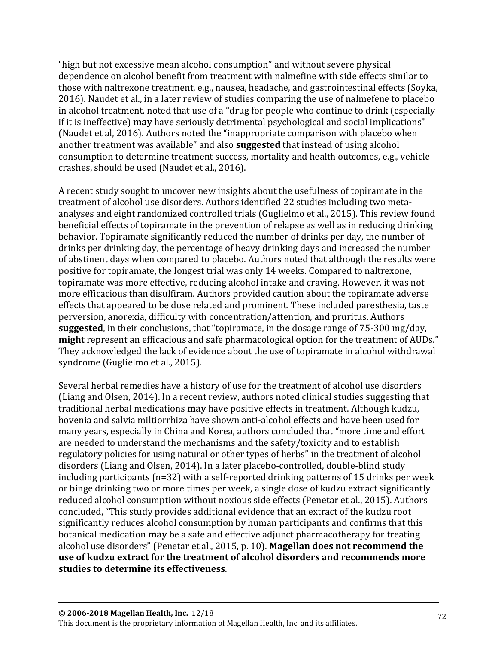"high but not excessive mean alcohol consumption" and without severe physical dependence on alcohol benefit from treatment with nalmefine with side effects similar to those with naltrexone treatment, e.g., nausea, headache, and gastrointestinal effects (Soyka, 2016). Naudet et al., in a later review of studies comparing the use of nalmefene to placebo in alcohol treatment, noted that use of a "drug for people who continue to drink (especially if it is ineffective) **may** have seriously detrimental psychological and social implications" (Naudet et al, 2016). Authors noted the "inappropriate comparison with placebo when another treatment was available" and also **suggested** that instead of using alcohol consumption to determine treatment success, mortality and health outcomes, e.g., vehicle crashes, should be used (Naudet et al., 2016).

A recent study sought to uncover new insights about the usefulness of topiramate in the treatment of alcohol use disorders. Authors identified 22 studies including two metaanalyses and eight randomized controlled trials (Guglielmo et al., 2015). This review found beneficial effects of topiramate in the prevention of relapse as well as in reducing drinking behavior. Topiramate significantly reduced the number of drinks per day, the number of drinks per drinking day, the percentage of heavy drinking days and increased the number of abstinent days when compared to placebo. Authors noted that although the results were positive for topiramate, the longest trial was only 14 weeks. Compared to naltrexone, topiramate was more effective, reducing alcohol intake and craving. However, it was not more efficacious than disulfiram. Authors provided caution about the topiramate adverse effects that appeared to be dose related and prominent. These included paresthesia, taste perversion, anorexia, difficulty with concentration/attention, and pruritus. Authors **suggested**, in their conclusions, that "topiramate, in the dosage range of 75-300 mg/day, **might** represent an efficacious and safe pharmacological option for the treatment of AUDs." They acknowledged the lack of evidence about the use of topiramate in alcohol withdrawal syndrome (Guglielmo et al., 2015).

Several herbal remedies have a history of use for the treatment of alcohol use disorders (Liang and Olsen, 2014). In a recent review, authors noted clinical studies suggesting that traditional herbal medications **may** have positive effects in treatment. Although kudzu, hovenia and salvia miltiorrhiza have shown anti-alcohol effects and have been used for many years, especially in China and Korea, authors concluded that "more time and effort are needed to understand the mechanisms and the safety/toxicity and to establish regulatory policies for using natural or other types of herbs" in the treatment of alcohol disorders (Liang and Olsen, 2014). In a later placebo-controlled, double-blind study including participants (n=32) with a self-reported drinking patterns of 15 drinks per week or binge drinking two or more times per week, a single dose of kudzu extract significantly reduced alcohol consumption without noxious side effects (Penetar et al., 2015). Authors concluded, "This study provides additional evidence that an extract of the kudzu root significantly reduces alcohol consumption by human participants and confirms that this botanical medication **may** be a safe and effective adjunct pharmacotherapy for treating alcohol use disorders" (Penetar et al., 2015, p. 10). **Magellan does not recommend the use of kudzu extract for the treatment of alcohol disorders and recommends more studies to determine its effectiveness**.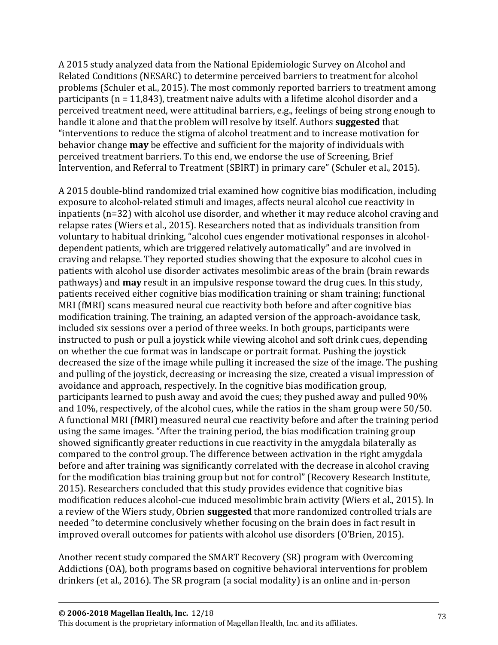A 2015 study analyzed data from the National Epidemiologic Survey on Alcohol and Related Conditions (NESARC) to determine perceived barriers to treatment for alcohol problems (Schuler et al., 2015). The most commonly reported barriers to treatment among participants (n = 11,843), treatment naïve adults with a lifetime alcohol disorder and a perceived treatment need, were attitudinal barriers, e.g., feelings of being strong enough to handle it alone and that the problem will resolve by itself. Authors **suggested** that "interventions to reduce the stigma of alcohol treatment and to increase motivation for behavior change **may** be effective and sufficient for the majority of individuals with perceived treatment barriers. To this end, we endorse the use of Screening, Brief Intervention, and Referral to Treatment (SBIRT) in primary care" (Schuler et al., 2015).

A 2015 double-blind randomized trial examined how cognitive bias modification, including exposure to alcohol-related stimuli and images, affects neural alcohol cue reactivity in inpatients (n=32) with alcohol use disorder, and whether it may reduce alcohol craving and relapse rates (Wiers et al., 2015). Researchers noted that as individuals transition from voluntary to habitual drinking, "alcohol cues engender motivational responses in alcoholdependent patients, which are triggered relatively automatically" and are involved in craving and relapse. They reported studies showing that the exposure to alcohol cues in patients with alcohol use disorder activates mesolimbic areas of the brain (brain rewards pathways) and **may** result in an impulsive response toward the drug cues. In this study, patients received either cognitive bias modification training or sham training; functional MRI (fMRI) scans measured neural cue reactivity both before and after cognitive bias modification training. The training, an adapted version of the approach-avoidance task, included six sessions over a period of three weeks. In both groups, participants were instructed to push or pull a joystick while viewing alcohol and soft drink cues, depending on whether the cue format was in landscape or portrait format. Pushing the joystick decreased the size of the image while pulling it increased the size of the image. The pushing and pulling of the joystick, decreasing or increasing the size, created a visual impression of avoidance and approach, respectively. In the cognitive bias modification group, participants learned to push away and avoid the cues; they pushed away and pulled 90% and 10%, respectively, of the alcohol cues, while the ratios in the sham group were 50/50. A functional MRI (fMRI) measured neural cue reactivity before and after the training period using the same images. "After the training period, the bias modification training group showed significantly greater reductions in cue reactivity in the amygdala bilaterally as compared to the control group. The difference between activation in the right amygdala before and after training was significantly correlated with the decrease in alcohol craving for the modification bias training group but not for control" (Recovery Research Institute, 2015). Researchers concluded that this study provides evidence that cognitive bias modification reduces alcohol-cue induced mesolimbic brain activity (Wiers et al., 2015). In a review of the Wiers study, Obrien **suggested** that more randomized controlled trials are needed "to determine conclusively whether focusing on the brain does in fact result in improved overall outcomes for patients with alcohol use disorders (O'Brien, 2015).

Another recent study compared the SMART Recovery (SR) program with Overcoming Addictions (OA), both programs based on cognitive behavioral interventions for problem drinkers (et al., 2016). The SR program (a social modality) is an online and in-person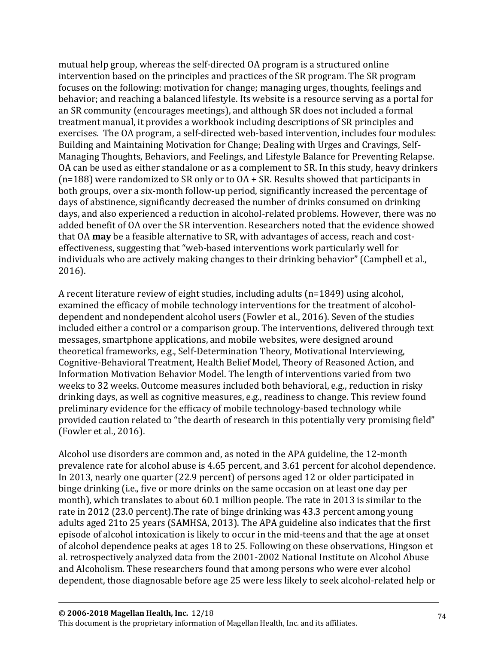mutual help group, whereas the self-directed OA program is a structured online intervention based on the principles and practices of the SR program. The SR program focuses on the following: motivation for change; managing urges, thoughts, feelings and behavior; and reaching a balanced lifestyle. Its website is a resource serving as a portal for an SR community (encourages meetings), and although SR does not included a formal treatment manual, it provides a workbook including descriptions of SR principles and exercises. The OA program, a self-directed web-based intervention, includes four modules: Building and Maintaining Motivation for Change; Dealing with Urges and Cravings, Self-Managing Thoughts, Behaviors, and Feelings, and Lifestyle Balance for Preventing Relapse. OA can be used as either standalone or as a complement to SR. In this study, heavy drinkers (n=188) were randomized to SR only or to OA + SR. Results showed that participants in both groups, over a six-month follow-up period, significantly increased the percentage of days of abstinence, significantly decreased the number of drinks consumed on drinking days, and also experienced a reduction in alcohol-related problems. However, there was no added benefit of OA over the SR intervention. Researchers noted that the evidence showed that OA **may** be a feasible alternative to SR, with advantages of access, reach and costeffectiveness, suggesting that "web-based interventions work particularly well for individuals who are actively making changes to their drinking behavior" (Campbell et al., 2016).

A recent literature review of eight studies, including adults (n=1849) using alcohol, examined the efficacy of mobile technology interventions for the treatment of alcoholdependent and nondependent alcohol users (Fowler et al., 2016). Seven of the studies included either a control or a comparison group. The interventions, delivered through text messages, smartphone applications, and mobile websites, were designed around theoretical frameworks, e.g., Self-Determination Theory, Motivational Interviewing, Cognitive-Behavioral Treatment, Health Belief Model, Theory of Reasoned Action, and Information Motivation Behavior Model. The length of interventions varied from two weeks to 32 weeks. Outcome measures included both behavioral, e.g., reduction in risky drinking days, as well as cognitive measures, e.g., readiness to change. This review found preliminary evidence for the efficacy of mobile technology-based technology while provided caution related to "the dearth of research in this potentially very promising field" (Fowler et al., 2016).

Alcohol use disorders are common and, as noted in the APA guideline, the 12-month prevalence rate for alcohol abuse is 4.65 percent, and 3.61 percent for alcohol dependence. In 2013, nearly one quarter (22.9 percent) of persons aged 12 or older participated in binge drinking (i.e., five or more drinks on the same occasion on at least one day per month), which translates to about 60.1 million people. The rate in 2013 is similar to the rate in 2012 (23.0 percent).The rate of binge drinking was 43.3 percent among young adults aged 21to 25 years (SAMHSA, 2013). The APA guideline also indicates that the first episode of alcohol intoxication is likely to occur in the mid-teens and that the age at onset of alcohol dependence peaks at ages 18 to 25. Following on these observations, Hingson et al. retrospectively analyzed data from the 2001-2002 National Institute on Alcohol Abuse and Alcoholism. These researchers found that among persons who were ever alcohol dependent, those diagnosable before age 25 were less likely to seek alcohol-related help or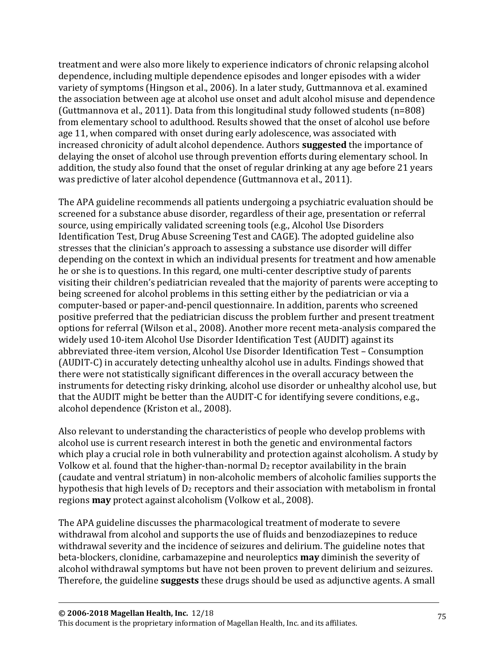treatment and were also more likely to experience indicators of chronic relapsing alcohol dependence, including multiple dependence episodes and longer episodes with a wider variety of symptoms (Hingson et al., 2006). In a later study, Guttmannova et al. examined the association between age at alcohol use onset and adult alcohol misuse and dependence (Guttmannova et al., 2011). Data from this longitudinal study followed students (n=808) from elementary school to adulthood. Results showed that the onset of alcohol use before age 11, when compared with onset during early adolescence, was associated with increased chronicity of adult alcohol dependence. Authors **suggested** the importance of delaying the onset of alcohol use through prevention efforts during elementary school. In addition, the study also found that the onset of regular drinking at any age before 21 years was predictive of later alcohol dependence (Guttmannova et al., 2011).

The APA guideline recommends all patients undergoing a psychiatric evaluation should be screened for a substance abuse disorder, regardless of their age, presentation or referral source, using empirically validated screening tools (e.g., Alcohol Use Disorders Identification Test, Drug Abuse Screening Test and CAGE). The adopted guideline also stresses that the clinician's approach to assessing a substance use disorder will differ depending on the context in which an individual presents for treatment and how amenable he or she is to questions. In this regard, one multi-center descriptive study of parents visiting their children's pediatrician revealed that the majority of parents were accepting to being screened for alcohol problems in this setting either by the pediatrician or via a computer-based or paper-and-pencil questionnaire. In addition, parents who screened positive preferred that the pediatrician discuss the problem further and present treatment options for referral (Wilson et al., 2008). Another more recent meta-analysis compared the widely used 10-item Alcohol Use Disorder Identification Test (AUDIT) against its abbreviated three-item version, Alcohol Use Disorder Identification Test – Consumption (AUDIT-C) in accurately detecting unhealthy alcohol use in adults. Findings showed that there were not statistically significant differences in the overall accuracy between the instruments for detecting risky drinking, alcohol use disorder or unhealthy alcohol use, but that the AUDIT might be better than the AUDIT-C for identifying severe conditions, e.g., alcohol dependence (Kriston et al., 2008).

Also relevant to understanding the characteristics of people who develop problems with alcohol use is current research interest in both the genetic and environmental factors which play a crucial role in both vulnerability and protection against alcoholism. A study by Volkow et al. found that the higher-than-normal  $D_2$  receptor availability in the brain (caudate and ventral striatum) in non-alcoholic members of alcoholic families supports the hypothesis that high levels of  $D_2$  receptors and their association with metabolism in frontal regions **may** protect against alcoholism (Volkow et al., 2008).

The APA guideline discusses the pharmacological treatment of moderate to severe withdrawal from alcohol and supports the use of fluids and benzodiazepines to reduce withdrawal severity and the incidence of seizures and delirium. The guideline notes that beta-blockers, clonidine, carbamazepine and neuroleptics **may** diminish the severity of alcohol withdrawal symptoms but have not been proven to prevent delirium and seizures. Therefore, the guideline **suggests** these drugs should be used as adjunctive agents. A small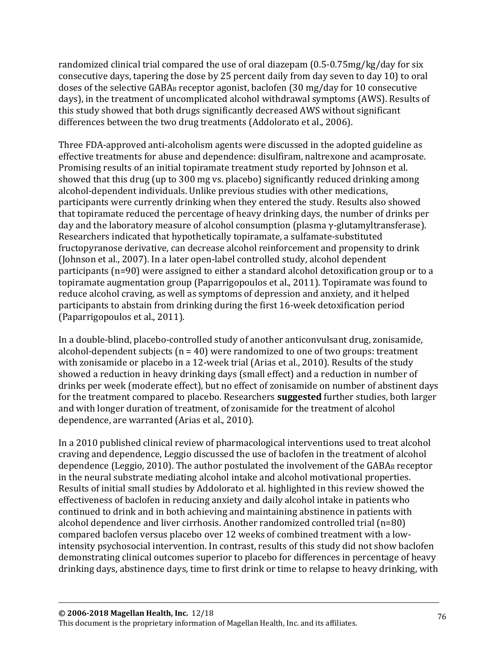randomized clinical trial compared the use of oral diazepam (0.5-0.75mg/kg/day for six consecutive days, tapering the dose by 25 percent daily from day seven to day 10) to oral doses of the selective  $GABA_B$  receptor agonist, baclofen (30 mg/day for 10 consecutive days), in the treatment of uncomplicated alcohol withdrawal symptoms (AWS). Results of this study showed that both drugs significantly decreased AWS without significant differences between the two drug treatments (Addolorato et al., 2006).

Three FDA-approved anti-alcoholism agents were discussed in the adopted guideline as effective treatments for abuse and dependence: disulfiram, naltrexone and acamprosate. Promising results of an initial topiramate treatment study reported by Johnson et al. showed that this drug (up to 300 mg vs. placebo) significantly reduced drinking among alcohol-dependent individuals. Unlike previous studies with other medications, participants were currently drinking when they entered the study. Results also showed that topiramate reduced the percentage of heavy drinking days, the number of drinks per day and the laboratory measure of alcohol consumption (plasma γ-glutamyltransferase). Researchers indicated that hypothetically topiramate, a sulfamate-substituted fructopyranose derivative, can decrease alcohol reinforcement and propensity to drink (Johnson et al., 2007). In a later open-label controlled study, alcohol dependent participants (n=90) were assigned to either a standard alcohol detoxification group or to a topiramate augmentation group (Paparrigopoulos et al., 2011). Topiramate was found to reduce alcohol craving, as well as symptoms of depression and anxiety, and it helped participants to abstain from drinking during the first 16-week detoxification period (Paparrigopoulos et al., 2011).

In a double-blind, placebo-controlled study of another anticonvulsant drug, zonisamide, alcohol-dependent subjects ( $n = 40$ ) were randomized to one of two groups: treatment with zonisamide or placebo in a 12-week trial (Arias et al., 2010). Results of the study showed a reduction in heavy drinking days (small effect) and a reduction in number of drinks per week (moderate effect), but no effect of zonisamide on number of abstinent days for the treatment compared to placebo. Researchers **suggested** further studies, both larger and with longer duration of treatment, of zonisamide for the treatment of alcohol dependence, are warranted (Arias et al., 2010).

In a 2010 published clinical review of pharmacological interventions used to treat alcohol craving and dependence, Leggio discussed the use of baclofen in the treatment of alcohol dependence (Leggio, 2010). The author postulated the involvement of the GABA<sup>B</sup> receptor in the neural substrate mediating alcohol intake and alcohol motivational properties. Results of initial small studies by Addolorato et al. highlighted in this review showed the effectiveness of baclofen in reducing anxiety and daily alcohol intake in patients who continued to drink and in both achieving and maintaining abstinence in patients with alcohol dependence and liver cirrhosis. Another randomized controlled trial (n=80) compared baclofen versus placebo over 12 weeks of combined treatment with a lowintensity psychosocial intervention. In contrast, results of this study did not show baclofen demonstrating clinical outcomes superior to placebo for differences in percentage of heavy drinking days, abstinence days, time to first drink or time to relapse to heavy drinking, with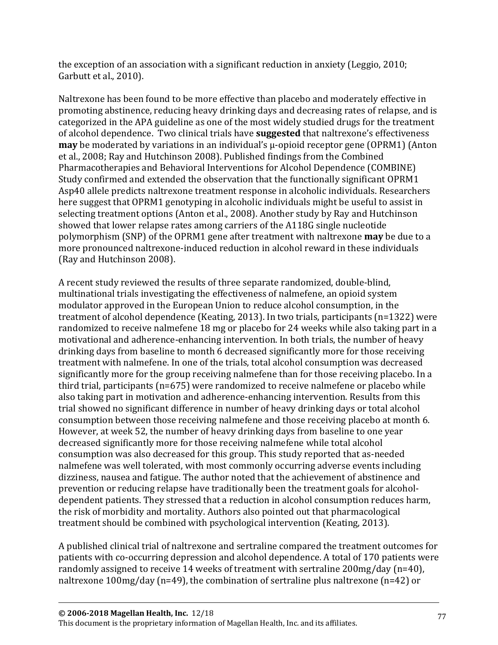the exception of an association with a significant reduction in anxiety (Leggio, 2010; Garbutt et al., 2010).

Naltrexone has been found to be more effective than placebo and moderately effective in promoting abstinence, reducing heavy drinking days and decreasing rates of relapse, and is categorized in the APA guideline as one of the most widely studied drugs for the treatment of alcohol dependence. Two clinical trials have **suggested** that naltrexone's effectiveness **may** be moderated by variations in an individual's μ-opioid receptor gene (OPRM1) (Anton et al., 2008; Ray and Hutchinson 2008). Published findings from the Combined Pharmacotherapies and Behavioral Interventions for Alcohol Dependence (COMBINE) Study confirmed and extended the observation that the functionally significant OPRM1 Asp40 allele predicts naltrexone treatment response in alcoholic individuals. Researchers here suggest that OPRM1 genotyping in alcoholic individuals might be useful to assist in selecting treatment options (Anton et al., 2008). Another study by Ray and Hutchinson showed that lower relapse rates among carriers of the A118G single nucleotide polymorphism (SNP) of the OPRM1 gene after treatment with naltrexone **may** be due to a more pronounced naltrexone-induced reduction in alcohol reward in these individuals (Ray and Hutchinson 2008).

A recent study reviewed the results of three separate randomized, double-blind, multinational trials investigating the effectiveness of nalmefene, an opioid system modulator approved in the European Union to reduce alcohol consumption, in the treatment of alcohol dependence (Keating, 2013). In two trials, participants (n=1322) were randomized to receive nalmefene 18 mg or placebo for 24 weeks while also taking part in a motivational and adherence-enhancing intervention. In both trials, the number of heavy drinking days from baseline to month 6 decreased significantly more for those receiving treatment with nalmefene. In one of the trials, total alcohol consumption was decreased significantly more for the group receiving nalmefene than for those receiving placebo. In a third trial, participants (n=675) were randomized to receive nalmefene or placebo while also taking part in motivation and adherence-enhancing intervention. Results from this trial showed no significant difference in number of heavy drinking days or total alcohol consumption between those receiving nalmefene and those receiving placebo at month 6. However, at week 52, the number of heavy drinking days from baseline to one year decreased significantly more for those receiving nalmefene while total alcohol consumption was also decreased for this group. This study reported that as-needed nalmefene was well tolerated, with most commonly occurring adverse events including dizziness, nausea and fatigue. The author noted that the achievement of abstinence and prevention or reducing relapse have traditionally been the treatment goals for alcoholdependent patients. They stressed that a reduction in alcohol consumption reduces harm, the risk of morbidity and mortality. Authors also pointed out that pharmacological treatment should be combined with psychological intervention (Keating, 2013).

A published clinical trial of naltrexone and sertraline compared the treatment outcomes for patients with co-occurring depression and alcohol dependence. A total of 170 patients were randomly assigned to receive 14 weeks of treatment with sertraline 200mg/day (n=40), naltrexone 100mg/day (n=49), the combination of sertraline plus naltrexone (n=42) or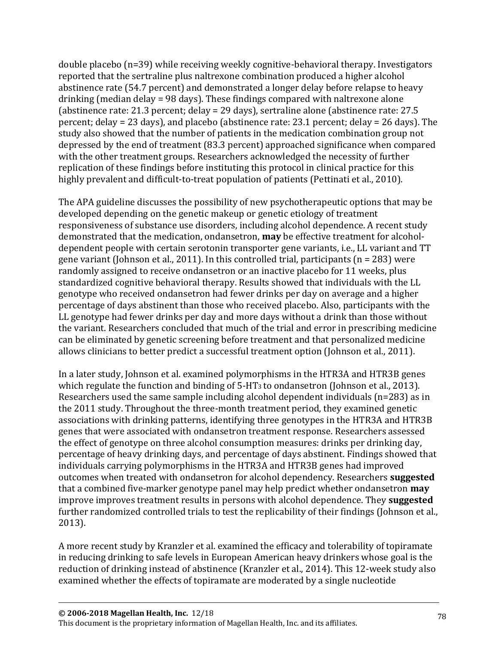double placebo (n=39) while receiving weekly cognitive-behavioral therapy. Investigators reported that the sertraline plus naltrexone combination produced a higher alcohol abstinence rate (54.7 percent) and demonstrated a longer delay before relapse to heavy drinking (median delay = 98 days). These findings compared with naltrexone alone (abstinence rate: 21.3 percent; delay = 29 days), sertraline alone (abstinence rate: 27.5 percent; delay = 23 days), and placebo (abstinence rate: 23.1 percent; delay = 26 days). The study also showed that the number of patients in the medication combination group not depressed by the end of treatment (83.3 percent) approached significance when compared with the other treatment groups. Researchers acknowledged the necessity of further replication of these findings before instituting this protocol in clinical practice for this highly prevalent and difficult-to-treat population of patients (Pettinati et al., 2010).

The APA guideline discusses the possibility of new psychotherapeutic options that may be developed depending on the genetic makeup or genetic etiology of treatment responsiveness of substance use disorders, including alcohol dependence. A recent study demonstrated that the medication, ondansetron, **may** be effective treatment for alcoholdependent people with certain serotonin transporter gene variants, i.e., LL variant and TT gene variant (Johnson et al., 2011). In this controlled trial, participants (n = 283) were randomly assigned to receive ondansetron or an inactive placebo for 11 weeks, plus standardized cognitive behavioral therapy. Results showed that individuals with the LL genotype who received ondansetron had fewer drinks per day on average and a higher percentage of days abstinent than those who received placebo. Also, participants with the LL genotype had fewer drinks per day and more days without a drink than those without the variant. Researchers concluded that much of the trial and error in prescribing medicine can be eliminated by genetic screening before treatment and that personalized medicine allows clinicians to better predict a successful treatment option (Johnson et al., 2011).

In a later study, Johnson et al. examined polymorphisms in the HTR3A and HTR3B genes which regulate the function and binding of 5-HT<sub>3</sub> to ondansetron (Johnson et al., 2013). Researchers used the same sample including alcohol dependent individuals (n=283) as in the 2011 study. Throughout the three-month treatment period, they examined genetic associations with drinking patterns, identifying three genotypes in the HTR3A and HTR3B genes that were associated with ondansetron treatment response. Researchers assessed the effect of genotype on three alcohol consumption measures: drinks per drinking day, percentage of heavy drinking days, and percentage of days abstinent. Findings showed that individuals carrying polymorphisms in the HTR3A and HTR3B genes had improved outcomes when treated with ondansetron for alcohol dependency. Researchers **suggested** that a combined five-marker genotype panel may help predict whether ondansetron **may** improve improves treatment results in persons with alcohol dependence. They **suggested** further randomized controlled trials to test the replicability of their findings (Johnson et al., 2013).

A more recent study by Kranzler et al. examined the efficacy and tolerability of topiramate in reducing drinking to safe levels in European American heavy drinkers whose goal is the reduction of drinking instead of abstinence (Kranzler et al., 2014). This 12-week study also examined whether the effects of topiramate are moderated by a single nucleotide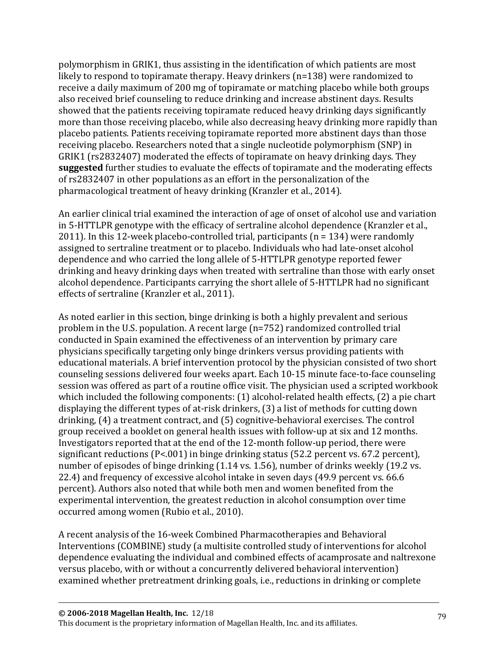polymorphism in GRIK1, thus assisting in the identification of which patients are most likely to respond to topiramate therapy. Heavy drinkers (n=138) were randomized to receive a daily maximum of 200 mg of topiramate or matching placebo while both groups also received brief counseling to reduce drinking and increase abstinent days. Results showed that the patients receiving topiramate reduced heavy drinking days significantly more than those receiving placebo, while also decreasing heavy drinking more rapidly than placebo patients. Patients receiving topiramate reported more abstinent days than those receiving placebo. Researchers noted that a single nucleotide polymorphism (SNP) in GRIK1 (rs2832407) moderated the effects of topiramate on heavy drinking days. They **suggested** further studies to evaluate the effects of topiramate and the moderating effects of rs2832407 in other populations as an effort in the personalization of the pharmacological treatment of heavy drinking (Kranzler et al., 2014).

An earlier clinical trial examined the interaction of age of onset of alcohol use and variation in 5-HTTLPR genotype with the efficacy of sertraline alcohol dependence (Kranzler et al., 2011). In this 12-week placebo-controlled trial, participants (n = 134) were randomly assigned to sertraline treatment or to placebo. Individuals who had late-onset alcohol dependence and who carried the long allele of 5-HTTLPR genotype reported fewer drinking and heavy drinking days when treated with sertraline than those with early onset alcohol dependence. Participants carrying the short allele of 5-HTTLPR had no significant effects of sertraline (Kranzler et al., 2011).

As noted earlier in this section, binge drinking is both a highly prevalent and serious problem in the U.S. population. A recent large (n=752) randomized controlled trial conducted in Spain examined the effectiveness of an intervention by primary care physicians specifically targeting only binge drinkers versus providing patients with educational materials. A brief intervention protocol by the physician consisted of two short counseling sessions delivered four weeks apart. Each 10-15 minute face-to-face counseling session was offered as part of a routine office visit. The physician used a scripted workbook which included the following components: (1) alcohol-related health effects, (2) a pie chart displaying the different types of at-risk drinkers, (3) a list of methods for cutting down drinking, (4) a treatment contract, and (5) cognitive-behavioral exercises. The control group received a booklet on general health issues with follow-up at six and 12 months. Investigators reported that at the end of the 12-month follow-up period, there were significant reductions (P<.001) in binge drinking status (52.2 percent vs. 67.2 percent), number of episodes of binge drinking (1.14 vs. 1.56), number of drinks weekly (19.2 vs. 22.4) and frequency of excessive alcohol intake in seven days (49.9 percent vs. 66.6 percent). Authors also noted that while both men and women benefited from the experimental intervention, the greatest reduction in alcohol consumption over time occurred among women (Rubio et al., 2010).

A recent analysis of the 16-week Combined Pharmacotherapies and Behavioral Interventions (COMBINE) study (a multisite controlled study of interventions for alcohol dependence evaluating the individual and combined effects of acamprosate and naltrexone versus placebo, with or without a concurrently delivered behavioral intervention) examined whether pretreatment drinking goals, i.e., reductions in drinking or complete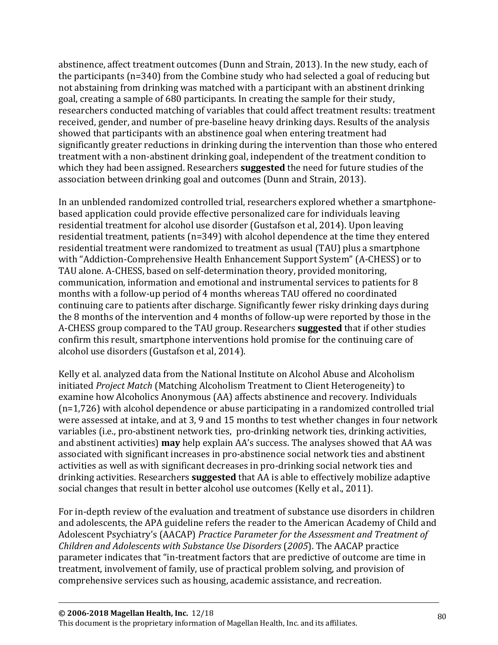abstinence, affect treatment outcomes (Dunn and Strain, 2013). In the new study, each of the participants (n=340) from the Combine study who had selected a goal of reducing but not abstaining from drinking was matched with a participant with an abstinent drinking goal, creating a sample of 680 participants. In creating the sample for their study, researchers conducted matching of variables that could affect treatment results: treatment received, gender, and number of pre-baseline heavy drinking days. Results of the analysis showed that participants with an abstinence goal when entering treatment had significantly greater reductions in drinking during the intervention than those who entered treatment with a non-abstinent drinking goal, independent of the treatment condition to which they had been assigned. Researchers **suggested** the need for future studies of the association between drinking goal and outcomes (Dunn and Strain, 2013).

In an unblended randomized controlled trial, researchers explored whether a smartphonebased application could provide effective personalized care for individuals leaving residential treatment for alcohol use disorder (Gustafson et al, 2014). Upon leaving residential treatment, patients (n=349) with alcohol dependence at the time they entered residential treatment were randomized to treatment as usual (TAU) plus a smartphone with "Addiction-Comprehensive Health Enhancement Support System" (A-CHESS) or to TAU alone. A-CHESS, based on self-determination theory, provided monitoring, communication, information and emotional and instrumental services to patients for 8 months with a follow-up period of 4 months whereas TAU offered no coordinated continuing care to patients after discharge. Significantly fewer risky drinking days during the 8 months of the intervention and 4 months of follow-up were reported by those in the A-CHESS group compared to the TAU group. Researchers **suggested** that if other studies confirm this result, smartphone interventions hold promise for the continuing care of alcohol use disorders (Gustafson et al, 2014).

Kelly et al. analyzed data from the National Institute on Alcohol Abuse and Alcoholism initiated *Project Match* (Matching Alcoholism Treatment to Client Heterogeneity) to examine how Alcoholics Anonymous (AA) affects abstinence and recovery. Individuals (n=1,726) with alcohol dependence or abuse participating in a randomized controlled trial were assessed at intake, and at 3, 9 and 15 months to test whether changes in four network variables (i.e., pro-abstinent network ties, pro-drinking network ties, drinking activities, and abstinent activities) **may** help explain AA's success. The analyses showed that AA was associated with significant increases in pro-abstinence social network ties and abstinent activities as well as with significant decreases in pro-drinking social network ties and drinking activities. Researchers **suggested** that AA is able to effectively mobilize adaptive social changes that result in better alcohol use outcomes (Kelly et al., 2011).

For in-depth review of the evaluation and treatment of substance use disorders in children and adolescents, the APA guideline refers the reader to the American Academy of Child and Adolescent Psychiatry's (AACAP) *Practice Parameter for the Assessment and Treatment of Children and Adolescents with Substance Use Disorders* (*2005*). The AACAP practice parameter indicates that "in-treatment factors that are predictive of outcome are time in treatment, involvement of family, use of practical problem solving, and provision of comprehensive services such as housing, academic assistance, and recreation.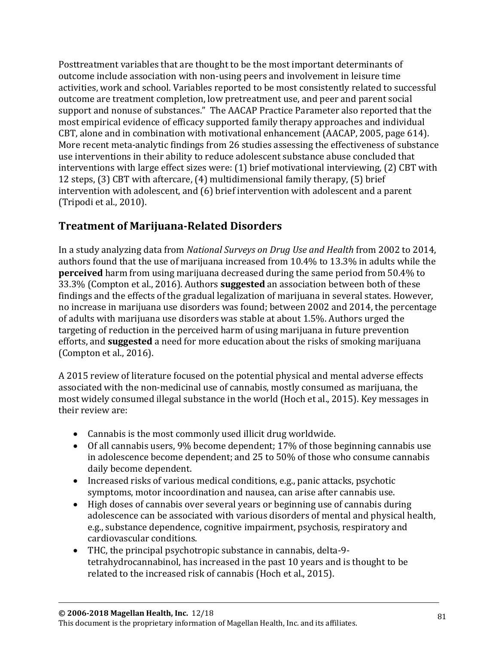Posttreatment variables that are thought to be the most important determinants of outcome include association with non-using peers and involvement in leisure time activities, work and school. Variables reported to be most consistently related to successful outcome are treatment completion, low pretreatment use, and peer and parent social support and nonuse of substances." The AACAP Practice Parameter also reported that the most empirical evidence of efficacy supported family therapy approaches and individual CBT, alone and in combination with motivational enhancement (AACAP, 2005, page 614). More recent meta-analytic findings from 26 studies assessing the effectiveness of substance use interventions in their ability to reduce adolescent substance abuse concluded that interventions with large effect sizes were: (1) brief motivational interviewing, (2) CBT with 12 steps, (3) CBT with aftercare, (4) multidimensional family therapy, (5) brief intervention with adolescent, and (6) brief intervention with adolescent and a parent (Tripodi et al., 2010).

## **Treatment of Marijuana-Related Disorders**

In a study analyzing data from *National Surveys on Drug Use and Health* from 2002 to 2014, authors found that the use of marijuana increased from 10.4% to 13.3% in adults while the **perceived** harm from using marijuana decreased during the same period from 50.4% to 33.3% (Compton et al., 2016). Authors **suggested** an association between both of these findings and the effects of the gradual legalization of marijuana in several states. However, no increase in marijuana use disorders was found; between 2002 and 2014, the percentage of adults with marijuana use disorders was stable at about 1.5%. Authors urged the targeting of reduction in the perceived harm of using marijuana in future prevention efforts, and **suggested** a need for more education about the risks of smoking marijuana (Compton et al., 2016).

A 2015 review of literature focused on the potential physical and mental adverse effects associated with the non-medicinal use of cannabis, mostly consumed as marijuana, the most widely consumed illegal substance in the world (Hoch et al., 2015). Key messages in their review are:

- Cannabis is the most commonly used illicit drug worldwide.
- Of all cannabis users, 9% become dependent; 17% of those beginning cannabis use in adolescence become dependent; and 25 to 50% of those who consume cannabis daily become dependent.
- Increased risks of various medical conditions, e.g., panic attacks, psychotic symptoms, motor incoordination and nausea, can arise after cannabis use.
- High doses of cannabis over several years or beginning use of cannabis during adolescence can be associated with various disorders of mental and physical health, e.g., substance dependence, cognitive impairment, psychosis, respiratory and cardiovascular conditions.
- THC, the principal psychotropic substance in cannabis, delta-9 tetrahydrocannabinol, has increased in the past 10 years and is thought to be related to the increased risk of cannabis (Hoch et al., 2015).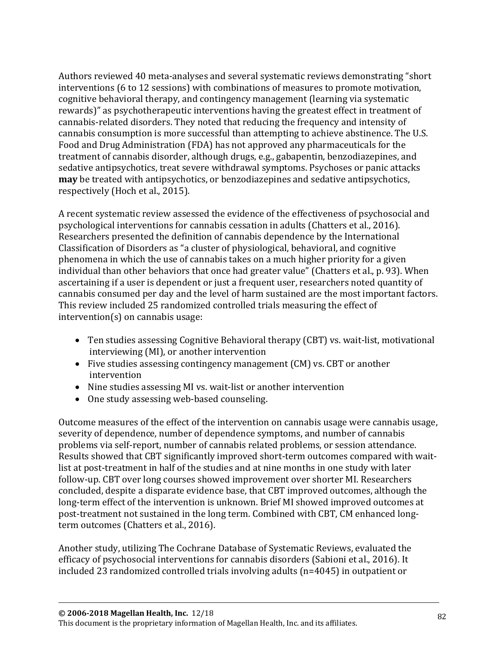Authors reviewed 40 meta-analyses and several systematic reviews demonstrating "short interventions (6 to 12 sessions) with combinations of measures to promote motivation, cognitive behavioral therapy, and contingency management (learning via systematic rewards)" as psychotherapeutic interventions having the greatest effect in treatment of cannabis-related disorders. They noted that reducing the frequency and intensity of cannabis consumption is more successful than attempting to achieve abstinence. The U.S. Food and Drug Administration (FDA) has not approved any pharmaceuticals for the treatment of cannabis disorder, although drugs, e.g., gabapentin, benzodiazepines, and sedative antipsychotics, treat severe withdrawal symptoms. Psychoses or panic attacks **may** be treated with antipsychotics, or benzodiazepines and sedative antipsychotics, respectively (Hoch et al., 2015).

A recent systematic review assessed the evidence of the effectiveness of psychosocial and psychological interventions for cannabis cessation in adults (Chatters et al., 2016). Researchers presented the definition of cannabis dependence by the International Classification of Disorders as "a cluster of physiological, behavioral, and cognitive phenomena in which the use of cannabis takes on a much higher priority for a given individual than other behaviors that once had greater value" (Chatters et al., p. 93). When ascertaining if a user is dependent or just a frequent user, researchers noted quantity of cannabis consumed per day and the level of harm sustained are the most important factors. This review included 25 randomized controlled trials measuring the effect of intervention(s) on cannabis usage:

- Ten studies assessing Cognitive Behavioral therapy (CBT) vs. wait-list, motivational interviewing (MI), or another intervention
- Five studies assessing contingency management (CM) vs. CBT or another intervention
- Nine studies assessing MI vs. wait-list or another intervention
- One study assessing web-based counseling.

Outcome measures of the effect of the intervention on cannabis usage were cannabis usage, severity of dependence, number of dependence symptoms, and number of cannabis problems via self-report, number of cannabis related problems, or session attendance. Results showed that CBT significantly improved short-term outcomes compared with waitlist at post-treatment in half of the studies and at nine months in one study with later follow-up. CBT over long courses showed improvement over shorter MI. Researchers concluded, despite a disparate evidence base, that CBT improved outcomes, although the long-term effect of the intervention is unknown. Brief MI showed improved outcomes at post-treatment not sustained in the long term. Combined with CBT, CM enhanced longterm outcomes (Chatters et al., 2016).

Another study, utilizing The Cochrane Database of Systematic Reviews, evaluated the efficacy of psychosocial interventions for cannabis disorders (Sabioni et al., 2016). It included 23 randomized controlled trials involving adults (n=4045) in outpatient or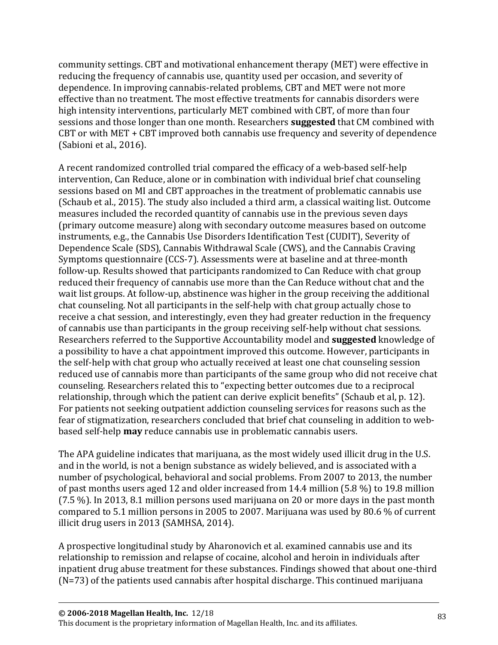community settings. CBT and motivational enhancement therapy (MET) were effective in reducing the frequency of cannabis use, quantity used per occasion, and severity of dependence. In improving cannabis-related problems, CBT and MET were not more effective than no treatment. The most effective treatments for cannabis disorders were high intensity interventions, particularly MET combined with CBT, of more than four sessions and those longer than one month. Researchers **suggested** that CM combined with CBT or with MET + CBT improved both cannabis use frequency and severity of dependence (Sabioni et al., 2016).

A recent randomized controlled trial compared the efficacy of a web-based self-help intervention, Can Reduce, alone or in combination with individual brief chat counseling sessions based on MI and CBT approaches in the treatment of problematic cannabis use (Schaub et al., 2015). The study also included a third arm, a classical waiting list. Outcome measures included the recorded quantity of cannabis use in the previous seven days (primary outcome measure) along with secondary outcome measures based on outcome instruments, e.g., the Cannabis Use Disorders Identification Test (CUDIT), Severity of Dependence Scale (SDS), Cannabis Withdrawal Scale (CWS), and the Cannabis Craving Symptoms questionnaire (CCS-7). Assessments were at baseline and at three-month follow-up. Results showed that participants randomized to Can Reduce with chat group reduced their frequency of cannabis use more than the Can Reduce without chat and the wait list groups. At follow-up, abstinence was higher in the group receiving the additional chat counseling. Not all participants in the self-help with chat group actually chose to receive a chat session, and interestingly, even they had greater reduction in the frequency of cannabis use than participants in the group receiving self-help without chat sessions. Researchers referred to the Supportive Accountability model and **suggested** knowledge of a possibility to have a chat appointment improved this outcome. However, participants in the self-help with chat group who actually received at least one chat counseling session reduced use of cannabis more than participants of the same group who did not receive chat counseling. Researchers related this to "expecting better outcomes due to a reciprocal relationship, through which the patient can derive explicit benefits" (Schaub et al, p. 12). For patients not seeking outpatient addiction counseling services for reasons such as the fear of stigmatization, researchers concluded that brief chat counseling in addition to webbased self-help **may** reduce cannabis use in problematic cannabis users.

The APA guideline indicates that marijuana, as the most widely used illicit drug in the U.S. and in the world, is not a benign substance as widely believed, and is associated with a number of psychological, behavioral and social problems. From 2007 to 2013, the number of past months users aged 12 and older increased from 14.4 million (5.8 %) to 19.8 million (7.5 %). In 2013, 8.1 million persons used marijuana on 20 or more days in the past month compared to 5.1 million persons in 2005 to 2007. Marijuana was used by 80.6 % of current illicit drug users in 2013 (SAMHSA, 2014).

A prospective longitudinal study by Aharonovich et al. examined cannabis use and its relationship to remission and relapse of cocaine, alcohol and heroin in individuals after inpatient drug abuse treatment for these substances. Findings showed that about one-third (N=73) of the patients used cannabis after hospital discharge. This continued marijuana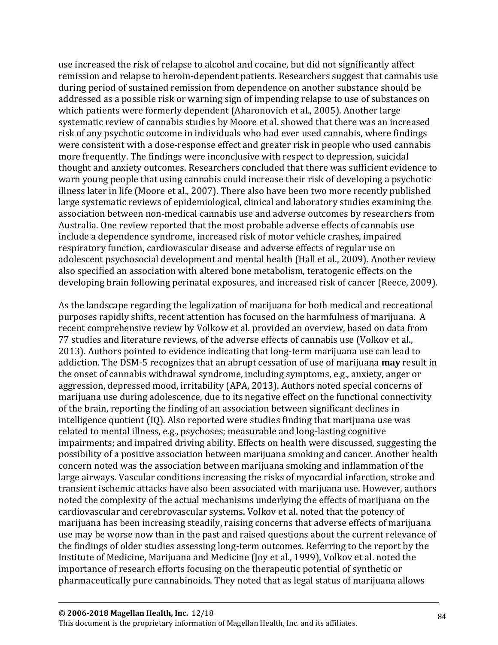use increased the risk of relapse to alcohol and cocaine, but did not significantly affect remission and relapse to heroin-dependent patients. Researchers suggest that cannabis use during period of sustained remission from dependence on another substance should be addressed as a possible risk or warning sign of impending relapse to use of substances on which patients were formerly dependent (Aharonovich et al., 2005). Another large systematic review of cannabis studies by Moore et al. showed that there was an increased risk of any psychotic outcome in individuals who had ever used cannabis, where findings were consistent with a dose-response effect and greater risk in people who used cannabis more frequently. The findings were inconclusive with respect to depression, suicidal thought and anxiety outcomes. Researchers concluded that there was sufficient evidence to warn young people that using cannabis could increase their risk of developing a psychotic illness later in life (Moore et al., 2007). There also have been two more recently published large systematic reviews of epidemiological, clinical and laboratory studies examining the association between non-medical cannabis use and adverse outcomes by researchers from Australia. One review reported that the most probable adverse effects of cannabis use include a dependence syndrome, increased risk of motor vehicle crashes, impaired respiratory function, cardiovascular disease and adverse effects of regular use on adolescent psychosocial development and mental health (Hall et al., 2009). Another review also specified an association with altered bone metabolism, teratogenic effects on the developing brain following perinatal exposures, and increased risk of cancer (Reece, 2009).

As the landscape regarding the legalization of marijuana for both medical and recreational purposes rapidly shifts, recent attention has focused on the harmfulness of marijuana. A recent comprehensive review by Volkow et al. provided an overview, based on data from 77 studies and literature reviews, of the adverse effects of cannabis use (Volkov et al., 2013). Authors pointed to evidence indicating that long-term marijuana use can lead to addiction. The DSM-5 recognizes that an abrupt cessation of use of marijuana **may** result in the onset of cannabis withdrawal syndrome, including symptoms, e.g., anxiety, anger or aggression, depressed mood, irritability (APA, 2013). Authors noted special concerns of marijuana use during adolescence, due to its negative effect on the functional connectivity of the brain, reporting the finding of an association between significant declines in intelligence quotient (IQ). Also reported were studies finding that marijuana use was related to mental illness, e.g., psychoses; measurable and long-lasting cognitive impairments; and impaired driving ability. Effects on health were discussed, suggesting the possibility of a positive association between marijuana smoking and cancer. Another health concern noted was the association between marijuana smoking and inflammation of the large airways. Vascular conditions increasing the risks of myocardial infarction, stroke and transient ischemic attacks have also been associated with marijuana use. However, authors noted the complexity of the actual mechanisms underlying the effects of marijuana on the cardiovascular and cerebrovascular systems. Volkov et al. noted that the potency of marijuana has been increasing steadily, raising concerns that adverse effects of marijuana use may be worse now than in the past and raised questions about the current relevance of the findings of older studies assessing long-term outcomes. Referring to the report by the Institute of Medicine, Marijuana and Medicine (Joy et al., 1999), Volkov et al. noted the importance of research efforts focusing on the therapeutic potential of synthetic or pharmaceutically pure cannabinoids. They noted that as legal status of marijuana allows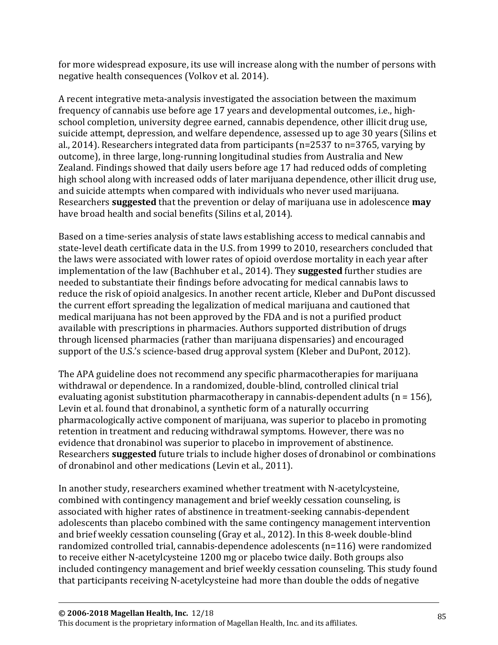for more widespread exposure, its use will increase along with the number of persons with negative health consequences (Volkov et al. 2014).

A recent integrative meta-analysis investigated the association between the maximum frequency of cannabis use before age 17 years and developmental outcomes, i.e., highschool completion, university degree earned, cannabis dependence, other illicit drug use, suicide attempt, depression, and welfare dependence, assessed up to age 30 years (Silins et al., 2014). Researchers integrated data from participants (n=2537 to n=3765, varying by outcome), in three large, long-running longitudinal studies from Australia and New Zealand. Findings showed that daily users before age 17 had reduced odds of completing high school along with increased odds of later marijuana dependence, other illicit drug use, and suicide attempts when compared with individuals who never used marijuana. Researchers **suggested** that the prevention or delay of marijuana use in adolescence **may** have broad health and social benefits (Silins et al, 2014).

Based on a time-series analysis of state laws establishing access to medical cannabis and state-level death certificate data in the U.S. from 1999 to 2010, researchers concluded that the laws were associated with lower rates of opioid overdose mortality in each year after implementation of the law (Bachhuber et al., 2014). They **suggested** further studies are needed to substantiate their findings before advocating for medical cannabis laws to reduce the risk of opioid analgesics. In another recent article, Kleber and DuPont discussed the current effort spreading the legalization of medical marijuana and cautioned that medical marijuana has not been approved by the FDA and is not a purified product available with prescriptions in pharmacies. Authors supported distribution of drugs through licensed pharmacies (rather than marijuana dispensaries) and encouraged support of the U.S.'s science-based drug approval system (Kleber and DuPont, 2012).

The APA guideline does not recommend any specific pharmacotherapies for marijuana withdrawal or dependence. In a randomized, double-blind, controlled clinical trial evaluating agonist substitution pharmacotherapy in cannabis-dependent adults  $(n = 156)$ , Levin et al. found that dronabinol, a synthetic form of a naturally occurring pharmacologically active component of marijuana, was superior to placebo in promoting retention in treatment and reducing withdrawal symptoms. However, there was no evidence that dronabinol was superior to placebo in improvement of abstinence. Researchers **suggested** future trials to include higher doses of dronabinol or combinations of dronabinol and other medications (Levin et al., 2011).

In another study, researchers examined whether treatment with N-acetylcysteine, combined with contingency management and brief weekly cessation counseling, is associated with higher rates of abstinence in treatment-seeking cannabis-dependent adolescents than placebo combined with the same contingency management intervention and brief weekly cessation counseling (Gray et al., 2012). In this 8-week double-blind randomized controlled trial, cannabis-dependence adolescents (n=116) were randomized to receive either N-acetylcysteine 1200 mg or placebo twice daily. Both groups also included contingency management and brief weekly cessation counseling. This study found that participants receiving N-acetylcysteine had more than double the odds of negative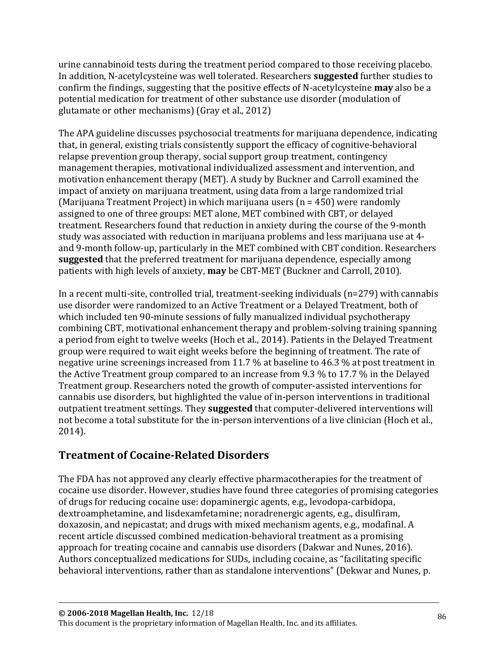urine cannabinoid tests during the treatment period compared to those receiving placebo. In addition, N-acetylcysteine was well tolerated. Researchers **suggested** further studies to confirm the findings, suggesting that the positive effects of N-acetylcysteine **may** also be a potential medication for treatment of other substance use disorder (modulation of glutamate or other mechanisms) (Gray et al., 2012)

The APA guideline discusses psychosocial treatments for marijuana dependence, indicating that, in general, existing trials consistently support the efficacy of cognitive-behavioral relapse prevention group therapy, social support group treatment, contingency management therapies, motivational individualized assessment and intervention, and motivation enhancement therapy (MET). A study by Buckner and Carroll examined the impact of anxiety on marijuana treatment, using data from a large randomized trial (Marijuana Treatment Project) in which marijuana users (n = 450) were randomly assigned to one of three groups: MET alone, MET combined with CBT, or delayed treatment. Researchers found that reduction in anxiety during the course of the 9-month study was associated with reduction in marijuana problems and less marijuana use at 4 and 9-month follow-up, particularly in the MET combined with CBT condition. Researchers **suggested** that the preferred treatment for marijuana dependence, especially among patients with high levels of anxiety, **may** be CBT-MET (Buckner and Carroll, 2010).

In a recent multi-site, controlled trial, treatment-seeking individuals (n=279) with cannabis use disorder were randomized to an Active Treatment or a Delayed Treatment, both of which included ten 90-minute sessions of fully manualized individual psychotherapy combining CBT, motivational enhancement therapy and problem-solving training spanning a period from eight to twelve weeks (Hoch et al., 2014). Patients in the Delayed Treatment group were required to wait eight weeks before the beginning of treatment. The rate of negative urine screenings increased from 11.7 % at baseline to 46.3 % at post treatment in the Active Treatment group compared to an increase from 9.3 % to 17.7 % in the Delayed Treatment group. Researchers noted the growth of computer-assisted interventions for cannabis use disorders, but highlighted the value of in-person interventions in traditional outpatient treatment settings. They **suggested** that computer-delivered interventions will not become a total substitute for the in-person interventions of a live clinician (Hoch et al., 2014).

## **Treatment of Cocaine-Related Disorders**

The FDA has not approved any clearly effective pharmacotherapies for the treatment of cocaine use disorder. However, studies have found three categories of promising categories of drugs for reducing cocaine use: dopaminergic agents, e.g., levodopa-carbidopa, dextroamphetamine, and lisdexamfetamine; noradrenergic agents, e.g., disulfiram, doxazosin, and nepicastat; and drugs with mixed mechanism agents, e.g., modafinal. A recent article discussed combined medication-behavioral treatment as a promising approach for treating cocaine and cannabis use disorders (Dakwar and Nunes, 2016). Authors conceptualized medications for SUDs, including cocaine, as "facilitating specific behavioral interventions, rather than as standalone interventions" (Dekwar and Nunes, p.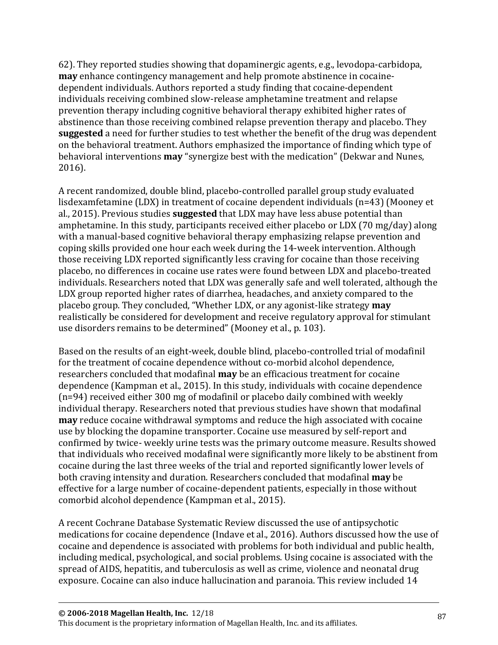62). They reported studies showing that dopaminergic agents, e.g., levodopa-carbidopa, **may** enhance contingency management and help promote abstinence in cocainedependent individuals. Authors reported a study finding that cocaine-dependent individuals receiving combined slow-release amphetamine treatment and relapse prevention therapy including cognitive behavioral therapy exhibited higher rates of abstinence than those receiving combined relapse prevention therapy and placebo. They **suggested** a need for further studies to test whether the benefit of the drug was dependent on the behavioral treatment. Authors emphasized the importance of finding which type of behavioral interventions **may** "synergize best with the medication" (Dekwar and Nunes, 2016).

A recent randomized, double blind, placebo-controlled parallel group study evaluated lisdexamfetamine (LDX) in treatment of cocaine dependent individuals (n=43) (Mooney et al., 2015). Previous studies **suggested** that LDX may have less abuse potential than amphetamine. In this study, participants received either placebo or LDX (70 mg/day) along with a manual-based cognitive behavioral therapy emphasizing relapse prevention and coping skills provided one hour each week during the 14-week intervention. Although those receiving LDX reported significantly less craving for cocaine than those receiving placebo, no differences in cocaine use rates were found between LDX and placebo-treated individuals. Researchers noted that LDX was generally safe and well tolerated, although the LDX group reported higher rates of diarrhea, headaches, and anxiety compared to the placebo group. They concluded, "Whether LDX, or any agonist-like strategy **may** realistically be considered for development and receive regulatory approval for stimulant use disorders remains to be determined" (Mooney et al., p. 103).

Based on the results of an eight-week, double blind, placebo-controlled trial of modafinil for the treatment of cocaine dependence without co-morbid alcohol dependence, researchers concluded that modafinal **may** be an efficacious treatment for cocaine dependence (Kampman et al., 2015). In this study, individuals with cocaine dependence (n=94) received either 300 mg of modafinil or placebo daily combined with weekly individual therapy. Researchers noted that previous studies have shown that modafinal **may** reduce cocaine withdrawal symptoms and reduce the high associated with cocaine use by blocking the dopamine transporter. Cocaine use measured by self-report and confirmed by twice- weekly urine tests was the primary outcome measure. Results showed that individuals who received modafinal were significantly more likely to be abstinent from cocaine during the last three weeks of the trial and reported significantly lower levels of both craving intensity and duration. Researchers concluded that modafinal **may** be effective for a large number of cocaine-dependent patients, especially in those without comorbid alcohol dependence (Kampman et al., 2015).

A recent Cochrane Database Systematic Review discussed the use of antipsychotic medications for cocaine dependence (Indave et al., 2016). Authors discussed how the use of cocaine and dependence is associated with problems for both individual and public health, including medical, psychological, and social problems. Using cocaine is associated with the spread of AIDS, hepatitis, and tuberculosis as well as crime, violence and neonatal drug exposure. Cocaine can also induce hallucination and paranoia. This review included 14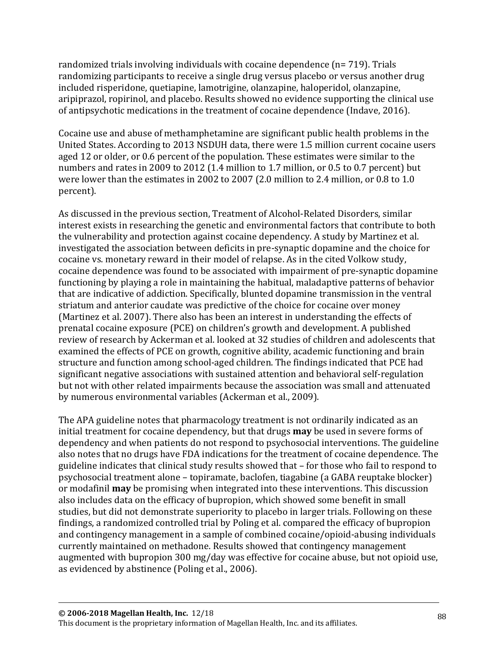randomized trials involving individuals with cocaine dependence (n= 719). Trials randomizing participants to receive a single drug versus placebo or versus another drug included risperidone, quetiapine, lamotrigine, olanzapine, haloperidol, olanzapine, aripiprazol, ropirinol, and placebo. Results showed no evidence supporting the clinical use of antipsychotic medications in the treatment of cocaine dependence (Indave, 2016).

Cocaine use and abuse of methamphetamine are significant public health problems in the United States. According to 2013 NSDUH data, there were 1.5 million current cocaine users aged 12 or older, or 0.6 percent of the population. These estimates were similar to the numbers and rates in 2009 to 2012 (1.4 million to 1.7 million, or 0.5 to 0.7 percent) but were lower than the estimates in 2002 to 2007 (2.0 million to 2.4 million, or 0.8 to 1.0 percent).

As discussed in the previous section, Treatment of Alcohol-Related Disorders, similar interest exists in researching the genetic and environmental factors that contribute to both the vulnerability and protection against cocaine dependency. A study by Martinez et al. investigated the association between deficits in pre-synaptic dopamine and the choice for cocaine vs. monetary reward in their model of relapse. As in the cited Volkow study, cocaine dependence was found to be associated with impairment of pre-synaptic dopamine functioning by playing a role in maintaining the habitual, maladaptive patterns of behavior that are indicative of addiction. Specifically, blunted dopamine transmission in the ventral striatum and anterior caudate was predictive of the choice for cocaine over money (Martinez et al. 2007). There also has been an interest in understanding the effects of prenatal cocaine exposure (PCE) on children's growth and development. A published review of research by Ackerman et al. looked at 32 studies of children and adolescents that examined the effects of PCE on growth, cognitive ability, academic functioning and brain structure and function among school-aged children. The findings indicated that PCE had significant negative associations with sustained attention and behavioral self-regulation but not with other related impairments because the association was small and attenuated by numerous environmental variables (Ackerman et al., 2009).

The APA guideline notes that pharmacology treatment is not ordinarily indicated as an initial treatment for cocaine dependency, but that drugs **may** be used in severe forms of dependency and when patients do not respond to psychosocial interventions. The guideline also notes that no drugs have FDA indications for the treatment of cocaine dependence. The guideline indicates that clinical study results showed that – for those who fail to respond to psychosocial treatment alone – topiramate, baclofen, tiagabine (a GABA reuptake blocker) or modafinil **may** be promising when integrated into these interventions. This discussion also includes data on the efficacy of bupropion, which showed some benefit in small studies, but did not demonstrate superiority to placebo in larger trials. Following on these findings, a randomized controlled trial by Poling et al. compared the efficacy of bupropion and contingency management in a sample of combined cocaine/opioid-abusing individuals currently maintained on methadone. Results showed that contingency management augmented with bupropion 300 mg/day was effective for cocaine abuse, but not opioid use, as evidenced by abstinence (Poling et al., 2006).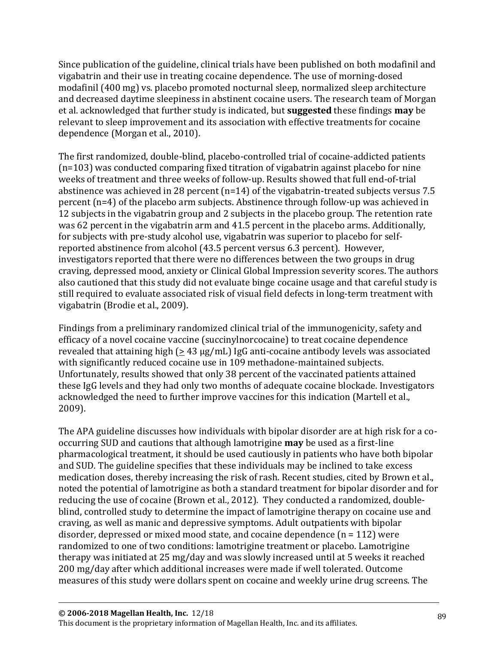Since publication of the guideline, clinical trials have been published on both modafinil and vigabatrin and their use in treating cocaine dependence. The use of morning-dosed modafinil (400 mg) vs. placebo promoted nocturnal sleep, normalized sleep architecture and decreased daytime sleepiness in abstinent cocaine users. The research team of Morgan et al. acknowledged that further study is indicated, but **suggested** these findings **may** be relevant to sleep improvement and its association with effective treatments for cocaine dependence (Morgan et al., 2010).

The first randomized, double-blind, placebo-controlled trial of cocaine-addicted patients (n=103) was conducted comparing fixed titration of vigabatrin against placebo for nine weeks of treatment and three weeks of follow-up. Results showed that full end-of-trial abstinence was achieved in 28 percent (n=14) of the vigabatrin-treated subjects versus 7.5 percent (n=4) of the placebo arm subjects. Abstinence through follow-up was achieved in 12 subjects in the vigabatrin group and 2 subjects in the placebo group. The retention rate was 62 percent in the vigabatrin arm and 41.5 percent in the placebo arms. Additionally, for subjects with pre-study alcohol use, vigabatrin was superior to placebo for selfreported abstinence from alcohol (43.5 percent versus 6.3 percent). However, investigators reported that there were no differences between the two groups in drug craving, depressed mood, anxiety or Clinical Global Impression severity scores. The authors also cautioned that this study did not evaluate binge cocaine usage and that careful study is still required to evaluate associated risk of visual field defects in long-term treatment with vigabatrin (Brodie et al., 2009).

Findings from a preliminary randomized clinical trial of the immunogenicity, safety and efficacy of a novel cocaine vaccine (succinylnorcocaine) to treat cocaine dependence revealed that attaining high  $(≥ 43 \mu g/mL)$  IgG anti-cocaine antibody levels was associated with significantly reduced cocaine use in 109 methadone-maintained subjects. Unfortunately, results showed that only 38 percent of the vaccinated patients attained these IgG levels and they had only two months of adequate cocaine blockade. Investigators acknowledged the need to further improve vaccines for this indication (Martell et al., 2009).

The APA guideline discusses how individuals with bipolar disorder are at high risk for a cooccurring SUD and cautions that although lamotrigine **may** be used as a first-line pharmacological treatment, it should be used cautiously in patients who have both bipolar and SUD. The guideline specifies that these individuals may be inclined to take excess medication doses, thereby increasing the risk of rash. Recent studies, cited by Brown et al., noted the potential of lamotrigine as both a standard treatment for bipolar disorder and for reducing the use of cocaine (Brown et al., 2012). They conducted a randomized, doubleblind, controlled study to determine the impact of lamotrigine therapy on cocaine use and craving, as well as manic and depressive symptoms. Adult outpatients with bipolar disorder, depressed or mixed mood state, and cocaine dependence (n = 112) were randomized to one of two conditions: lamotrigine treatment or placebo. Lamotrigine therapy was initiated at 25 mg/day and was slowly increased until at 5 weeks it reached 200 mg/day after which additional increases were made if well tolerated. Outcome measures of this study were dollars spent on cocaine and weekly urine drug screens. The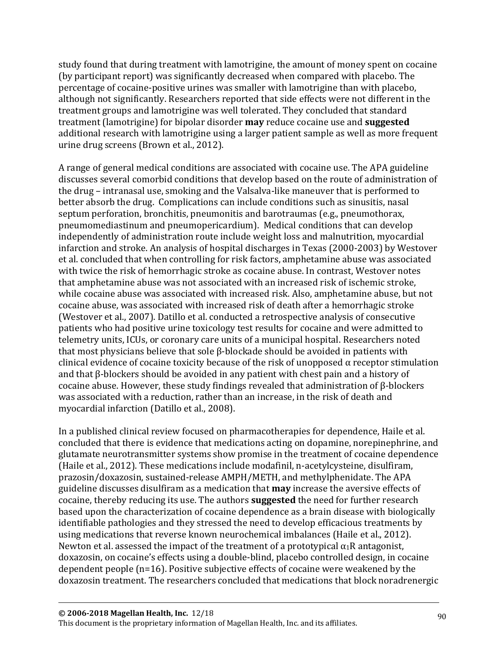study found that during treatment with lamotrigine, the amount of money spent on cocaine (by participant report) was significantly decreased when compared with placebo. The percentage of cocaine-positive urines was smaller with lamotrigine than with placebo, although not significantly. Researchers reported that side effects were not different in the treatment groups and lamotrigine was well tolerated. They concluded that standard treatment (lamotrigine) for bipolar disorder **may** reduce cocaine use and **suggested** additional research with lamotrigine using a larger patient sample as well as more frequent urine drug screens (Brown et al., 2012).

A range of general medical conditions are associated with cocaine use. The APA guideline discusses several comorbid conditions that develop based on the route of administration of the drug – intranasal use, smoking and the Valsalva-like maneuver that is performed to better absorb the drug. Complications can include conditions such as sinusitis, nasal septum perforation, bronchitis, pneumonitis and barotraumas (e.g., pneumothorax, pneumomediastinum and pneumopericardium). Medical conditions that can develop independently of administration route include weight loss and malnutrition, myocardial infarction and stroke. An analysis of hospital discharges in Texas (2000-2003) by Westover et al. concluded that when controlling for risk factors, amphetamine abuse was associated with twice the risk of hemorrhagic stroke as cocaine abuse. In contrast, Westover notes that amphetamine abuse was not associated with an increased risk of ischemic stroke, while cocaine abuse was associated with increased risk. Also, amphetamine abuse, but not cocaine abuse, was associated with increased risk of death after a hemorrhagic stroke (Westover et al., 2007). Datillo et al. conducted a retrospective analysis of consecutive patients who had positive urine toxicology test results for cocaine and were admitted to telemetry units, ICUs, or coronary care units of a municipal hospital. Researchers noted that most physicians believe that sole β-blockade should be avoided in patients with clinical evidence of cocaine toxicity because of the risk of unopposed  $\alpha$  receptor stimulation and that β-blockers should be avoided in any patient with chest pain and a history of cocaine abuse. However, these study findings revealed that administration of β-blockers was associated with a reduction, rather than an increase, in the risk of death and myocardial infarction (Datillo et al., 2008).

In a published clinical review focused on pharmacotherapies for dependence, Haile et al. concluded that there is evidence that medications acting on dopamine, norepinephrine, and glutamate neurotransmitter systems show promise in the treatment of cocaine dependence (Haile et al., 2012). These medications include modafinil, n-acetylcysteine, disulfiram, prazosin/doxazosin, sustained-release AMPH/METH, and methylphenidate. The APA guideline discusses disulfiram as a medication that **may** increase the aversive effects of cocaine, thereby reducing its use. The authors **suggested** the need for further research based upon the characterization of cocaine dependence as a brain disease with biologically identifiable pathologies and they stressed the need to develop efficacious treatments by using medications that reverse known neurochemical imbalances (Haile et al., 2012). Newton et al. assessed the impact of the treatment of a prototypical  $\alpha_1R$  antagonist, doxazosin, on cocaine's effects using a double-blind, placebo controlled design, in cocaine dependent people (n=16). Positive subjective effects of cocaine were weakened by the doxazosin treatment. The researchers concluded that medications that block noradrenergic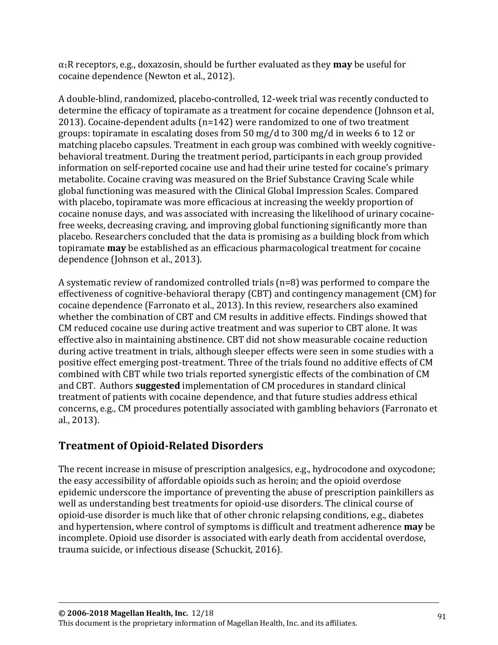$\alpha_1$ R receptors, e.g., doxazosin, should be further evaluated as they **may** be useful for cocaine dependence (Newton et al., 2012).

A double-blind, randomized, placebo-controlled, 12-week trial was recently conducted to determine the efficacy of topiramate as a treatment for cocaine dependence (Johnson et al, 2013). Cocaine-dependent adults (n=142) were randomized to one of two treatment groups: topiramate in escalating doses from 50 mg/d to 300 mg/d in weeks 6 to 12 or matching placebo capsules. Treatment in each group was combined with weekly cognitivebehavioral treatment. During the treatment period, participants in each group provided information on self-reported cocaine use and had their urine tested for cocaine's primary metabolite. Cocaine craving was measured on the Brief Substance Craving Scale while global functioning was measured with the Clinical Global Impression Scales. Compared with placebo, topiramate was more efficacious at increasing the weekly proportion of cocaine nonuse days, and was associated with increasing the likelihood of urinary cocainefree weeks, decreasing craving, and improving global functioning significantly more than placebo. Researchers concluded that the data is promising as a building block from which topiramate **may** be established as an efficacious pharmacological treatment for cocaine dependence (Johnson et al., 2013).

A systematic review of randomized controlled trials (n=8) was performed to compare the effectiveness of cognitive-behavioral therapy (CBT) and contingency management (CM) for cocaine dependence (Farronato et al., 2013). In this review, researchers also examined whether the combination of CBT and CM results in additive effects. Findings showed that CM reduced cocaine use during active treatment and was superior to CBT alone. It was effective also in maintaining abstinence. CBT did not show measurable cocaine reduction during active treatment in trials, although sleeper effects were seen in some studies with a positive effect emerging post-treatment. Three of the trials found no additive effects of CM combined with CBT while two trials reported synergistic effects of the combination of CM and CBT. Authors **suggested** implementation of CM procedures in standard clinical treatment of patients with cocaine dependence, and that future studies address ethical concerns, e.g., CM procedures potentially associated with gambling behaviors (Farronato et al., 2013).

## **Treatment of Opioid-Related Disorders**

The recent increase in misuse of prescription analgesics, e.g., hydrocodone and oxycodone; the easy accessibility of affordable opioids such as heroin; and the opioid overdose epidemic underscore the importance of preventing the abuse of prescription painkillers as well as understanding best treatments for opioid-use disorders. The clinical course of opioid-use disorder is much like that of other chronic relapsing conditions, e.g., diabetes and hypertension, where control of symptoms is difficult and treatment adherence **may** be incomplete. Opioid use disorder is associated with early death from accidental overdose, trauma suicide, or infectious disease (Schuckit, 2016).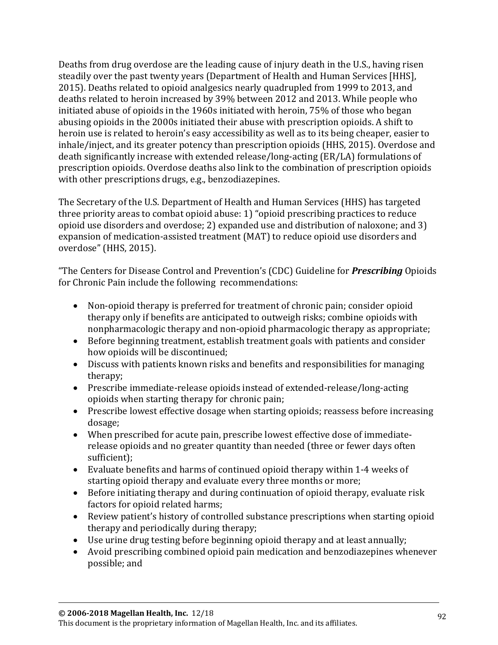Deaths from drug overdose are the leading cause of injury death in the U.S., having risen steadily over the past twenty years (Department of Health and Human Services [HHS], 2015). Deaths related to opioid analgesics nearly quadrupled from 1999 to 2013, and deaths related to heroin increased by 39% between 2012 and 2013. While people who initiated abuse of opioids in the 1960s initiated with heroin, 75% of those who began abusing opioids in the 2000s initiated their abuse with prescription opioids. A shift to heroin use is related to heroin's easy accessibility as well as to its being cheaper, easier to inhale/inject, and its greater potency than prescription opioids (HHS, 2015). Overdose and death significantly increase with extended release/long-acting (ER/LA) formulations of prescription opioids. Overdose deaths also link to the combination of prescription opioids with other prescriptions drugs, e.g., benzodiazepines.

The Secretary of the U.S. Department of Health and Human Services (HHS) has targeted three priority areas to combat opioid abuse: 1) "opioid prescribing practices to reduce opioid use disorders and overdose; 2) expanded use and distribution of naloxone; and 3) expansion of medication-assisted treatment (MAT) to reduce opioid use disorders and overdose" (HHS, 2015).

"The Centers for Disease Control and Prevention's (CDC) Guideline for *Prescribing* Opioids for Chronic Pain include the following recommendations:

- Non-opioid therapy is preferred for treatment of chronic pain; consider opioid therapy only if benefits are anticipated to outweigh risks; combine opioids with nonpharmacologic therapy and non-opioid pharmacologic therapy as appropriate;
- Before beginning treatment, establish treatment goals with patients and consider how opioids will be discontinued;
- Discuss with patients known risks and benefits and responsibilities for managing therapy;
- Prescribe immediate-release opioids instead of extended-release/long-acting opioids when starting therapy for chronic pain;
- Prescribe lowest effective dosage when starting opioids; reassess before increasing dosage;
- When prescribed for acute pain, prescribe lowest effective dose of immediaterelease opioids and no greater quantity than needed (three or fewer days often sufficient);
- Evaluate benefits and harms of continued opioid therapy within 1-4 weeks of starting opioid therapy and evaluate every three months or more;
- Before initiating therapy and during continuation of opioid therapy, evaluate risk factors for opioid related harms;
- Review patient's history of controlled substance prescriptions when starting opioid therapy and periodically during therapy;
- Use urine drug testing before beginning opioid therapy and at least annually;
- Avoid prescribing combined opioid pain medication and benzodiazepines whenever possible; and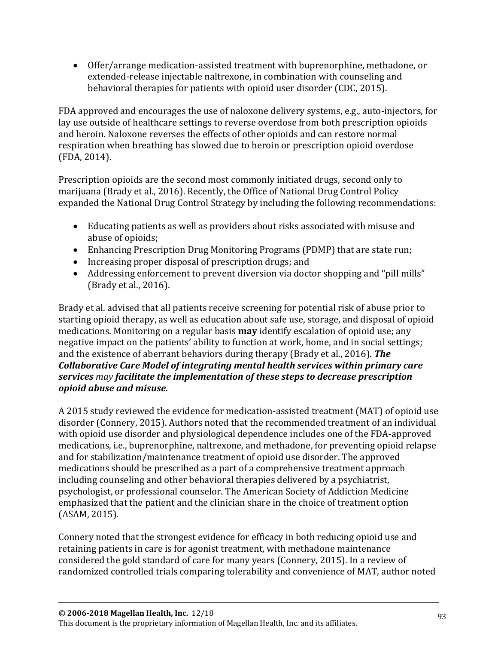• Offer/arrange medication-assisted treatment with buprenorphine, methadone, or extended-release injectable naltrexone, in combination with counseling and behavioral therapies for patients with opioid user disorder (CDC, 2015).

FDA approved and encourages the use of naloxone delivery systems, e.g., auto-injectors, for lay use outside of healthcare settings to reverse overdose from both prescription opioids and heroin. Naloxone reverses the effects of other opioids and can restore normal respiration when breathing has slowed due to heroin or prescription opioid overdose (FDA, 2014).

Prescription opioids are the second most commonly initiated drugs, second only to marijuana (Brady et al., 2016). Recently, the Office of National Drug Control Policy expanded the National Drug Control Strategy by including the following recommendations:

- Educating patients as well as providers about risks associated with misuse and abuse of opioids;
- Enhancing Prescription Drug Monitoring Programs (PDMP) that are state run;
- Increasing proper disposal of prescription drugs; and
- Addressing enforcement to prevent diversion via doctor shopping and "pill mills" (Brady et al., 2016).

Brady et al. advised that all patients receive screening for potential risk of abuse prior to starting opioid therapy, as well as education about safe use, storage, and disposal of opioid medications. Monitoring on a regular basis **may** identify escalation of opioid use; any negative impact on the patients' ability to function at work, home, and in social settings; and the existence of aberrant behaviors during therapy (Brady et al., 2016). *The Collaborative Care Model of integrating mental health services within primary care services may facilitate the implementation of these steps to decrease prescription opioid abuse and misuse.*

A 2015 study reviewed the evidence for medication-assisted treatment (MAT) of opioid use disorder (Connery, 2015). Authors noted that the recommended treatment of an individual with opioid use disorder and physiological dependence includes one of the FDA-approved medications, i.e., buprenorphine, naltrexone, and methadone, for preventing opioid relapse and for stabilization/maintenance treatment of opioid use disorder. The approved medications should be prescribed as a part of a comprehensive treatment approach including counseling and other behavioral therapies delivered by a psychiatrist, psychologist, or professional counselor. The American Society of Addiction Medicine emphasized that the patient and the clinician share in the choice of treatment option (ASAM, 2015).

Connery noted that the strongest evidence for efficacy in both reducing opioid use and retaining patients in care is for agonist treatment, with methadone maintenance considered the gold standard of care for many years (Connery, 2015). In a review of randomized controlled trials comparing tolerability and convenience of MAT, author noted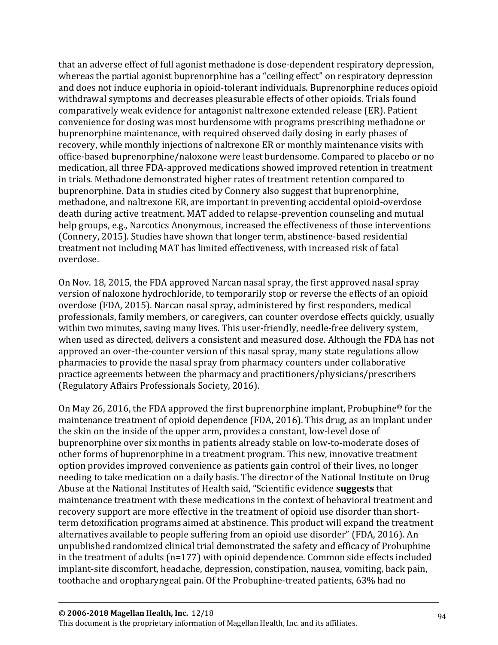that an adverse effect of full agonist methadone is dose-dependent respiratory depression, whereas the partial agonist buprenorphine has a "ceiling effect" on respiratory depression and does not induce euphoria in opioid-tolerant individuals. Buprenorphine reduces opioid withdrawal symptoms and decreases pleasurable effects of other opioids. Trials found comparatively weak evidence for antagonist naltrexone extended release (ER). Patient convenience for dosing was most burdensome with programs prescribing methadone or buprenorphine maintenance, with required observed daily dosing in early phases of recovery, while monthly injections of naltrexone ER or monthly maintenance visits with office-based buprenorphine/naloxone were least burdensome. Compared to placebo or no medication, all three FDA-approved medications showed improved retention in treatment in trials. Methadone demonstrated higher rates of treatment retention compared to buprenorphine. Data in studies cited by Connery also suggest that buprenorphine, methadone, and naltrexone ER, are important in preventing accidental opioid-overdose death during active treatment. MAT added to relapse-prevention counseling and mutual help groups, e.g., Narcotics Anonymous, increased the effectiveness of those interventions (Connery, 2015). Studies have shown that longer term, abstinence-based residential treatment not including MAT has limited effectiveness, with increased risk of fatal overdose.

On Nov. 18, 2015, the FDA approved Narcan nasal spray, the first approved nasal spray version of naloxone hydrochloride, to temporarily stop or reverse the effects of an opioid overdose (FDA, 2015). Narcan nasal spray, administered by first responders, medical professionals, family members, or caregivers, can counter overdose effects quickly, usually within two minutes, saving many lives. This user-friendly, needle-free delivery system, when used as directed, delivers a consistent and measured dose. Although the FDA has not approved an over-the-counter version of this nasal spray, many state regulations allow pharmacies to provide the nasal spray from pharmacy counters under collaborative practice agreements between the pharmacy and practitioners/physicians/prescribers (Regulatory Affairs Professionals Society, 2016).

On May 26, 2016, the FDA approved the first buprenorphine implant, Probuphine® for the maintenance treatment of opioid dependence (FDA, 2016). This drug, as an implant under the skin on the inside of the upper arm, provides a constant, low-level dose of buprenorphine over six months in patients already stable on low-to-moderate doses of other forms of buprenorphine in a treatment program. This new, innovative treatment option provides improved convenience as patients gain control of their lives, no longer needing to take medication on a daily basis. The director of the National Institute on Drug Abuse at the National Institutes of Health said, "Scientific evidence **suggests** that maintenance treatment with these medications in the context of behavioral treatment and recovery support are more effective in the treatment of opioid use disorder than shortterm detoxification programs aimed at abstinence. This product will expand the treatment alternatives available to people suffering from an opioid use disorder" (FDA, 2016). An unpublished randomized clinical trial demonstrated the safety and efficacy of Probuphine in the treatment of adults (n=177) with opioid dependence. Common side effects included implant-site discomfort, headache, depression, constipation, nausea, vomiting, back pain, toothache and oropharyngeal pain. Of the Probuphine-treated patients, 63% had no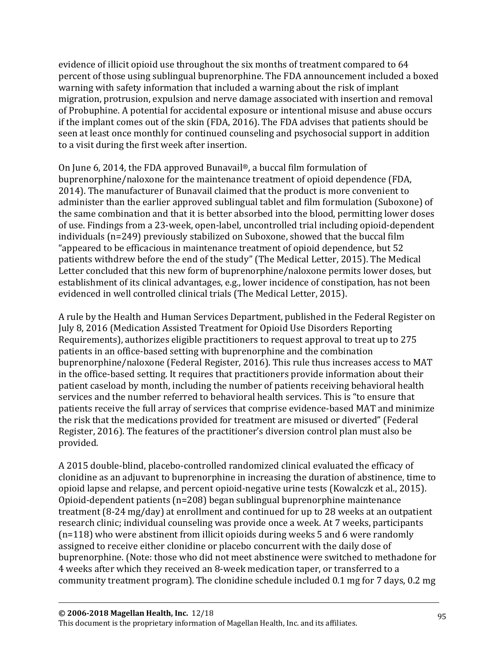evidence of illicit opioid use throughout the six months of treatment compared to 64 percent of those using sublingual buprenorphine. The FDA announcement included a boxed warning with safety information that included a warning about the risk of implant migration, protrusion, expulsion and nerve damage associated with insertion and removal of Probuphine. A potential for accidental exposure or intentional misuse and abuse occurs if the implant comes out of the skin (FDA, 2016). The FDA advises that patients should be seen at least once monthly for continued counseling and psychosocial support in addition to a visit during the first week after insertion.

On June 6, 2014, the FDA approved Bunavail®, a buccal film formulation of buprenorphine/naloxone for the maintenance treatment of opioid dependence (FDA, 2014). The manufacturer of Bunavail claimed that the product is more convenient to administer than the earlier approved sublingual tablet and film formulation (Suboxone) of the same combination and that it is better absorbed into the blood, permitting lower doses of use. Findings from a 23-week, open-label, uncontrolled trial including opioid-dependent individuals (n=249) previously stabilized on Suboxone, showed that the buccal film "appeared to be efficacious in maintenance treatment of opioid dependence, but 52 patients withdrew before the end of the study" (The Medical Letter, 2015). The Medical Letter concluded that this new form of buprenorphine/naloxone permits lower doses, but establishment of its clinical advantages, e.g., lower incidence of constipation, has not been evidenced in well controlled clinical trials (The Medical Letter, 2015).

A rule by the Health and Human Services Department, published in the Federal Register on July 8, 2016 (Medication Assisted Treatment for Opioid Use Disorders Reporting Requirements), authorizes eligible practitioners to request approval to treat up to 275 patients in an office-based setting with buprenorphine and the combination buprenorphine/naloxone (Federal Register, 2016). This rule thus increases access to MAT in the office-based setting. It requires that practitioners provide information about their patient caseload by month, including the number of patients receiving behavioral health services and the number referred to behavioral health services. This is "to ensure that patients receive the full array of services that comprise evidence-based MAT and minimize the risk that the medications provided for treatment are misused or diverted" (Federal Register, 2016). The features of the practitioner's diversion control plan must also be provided.

A 2015 double-blind, placebo-controlled randomized clinical evaluated the efficacy of clonidine as an adjuvant to buprenorphine in increasing the duration of abstinence, time to opioid lapse and relapse, and percent opioid-negative urine tests (Kowalczk et al., 2015). Opioid-dependent patients (n=208) began sublingual buprenorphine maintenance treatment (8-24 mg/day) at enrollment and continued for up to 28 weeks at an outpatient research clinic; individual counseling was provide once a week. At 7 weeks, participants (n=118) who were abstinent from illicit opioids during weeks 5 and 6 were randomly assigned to receive either clonidine or placebo concurrent with the daily dose of buprenorphine. (Note: those who did not meet abstinence were switched to methadone for 4 weeks after which they received an 8-week medication taper, or transferred to a community treatment program). The clonidine schedule included 0.1 mg for 7 days, 0.2 mg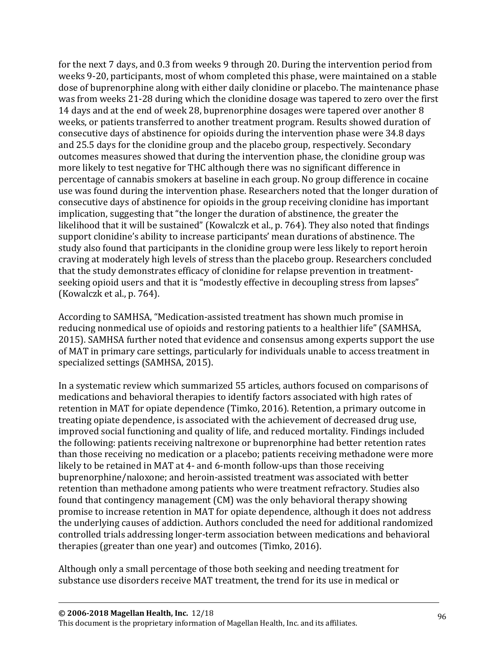for the next 7 days, and 0.3 from weeks 9 through 20. During the intervention period from weeks 9-20, participants, most of whom completed this phase, were maintained on a stable dose of buprenorphine along with either daily clonidine or placebo. The maintenance phase was from weeks 21-28 during which the clonidine dosage was tapered to zero over the first 14 days and at the end of week 28, buprenorphine dosages were tapered over another 8 weeks, or patients transferred to another treatment program. Results showed duration of consecutive days of abstinence for opioids during the intervention phase were 34.8 days and 25.5 days for the clonidine group and the placebo group, respectively. Secondary outcomes measures showed that during the intervention phase, the clonidine group was more likely to test negative for THC although there was no significant difference in percentage of cannabis smokers at baseline in each group. No group difference in cocaine use was found during the intervention phase. Researchers noted that the longer duration of consecutive days of abstinence for opioids in the group receiving clonidine has important implication, suggesting that "the longer the duration of abstinence, the greater the likelihood that it will be sustained" (Kowalczk et al., p. 764). They also noted that findings support clonidine's ability to increase participants' mean durations of abstinence. The study also found that participants in the clonidine group were less likely to report heroin craving at moderately high levels of stress than the placebo group. Researchers concluded that the study demonstrates efficacy of clonidine for relapse prevention in treatmentseeking opioid users and that it is "modestly effective in decoupling stress from lapses" (Kowalczk et al., p. 764).

According to SAMHSA, "Medication-assisted treatment has shown much promise in reducing nonmedical use of opioids and restoring patients to a healthier life" (SAMHSA, 2015). SAMHSA further noted that evidence and consensus among experts support the use of MAT in primary care settings, particularly for individuals unable to access treatment in specialized settings (SAMHSA, 2015).

In a systematic review which summarized 55 articles, authors focused on comparisons of medications and behavioral therapies to identify factors associated with high rates of retention in MAT for opiate dependence (Timko, 2016). Retention, a primary outcome in treating opiate dependence, is associated with the achievement of decreased drug use, improved social functioning and quality of life, and reduced mortality. Findings included the following: patients receiving naltrexone or buprenorphine had better retention rates than those receiving no medication or a placebo; patients receiving methadone were more likely to be retained in MAT at 4- and 6-month follow-ups than those receiving buprenorphine/naloxone; and heroin-assisted treatment was associated with better retention than methadone among patients who were treatment refractory. Studies also found that contingency management (CM) was the only behavioral therapy showing promise to increase retention in MAT for opiate dependence, although it does not address the underlying causes of addiction. Authors concluded the need for additional randomized controlled trials addressing longer-term association between medications and behavioral therapies (greater than one year) and outcomes (Timko, 2016).

Although only a small percentage of those both seeking and needing treatment for substance use disorders receive MAT treatment, the trend for its use in medical or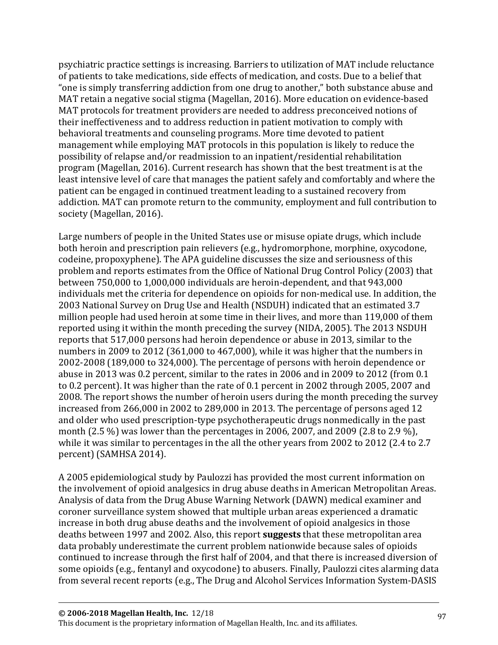psychiatric practice settings is increasing. Barriers to utilization of MAT include reluctance of patients to take medications, side effects of medication, and costs. Due to a belief that "one is simply transferring addiction from one drug to another," both substance abuse and MAT retain a negative social stigma (Magellan, 2016). More education on evidence-based MAT protocols for treatment providers are needed to address preconceived notions of their ineffectiveness and to address reduction in patient motivation to comply with behavioral treatments and counseling programs. More time devoted to patient management while employing MAT protocols in this population is likely to reduce the possibility of relapse and/or readmission to an inpatient/residential rehabilitation program (Magellan, 2016). Current research has shown that the best treatment is at the least intensive level of care that manages the patient safely and comfortably and where the patient can be engaged in continued treatment leading to a sustained recovery from addiction. MAT can promote return to the community, employment and full contribution to society (Magellan, 2016).

Large numbers of people in the United States use or misuse opiate drugs, which include both heroin and prescription pain relievers (e.g., hydromorphone, morphine, oxycodone, codeine, propoxyphene). The APA guideline discusses the size and seriousness of this problem and reports estimates from the Office of National Drug Control Policy (2003) that between 750,000 to 1,000,000 individuals are heroin-dependent, and that 943,000 individuals met the criteria for dependence on opioids for non-medical use. In addition, the 2003 National Survey on Drug Use and Health (NSDUH) indicated that an estimated 3.7 million people had used heroin at some time in their lives, and more than 119,000 of them reported using it within the month preceding the survey (NIDA, 2005). The 2013 NSDUH reports that 517,000 persons had heroin dependence or abuse in 2013, similar to the numbers in 2009 to 2012 (361,000 to 467,000), while it was higher that the numbers in 2002-2008 (189,000 to 324,000). The percentage of persons with heroin dependence or abuse in 2013 was 0.2 percent, similar to the rates in 2006 and in 2009 to 2012 (from 0.1 to 0.2 percent). It was higher than the rate of 0.1 percent in 2002 through 2005, 2007 and 2008. The report shows the number of heroin users during the month preceding the survey increased from 266,000 in 2002 to 289,000 in 2013. The percentage of persons aged 12 and older who used prescription-type psychotherapeutic drugs nonmedically in the past month (2.5 %) was lower than the percentages in 2006, 2007, and 2009 (2.8 to 2.9 %), while it was similar to percentages in the all the other years from 2002 to 2012 (2.4 to 2.7 percent) (SAMHSA 2014).

A 2005 epidemiological study by Paulozzi has provided the most current information on the involvement of opioid analgesics in drug abuse deaths in American Metropolitan Areas. Analysis of data from the Drug Abuse Warning Network (DAWN) medical examiner and coroner surveillance system showed that multiple urban areas experienced a dramatic increase in both drug abuse deaths and the involvement of opioid analgesics in those deaths between 1997 and 2002. Also, this report **suggests** that these metropolitan area data probably underestimate the current problem nationwide because sales of opioids continued to increase through the first half of 2004, and that there is increased diversion of some opioids (e.g., fentanyl and oxycodone) to abusers. Finally, Paulozzi cites alarming data from several recent reports (e.g., The Drug and Alcohol Services Information System-DASIS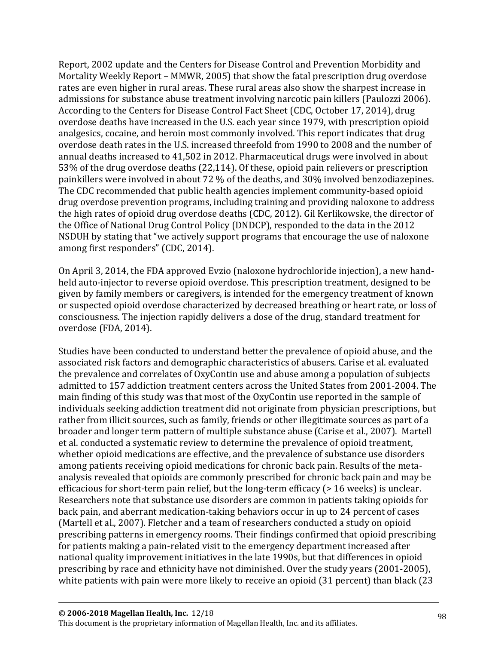Report, 2002 update and the Centers for Disease Control and Prevention Morbidity and Mortality Weekly Report – MMWR, 2005) that show the fatal prescription drug overdose rates are even higher in rural areas. These rural areas also show the sharpest increase in admissions for substance abuse treatment involving narcotic pain killers (Paulozzi 2006). According to the Centers for Disease Control Fact Sheet (CDC, October 17, 2014), drug overdose deaths have increased in the U.S. each year since 1979, with prescription opioid analgesics, cocaine, and heroin most commonly involved. This report indicates that drug overdose death rates in the U.S. increased threefold from 1990 to 2008 and the number of annual deaths increased to 41,502 in 2012. Pharmaceutical drugs were involved in about 53% of the drug overdose deaths (22,114). Of these, opioid pain relievers or prescription painkillers were involved in about 72 % of the deaths, and 30% involved benzodiazepines. The CDC recommended that public health agencies implement community-based opioid drug overdose prevention programs, including training and providing naloxone to address the high rates of opioid drug overdose deaths (CDC, 2012). Gil Kerlikowske, the director of the Office of National Drug Control Policy (DNDCP), responded to the data in the 2012 NSDUH by stating that "we actively support programs that encourage the use of naloxone among first responders" (CDC, 2014).

On April 3, 2014, the FDA approved Evzio (naloxone hydrochloride injection), a new handheld auto-injector to reverse opioid overdose. This prescription treatment, designed to be given by family members or caregivers, is intended for the emergency treatment of known or suspected opioid overdose characterized by decreased breathing or heart rate, or loss of consciousness. The injection rapidly delivers a dose of the drug, standard treatment for overdose (FDA, 2014).

Studies have been conducted to understand better the prevalence of opioid abuse, and the associated risk factors and demographic characteristics of abusers. Carise et al. evaluated the prevalence and correlates of OxyContin use and abuse among a population of subjects admitted to 157 addiction treatment centers across the United States from 2001-2004. The main finding of this study was that most of the OxyContin use reported in the sample of individuals seeking addiction treatment did not originate from physician prescriptions, but rather from illicit sources, such as family, friends or other illegitimate sources as part of a broader and longer term pattern of multiple substance abuse (Carise et al., 2007). Martell et al. conducted a systematic review to determine the prevalence of opioid treatment, whether opioid medications are effective, and the prevalence of substance use disorders among patients receiving opioid medications for chronic back pain. Results of the metaanalysis revealed that opioids are commonly prescribed for chronic back pain and may be efficacious for short-term pain relief, but the long-term efficacy (> 16 weeks) is unclear. Researchers note that substance use disorders are common in patients taking opioids for back pain, and aberrant medication-taking behaviors occur in up to 24 percent of cases (Martell et al., 2007). Fletcher and a team of researchers conducted a study on opioid prescribing patterns in emergency rooms. Their findings confirmed that opioid prescribing for patients making a pain-related visit to the emergency department increased after national quality improvement initiatives in the late 1990s, but that differences in opioid prescribing by race and ethnicity have not diminished. Over the study years (2001-2005), white patients with pain were more likely to receive an opioid (31 percent) than black (23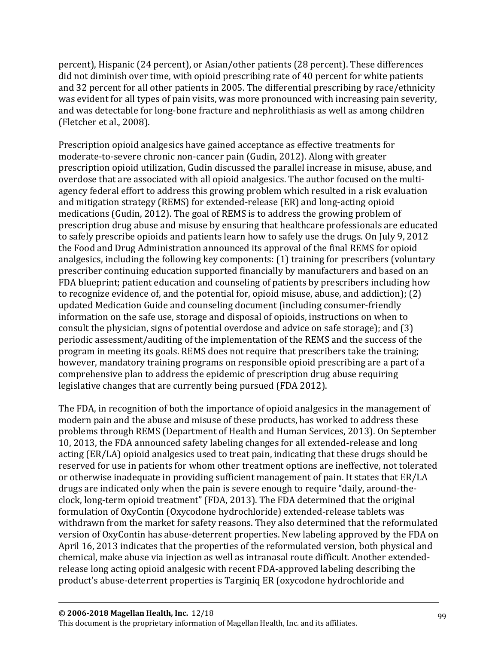percent), Hispanic (24 percent), or Asian/other patients (28 percent). These differences did not diminish over time, with opioid prescribing rate of 40 percent for white patients and 32 percent for all other patients in 2005. The differential prescribing by race/ethnicity was evident for all types of pain visits, was more pronounced with increasing pain severity, and was detectable for long-bone fracture and nephrolithiasis as well as among children (Fletcher et al., 2008).

Prescription opioid analgesics have gained acceptance as effective treatments for moderate-to-severe chronic non-cancer pain (Gudin, 2012). Along with greater prescription opioid utilization, Gudin discussed the parallel increase in misuse, abuse, and overdose that are associated with all opioid analgesics. The author focused on the multiagency federal effort to address this growing problem which resulted in a risk evaluation and mitigation strategy (REMS) for extended-release (ER) and long-acting opioid medications (Gudin, 2012). The goal of REMS is to address the growing problem of prescription drug abuse and misuse by ensuring that healthcare professionals are educated to safely prescribe opioids and patients learn how to safely use the drugs. On July 9, 2012 the Food and Drug Administration announced its approval of the final REMS for opioid analgesics, including the following key components: (1) training for prescribers (voluntary prescriber continuing education supported financially by manufacturers and based on an FDA blueprint; patient education and counseling of patients by prescribers including how to recognize evidence of, and the potential for, opioid misuse, abuse, and addiction); (2) updated Medication Guide and counseling document (including consumer-friendly information on the safe use, storage and disposal of opioids, instructions on when to consult the physician, signs of potential overdose and advice on safe storage); and (3) periodic assessment/auditing of the implementation of the REMS and the success of the program in meeting its goals. REMS does not require that prescribers take the training; however, mandatory training programs on responsible opioid prescribing are a part of a comprehensive plan to address the epidemic of prescription drug abuse requiring legislative changes that are currently being pursued (FDA 2012).

The FDA, in recognition of both the importance of opioid analgesics in the management of modern pain and the abuse and misuse of these products, has worked to address these problems through REMS (Department of Health and Human Services, 2013). On September 10, 2013, the FDA announced safety labeling changes for all extended-release and long acting (ER/LA) opioid analgesics used to treat pain, indicating that these drugs should be reserved for use in patients for whom other treatment options are ineffective, not tolerated or otherwise inadequate in providing sufficient management of pain. It states that ER/LA drugs are indicated only when the pain is severe enough to require "daily, around-theclock, long-term opioid treatment" (FDA, 2013). The FDA determined that the original formulation of OxyContin (Oxycodone hydrochloride) extended-release tablets was withdrawn from the market for safety reasons. They also determined that the reformulated version of OxyContin has abuse-deterrent properties. New labeling approved by the FDA on April 16, 2013 indicates that the properties of the reformulated version, both physical and chemical, make abuse via injection as well as intranasal route difficult. Another extendedrelease long acting opioid analgesic with recent FDA-approved labeling describing the product's abuse-deterrent properties is Targiniq ER (oxycodone hydrochloride and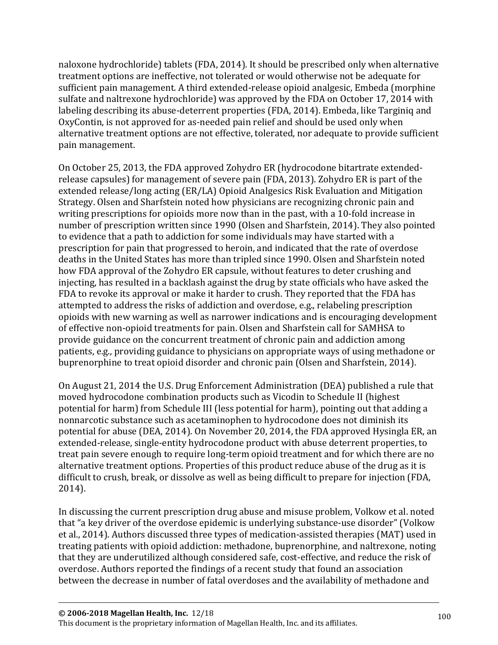naloxone hydrochloride) tablets (FDA, 2014). It should be prescribed only when alternative treatment options are ineffective, not tolerated or would otherwise not be adequate for sufficient pain management. A third extended-release opioid analgesic, Embeda (morphine sulfate and naltrexone hydrochloride) was approved by the FDA on October 17, 2014 with labeling describing its abuse-deterrent properties (FDA, 2014). Embeda, like Targiniq and OxyContin, is not approved for as-needed pain relief and should be used only when alternative treatment options are not effective, tolerated, nor adequate to provide sufficient pain management.

On October 25, 2013, the FDA approved Zohydro ER (hydrocodone bitartrate extendedrelease capsules) for management of severe pain (FDA, 2013). Zohydro ER is part of the extended release/long acting (ER/LA) Opioid Analgesics Risk Evaluation and Mitigation Strategy. Olsen and Sharfstein noted how physicians are recognizing chronic pain and writing prescriptions for opioids more now than in the past, with a 10-fold increase in number of prescription written since 1990 (Olsen and Sharfstein, 2014). They also pointed to evidence that a path to addiction for some individuals may have started with a prescription for pain that progressed to heroin, and indicated that the rate of overdose deaths in the United States has more than tripled since 1990. Olsen and Sharfstein noted how FDA approval of the Zohydro ER capsule, without features to deter crushing and injecting, has resulted in a backlash against the drug by state officials who have asked the FDA to revoke its approval or make it harder to crush. They reported that the FDA has attempted to address the risks of addiction and overdose, e.g., relabeling prescription opioids with new warning as well as narrower indications and is encouraging development of effective non-opioid treatments for pain. Olsen and Sharfstein call for SAMHSA to provide guidance on the concurrent treatment of chronic pain and addiction among patients, e.g., providing guidance to physicians on appropriate ways of using methadone or buprenorphine to treat opioid disorder and chronic pain (Olsen and Sharfstein, 2014).

On August 21, 2014 the U.S. Drug Enforcement Administration (DEA) published a rule that moved hydrocodone combination products such as Vicodin to Schedule II (highest potential for harm) from Schedule III (less potential for harm), pointing out that adding a nonnarcotic substance such as acetaminophen to hydrocodone does not diminish its potential for abuse (DEA, 2014). On November 20, 2014, the FDA approved Hysingla ER, an extended-release, single-entity hydrocodone product with abuse deterrent properties, to treat pain severe enough to require long-term opioid treatment and for which there are no alternative treatment options. Properties of this product reduce abuse of the drug as it is difficult to crush, break, or dissolve as well as being difficult to prepare for injection (FDA, 2014).

In discussing the current prescription drug abuse and misuse problem, Volkow et al. noted that "a key driver of the overdose epidemic is underlying substance-use disorder" (Volkow et al., 2014). Authors discussed three types of medication-assisted therapies (MAT) used in treating patients with opioid addiction: methadone, buprenorphine, and naltrexone, noting that they are underutilized although considered safe, cost-effective, and reduce the risk of overdose. Authors reported the findings of a recent study that found an association between the decrease in number of fatal overdoses and the availability of methadone and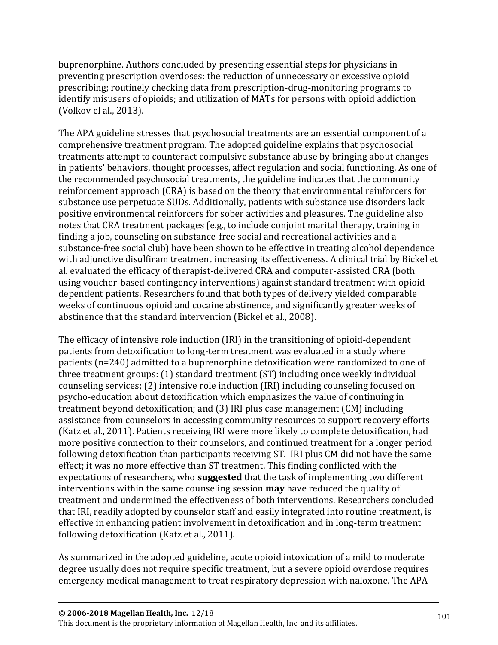buprenorphine. Authors concluded by presenting essential steps for physicians in preventing prescription overdoses: the reduction of unnecessary or excessive opioid prescribing; routinely checking data from prescription-drug-monitoring programs to identify misusers of opioids; and utilization of MATs for persons with opioid addiction (Volkov el al., 2013).

The APA guideline stresses that psychosocial treatments are an essential component of a comprehensive treatment program. The adopted guideline explains that psychosocial treatments attempt to counteract compulsive substance abuse by bringing about changes in patients' behaviors, thought processes, affect regulation and social functioning. As one of the recommended psychosocial treatments, the guideline indicates that the community reinforcement approach (CRA) is based on the theory that environmental reinforcers for substance use perpetuate SUDs. Additionally, patients with substance use disorders lack positive environmental reinforcers for sober activities and pleasures. The guideline also notes that CRA treatment packages (e.g., to include conjoint marital therapy, training in finding a job, counseling on substance-free social and recreational activities and a substance-free social club) have been shown to be effective in treating alcohol dependence with adjunctive disulfiram treatment increasing its effectiveness. A clinical trial by Bickel et al. evaluated the efficacy of therapist-delivered CRA and computer-assisted CRA (both using voucher-based contingency interventions) against standard treatment with opioid dependent patients. Researchers found that both types of delivery yielded comparable weeks of continuous opioid and cocaine abstinence, and significantly greater weeks of abstinence that the standard intervention (Bickel et al., 2008).

The efficacy of intensive role induction (IRI) in the transitioning of opioid-dependent patients from detoxification to long-term treatment was evaluated in a study where patients (n=240) admitted to a buprenorphine detoxification were randomized to one of three treatment groups: (1) standard treatment (ST) including once weekly individual counseling services; (2) intensive role induction (IRI) including counseling focused on psycho-education about detoxification which emphasizes the value of continuing in treatment beyond detoxification; and (3) IRI plus case management (CM) including assistance from counselors in accessing community resources to support recovery efforts (Katz et al., 2011). Patients receiving IRI were more likely to complete detoxification, had more positive connection to their counselors, and continued treatment for a longer period following detoxification than participants receiving ST. IRI plus CM did not have the same effect; it was no more effective than ST treatment. This finding conflicted with the expectations of researchers, who **suggested** that the task of implementing two different interventions within the same counseling session **may** have reduced the quality of treatment and undermined the effectiveness of both interventions. Researchers concluded that IRI, readily adopted by counselor staff and easily integrated into routine treatment, is effective in enhancing patient involvement in detoxification and in long-term treatment following detoxification (Katz et al., 2011).

As summarized in the adopted guideline, acute opioid intoxication of a mild to moderate degree usually does not require specific treatment, but a severe opioid overdose requires emergency medical management to treat respiratory depression with naloxone. The APA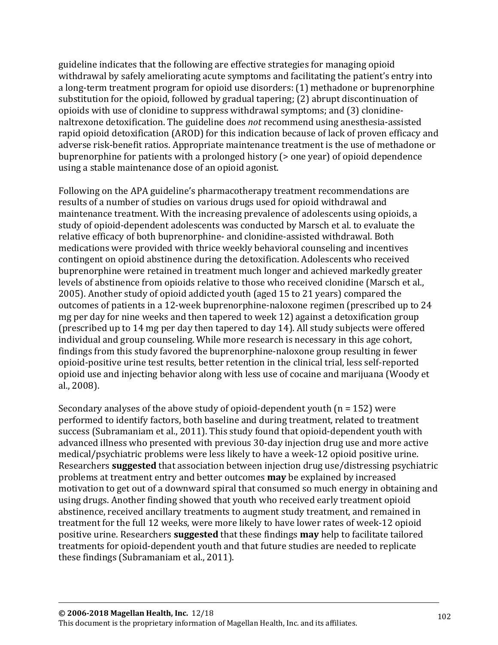guideline indicates that the following are effective strategies for managing opioid withdrawal by safely ameliorating acute symptoms and facilitating the patient's entry into a long-term treatment program for opioid use disorders: (1) methadone or buprenorphine substitution for the opioid, followed by gradual tapering; (2) abrupt discontinuation of opioids with use of clonidine to suppress withdrawal symptoms; and (3) clonidinenaltrexone detoxification. The guideline does *not* recommend using anesthesia-assisted rapid opioid detoxification (AROD) for this indication because of lack of proven efficacy and adverse risk-benefit ratios. Appropriate maintenance treatment is the use of methadone or buprenorphine for patients with a prolonged history (> one year) of opioid dependence using a stable maintenance dose of an opioid agonist.

Following on the APA guideline's pharmacotherapy treatment recommendations are results of a number of studies on various drugs used for opioid withdrawal and maintenance treatment. With the increasing prevalence of adolescents using opioids, a study of opioid-dependent adolescents was conducted by Marsch et al. to evaluate the relative efficacy of both buprenorphine- and clonidine-assisted withdrawal. Both medications were provided with thrice weekly behavioral counseling and incentives contingent on opioid abstinence during the detoxification. Adolescents who received buprenorphine were retained in treatment much longer and achieved markedly greater levels of abstinence from opioids relative to those who received clonidine (Marsch et al., 2005). Another study of opioid addicted youth (aged 15 to 21 years) compared the outcomes of patients in a 12-week buprenorphine-naloxone regimen (prescribed up to 24 mg per day for nine weeks and then tapered to week 12) against a detoxification group (prescribed up to 14 mg per day then tapered to day 14). All study subjects were offered individual and group counseling. While more research is necessary in this age cohort, findings from this study favored the buprenorphine-naloxone group resulting in fewer opioid-positive urine test results, better retention in the clinical trial, less self-reported opioid use and injecting behavior along with less use of cocaine and marijuana (Woody et al., 2008).

Secondary analyses of the above study of opioid-dependent youth (n = 152) were performed to identify factors, both baseline and during treatment, related to treatment success (Subramaniam et al., 2011). This study found that opioid-dependent youth with advanced illness who presented with previous 30-day injection drug use and more active medical/psychiatric problems were less likely to have a week-12 opioid positive urine. Researchers **suggested** that association between injection drug use/distressing psychiatric problems at treatment entry and better outcomes **may** be explained by increased motivation to get out of a downward spiral that consumed so much energy in obtaining and using drugs. Another finding showed that youth who received early treatment opioid abstinence, received ancillary treatments to augment study treatment, and remained in treatment for the full 12 weeks, were more likely to have lower rates of week-12 opioid positive urine. Researchers **suggested** that these findings **may** help to facilitate tailored treatments for opioid-dependent youth and that future studies are needed to replicate these findings (Subramaniam et al., 2011).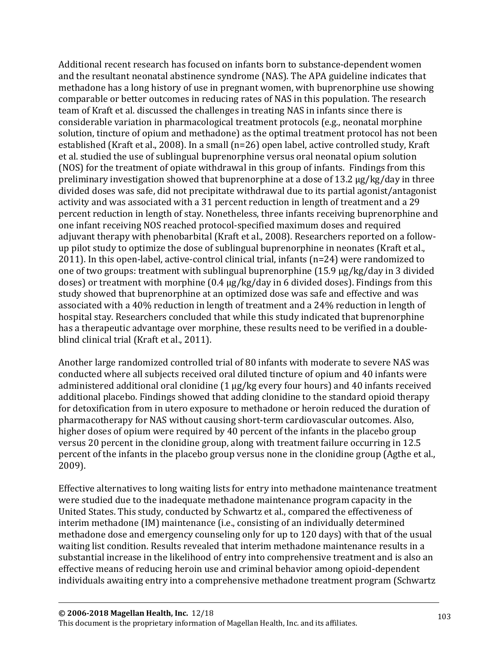Additional recent research has focused on infants born to substance-dependent women and the resultant neonatal abstinence syndrome (NAS). The APA guideline indicates that methadone has a long history of use in pregnant women, with buprenorphine use showing comparable or better outcomes in reducing rates of NAS in this population. The research team of Kraft et al. discussed the challenges in treating NAS in infants since there is considerable variation in pharmacological treatment protocols (e.g., neonatal morphine solution, tincture of opium and methadone) as the optimal treatment protocol has not been established (Kraft et al., 2008). In a small (n=26) open label, active controlled study, Kraft et al. studied the use of sublingual buprenorphine versus oral neonatal opium solution (NOS) for the treatment of opiate withdrawal in this group of infants. Findings from this preliminary investigation showed that buprenorphine at a dose of 13.2 µg/kg/day in three divided doses was safe, did not precipitate withdrawal due to its partial agonist/antagonist activity and was associated with a 31 percent reduction in length of treatment and a 29 percent reduction in length of stay. Nonetheless, three infants receiving buprenorphine and one infant receiving NOS reached protocol-specified maximum doses and required adjuvant therapy with phenobarbital (Kraft et al., 2008). Researchers reported on a followup pilot study to optimize the dose of sublingual buprenorphine in neonates (Kraft et al., 2011). In this open-label, active-control clinical trial, infants (n=24) were randomized to one of two groups: treatment with sublingual buprenorphine (15.9 µg/kg/day in 3 divided doses) or treatment with morphine (0.4 µg/kg/day in 6 divided doses). Findings from this study showed that buprenorphine at an optimized dose was safe and effective and was associated with a 40% reduction in length of treatment and a 24% reduction in length of hospital stay. Researchers concluded that while this study indicated that buprenorphine has a therapeutic advantage over morphine, these results need to be verified in a doubleblind clinical trial (Kraft et al., 2011).

Another large randomized controlled trial of 80 infants with moderate to severe NAS was conducted where all subjects received oral diluted tincture of opium and 40 infants were administered additional oral clonidine (1 µg/kg every four hours) and 40 infants received additional placebo. Findings showed that adding clonidine to the standard opioid therapy for detoxification from in utero exposure to methadone or heroin reduced the duration of pharmacotherapy for NAS without causing short-term cardiovascular outcomes. Also, higher doses of opium were required by 40 percent of the infants in the placebo group versus 20 percent in the clonidine group, along with treatment failure occurring in 12.5 percent of the infants in the placebo group versus none in the clonidine group (Agthe et al., 2009).

Effective alternatives to long waiting lists for entry into methadone maintenance treatment were studied due to the inadequate methadone maintenance program capacity in the United States. This study, conducted by Schwartz et al., compared the effectiveness of interim methadone (IM) maintenance (i.e., consisting of an individually determined methadone dose and emergency counseling only for up to 120 days) with that of the usual waiting list condition. Results revealed that interim methadone maintenance results in a substantial increase in the likelihood of entry into comprehensive treatment and is also an effective means of reducing heroin use and criminal behavior among opioid-dependent individuals awaiting entry into a comprehensive methadone treatment program (Schwartz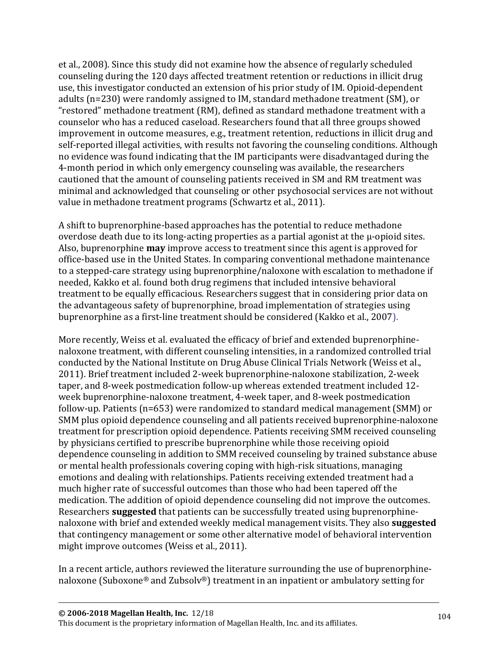et al., 2008). Since this study did not examine how the absence of regularly scheduled counseling during the 120 days affected treatment retention or reductions in illicit drug use, this investigator conducted an extension of his prior study of IM. Opioid-dependent adults (n=230) were randomly assigned to IM, standard methadone treatment (SM), or "restored" methadone treatment (RM), defined as standard methadone treatment with a counselor who has a reduced caseload. Researchers found that all three groups showed improvement in outcome measures, e.g., treatment retention, reductions in illicit drug and self-reported illegal activities, with results not favoring the counseling conditions. Although no evidence was found indicating that the IM participants were disadvantaged during the 4-month period in which only emergency counseling was available, the researchers cautioned that the amount of counseling patients received in SM and RM treatment was minimal and acknowledged that counseling or other psychosocial services are not without value in methadone treatment programs (Schwartz et al., 2011).

A shift to buprenorphine-based approaches has the potential to reduce methadone overdose death due to its long-acting properties as a partial agonist at the μ-opioid sites. Also, buprenorphine **may** improve access to treatment since this agent is approved for office-based use in the United States. In comparing conventional methadone maintenance to a stepped-care strategy using buprenorphine/naloxone with escalation to methadone if needed, Kakko et al. found both drug regimens that included intensive behavioral treatment to be equally efficacious. Researchers suggest that in considering prior data on the advantageous safety of buprenorphine, broad implementation of strategies using buprenorphine as a first-line treatment should be considered (Kakko et al., 2007).

More recently, Weiss et al. evaluated the efficacy of brief and extended buprenorphinenaloxone treatment, with different counseling intensities, in a randomized controlled trial conducted by the National Institute on Drug Abuse Clinical Trials Network (Weiss et al., 2011). Brief treatment included 2-week buprenorphine-naloxone stabilization, 2-week taper, and 8-week postmedication follow-up whereas extended treatment included 12 week buprenorphine-naloxone treatment, 4-week taper, and 8-week postmedication follow-up. Patients (n=653) were randomized to standard medical management (SMM) or SMM plus opioid dependence counseling and all patients received buprenorphine-naloxone treatment for prescription opioid dependence. Patients receiving SMM received counseling by physicians certified to prescribe buprenorphine while those receiving opioid dependence counseling in addition to SMM received counseling by trained substance abuse or mental health professionals covering coping with high-risk situations, managing emotions and dealing with relationships. Patients receiving extended treatment had a much higher rate of successful outcomes than those who had been tapered off the medication. The addition of opioid dependence counseling did not improve the outcomes. Researchers **suggested** that patients can be successfully treated using buprenorphinenaloxone with brief and extended weekly medical management visits. They also **suggested** that contingency management or some other alternative model of behavioral intervention might improve outcomes (Weiss et al., 2011).

In a recent article, authors reviewed the literature surrounding the use of buprenorphinenaloxone (Suboxone® and Zubsolv®) treatment in an inpatient or ambulatory setting for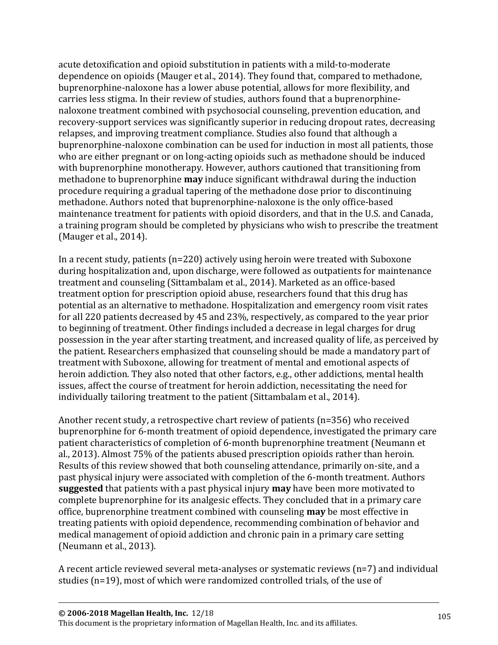acute detoxification and opioid substitution in patients with a mild-to-moderate dependence on opioids (Mauger et al., 2014). They found that, compared to methadone, buprenorphine-naloxone has a lower abuse potential, allows for more flexibility, and carries less stigma. In their review of studies, authors found that a buprenorphinenaloxone treatment combined with psychosocial counseling, prevention education, and recovery-support services was significantly superior in reducing dropout rates, decreasing relapses, and improving treatment compliance. Studies also found that although a buprenorphine-naloxone combination can be used for induction in most all patients, those who are either pregnant or on long-acting opioids such as methadone should be induced with buprenorphine monotherapy. However, authors cautioned that transitioning from methadone to buprenorphine **may** induce significant withdrawal during the induction procedure requiring a gradual tapering of the methadone dose prior to discontinuing methadone. Authors noted that buprenorphine-naloxone is the only office-based maintenance treatment for patients with opioid disorders, and that in the U.S. and Canada, a training program should be completed by physicians who wish to prescribe the treatment (Mauger et al., 2014).

In a recent study, patients (n=220) actively using heroin were treated with Suboxone during hospitalization and, upon discharge, were followed as outpatients for maintenance treatment and counseling (Sittambalam et al., 2014). Marketed as an office-based treatment option for prescription opioid abuse, researchers found that this drug has potential as an alternative to methadone. Hospitalization and emergency room visit rates for all 220 patients decreased by 45 and 23%, respectively, as compared to the year prior to beginning of treatment. Other findings included a decrease in legal charges for drug possession in the year after starting treatment, and increased quality of life, as perceived by the patient. Researchers emphasized that counseling should be made a mandatory part of treatment with Suboxone, allowing for treatment of mental and emotional aspects of heroin addiction. They also noted that other factors, e.g., other addictions, mental health issues, affect the course of treatment for heroin addiction, necessitating the need for individually tailoring treatment to the patient (Sittambalam et al., 2014).

Another recent study, a retrospective chart review of patients (n=356) who received buprenorphine for 6-month treatment of opioid dependence, investigated the primary care patient characteristics of completion of 6-month buprenorphine treatment (Neumann et al., 2013). Almost 75% of the patients abused prescription opioids rather than heroin. Results of this review showed that both counseling attendance, primarily on-site, and a past physical injury were associated with completion of the 6-month treatment. Authors **suggested** that patients with a past physical injury **may** have been more motivated to complete buprenorphine for its analgesic effects. They concluded that in a primary care office, buprenorphine treatment combined with counseling **may** be most effective in treating patients with opioid dependence, recommending combination of behavior and medical management of opioid addiction and chronic pain in a primary care setting (Neumann et al., 2013).

A recent article reviewed several meta-analyses or systematic reviews (n=7) and individual studies (n=19), most of which were randomized controlled trials, of the use of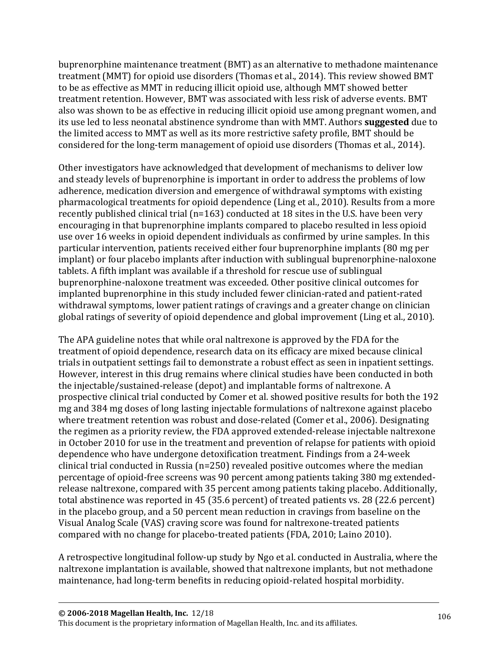buprenorphine maintenance treatment (BMT) as an alternative to methadone maintenance treatment (MMT) for opioid use disorders (Thomas et al., 2014). This review showed BMT to be as effective as MMT in reducing illicit opioid use, although MMT showed better treatment retention. However, BMT was associated with less risk of adverse events. BMT also was shown to be as effective in reducing illicit opioid use among pregnant women, and its use led to less neonatal abstinence syndrome than with MMT. Authors **suggested** due to the limited access to MMT as well as its more restrictive safety profile, BMT should be considered for the long-term management of opioid use disorders (Thomas et al., 2014).

Other investigators have acknowledged that development of mechanisms to deliver low and steady levels of buprenorphine is important in order to address the problems of low adherence, medication diversion and emergence of withdrawal symptoms with existing pharmacological treatments for opioid dependence (Ling et al., 2010). Results from a more recently published clinical trial (n=163) conducted at 18 sites in the U.S. have been very encouraging in that buprenorphine implants compared to placebo resulted in less opioid use over 16 weeks in opioid dependent individuals as confirmed by urine samples. In this particular intervention, patients received either four buprenorphine implants (80 mg per implant) or four placebo implants after induction with sublingual buprenorphine-naloxone tablets. A fifth implant was available if a threshold for rescue use of sublingual buprenorphine-naloxone treatment was exceeded. Other positive clinical outcomes for implanted buprenorphine in this study included fewer clinician-rated and patient-rated withdrawal symptoms, lower patient ratings of cravings and a greater change on clinician global ratings of severity of opioid dependence and global improvement (Ling et al., 2010).

The APA guideline notes that while oral naltrexone is approved by the FDA for the treatment of opioid dependence, research data on its efficacy are mixed because clinical trials in outpatient settings fail to demonstrate a robust effect as seen in inpatient settings. However, interest in this drug remains where clinical studies have been conducted in both the injectable/sustained-release (depot) and implantable forms of naltrexone. A prospective clinical trial conducted by Comer et al. showed positive results for both the 192 mg and 384 mg doses of long lasting injectable formulations of naltrexone against placebo where treatment retention was robust and dose-related (Comer et al., 2006). Designating the regimen as a priority review, the FDA approved extended-release injectable naltrexone in October 2010 for use in the treatment and prevention of relapse for patients with opioid dependence who have undergone detoxification treatment. Findings from a 24-week clinical trial conducted in Russia (n=250) revealed positive outcomes where the median percentage of opioid-free screens was 90 percent among patients taking 380 mg extendedrelease naltrexone, compared with 35 percent among patients taking placebo. Additionally, total abstinence was reported in 45 (35.6 percent) of treated patients vs. 28 (22.6 percent) in the placebo group, and a 50 percent mean reduction in cravings from baseline on the Visual Analog Scale (VAS) craving score was found for naltrexone-treated patients compared with no change for placebo-treated patients (FDA, 2010; Laino 2010).

A retrospective longitudinal follow-up study by Ngo et al. conducted in Australia, where the naltrexone implantation is available, showed that naltrexone implants, but not methadone maintenance, had long-term benefits in reducing opioid-related hospital morbidity.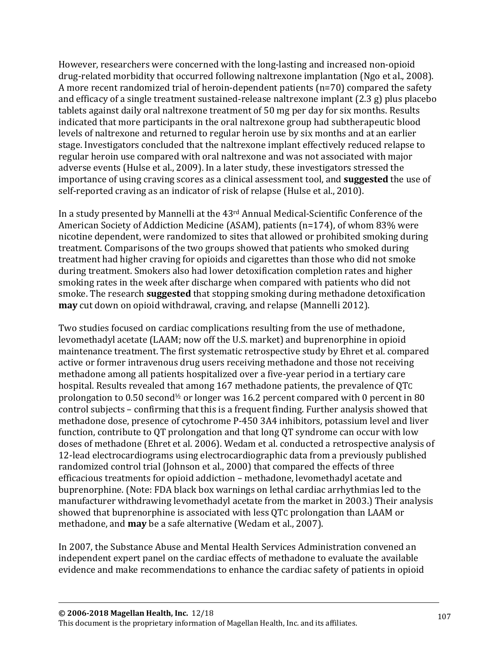However, researchers were concerned with the long-lasting and increased non-opioid drug-related morbidity that occurred following naltrexone implantation (Ngo et al., 2008). A more recent randomized trial of heroin-dependent patients (n=70) compared the safety and efficacy of a single treatment sustained-release naltrexone implant (2.3 g) plus placebo tablets against daily oral naltrexone treatment of 50 mg per day for six months. Results indicated that more participants in the oral naltrexone group had subtherapeutic blood levels of naltrexone and returned to regular heroin use by six months and at an earlier stage. Investigators concluded that the naltrexone implant effectively reduced relapse to regular heroin use compared with oral naltrexone and was not associated with major adverse events (Hulse et al., 2009). In a later study, these investigators stressed the importance of using craving scores as a clinical assessment tool, and **suggested** the use of self-reported craving as an indicator of risk of relapse (Hulse et al., 2010).

In a study presented by Mannelli at the 43rd Annual Medical-Scientific Conference of the American Society of Addiction Medicine (ASAM), patients (n=174), of whom 83% were nicotine dependent, were randomized to sites that allowed or prohibited smoking during treatment. Comparisons of the two groups showed that patients who smoked during treatment had higher craving for opioids and cigarettes than those who did not smoke during treatment. Smokers also had lower detoxification completion rates and higher smoking rates in the week after discharge when compared with patients who did not smoke. The research **suggested** that stopping smoking during methadone detoxification **may** cut down on opioid withdrawal, craving, and relapse (Mannelli 2012).

Two studies focused on cardiac complications resulting from the use of methadone, levomethadyl acetate (LAAM; now off the U.S. market) and buprenorphine in opioid maintenance treatment. The first systematic retrospective study by Ehret et al. compared active or former intravenous drug users receiving methadone and those not receiving methadone among all patients hospitalized over a five-year period in a tertiary care hospital. Results revealed that among 167 methadone patients, the prevalence of QTC prolongation to  $0.50$  second<sup> $1/2$ </sup> or longer was 16.2 percent compared with 0 percent in 80 control subjects – confirming that this is a frequent finding. Further analysis showed that methadone dose, presence of cytochrome P-450 3A4 inhibitors, potassium level and liver function, contribute to QT prolongation and that long QT syndrome can occur with low doses of methadone (Ehret et al. 2006). Wedam et al. conducted a retrospective analysis of 12-lead electrocardiograms using electrocardiographic data from a previously published randomized control trial (Johnson et al., 2000) that compared the effects of three efficacious treatments for opioid addiction – methadone, levomethadyl acetate and buprenorphine. (Note: FDA black box warnings on lethal cardiac arrhythmias led to the manufacturer withdrawing levomethadyl acetate from the market in 2003.) Their analysis showed that buprenorphine is associated with less QTC prolongation than LAAM or methadone, and **may** be a safe alternative (Wedam et al., 2007).

In 2007, the Substance Abuse and Mental Health Services Administration convened an independent expert panel on the cardiac effects of methadone to evaluate the available evidence and make recommendations to enhance the cardiac safety of patients in opioid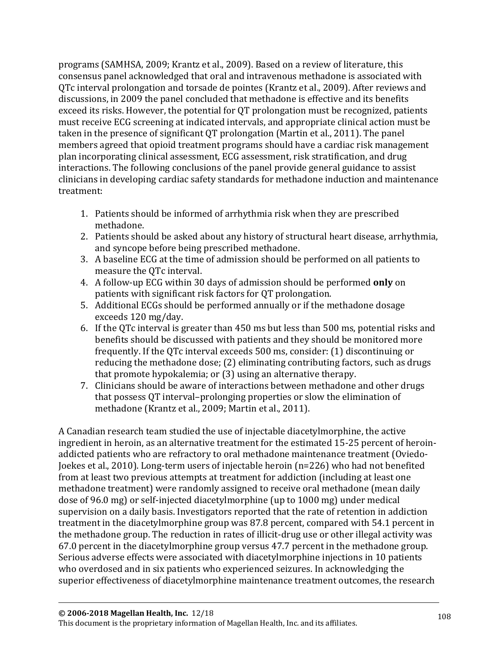programs (SAMHSA, 2009; Krantz et al., 2009). Based on a review of literature, this consensus panel acknowledged that oral and intravenous methadone is associated with QTc interval prolongation and torsade de pointes (Krantz et al., 2009). After reviews and discussions, in 2009 the panel concluded that methadone is effective and its benefits exceed its risks. However, the potential for QT prolongation must be recognized, patients must receive ECG screening at indicated intervals, and appropriate clinical action must be taken in the presence of significant QT prolongation (Martin et al., 2011). The panel members agreed that opioid treatment programs should have a cardiac risk management plan incorporating clinical assessment, ECG assessment, risk stratification, and drug interactions. The following conclusions of the panel provide general guidance to assist clinicians in developing cardiac safety standards for methadone induction and maintenance treatment:

- 1. Patients should be informed of arrhythmia risk when they are prescribed methadone.
- 2. Patients should be asked about any history of structural heart disease, arrhythmia, and syncope before being prescribed methadone.
- 3. A baseline ECG at the time of admission should be performed on all patients to measure the QTc interval.
- 4. A follow-up ECG within 30 days of admission should be performed **only** on patients with significant risk factors for QT prolongation.
- 5. Additional ECGs should be performed annually or if the methadone dosage exceeds 120 mg/day.
- 6. If the QTc interval is greater than 450 ms but less than 500 ms, potential risks and benefits should be discussed with patients and they should be monitored more frequently. If the QTc interval exceeds 500 ms, consider: (1) discontinuing or reducing the methadone dose; (2) eliminating contributing factors, such as drugs that promote hypokalemia; or (3) using an alternative therapy.
- 7. Clinicians should be aware of interactions between methadone and other drugs that possess QT interval–prolonging properties or slow the elimination of methadone (Krantz et al., 2009; Martin et al., 2011).

A Canadian research team studied the use of injectable diacetylmorphine, the active ingredient in heroin, as an alternative treatment for the estimated 15-25 percent of heroinaddicted patients who are refractory to oral methadone maintenance treatment (Oviedo-Joekes et al., 2010). Long-term users of injectable heroin (n=226) who had not benefited from at least two previous attempts at treatment for addiction (including at least one methadone treatment) were randomly assigned to receive oral methadone (mean daily dose of 96.0 mg) or self-injected diacetylmorphine (up to 1000 mg) under medical supervision on a daily basis. Investigators reported that the rate of retention in addiction treatment in the diacetylmorphine group was 87.8 percent, compared with 54.1 percent in the methadone group. The reduction in rates of illicit-drug use or other illegal activity was 67.0 percent in the diacetylmorphine group versus 47.7 percent in the methadone group. Serious adverse effects were associated with diacetylmorphine injections in 10 patients who overdosed and in six patients who experienced seizures. In acknowledging the superior effectiveness of diacetylmorphine maintenance treatment outcomes, the research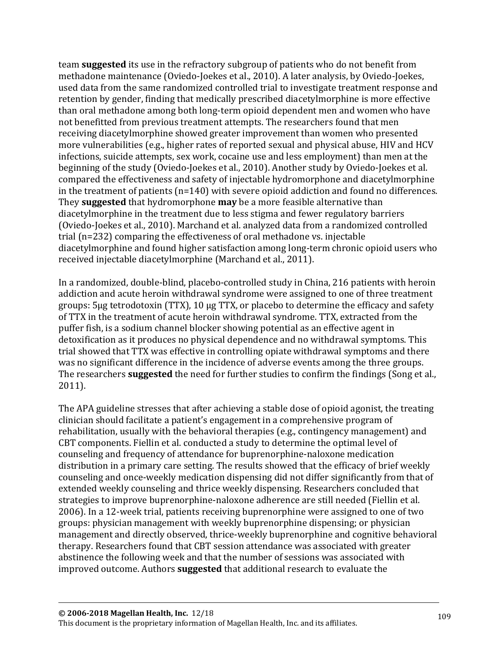team **suggested** its use in the refractory subgroup of patients who do not benefit from methadone maintenance (Oviedo-Joekes et al., 2010). A later analysis, by Oviedo-Joekes, used data from the same randomized controlled trial to investigate treatment response and retention by gender, finding that medically prescribed diacetylmorphine is more effective than oral methadone among both long-term opioid dependent men and women who have not benefitted from previous treatment attempts. The researchers found that men receiving diacetylmorphine showed greater improvement than women who presented more vulnerabilities (e.g., higher rates of reported sexual and physical abuse, HIV and HCV infections, suicide attempts, sex work, cocaine use and less employment) than men at the beginning of the study (Oviedo-Joekes et al., 2010). Another study by Oviedo-Joekes et al. compared the effectiveness and safety of injectable hydromorphone and diacetylmorphine in the treatment of patients (n=140) with severe opioid addiction and found no differences. They **suggested** that hydromorphone **may** be a more feasible alternative than diacetylmorphine in the treatment due to less stigma and fewer regulatory barriers (Oviedo-Joekes et al., 2010). Marchand et al. analyzed data from a randomized controlled trial (n=232) comparing the effectiveness of oral methadone vs. injectable diacetylmorphine and found higher satisfaction among long-term chronic opioid users who received injectable diacetylmorphine (Marchand et al., 2011).

In a randomized, double-blind, placebo-controlled study in China, 216 patients with heroin addiction and acute heroin withdrawal syndrome were assigned to one of three treatment groups: 5µg tetrodotoxin (TTX), 10 µg TTX, or placebo to determine the efficacy and safety of TTX in the treatment of acute heroin withdrawal syndrome. TTX, extracted from the puffer fish, is a sodium channel blocker showing potential as an effective agent in detoxification as it produces no physical dependence and no withdrawal symptoms. This trial showed that TTX was effective in controlling opiate withdrawal symptoms and there was no significant difference in the incidence of adverse events among the three groups. The researchers **suggested** the need for further studies to confirm the findings (Song et al., 2011).

The APA guideline stresses that after achieving a stable dose of opioid agonist, the treating clinician should facilitate a patient's engagement in a comprehensive program of rehabilitation, usually with the behavioral therapies (e.g., contingency management) and CBT components. Fiellin et al. conducted a study to determine the optimal level of counseling and frequency of attendance for buprenorphine-naloxone medication distribution in a primary care setting. The results showed that the efficacy of brief weekly counseling and once-weekly medication dispensing did not differ significantly from that of extended weekly counseling and thrice weekly dispensing. Researchers concluded that strategies to improve buprenorphine-naloxone adherence are still needed (Fiellin et al. 2006). In a 12-week trial, patients receiving buprenorphine were assigned to one of two groups: physician management with weekly buprenorphine dispensing; or physician management and directly observed, thrice-weekly buprenorphine and cognitive behavioral therapy. Researchers found that CBT session attendance was associated with greater abstinence the following week and that the number of sessions was associated with improved outcome. Authors **suggested** that additional research to evaluate the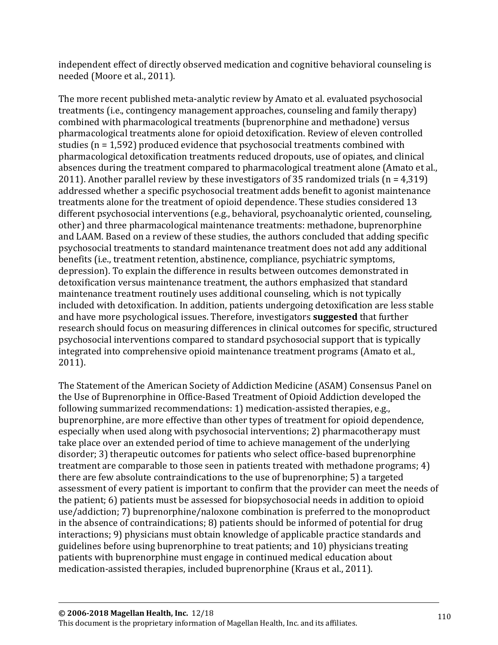independent effect of directly observed medication and cognitive behavioral counseling is needed (Moore et al., 2011).

The more recent published meta-analytic review by Amato et al. evaluated psychosocial treatments (i.e., contingency management approaches, counseling and family therapy) combined with pharmacological treatments (buprenorphine and methadone) versus pharmacological treatments alone for opioid detoxification. Review of eleven controlled studies (n = 1,592) produced evidence that psychosocial treatments combined with pharmacological detoxification treatments reduced dropouts, use of opiates, and clinical absences during the treatment compared to pharmacological treatment alone (Amato et al., 2011). Another parallel review by these investigators of 35 randomized trials (n = 4,319) addressed whether a specific psychosocial treatment adds benefit to agonist maintenance treatments alone for the treatment of opioid dependence. These studies considered 13 different psychosocial interventions (e.g., behavioral, psychoanalytic oriented, counseling, other) and three pharmacological maintenance treatments: methadone, buprenorphine and LAAM. Based on a review of these studies, the authors concluded that adding specific psychosocial treatments to standard maintenance treatment does not add any additional benefits (i.e., treatment retention, abstinence, compliance, psychiatric symptoms, depression). To explain the difference in results between outcomes demonstrated in detoxification versus maintenance treatment, the authors emphasized that standard maintenance treatment routinely uses additional counseling, which is not typically included with detoxification. In addition, patients undergoing detoxification are less stable and have more psychological issues. Therefore, investigators **suggested** that further research should focus on measuring differences in clinical outcomes for specific, structured psychosocial interventions compared to standard psychosocial support that is typically integrated into comprehensive opioid maintenance treatment programs (Amato et al., 2011).

The Statement of the American Society of Addiction Medicine (ASAM) Consensus Panel on the Use of Buprenorphine in Office-Based Treatment of Opioid Addiction developed the following summarized recommendations: 1) medication-assisted therapies, e.g., buprenorphine, are more effective than other types of treatment for opioid dependence, especially when used along with psychosocial interventions; 2) pharmacotherapy must take place over an extended period of time to achieve management of the underlying disorder; 3) therapeutic outcomes for patients who select office-based buprenorphine treatment are comparable to those seen in patients treated with methadone programs; 4) there are few absolute contraindications to the use of buprenorphine; 5) a targeted assessment of every patient is important to confirm that the provider can meet the needs of the patient; 6) patients must be assessed for biopsychosocial needs in addition to opioid use/addiction; 7) buprenorphine/naloxone combination is preferred to the monoproduct in the absence of contraindications; 8) patients should be informed of potential for drug interactions; 9) physicians must obtain knowledge of applicable practice standards and guidelines before using buprenorphine to treat patients; and 10) physicians treating patients with buprenorphine must engage in continued medical education about medication-assisted therapies, included buprenorphine (Kraus et al., 2011).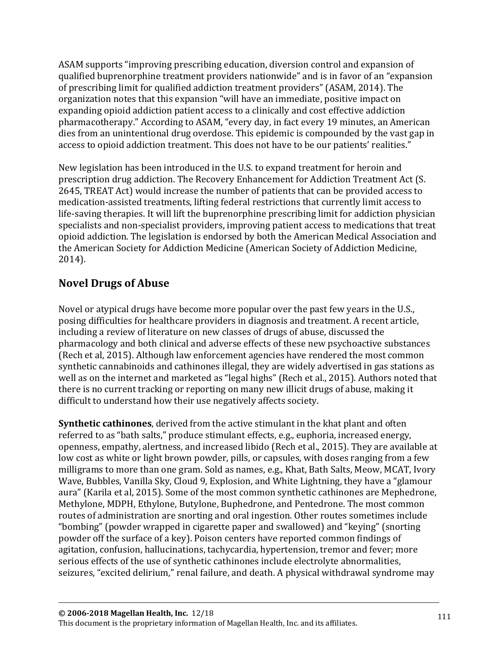ASAM supports "improving prescribing education, diversion control and expansion of qualified buprenorphine treatment providers nationwide" and is in favor of an "expansion of prescribing limit for qualified addiction treatment providers" (ASAM, 2014). The organization notes that this expansion "will have an immediate, positive impact on expanding opioid addiction patient access to a clinically and cost effective addiction pharmacotherapy." According to ASAM, "every day, in fact every 19 minutes, an American dies from an unintentional drug overdose. This epidemic is compounded by the vast gap in access to opioid addiction treatment. This does not have to be our patients' realities."

New legislation has been introduced in the U.S. to expand treatment for heroin and prescription drug addiction. The Recovery Enhancement for Addiction Treatment Act (S. 2645, TREAT Act) would increase the number of patients that can be provided access to medication-assisted treatments, lifting federal restrictions that currently limit access to life-saving therapies. It will lift the buprenorphine prescribing limit for addiction physician specialists and non-specialist providers, improving patient access to medications that treat opioid addiction. The legislation is endorsed by both the American Medical Association and the American Society for Addiction Medicine (American Society of Addiction Medicine, 2014).

# **Novel Drugs of Abuse**

Novel or atypical drugs have become more popular over the past few years in the U.S., posing difficulties for healthcare providers in diagnosis and treatment. A recent article, including a review of literature on new classes of drugs of abuse, discussed the pharmacology and both clinical and adverse effects of these new psychoactive substances (Rech et al, 2015). Although law enforcement agencies have rendered the most common synthetic cannabinoids and cathinones illegal, they are widely advertised in gas stations as well as on the internet and marketed as "legal highs" (Rech et al., 2015). Authors noted that there is no current tracking or reporting on many new illicit drugs of abuse, making it difficult to understand how their use negatively affects society.

**Synthetic cathinones**, derived from the active stimulant in the khat plant and often referred to as "bath salts," produce stimulant effects, e.g., euphoria, increased energy, openness, empathy, alertness, and increased libido (Rech et al., 2015). They are available at low cost as white or light brown powder, pills, or capsules, with doses ranging from a few milligrams to more than one gram. Sold as names, e.g., Khat, Bath Salts, Meow, MCAT, Ivory Wave, Bubbles, Vanilla Sky, Cloud 9, Explosion, and White Lightning, they have a "glamour aura" (Karila et al, 2015). Some of the most common synthetic cathinones are Mephedrone, Methylone, MDPH, Ethylone, Butylone, Buphedrone, and Pentedrone. The most common routes of administration are snorting and oral ingestion. Other routes sometimes include "bombing" (powder wrapped in cigarette paper and swallowed) and "keying" (snorting powder off the surface of a key). Poison centers have reported common findings of agitation, confusion, hallucinations, tachycardia, hypertension, tremor and fever; more serious effects of the use of synthetic cathinones include electrolyte abnormalities, seizures, "excited delirium," renal failure, and death. A physical withdrawal syndrome may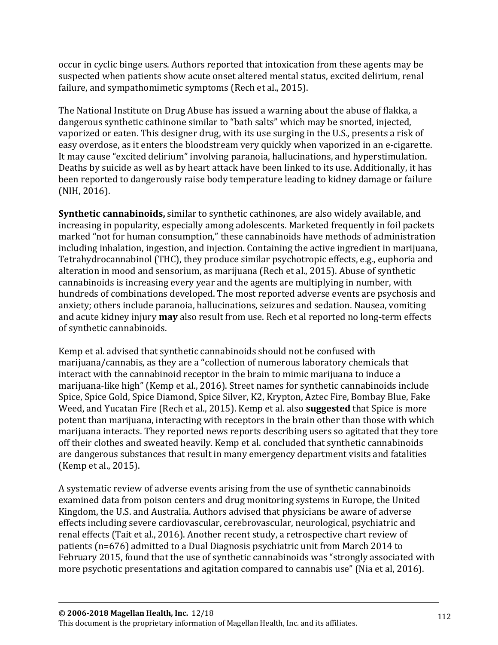occur in cyclic binge users. Authors reported that intoxication from these agents may be suspected when patients show acute onset altered mental status, excited delirium, renal failure, and sympathomimetic symptoms (Rech et al., 2015).

The National Institute on Drug Abuse has issued a warning about the abuse of flakka, a dangerous synthetic cathinone similar to "bath salts" which may be snorted, injected, vaporized or eaten. This designer drug, with its use surging in the U.S., presents a risk of easy overdose, as it enters the bloodstream very quickly when vaporized in an e-cigarette. It may cause "excited delirium" involving paranoia, hallucinations, and hyperstimulation. Deaths by suicide as well as by heart attack have been linked to its use. Additionally, it has been reported to dangerously raise body temperature leading to kidney damage or failure (NIH, 2016).

**Synthetic cannabinoids,** similar to synthetic cathinones, are also widely available, and increasing in popularity, especially among adolescents. Marketed frequently in foil packets marked "not for human consumption," these cannabinoids have methods of administration including inhalation, ingestion, and injection. Containing the active ingredient in marijuana, Tetrahydrocannabinol (THC), they produce similar psychotropic effects, e.g., euphoria and alteration in mood and sensorium, as marijuana (Rech et al., 2015). Abuse of synthetic cannabinoids is increasing every year and the agents are multiplying in number, with hundreds of combinations developed. The most reported adverse events are psychosis and anxiety; others include paranoia, hallucinations, seizures and sedation. Nausea, vomiting and acute kidney injury **may** also result from use. Rech et al reported no long-term effects of synthetic cannabinoids.

Kemp et al. advised that synthetic cannabinoids should not be confused with marijuana/cannabis, as they are a "collection of numerous laboratory chemicals that interact with the cannabinoid receptor in the brain to mimic marijuana to induce a marijuana-like high" (Kemp et al., 2016). Street names for synthetic cannabinoids include Spice, Spice Gold, Spice Diamond, Spice Silver, K2, Krypton, Aztec Fire, Bombay Blue, Fake Weed, and Yucatan Fire (Rech et al., 2015). Kemp et al. also **suggested** that Spice is more potent than marijuana, interacting with receptors in the brain other than those with which marijuana interacts. They reported news reports describing users so agitated that they tore off their clothes and sweated heavily. Kemp et al. concluded that synthetic cannabinoids are dangerous substances that result in many emergency department visits and fatalities (Kemp et al., 2015).

A systematic review of adverse events arising from the use of synthetic cannabinoids examined data from poison centers and drug monitoring systems in Europe, the United Kingdom, the U.S. and Australia. Authors advised that physicians be aware of adverse effects including severe cardiovascular, cerebrovascular, neurological, psychiatric and renal effects (Tait et al., 2016). Another recent study, a retrospective chart review of patients (n=676) admitted to a Dual Diagnosis psychiatric unit from March 2014 to February 2015, found that the use of synthetic cannabinoids was "strongly associated with more psychotic presentations and agitation compared to cannabis use" (Nia et al, 2016).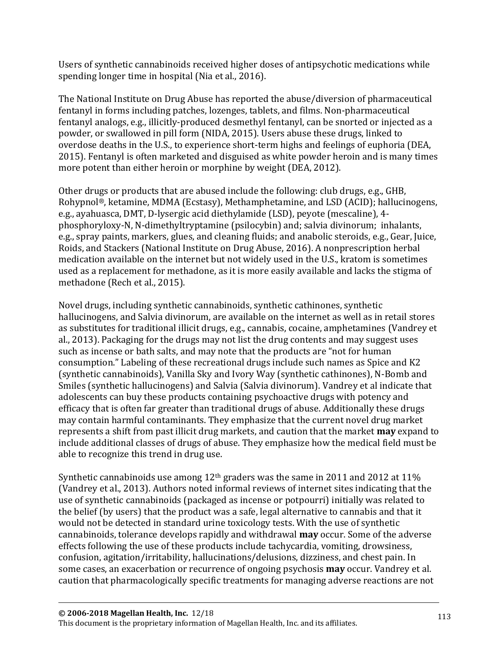Users of synthetic cannabinoids received higher doses of antipsychotic medications while spending longer time in hospital (Nia et al., 2016).

The National Institute on Drug Abuse has reported the abuse/diversion of pharmaceutical fentanyl in forms including patches, lozenges, tablets, and films. Non-pharmaceutical fentanyl analogs, e.g., illicitly-produced desmethyl fentanyl, can be snorted or injected as a powder, or swallowed in pill form (NIDA, 2015). Users abuse these drugs, linked to overdose deaths in the U.S., to experience short-term highs and feelings of euphoria (DEA, 2015). Fentanyl is often marketed and disguised as white powder heroin and is many times more potent than either heroin or morphine by weight (DEA, 2012).

Other drugs or products that are abused include the following: club drugs, e.g., GHB, Rohypnol®, ketamine, MDMA (Ecstasy), Methamphetamine, and LSD (ACID); hallucinogens, e.g., ayahuasca, DMT, D-lysergic acid diethylamide (LSD), peyote (mescaline), 4 phosphoryloxy-N, N-dimethyltryptamine (psilocybin) and; salvia divinorum; inhalants, e.g., spray paints, markers, glues, and cleaning fluids; and anabolic steroids, e.g., Gear, Juice, Roids, and Stackers (National Institute on Drug Abuse, 2016). A nonprescription herbal medication available on the internet but not widely used in the U.S., kratom is sometimes used as a replacement for methadone, as it is more easily available and lacks the stigma of methadone (Rech et al., 2015).

Novel drugs, including synthetic cannabinoids, synthetic cathinones, synthetic hallucinogens, and Salvia divinorum, are available on the internet as well as in retail stores as substitutes for traditional illicit drugs, e.g., cannabis, cocaine, amphetamines (Vandrey et al., 2013). Packaging for the drugs may not list the drug contents and may suggest uses such as incense or bath salts, and may note that the products are "not for human consumption." Labeling of these recreational drugs include such names as Spice and K2 (synthetic cannabinoids), Vanilla Sky and Ivory Way (synthetic cathinones), N-Bomb and Smiles (synthetic hallucinogens) and Salvia (Salvia divinorum). Vandrey et al indicate that adolescents can buy these products containing psychoactive drugs with potency and efficacy that is often far greater than traditional drugs of abuse. Additionally these drugs may contain harmful contaminants. They emphasize that the current novel drug market represents a shift from past illicit drug markets, and caution that the market **may** expand to include additional classes of drugs of abuse. They emphasize how the medical field must be able to recognize this trend in drug use.

Synthetic cannabinoids use among  $12<sup>th</sup>$  graders was the same in 2011 and 2012 at 11% (Vandrey et al., 2013). Authors noted informal reviews of internet sites indicating that the use of synthetic cannabinoids (packaged as incense or potpourri) initially was related to the belief (by users) that the product was a safe, legal alternative to cannabis and that it would not be detected in standard urine toxicology tests. With the use of synthetic cannabinoids, tolerance develops rapidly and withdrawal **may** occur. Some of the adverse effects following the use of these products include tachycardia, vomiting, drowsiness, confusion, agitation/irritability, hallucinations/delusions, dizziness, and chest pain. In some cases, an exacerbation or recurrence of ongoing psychosis **may** occur. Vandrey et al. caution that pharmacologically specific treatments for managing adverse reactions are not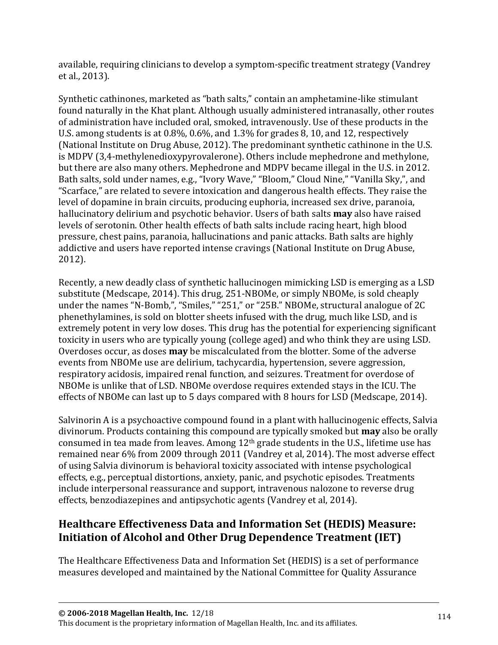available, requiring clinicians to develop a symptom-specific treatment strategy (Vandrey et al., 2013).

Synthetic cathinones, marketed as "bath salts," contain an amphetamine-like stimulant found naturally in the Khat plant. Although usually administered intranasally, other routes of administration have included oral, smoked, intravenously. Use of these products in the U.S. among students is at 0.8%, 0.6%, and 1.3% for grades 8, 10, and 12, respectively (National Institute on Drug Abuse, 2012). The predominant synthetic cathinone in the U.S. is MDPV (3,4-methylenedioxypyrovalerone). Others include mephedrone and methylone, but there are also many others. Mephedrone and MDPV became illegal in the U.S. in 2012. Bath salts, sold under names, e.g., "Ivory Wave," "Bloom," Cloud Nine," "Vanilla Sky,", and "Scarface," are related to severe intoxication and dangerous health effects. They raise the level of dopamine in brain circuits, producing euphoria, increased sex drive, paranoia, hallucinatory delirium and psychotic behavior. Users of bath salts **may** also have raised levels of serotonin. Other health effects of bath salts include racing heart, high blood pressure, chest pains, paranoia, hallucinations and panic attacks. Bath salts are highly addictive and users have reported intense cravings (National Institute on Drug Abuse, 2012).

Recently, a new deadly class of synthetic hallucinogen mimicking LSD is emerging as a LSD substitute (Medscape, 2014). This drug, 251-NBOMe, or simply NBOMe, is sold cheaply under the names "N-Bomb,", "Smiles," "251," or "25B." NBOMe, structural analogue of 2C phenethylamines, is sold on blotter sheets infused with the drug, much like LSD, and is extremely potent in very low doses. This drug has the potential for experiencing significant toxicity in users who are typically young (college aged) and who think they are using LSD. Overdoses occur, as doses **may** be miscalculated from the blotter. Some of the adverse events from NBOMe use are delirium, tachycardia, hypertension, severe aggression, respiratory acidosis, impaired renal function, and seizures. Treatment for overdose of NBOMe is unlike that of LSD. NBOMe overdose requires extended stays in the ICU. The effects of NBOMe can last up to 5 days compared with 8 hours for LSD (Medscape, 2014).

Salvinorin A is a psychoactive compound found in a plant with hallucinogenic effects, Salvia divinorum. Products containing this compound are typically smoked but **may** also be orally consumed in tea made from leaves. Among 12th grade students in the U.S., lifetime use has remained near 6% from 2009 through 2011 (Vandrey et al, 2014). The most adverse effect of using Salvia divinorum is behavioral toxicity associated with intense psychological effects, e.g., perceptual distortions, anxiety, panic, and psychotic episodes. Treatments include interpersonal reassurance and support, intravenous nalozone to reverse drug effects, benzodiazepines and antipsychotic agents (Vandrey et al, 2014).

# **Healthcare Effectiveness Data and Information Set (HEDIS) Measure: Initiation of Alcohol and Other Drug Dependence Treatment (IET)**

The Healthcare Effectiveness Data and Information Set (HEDIS) is a set of performance measures developed and maintained by the National Committee for Quality Assurance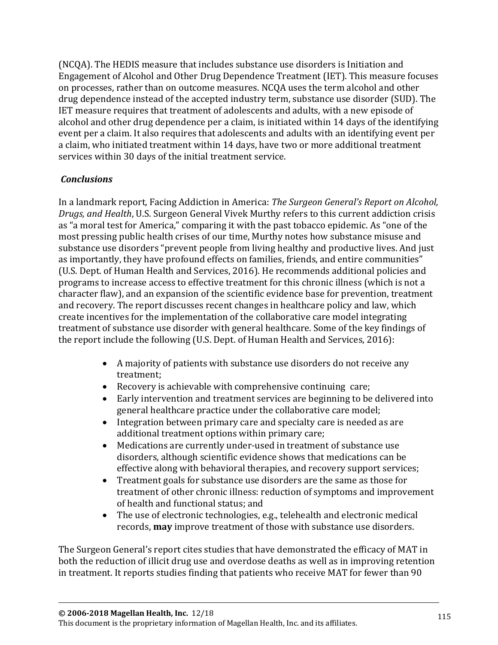(NCQA). The HEDIS measure that includes substance use disorders is Initiation and Engagement of Alcohol and Other Drug Dependence Treatment (IET). This measure focuses on processes, rather than on outcome measures. NCQA uses the term alcohol and other drug dependence instead of the accepted industry term, substance use disorder (SUD). The IET measure requires that treatment of adolescents and adults, with a new episode of alcohol and other drug dependence per a claim, is initiated within 14 days of the identifying event per a claim. It also requires that adolescents and adults with an identifying event per a claim, who initiated treatment within 14 days, have two or more additional treatment services within 30 days of the initial treatment service.

#### *Conclusions*

In a landmark report, Facing Addiction in America: *The Surgeon General's Report on Alcohol, Drugs, and Health*, U.S. Surgeon General Vivek Murthy refers to this current addiction crisis as "a moral test for America," comparing it with the past tobacco epidemic. As "one of the most pressing public health crises of our time, Murthy notes how substance misuse and substance use disorders "prevent people from living healthy and productive lives. And just as importantly, they have profound effects on families, friends, and entire communities" (U.S. Dept. of Human Health and Services, 2016). He recommends additional policies and programs to increase access to effective treatment for this chronic illness (which is not a character flaw), and an expansion of the scientific evidence base for prevention, treatment and recovery. The report discusses recent changes in healthcare policy and law, which create incentives for the implementation of the collaborative care model integrating treatment of substance use disorder with general healthcare. Some of the key findings of the report include the following (U.S. Dept. of Human Health and Services, 2016):

- A majority of patients with substance use disorders do not receive any treatment;
- Recovery is achievable with comprehensive continuing care;
- Early intervention and treatment services are beginning to be delivered into general healthcare practice under the collaborative care model;
- Integration between primary care and specialty care is needed as are additional treatment options within primary care;
- Medications are currently under-used in treatment of substance use disorders, although scientific evidence shows that medications can be effective along with behavioral therapies, and recovery support services;
- Treatment goals for substance use disorders are the same as those for treatment of other chronic illness: reduction of symptoms and improvement of health and functional status; and
- The use of electronic technologies, e.g., telehealth and electronic medical records, **may** improve treatment of those with substance use disorders.

The Surgeon General's report cites studies that have demonstrated the efficacy of MAT in both the reduction of illicit drug use and overdose deaths as well as in improving retention in treatment. It reports studies finding that patients who receive MAT for fewer than 90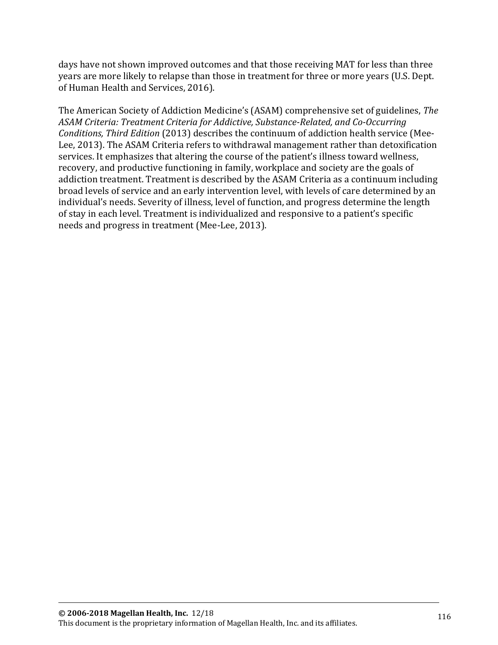days have not shown improved outcomes and that those receiving MAT for less than three years are more likely to relapse than those in treatment for three or more years (U.S. Dept. of Human Health and Services, 2016).

The American Society of Addiction Medicine's (ASAM) comprehensive set of guidelines, *The ASAM Criteria: Treatment Criteria for Addictive, Substance-Related, and Co-Occurring Conditions, Third Edition* (2013) describes the continuum of addiction health service (Mee-Lee, 2013). The ASAM Criteria refers to withdrawal management rather than detoxification services. It emphasizes that altering the course of the patient's illness toward wellness, recovery, and productive functioning in family, workplace and society are the goals of addiction treatment. Treatment is described by the ASAM Criteria as a continuum including broad levels of service and an early intervention level, with levels of care determined by an individual's needs. Severity of illness, level of function, and progress determine the length of stay in each level. Treatment is individualized and responsive to a patient's specific needs and progress in treatment (Mee-Lee, 2013).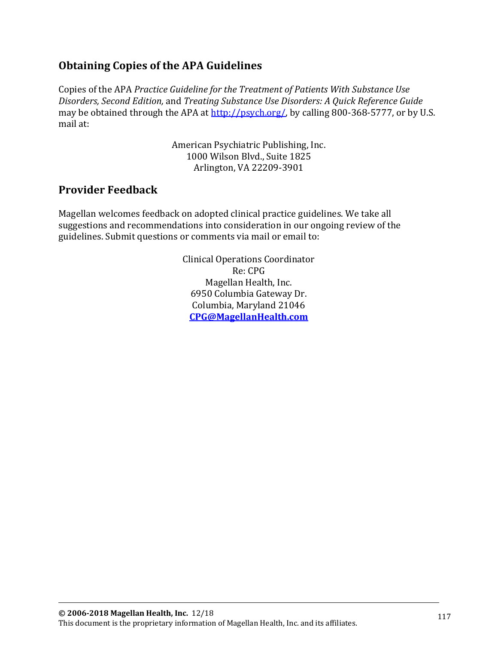# **Obtaining Copies of the APA Guidelines**

Copies of the APA *Practice Guideline for the Treatment of Patients With Substance Use Disorders, Second Edition,* and *Treating Substance Use Disorders: A Quick Reference Guide* may be obtained through the APA at http://psych.org/, by calling 800-368-5777, or by U.S. mail at:

> American Psychiatric Publishing, Inc. 1000 Wilson Blvd., Suite 1825 Arlington, VA 22209-3901

### **Provider Feedback**

Magellan welcomes feedback on adopted clinical practice guidelines. We take all suggestions and recommendations into consideration in our ongoing review of the guidelines. Submit questions or comments via mail or email to:

> Clinical Operations Coordinator Re: CPG Magellan Health, Inc. 6950 Columbia Gateway Dr. Columbia, Maryland 21046 **CPG@MagellanHealth.com**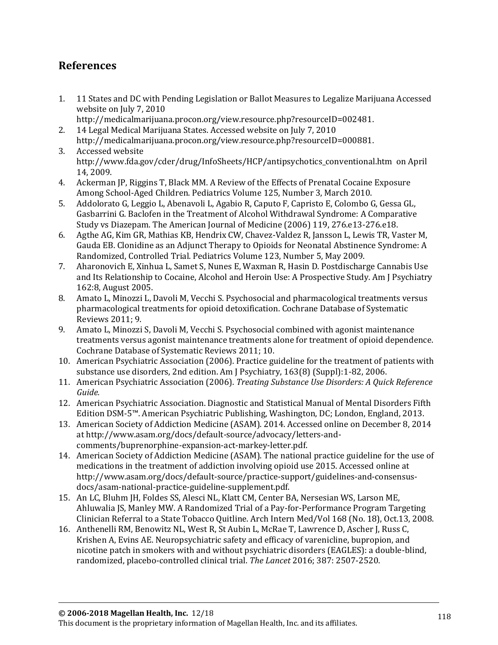# **References**

- 1. 11 States and DC with Pending Legislation or Ballot Measures to Legalize Marijuana Accessed website on July 7, 2010
- http://medicalmarijuana.procon.org/view.resource.php?resourceID=002481. 2. 14 Legal Medical Marijuana States. Accessed website on July 7, 2010
- [http://medicalmarijuana.procon.org/view.resource.php?resourceID=000881.](http://medicalmarijuana.procon.org/view.resource.php?resourceID=000881) 3. Accessed website

[http://www.fda.gov/cder/drug/InfoSheets/HCP/antipsychotics\\_conventional.htm on April](http://www.fda.gov/cder/drug/InfoSheets/HCP/antipsychotics_conventional.htm%20%20on%20April%2014)  [14,](http://www.fda.gov/cder/drug/InfoSheets/HCP/antipsychotics_conventional.htm%20%20on%20April%2014) 2009.

- 4. Ackerman JP, Riggins T, Black MM. A Review of the Effects of Prenatal Cocaine Exposure Among School-Aged Children. Pediatrics Volume 125, Number 3, March 2010.
- 5. Addolorato G, Leggio L, Abenavoli L, Agabio R, Caputo F, Capristo E, Colombo G, Gessa GL, Gasbarrini G. Baclofen in the Treatment of Alcohol Withdrawal Syndrome: A Comparative Study vs Diazepam. The American Journal of Medicine (2006) 119, 276.e13-276.e18.
- 6. Agthe AG, Kim GR, Mathias KB, Hendrix CW, Chavez-Valdez R, Jansson L, Lewis TR, Vaster M, Gauda EB. Clonidine as an Adjunct Therapy to Opioids for Neonatal Abstinence Syndrome: A Randomized, Controlled Trial. Pediatrics Volume 123, Number 5, May 2009.
- 7. Aharonovich E, Xinhua L, Samet S, Nunes E, Waxman R, Hasin D. Postdischarge Cannabis Use and Its Relationship to Cocaine, Alcohol and Heroin Use: A Prospective Study. Am J Psychiatry 162:8, August 2005.
- 8. Amato L, Minozzi L, Davoli M, Vecchi S. Psychosocial and pharmacological treatments versus pharmacological treatments for opioid detoxification. Cochrane Database of Systematic Reviews 2011; 9.
- 9. Amato L, Minozzi S, Davoli M, Vecchi S. Psychosocial combined with agonist maintenance treatments versus agonist maintenance treatments alone for treatment of opioid dependence. Cochrane Database of Systematic Reviews 2011; 10.
- 10. American Psychiatric Association (2006). Practice guideline for the treatment of patients with substance use disorders, 2nd edition. Am J Psychiatry, 163(8) (Suppl):1-82, 2006.
- 11. American Psychiatric Association (2006). *Treating Substance Use Disorders: A Quick Reference Guide.*
- 12. American Psychiatric Association. Diagnostic and Statistical Manual of Mental Disorders Fifth Edition DSM-5™. American Psychiatric Publishing, Washington, DC; London, England, 2013.
- 13. American Society of Addiction Medicine (ASAM). 2014. Accessed online on December 8, 2014 at [http://www.asam.org/docs/default-source/advocacy/letters-and](http://www.asam.org/docs/default-source/advocacy/letters-and-comments/buprenorphine-expansion-act-markey-letter.pdf)[comments/buprenorphine-expansion-act-markey-letter.pdf.](http://www.asam.org/docs/default-source/advocacy/letters-and-comments/buprenorphine-expansion-act-markey-letter.pdf)
- 14. American Society of Addiction Medicine (ASAM). The national practice guideline for the use of medications in the treatment of addiction involving opioid use 2015. Accessed online at [http://www.asam.org/docs/default-source/practice-support/guidelines-and-consensus](http://www.asam.org/docs/default-source/practice-support/guidelines-and-consensus-docs/asam-national-practice-guideline-supplement.pdf)[docs/asam-national-practice-guideline-supplement.pdf.](http://www.asam.org/docs/default-source/practice-support/guidelines-and-consensus-docs/asam-national-practice-guideline-supplement.pdf)
- 15. An LC, Bluhm JH, Foldes SS, Alesci NL, Klatt CM, Center BA, Nersesian WS, Larson ME, Ahluwalia JS, Manley MW. A Randomized Trial of a Pay-for-Performance Program Targeting Clinician Referral to a State Tobacco Quitline. Arch Intern Med/Vol 168 (No. 18), Oct.13, 2008.
- 16. Anthenelli RM, Benowitz NL, West R, St Aubin L, McRae T, Lawrence D, Ascher J, Russ C, Krishen A, Evins AE. Neuropsychiatric safety and efficacy of varenicline, bupropion, and nicotine patch in smokers with and without psychiatric disorders (EAGLES): a double-blind, randomized, placebo-controlled clinical trial. *The Lancet* 2016; 387: 2507-2520.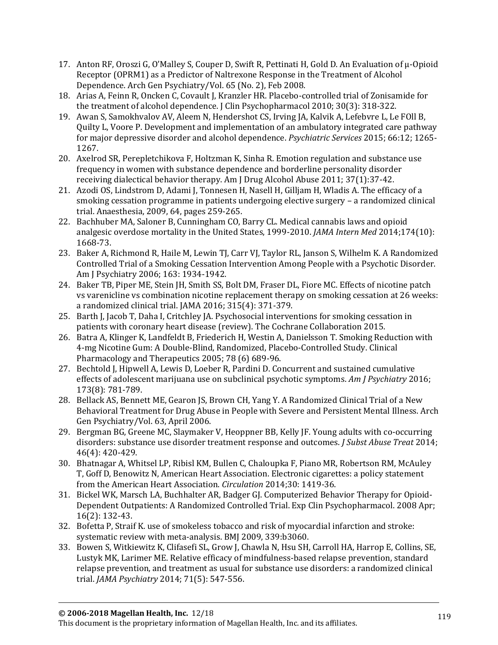- 17. Anton RF, Oroszi G, O'Malley S, Couper D, Swift R, Pettinati H, Gold D. An Evaluation of μ-Opioid Receptor (OPRM1) as a Predictor of Naltrexone Response in the Treatment of Alcohol Dependence. Arch Gen Psychiatry/Vol. 65 (No. 2), Feb 2008.
- 18. Arias A, Feinn R, Oncken C, Covault J, Kranzler HR. Placebo-controlled trial of Zonisamide for the treatment of alcohol dependence. J Clin Psychopharmacol 2010; 30(3): 318-322.
- 19. Awan S, Samokhvalov AV, Aleem N, Hendershot CS, Irving JA, Kalvik A, Lefebvre L, Le FOll B, Quilty L, Voore P. Development and implementation of an ambulatory integrated care pathway for major depressive disorder and alcohol dependence. *Psychiatric Services* 2015; 66:12; 1265- 1267.
- 20. Axelrod SR, Perepletchikova F, Holtzman K, Sinha R. Emotion regulation and substance use frequency in women with substance dependence and borderline personality disorder receiving dialectical behavior therapy. Am J Drug Alcohol Abuse 2011; 37(1):37-42.
- 21. Azodi OS, Lindstrom D, Adami J, Tonnesen H, Nasell H, Gilljam H, Wladis A. The efficacy of a smoking cessation programme in patients undergoing elective surgery – a randomized clinical trial. Anaesthesia, 2009, 64, pages 259-265.
- 22. Bachhuber MA, Saloner B, Cunningham CO, Barry CL. Medical cannabis laws and opioid analgesic overdose mortality in the United States, 1999-2010. *JAMA Intern Med* 2014;174(10): 1668-73.
- 23. Baker A, Richmond R, Haile M, Lewin TJ, Carr VJ, Taylor RL, Janson S, Wilhelm K. A Randomized Controlled Trial of a Smoking Cessation Intervention Among People with a Psychotic Disorder. Am J Psychiatry 2006; 163: 1934-1942.
- 24. Baker TB, Piper ME, Stein JH, Smith SS, Bolt DM, Fraser DL, Fiore MC. Effects of nicotine patch vs varenicline vs combination nicotine replacement therapy on smoking cessation at 26 weeks: a randomized clinical trial. JAMA 2016; 315(4): 371-379.
- 25. Barth J, Jacob T, Daha I, Critchley JA. Psychosocial interventions for smoking cessation in patients with coronary heart disease (review). The Cochrane Collaboration 2015.
- 26. Batra A, Klinger K, Landfeldt B, Friederich H, Westin A, Danielsson T. Smoking Reduction with 4-mg Nicotine Gum: A Double-Blind, Randomized, Placebo-Controlled Study. Clinical Pharmacology and Therapeutics 2005; 78 (6) 689-96.
- 27. Bechtold J, Hipwell A, Lewis D, Loeber R, Pardini D. Concurrent and sustained cumulative effects of adolescent marijuana use on subclinical psychotic symptoms. *Am J Psychiatry* 2016; 173(8): 781-789.
- 28. Bellack AS, Bennett ME, Gearon JS, Brown CH, Yang Y. A Randomized Clinical Trial of a New Behavioral Treatment for Drug Abuse in People with Severe and Persistent Mental Illness. Arch Gen Psychiatry/Vol. 63, April 2006.
- 29. Bergman BG, Greene MC, Slaymaker V, Heoppner BB, Kelly JF. Young adults with co-occurring disorders: substance use disorder treatment response and outcomes. *J Subst Abuse Treat* 2014; 46(4): 420-429.
- 30. Bhatnagar A, Whitsel LP, Ribisl KM, Bullen C, Chaloupka F, Piano MR, Robertson RM, McAuley T, Goff D, Benowitz N, American Heart Association. Electronic cigarettes: a policy statement from the American Heart Association. *Circulation* 2014;30: 1419-36.
- 31. Bickel WK, Marsch LA, Buchhalter AR, Badger GJ. Computerized Behavior Therapy for Opioid-Dependent Outpatients: A Randomized Controlled Trial. Exp Clin Psychopharmacol. 2008 Apr; 16(2): 132-43.
- 32. Bofetta P, Straif K. use of smokeless tobacco and risk of myocardial infarction and stroke: systematic review with meta-analysis. BMJ 2009, 339:b3060.
- 33. Bowen S, Witkiewitz K, Clifasefi SL, Grow J, Chawla N, Hsu SH, Carroll HA, Harrop E, Collins, SE, Lustyk MK, Larimer ME. Relative efficacy of mindfulness-based relapse prevention, standard relapse prevention, and treatment as usual for substance use disorders: a randomized clinical trial. *JAMA Psychiatry* 2014; 71(5): 547-556.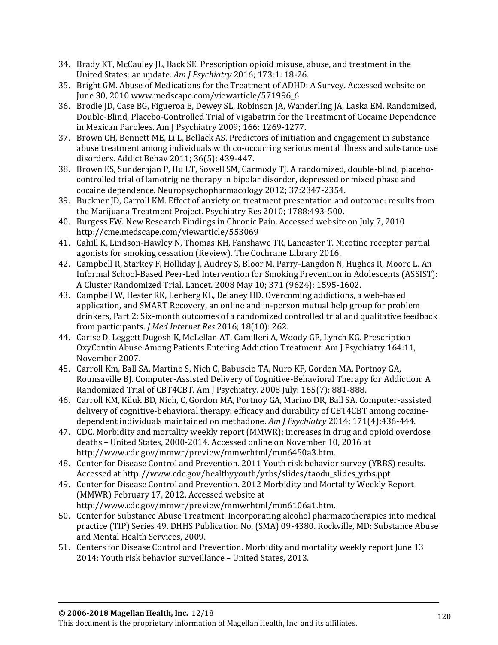- 34. Brady KT, McCauley JL, Back SE. Prescription opioid misuse, abuse, and treatment in the United States: an update. *Am J Psychiatry* 2016; 173:1: 18-26.
- 35. Bright GM. Abuse of Medications for the Treatment of ADHD: A Survey. Accessed website on June 30, 201[0 www.medscape.com/viewarticle/571996\\_6](http://www.medscape.com/viewarticle/571996_6)
- 36. Brodie JD, Case BG, Figueroa E, Dewey SL, Robinson JA, Wanderling JA, Laska EM. Randomized, Double-Blind, Placebo-Controlled Trial of Vigabatrin for the Treatment of Cocaine Dependence in Mexican Parolees. Am J Psychiatry 2009; 166: 1269-1277.
- 37. Brown CH, Bennett ME, Li L, Bellack AS. Predictors of initiation and engagement in substance abuse treatment among individuals with co-occurring serious mental illness and substance use disorders. Addict Behav 2011; 36(5): 439-447.
- 38. Brown ES, Sunderajan P, Hu LT, Sowell SM, Carmody TJ. A randomized, double-blind, placebocontrolled trial of lamotrigine therapy in bipolar disorder, depressed or mixed phase and cocaine dependence. Neuropsychopharmacology 2012; 37:2347-2354.
- 39. Buckner JD, Carroll KM. Effect of anxiety on treatment presentation and outcome: results from the Marijuana Treatment Project. Psychiatry Res 2010; 1788:493-500.
- 40. Burgess FW. New Research Findings in Chronic Pain. Accessed website on July 7, 2010 <http://cme.medscape.com/viewarticle/553069>
- 41. Cahill K, Lindson-Hawley N, Thomas KH, Fanshawe TR, Lancaster T. Nicotine receptor partial agonists for smoking cessation (Review). The Cochrane Library 2016.
- 42. Campbell R, Starkey F, Holliday J, Audrey S, Bloor M, Parry-Langdon N, Hughes R, Moore L. An Informal School-Based Peer-Led Intervention for Smoking Prevention in Adolescents (ASSIST): A Cluster Randomized Trial. Lancet. 2008 May 10; 371 (9624): 1595-1602.
- 43. Campbell W, Hester RK, Lenberg KL, Delaney HD. Overcoming addictions, a web-based application, and SMART Recovery, an online and in-person mutual help group for problem drinkers, Part 2: Six-month outcomes of a randomized controlled trial and qualitative feedback from participants. *J Med Internet Res* 2016; 18(10): 262.
- 44. Carise D, Leggett Dugosh K, McLellan AT, Camilleri A, Woody GE, Lynch KG. Prescription OxyContin Abuse Among Patients Entering Addiction Treatment. Am J Psychiatry 164:11, November 2007.
- 45. Carroll Km, Ball SA, Martino S, Nich C, Babuscio TA, Nuro KF, Gordon MA, Portnoy GA, Rounsaville BJ. Computer-Assisted Delivery of Cognitive-Behavioral Therapy for Addiction: A Randomized Trial of CBT4CBT. Am J Psychiatry. 2008 July: 165(7): 881-888.
- 46. Carroll KM, Kiluk BD, Nich, C, Gordon MA, Portnoy GA, Marino DR, Ball SA. Computer-assisted delivery of cognitive-behavioral therapy: efficacy and durability of CBT4CBT among cocainedependent individuals maintained on methadone. *Am J Psychiatry* 2014; 171(4):436-444.
- 47. CDC. Morbidity and mortality weekly report (MMWR); increases in drug and opioid overdose deaths – United States, 2000-2014. Accessed online on November 10, 2016 at [http://www.cdc.gov/mmwr/preview/mmwrhtml/mm6450a3.htm.](http://www.cdc.gov/mmwr/preview/mmwrhtml/mm6450a3.htm)
- 48. Center for Disease Control and Prevention. 2011 Youth risk behavior survey (YRBS) results. Accessed at http:/[/www.cdc.gov/healthyyouth/yrbs/slides/taodu\\_slides\\_yrbs.ppt](http://www.cdc.gov/healthyyouth/yrbs/slides/taodu_slides_yrbs.ppt)
- 49. Center for Disease Control and Prevention. 2012 Morbidity and Mortality Weekly Report (MMWR) February 17, 2012. Accessed website at http://www.cdc.gov/mmwr/preview/mmwrhtml/mm6106a1.htm.
- 50. Center for Substance Abuse Treatment. Incorporating alcohol pharmacotherapies into medical practice (TIP) Series 49. DHHS Publication No. (SMA) 09-4380. Rockville, MD: Substance Abuse and Mental Health Services, 2009.
- 51. Centers for Disease Control and Prevention. Morbidity and mortality weekly report June 13 2014: Youth risk behavior surveillance – United States, 2013.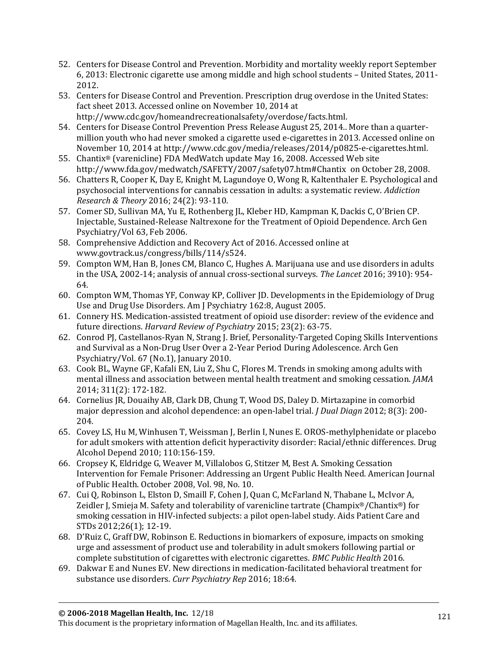- 52. Centers for Disease Control and Prevention. Morbidity and mortality weekly report September 6, 2013: Electronic cigarette use among middle and high school students – United States, 2011- 2012.
- 53. Centers for Disease Control and Prevention. Prescription drug overdose in the United States: fact sheet 2013. Accessed online on November 10, 2014 at [http://www.cdc.gov/homeandrecreationalsafety/overdose/facts.html.](http://www.cdc.gov/homeandrecreationalsafety/overdose/facts.html)
- 54. Centers for Disease Control Prevention Press Release August 25, 2014.. More than a quartermillion youth who had never smoked a cigarette used e-cigarettes in 2013. Accessed online on November 10, 2014 at [http://www.cdc.gov/media/releases/2014/p0825-e-cigarettes.html.](http://www.cdc.gov/media/releases/2014/p0825-e-cigarettes.html)
- 55. Chantix® (varenicline) FDA MedWatch update May 16, 2008. Accessed Web site <http://www.fda.gov/medwatch/SAFETY/2007/safety07.htm#Chantix>on October 28, 2008.
- 56. Chatters R, Cooper K, Day E, Knight M, Lagundoye O, Wong R, Kaltenthaler E. Psychological and psychosocial interventions for cannabis cessation in adults: a systematic review. *Addiction Research & Theory* 2016; 24(2): 93-110.
- 57. Comer SD, Sullivan MA, Yu E, Rothenberg JL, Kleber HD, Kampman K, Dackis C, O'Brien CP. Injectable, Sustained-Release Naltrexone for the Treatment of Opioid Dependence. Arch Gen Psychiatry/Vol 63, Feb 2006.
- 58. Comprehensive Addiction and Recovery Act of 2016. Accessed online at www.govtrack.us/congress/bills/114/s524.
- 59. Compton WM, Han B, Jones CM, Blanco C, Hughes A. Marijuana use and use disorders in adults in the USA, 2002-14; analysis of annual cross-sectional surveys. *The Lancet* 2016; 3910): 954- 64.
- 60. Compton WM, Thomas YF, Conway KP, Colliver JD. Developments in the Epidemiology of Drug Use and Drug Use Disorders. Am J Psychiatry 162:8, August 2005.
- 61. Connery HS. Medication-assisted treatment of opioid use disorder: review of the evidence and future directions. *Harvard Review of Psychiatry* 2015; 23(2): 63-75.
- 62. Conrod PJ, Castellanos-Ryan N, Strang J. Brief, Personality-Targeted Coping Skills Interventions and Survival as a Non-Drug User Over a 2-Year Period During Adolescence. Arch Gen Psychiatry/Vol. 67 (No.1), January 2010.
- 63. Cook BL, Wayne GF, Kafali EN, Liu Z, Shu C, Flores M. Trends in smoking among adults with mental illness and association between mental health treatment and smoking cessation. *JAMA* 2014; 311(2): 172-182.
- 64. Cornelius JR, Douaihy AB, Clark DB, Chung T, Wood DS, Daley D. Mirtazapine in comorbid major depression and alcohol dependence: an open-label trial. *J Dual Diagn* 2012; 8(3): 200- 204.
- 65. Covey LS, Hu M, Winhusen T, Weissman J, Berlin I, Nunes E. OROS-methylphenidate or placebo for adult smokers with attention deficit hyperactivity disorder: Racial/ethnic differences. Drug Alcohol Depend 2010; 110:156-159.
- 66. Cropsey K, Eldridge G, Weaver M, Villalobos G, Stitzer M, Best A. Smoking Cessation Intervention for Female Prisoner: Addressing an Urgent Public Health Need. American Journal of Public Health. October 2008, Vol. 98, No. 10.
- 67. Cui Q, Robinson L, Elston D, Smaill F, Cohen J, Quan C, McFarland N, Thabane L, McIvor A, Zeidler J, Smieja M. Safety and tolerability of varenicline tartrate (Champix®/Chantix®) for smoking cessation in HIV-infected subjects: a pilot open-label study. Aids Patient Care and STDs 2012;26(1); 12-19.
- 68. D'Ruiz C, Graff DW, Robinson E. Reductions in biomarkers of exposure, impacts on smoking urge and assessment of product use and tolerability in adult smokers following partial or complete substitution of cigarettes with electronic cigarettes. *BMC Public Health* 2016.
- 69. Dakwar E and Nunes EV. New directions in medication-facilitated behavioral treatment for substance use disorders. *Curr Psychiatry Rep* 2016; 18:64.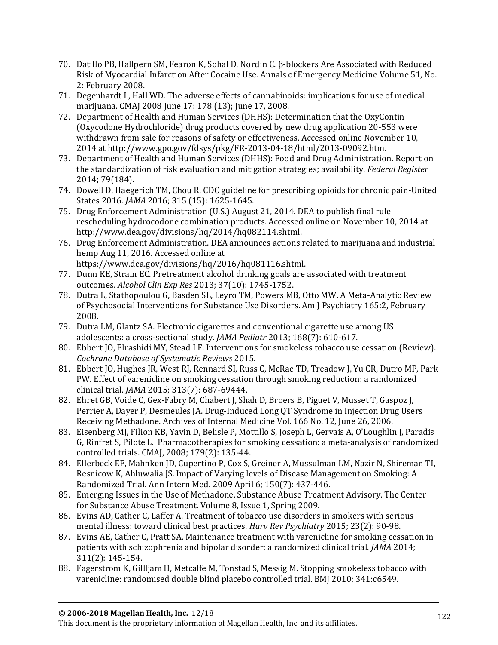- 70. Datillo PB, Hallpern SM, Fearon K, Sohal D, Nordin C. β-blockers Are Associated with Reduced Risk of Myocardial Infarction After Cocaine Use. Annals of Emergency Medicine Volume 51, No. 2: February 2008.
- 71. Degenhardt L, Hall WD. The adverse effects of cannabinoids: implications for use of medical marijuana. CMAJ 2008 June 17: 178 (13); June 17, 2008.
- 72. Department of Health and Human Services (DHHS): Determination that the OxyContin (Oxycodone Hydrochloride) drug products covered by new drug application 20-553 were withdrawn from sale for reasons of safety or effectiveness. Accessed online November 10, 2014 at http://www.gpo.gov/fdsys/pkg/FR-2013-04-18/html/2013-09092.htm.
- 73. Department of Health and Human Services (DHHS): Food and Drug Administration. Report on the standardization of risk evaluation and mitigation strategies; availability. *Federal Register* 2014; 79(184).
- 74. Dowell D, Haegerich TM, Chou R. CDC guideline for prescribing opioids for chronic pain-United States 2016. *JAMA* 2016; 315 (15): 1625-1645.
- 75. Drug Enforcement Administration (U.S.) August 21, 2014. DEA to publish final rule rescheduling hydrocodone combination products. Accessed online on November 10, 2014 at [http://www.dea.gov/divisions/hq/2014/hq082114.shtml.](http://www.dea.gov/divisions/hq/2014/hq082114.shtml)
- 76. Drug Enforcement Administration. DEA announces actions related to marijuana and industrial hemp Aug 11, 2016. Accessed online at [https://www.dea.gov/divisions/hq/2016/hq081116.shtml.](https://www.dea.gov/divisions/hq/2016/hq081116.shtml)
- 77. Dunn KE, Strain EC. Pretreatment alcohol drinking goals are associated with treatment outcomes. *Alcohol Clin Exp Res* 2013; 37(10): 1745-1752.
- 78. Dutra L, Stathopoulou G, Basden SL, Leyro TM, Powers MB, Otto MW. A Meta-Analytic Review of Psychosocial Interventions for Substance Use Disorders. Am J Psychiatry 165:2, February 2008.
- 79. Dutra LM, Glantz SA. Electronic cigarettes and conventional cigarette use among US adolescents: a cross-sectional study*. JAMA Pediatr* 2013; 168(7): 610-617.
- 80. Ebbert JO, Elrashidi MY, Stead LF. Interventions for smokeless tobacco use cessation (Review). *Cochrane Database of Systematic Reviews* 2015.
- 81. Ebbert JO, Hughes JR, West RJ, Rennard SI, Russ C, McRae TD, Treadow J, Yu CR, Dutro MP, Park PW. Effect of varenicline on smoking cessation through smoking reduction: a randomized clinical trial. *JAMA* 2015; 313(7): 687-69444.
- 82. Ehret GB, Voide C, Gex-Fabry M, Chabert J, Shah D, Broers B, Piguet V, Musset T, Gaspoz J, Perrier A, Dayer P, Desmeules JA. Drug-Induced Long QT Syndrome in Injection Drug Users Receiving Methadone. Archives of Internal Medicine Vol. 166 No. 12, June 26, 2006.
- 83. Eisenberg MJ, Filion KB, Yavin D, Belisle P, Mottillo S, Joseph L, Gervais A, O'Loughlin J, Paradis G, Rinfret S, Pilote L. Pharmacotherapies for smoking cessation: a meta-analysis of randomized controlled trials. CMAJ, 2008; 179(2): 135-44.
- 84. Ellerbeck EF, Mahnken JD, Cupertino P, Cox S, Greiner A, Mussulman LM, Nazir N, Shireman TI, Resnicow K, Ahluwalia JS. Impact of Varying levels of Disease Management on Smoking: A Randomized Trial. Ann Intern Med. 2009 April 6; 150(7): 437-446.
- 85. Emerging Issues in the Use of Methadone. Substance Abuse Treatment Advisory. The Center for Substance Abuse Treatment. Volume 8, Issue 1, Spring 2009.
- 86. Evins AD, Cather C, Laffer A. Treatment of tobacco use disorders in smokers with serious mental illness: toward clinical best practices. *Harv Rev Psychiatry* 2015; 23(2): 90-98.
- 87. Evins AE, Cather C, Pratt SA. Maintenance treatment with varenicline for smoking cessation in patients with schizophrenia and bipolar disorder: a randomized clinical trial. *JAMA* 2014; 311(2): 145-154.
- 88. Fagerstrom K, Gillljam H, Metcalfe M, Tonstad S, Messig M. Stopping smokeless tobacco with varenicline: randomised double blind placebo controlled trial. BMJ 2010; 341:c6549.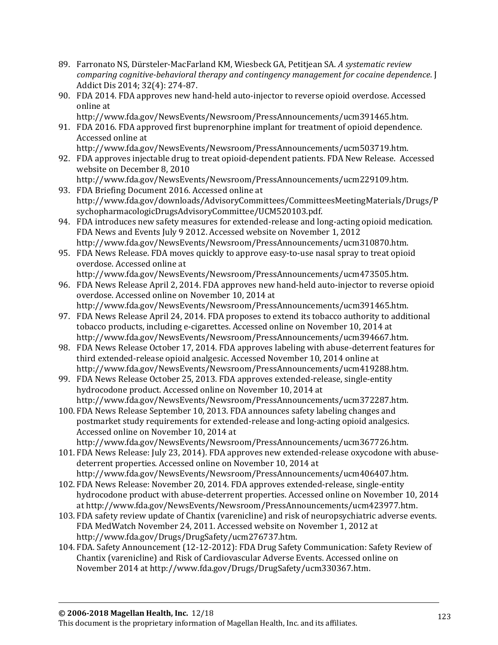- 89. Farronato NS, Dürsteler-MacFarland KM, Wiesbeck GA, Petitjean SA. *A systematic review comparing cognitive-behavioral therapy and contingency management for cocaine dependence*. J Addict Dis 2014; 32(4): 274-87.
- 90. FDA 2014. FDA approves new hand-held auto-injector to reverse opioid overdose. Accessed online at
- [http://www.fda.gov/NewsEvents/Newsroom/PressAnnouncements/ucm391465.htm.](http://www.fda.gov/NewsEvents/Newsroom/PressAnnouncements/ucm391465.htm) 91. FDA 2016. FDA approved first buprenorphine implant for treatment of opioid dependence.
	- Accessed online at [http://www.fda.gov/NewsEvents/Newsroom/PressAnnouncements/ucm503719.htm.](http://www.fda.gov/NewsEvents/Newsroom/PressAnnouncements/ucm503719.htm)
- 92. FDA approves injectable drug to treat opioid-dependent patients. FDA New Release. Accessed website on December 8, 2010 [http://www.fda.gov/NewsEvents/Newsroom/PressAnnouncements/ucm229109.htm.](http://www.fda.gov/NewsEvents/Newsroom/PressAnnouncements/ucm229109.htm)
- 93. FDA Briefing Document 2016. Accessed online at http://www.fda.gov/downloads/AdvisoryCommittees/CommitteesMeetingMaterials/Drugs/P sychopharmacologicDrugsAdvisoryCommittee/UCM520103.pdf.
- 94. FDA introduces new safety measures for extended-release and long-acting opioid medication. FDA News and Events July 9 2012. Accessed website on November 1, 2012 [http://www.fda.gov/NewsEvents/Newsroom/PressAnnouncements/ucm310870.htm.](http://www.fda.gov/NewsEvents/Newsroom/PressAnnouncements/ucm310870.htm)
- 95. FDA News Release. FDA moves quickly to approve easy-to-use nasal spray to treat opioid overdose. Accessed online at [http://www.fda.gov/NewsEvents/Newsroom/PressAnnouncements/ucm473505.htm.](http://www.fda.gov/NewsEvents/Newsroom/PressAnnouncements/ucm473505.htm)
- 96. FDA News Release April 2, 2014. FDA approves new hand-held auto-injector to reverse opioid overdose. Accessed online on November 10, 2014 at [http://www.fda.gov/NewsEvents/Newsroom/PressAnnouncements/ucm391465.htm.](http://www.fda.gov/NewsEvents/Newsroom/PressAnnouncements/ucm391465.htm)
- 97. FDA News Release April 24, 2014. FDA proposes to extend its tobacco authority to additional tobacco products, including e-cigarettes. Accessed online on November 10, 2014 at [http://www.fda.gov/NewsEvents/Newsroom/PressAnnouncements/ucm394667.htm.](http://www.fda.gov/NewsEvents/Newsroom/PressAnnouncements/ucm394667.htm)
- 98. FDA News Release October 17, 2014. FDA approves labeling with abuse-deterrent features for third extended-release opioid analgesic. Accessed November 10, 2014 online at http://www.fda.gov/NewsEvents/Newsroom/PressAnnouncements/ucm419288.htm.
- 99. FDA News Release October 25, 2013. FDA approves extended-release, single-entity hydrocodone product. Accessed online on November 10, 2014 at [http://www.fda.gov/NewsEvents/Newsroom/PressAnnouncements/ucm372287.htm.](http://www.fda.gov/NewsEvents/Newsroom/PressAnnouncements/ucm372287.htm)
- 100. FDA News Release September 10, 2013. FDA announces safety labeling changes and postmarket study requirements for extended-release and long-acting opioid analgesics. Accessed online on November 10, 2014 at [http://www.fda.gov/NewsEvents/Newsroom/PressAnnouncements/ucm367726.htm.](http://www.fda.gov/NewsEvents/Newsroom/PressAnnouncements/ucm367726.htm)
- 101. FDA News Release: July 23, 2014). FDA approves new extended-release oxycodone with abusedeterrent properties. Accessed online on November 10, 2014 at [http://www.fda.gov/NewsEvents/Newsroom/PressAnnouncements/ucm406407.htm.](http://www.fda.gov/NewsEvents/Newsroom/PressAnnouncements/ucm406407.htm)
- 102. FDA News Release: November 20, 2014. FDA approves extended-release, single-entity hydrocodone product with abuse-deterrent properties. Accessed online on November 10, 2014 at [http://www.fda.gov/NewsEvents/Newsroom/PressAnnouncements/ucm423977.htm.](http://www.fda.gov/NewsEvents/Newsroom/PressAnnouncements/ucm423977.htm)
- 103. FDA safety review update of Chantix (varenicline) and risk of neuropsychiatric adverse events. FDA MedWatch November 24, 2011. Accessed website on November 1, 2012 at http://www.fda.gov/Drugs/DrugSafety/ucm276737.htm.
- 104. FDA. Safety Announcement (12-12-2012): FDA Drug Safety Communication: Safety Review of Chantix (varenicline) and Risk of Cardiovascular Adverse Events. Accessed online on November 2014 at [http://www.fda.gov/Drugs/DrugSafety/ucm330367.htm.](http://www.fda.gov/Drugs/DrugSafety/ucm330367.htm)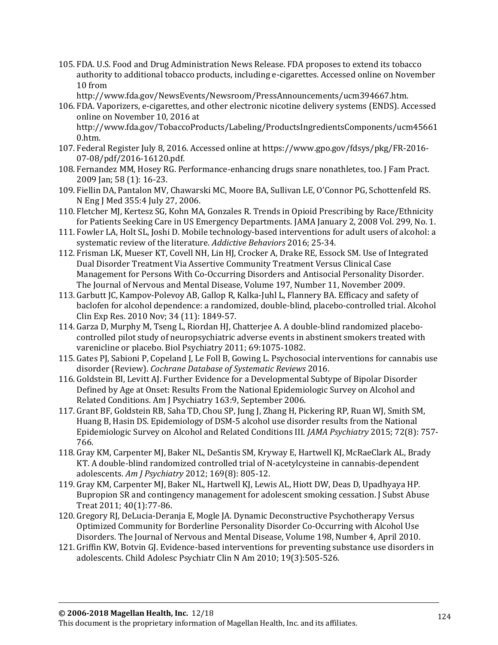- 105. FDA. U.S. Food and Drug Administration News Release. FDA proposes to extend its tobacco authority to additional tobacco products, including e-cigarettes. Accessed online on November 10 from
	- [http://www.fda.gov/NewsEvents/Newsroom/PressAnnouncements/ucm394667.htm.](http://www.fda.gov/NewsEvents/Newsroom/PressAnnouncements/ucm394667.htm)
- 106. FDA. Vaporizers, e-cigarettes, and other electronic nicotine delivery systems (ENDS). Accessed online on November 10, 2016 at

[http://www.fda.gov/TobaccoProducts/Labeling/ProductsIngredientsComponents/ucm45661](http://www.fda.gov/TobaccoProducts/Labeling/ProductsIngredientsComponents/ucm456610.htm) [0.htm.](http://www.fda.gov/TobaccoProducts/Labeling/ProductsIngredientsComponents/ucm456610.htm)

- 107. Federal Register July 8, 2016. Accessed online at [https://www.gpo.gov/fdsys/pkg/FR-2016-](https://www.gpo.gov/fdsys/pkg/FR-2016-07-08/pdf/2016-16120.pdf) [07-08/pdf/2016-16120.pdf.](https://www.gpo.gov/fdsys/pkg/FR-2016-07-08/pdf/2016-16120.pdf)
- 108. Fernandez MM, Hosey RG. Performance-enhancing drugs snare nonathletes, too. J Fam Pract. 2009 Jan; 58 (1): 16-23.
- 109. Fiellin DA, Pantalon MV, Chawarski MC, Moore BA, Sullivan LE, O'Connor PG, Schottenfeld RS. N Eng J Med 355:4 July 27, 2006.
- 110. Fletcher MJ, Kertesz SG, Kohn MA, Gonzales R. Trends in Opioid Prescribing by Race/Ethnicity for Patients Seeking Care in US Emergency Departments. JAMA January 2, 2008 Vol. 299, No. 1.
- 111. Fowler LA, Holt SL, Joshi D. Mobile technology-based interventions for adult users of alcohol: a systematic review of the literature. *Addictive Behaviors* 2016; 25-34.
- 112. Frisman LK, Mueser KT, Covell NH, Lin HJ, Crocker A, Drake RE, Essock SM. Use of Integrated Dual Disorder Treatment Via Assertive Community Treatment Versus Clinical Case Management for Persons With Co-Occurring Disorders and Antisocial Personality Disorder. The Journal of Nervous and Mental Disease, Volume 197, Number 11, November 2009.
- 113. Garbutt JC, Kampov-Polevoy AB, Gallop R, Kalka-Juhl L, Flannery BA. Efficacy and safety of baclofen for alcohol dependence: a randomized, double-blind, placebo-controlled trial. Alcohol Clin Exp Res. 2010 Nov; 34 (11): 1849-57.
- 114. Garza D, Murphy M, Tseng L, Riordan HJ, Chatterjee A. A double-blind randomized placebocontrolled pilot study of neuropsychiatric adverse events in abstinent smokers treated with varenicline or placebo. Biol Psychiatry 2011; 69:1075-1082.
- 115. Gates PJ, Sabioni P, Copeland J, Le Foll B, Gowing L. Psychosocial interventions for cannabis use disorder (Review). *Cochrane Database of Systematic Reviews* 2016.
- 116. Goldstein BI, Levitt AJ. Further Evidence for a Developmental Subtype of Bipolar Disorder Defined by Age at Onset: Results From the National Epidemiologic Survey on Alcohol and Related Conditions. Am J Psychiatry 163:9, September 2006.
- 117. Grant BF, Goldstein RB, Saha TD, Chou SP, Jung J, Zhang H, Pickering RP, Ruan WJ, Smith SM, Huang B, Hasin DS. Epidemiology of DSM-5 alcohol use disorder results from the National Epidemiologic Survey on Alcohol and Related Conditions III. *JAMA Psychiatry* 2015; 72(8): 757- 766.
- 118. Gray KM, Carpenter MJ, Baker NL, DeSantis SM, Kryway E, Hartwell KJ, McRaeClark AL, Brady KT. A double-blind randomized controlled trial of N-acetylcysteine in cannabis-dependent adolescents. *Am J Psychiatry* 2012; 169(8): 805-12.
- 119. Gray KM, Carpenter MJ, Baker NL, Hartwell KJ, Lewis AL, Hiott DW, Deas D, Upadhyaya HP. Bupropion SR and contingency management for adolescent smoking cessation. J Subst Abuse Treat 2011; 40(1):77-86.
- 120. Gregory RJ, DeLucia-Deranja E, Mogle JA. Dynamic Deconstructive Psychotherapy Versus Optimized Community for Borderline Personality Disorder Co-Occurring with Alcohol Use Disorders. The Journal of Nervous and Mental Disease, Volume 198, Number 4, April 2010.
- 121. Griffin KW, Botvin GJ. Evidence-based interventions for preventing substance use disorders in adolescents. Child Adolesc Psychiatr Clin N Am 2010; 19(3):505-526.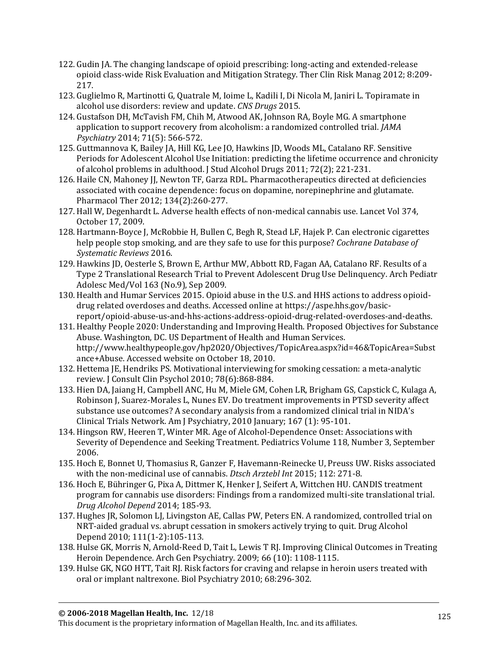- 122. Gudin JA. The changing landscape of opioid prescribing: long-acting and extended-release opioid class-wide Risk Evaluation and Mitigation Strategy. Ther Clin Risk Manag 2012; 8:209- 217.
- 123. Guglielmo R, Martinotti G, Quatrale M, Ioime L, Kadili I, Di Nicola M, Janiri L. Topiramate in alcohol use disorders: review and update. *CNS Drugs* 2015.
- 124. Gustafson DH, McTavish FM, Chih M, Atwood AK, Johnson RA, Boyle MG. A smartphone application to support recovery from alcoholism: a randomized controlled trial. *JAMA Psychiatry* 2014; 71(5): 566-572.
- 125. Guttmannova K, Bailey JA, Hill KG, Lee JO, Hawkins JD, Woods ML, Catalano RF. Sensitive Periods for Adolescent Alcohol Use Initiation: predicting the lifetime occurrence and chronicity of alcohol problems in adulthood. J Stud Alcohol Drugs 2011; 72(2); 221-231.
- 126. Haile CN, Mahoney JJ, Newton TF, Garza RDL. Pharmacotherapeutics directed at deficiencies associated with cocaine dependence: focus on dopamine, norepinephrine and glutamate. Pharmacol Ther 2012; 134(2):260-277.
- 127. Hall W, Degenhardt L. Adverse health effects of non-medical cannabis use. Lancet Vol 374, October 17, 2009.
- 128. Hartmann-Boyce J, McRobbie H, Bullen C, Begh R, Stead LF, Hajek P. Can electronic cigarettes help people stop smoking, and are they safe to use for this purpose? *Cochrane Database of Systematic Reviews* 2016.
- 129. Hawkins JD, Oesterle S, Brown E, Arthur MW, Abbott RD, Fagan AA, Catalano RF. Results of a Type 2 Translational Research Trial to Prevent Adolescent Drug Use Delinquency. Arch Pediatr Adolesc Med/Vol 163 (No.9), Sep 2009.
- 130. Health and Humar Services 2015. Opioid abuse in the U.S. and HHS actions to address opioiddrug related overdoses and deaths. Accessed online at [https://aspe.hhs.gov/basic](https://aspe.hhs.gov/basic-report/opioid-abuse-us-and-hhs-actions-address-opioid-drug-related-overdoses-and-deaths)[report/opioid-abuse-us-and-hhs-actions-address-opioid-drug-related-overdoses-and-deaths.](https://aspe.hhs.gov/basic-report/opioid-abuse-us-and-hhs-actions-address-opioid-drug-related-overdoses-and-deaths)
- 131. Healthy People 2020: Understanding and Improving Health. Proposed Objectives for Substance Abuse. Washington, DC. US Department of Health and Human Services. [http://www.healthypeople.gov/hp2020/Objectives/TopicArea.aspx?id=46&TopicArea=Subst](http://www.healthypeople.gov/hp2020/Objectives/TopicArea.aspx?id=46&TopicArea=Substance+Abuse) [ance+Abuse.](http://www.healthypeople.gov/hp2020/Objectives/TopicArea.aspx?id=46&TopicArea=Substance+Abuse) Accessed website on October 18, 2010.
- 132. Hettema JE, Hendriks PS. Motivational interviewing for smoking cessation: a meta-analytic review. J Consult Clin Psychol 2010; 78(6):868-884.
- 133. Hien DA, Jaiang H, Campbell ANC, Hu M, Miele GM, Cohen LR, Brigham GS, Capstick C, Kulaga A, Robinson J, Suarez-Morales L, Nunes EV. Do treatment improvements in PTSD severity affect substance use outcomes? A secondary analysis from a randomized clinical trial in NIDA's Clinical Trials Network. Am J Psychiatry, 2010 January; 167 (1): 95-101.
- 134. Hingson RW, Heeren T, Winter MR. Age of Alcohol-Dependence Onset: Associations with Severity of Dependence and Seeking Treatment. Pediatrics Volume 118, Number 3, September 2006.
- 135. Hoch E, Bonnet U, Thomasius R, Ganzer F, Havemann-Reinecke U, Preuss UW. Risks associated with the non-medicinal use of cannabis. *Dtsch Arztebl Int* 2015; 112: 271-8.
- 136. Hoch E, Bühringer G, Pixa A, Dittmer K, Henker J, Seifert A, Wittchen HU. CANDIS treatment program for cannabis use disorders: Findings from a randomized multi-site translational trial. *Drug Alcohol Depend* 2014; 185-93.
- 137. Hughes JR, Solomon LJ, Livingston AE, Callas PW, Peters EN. A randomized, controlled trial on NRT-aided gradual vs. abrupt cessation in smokers actively trying to quit. Drug Alcohol Depend 2010; 111(1-2):105-113.
- 138. Hulse GK, Morris N, Arnold-Reed D, Tait L, Lewis T RJ. Improving Clinical Outcomes in Treating Heroin Dependence. Arch Gen Psychiatry. 2009; 66 (10): 1108-1115.
- 139. Hulse GK, NGO HTT, Tait RJ. Risk factors for craving and relapse in heroin users treated with oral or implant naltrexone. Biol Psychiatry 2010; 68:296-302.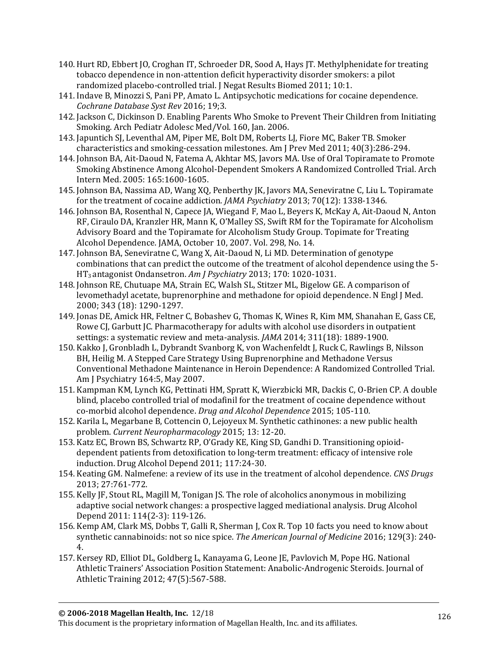- 140. Hurt RD, Ebbert JO, Croghan IT, Schroeder DR, Sood A, Hays JT. Methylphenidate for treating tobacco dependence in non-attention deficit hyperactivity disorder smokers: a pilot randomized placebo-controlled trial. J Negat Results Biomed 2011; 10:1.
- 141. Indave B, Minozzi S, Pani PP, Amato L. Antipsychotic medications for cocaine dependence. *Cochrane Database Syst Rev* 2016; 19;3.
- 142. Jackson C, Dickinson D. Enabling Parents Who Smoke to Prevent Their Children from Initiating Smoking. Arch Pediatr Adolesc Med/Vol. 160, Jan. 2006.
- 143. Japuntich SJ, Leventhal AM, Piper ME, Bolt DM, Roberts LJ, Fiore MC, Baker TB. Smoker characteristics and smoking-cessation milestones. Am J Prev Med 2011; 40(3):286-294.
- 144. Johnson BA, Ait-Daoud N, Fatema A, Akhtar MS, Javors MA. Use of Oral Topiramate to Promote Smoking Abstinence Among Alcohol-Dependent Smokers A Randomized Controlled Trial. Arch Intern Med. 2005: 165:1600-1605.
- 145. Johnson BA, Nassima AD, Wang XQ, Penberthy JK, Javors MA, Seneviratne C, Liu L. Topiramate for the treatment of cocaine addiction. *JAMA Psychiatry* 2013; 70(12): 1338-1346.
- 146. Johnson BA, Rosenthal N, Capece JA, Wiegand F, Mao L, Beyers K, McKay A, Ait-Daoud N, Anton RF, Ciraulo DA, Kranzler HR, Mann K, O'Malley SS, Swift RM for the Topiramate for Alcoholism Advisory Board and the Topiramate for Alcoholism Study Group. Topimate for Treating Alcohol Dependence. JAMA, October 10, 2007. Vol. 298, No. 14.
- 147. Johnson BA, Seneviratne C, Wang X, Ait-Daoud N, Li MD. Determination of genotype combinations that can predict the outcome of the treatment of alcohol dependence using the 5- HT3 antagonist Ondansetron. *Am J Psychiatry* 2013; 170: 1020-1031.
- 148. Johnson RE, Chutuape MA, Strain EC, Walsh SL, Stitzer ML, Bigelow GE. A comparison of levomethadyl acetate, buprenorphine and methadone for opioid dependence. N Engl J Med. 2000; 343 (18): 1290-1297.
- 149. Jonas DE, Amick HR, Feltner C, Bobashev G, Thomas K, Wines R, Kim MM, Shanahan E, Gass CE, Rowe CJ, Garbutt JC. Pharmacotherapy for adults with alcohol use disorders in outpatient settings: a systematic review and meta-analysis. *JAMA* 2014; 311(18): 1889-1900.
- 150. Kakko J, Gronbladh L, Dybrandt Svanborg K, von Wachenfeldt J, Ruck C, Rawlings B, Nilsson BH, Heilig M. A Stepped Care Strategy Using Buprenorphine and Methadone Versus Conventional Methadone Maintenance in Heroin Dependence: A Randomized Controlled Trial. Am J Psychiatry 164:5, May 2007.
- 151. Kampman KM, Lynch KG, Pettinati HM, Spratt K, Wierzbicki MR, Dackis C, O-Brien CP. A double blind, placebo controlled trial of modafinil for the treatment of cocaine dependence without co-morbid alcohol dependence. *Drug and Alcohol Dependence* 2015; 105-110.
- 152. Karila L, Megarbane B, Cottencin O, Lejoyeux M. Synthetic cathinones: a new public health problem. *Current Neuropharmacology* 2015; 13: 12-20.
- 153. Katz EC, Brown BS, Schwartz RP, O'Grady KE, King SD, Gandhi D. Transitioning opioiddependent patients from detoxification to long-term treatment: efficacy of intensive role induction. Drug Alcohol Depend 2011; 117:24-30.
- 154. Keating GM. Nalmefene: a review of its use in the treatment of alcohol dependence*. CNS Drugs* 2013; 27:761-772.
- 155. Kelly JF, Stout RL, Magill M, Tonigan JS. The role of alcoholics anonymous in mobilizing adaptive social network changes: a prospective lagged mediational analysis. Drug Alcohol Depend 2011: 114(2-3): 119-126.
- 156. Kemp AM, Clark MS, Dobbs T, Galli R, Sherman J, Cox R. Top 10 facts you need to know about synthetic cannabinoids: not so nice spice. *The American Journal of Medicine* 2016; 129(3): 240- 4.
- 157. Kersey RD, Elliot DL, Goldberg L, Kanayama G, Leone JE, Pavlovich M, Pope HG. National Athletic Trainers' Association Position Statement: Anabolic-Androgenic Steroids. Journal of Athletic Training 2012; 47(5):567-588.

This document is the proprietary information of Magellan Health, Inc. and its affiliates.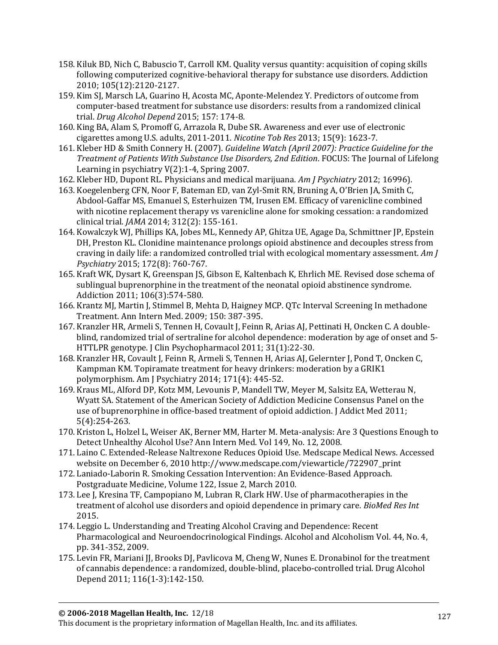- 158. Kiluk BD, Nich C, Babuscio T, Carroll KM. Quality versus quantity: acquisition of coping skills following computerized cognitive-behavioral therapy for substance use disorders. Addiction 2010; 105(12):2120-2127.
- 159. Kim SJ, Marsch LA, Guarino H, Acosta MC, Aponte-Melendez Y. Predictors of outcome from computer-based treatment for substance use disorders: results from a randomized clinical trial. *Drug Alcohol Depend* 2015; 157: 174-8.
- 160. King BA, Alam S, Promoff G, Arrazola R, Dube SR. Awareness and ever use of electronic cigarettes among U.S. adults, 2011-2011. *Nicotine Tob Res* 2013; 15(9): 1623-7.
- 161. Kleber HD & Smith Connery H. (2007). *Guideline Watch (April 2007): Practice Guideline for the Treatment of Patients With Substance Use Disorders, 2nd Edition*. FOCUS: The Journal of Lifelong Learning in psychiatry V(2):1-4, Spring 2007.
- 162. Kleber HD, Dupont RL. Physicians and medical marijuana. *Am J Psychiatry* 2012; 16996).
- 163. Koegelenberg CFN, Noor F, Bateman ED, van Zyl-Smit RN, Bruning A, O'Brien JA, Smith C, Abdool-Gaffar MS, Emanuel S, Esterhuizen TM, Irusen EM. Efficacy of varenicline combined with nicotine replacement therapy vs varenicline alone for smoking cessation: a randomized clinical trial. *JAMA* 2014; 312(2): 155-161.
- 164. Kowalczyk WJ, Phillips KA, Jobes ML, Kennedy AP, Ghitza UE, Agage Da, Schmittner JP, Epstein DH, Preston KL. Clonidine maintenance prolongs opioid abstinence and decouples stress from craving in daily life: a randomized controlled trial with ecological momentary assessment. *Am J Psychiatry* 2015; 172(8): 760-767.
- 165. Kraft WK, Dysart K, Greenspan JS, Gibson E, Kaltenbach K, Ehrlich ME. Revised dose schema of sublingual buprenorphine in the treatment of the neonatal opioid abstinence syndrome. Addiction 2011; 106(3):574-580.
- 166. Krantz MJ, Martin J, Stimmel B, Mehta D, Haigney MCP. QTc Interval Screening In methadone Treatment. Ann Intern Med. 2009; 150: 387-395.
- 167. Kranzler HR, Armeli S, Tennen H, Covault J, Feinn R, Arias AJ, Pettinati H, Oncken C. A doubleblind, randomized trial of sertraline for alcohol dependence: moderation by age of onset and 5- HTTLPR genotype. J Clin Psychopharmacol 2011; 31(1):22-30.
- 168. Kranzler HR, Covault J, Feinn R, Armeli S, Tennen H, Arias AJ, Gelernter J, Pond T, Oncken C, Kampman KM. Topiramate treatment for heavy drinkers: moderation by a GRIK1 polymorphism. Am J Psychiatry 2014; 171(4): 445-52.
- 169. Kraus ML, Alford DP, Kotz MM, Levounis P, Mandell TW, Meyer M, Salsitz EA, Wetterau N, Wyatt SA. Statement of the American Society of Addiction Medicine Consensus Panel on the use of buprenorphine in office-based treatment of opioid addiction. J Addict Med 2011; 5(4):254-263.
- 170. Kriston L, Holzel L, Weiser AK, Berner MM, Harter M. Meta-analysis: Are 3 Questions Enough to Detect Unhealthy Alcohol Use? Ann Intern Med. Vol 149, No. 12, 2008.
- 171. Laino C. Extended-Release Naltrexone Reduces Opioid Use. Medscape Medical News. Accessed website on December 6, 2010 [http://www.medscape.com/viewarticle/722907\\_print](http://www.medscape.com/viewarticle/722907_print)
- 172. Laniado-Laborin R. Smoking Cessation Intervention: An Evidence-Based Approach. Postgraduate Medicine, Volume 122, Issue 2, March 2010.
- 173. Lee J, Kresina TF, Campopiano M, Lubran R, Clark HW. Use of pharmacotherapies in the treatment of alcohol use disorders and opioid dependence in primary care. *BioMed Res Int* 2015.
- 174. Leggio L. Understanding and Treating Alcohol Craving and Dependence: Recent Pharmacological and Neuroendocrinological Findings. Alcohol and Alcoholism Vol. 44, No. 4, pp. 341-352, 2009.
- 175. Levin FR, Mariani JJ, Brooks DJ, Pavlicova M, Cheng W, Nunes E. Dronabinol for the treatment of cannabis dependence: a randomized, double-blind, placebo-controlled trial. Drug Alcohol Depend 2011; 116(1-3):142-150.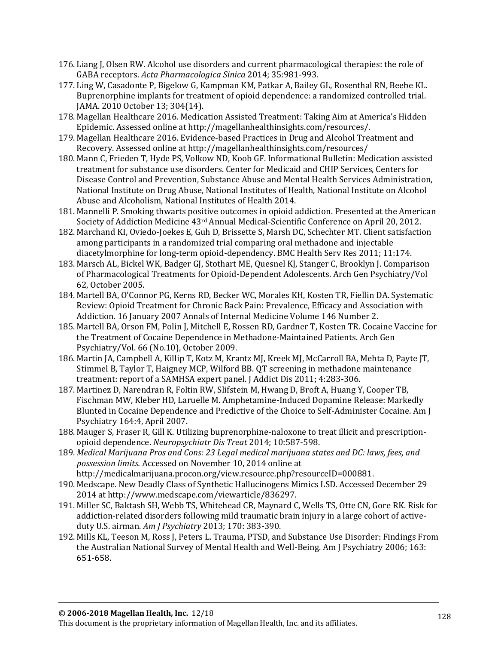- 176. Liang J, Olsen RW. Alcohol use disorders and current pharmacological therapies: the role of GABA receptors. *Acta Pharmacologica Sinica* 2014; 35:981-993.
- 177. Ling W, Casadonte P, Bigelow G, Kampman KM, Patkar A, Bailey GL, Rosenthal RN, Beebe KL. Buprenorphine implants for treatment of opioid dependence: a randomized controlled trial. JAMA. 2010 October 13; 304(14).
- 178. Magellan Healthcare 2016. Medication Assisted Treatment: Taking Aim at America's Hidden Epidemic. Assessed online a[t http://magellanhealthinsights.com/resources/.](http://magellanhealthinsights.com/resources/)
- 179. Magellan Healthcare 2016. Evidence-based Practices in Drug and Alcohol Treatment and Recovery. Assessed online a[t http://magellanhealthinsights.com/resources/](http://magellanhealthinsights.com/resources/)
- 180. Mann C, Frieden T, Hyde PS, Volkow ND, Koob GF. Informational Bulletin: Medication assisted treatment for substance use disorders. Center for Medicaid and CHIP Services, Centers for Disease Control and Prevention, Substance Abuse and Mental Health Services Administration, National Institute on Drug Abuse, National Institutes of Health, National Institute on Alcohol Abuse and Alcoholism, National Institutes of Health 2014.
- 181. Mannelli P. Smoking thwarts positive outcomes in opioid addiction. Presented at the American Society of Addiction Medicine 43rd Annual Medical-Scientific Conference on April 20, 2012.
- 182. Marchand KI, Oviedo-Joekes E, Guh D, Brissette S, Marsh DC, Schechter MT. Client satisfaction among participants in a randomized trial comparing oral methadone and injectable diacetylmorphine for long-term opioid-dependency. BMC Health Serv Res 2011; 11:174.
- 183. Marsch AL, Bickel WK, Badger GJ, Stothart ME, Quesnel KJ, Stanger C, Brooklyn J. Comparison of Pharmacological Treatments for Opioid-Dependent Adolescents. Arch Gen Psychiatry/Vol 62, October 2005.
- 184. Martell BA, O'Connor PG, Kerns RD, Becker WC, Morales KH, Kosten TR, Fiellin DA. Systematic Review: Opioid Treatment for Chronic Back Pain: Prevalence, Efficacy and Association with Addiction. 16 January 2007 Annals of Internal Medicine Volume 146 Number 2.
- 185. Martell BA, Orson FM, Polin J, Mitchell E, Rossen RD, Gardner T, Kosten TR. Cocaine Vaccine for the Treatment of Cocaine Dependence in Methadone-Maintained Patients. Arch Gen Psychiatry/Vol. 66 (No.10), October 2009.
- 186. Martin JA, Campbell A, Killip T, Kotz M, Krantz MJ, Kreek MJ, McCarroll BA, Mehta D, Payte JT, Stimmel B, Taylor T, Haigney MCP, Wilford BB. QT screening in methadone maintenance treatment: report of a SAMHSA expert panel. J Addict Dis 2011; 4:283-306.
- 187. Martinez D, Narendran R, Foltin RW, Slifstein M, Hwang D, Broft A, Huang Y, Cooper TB, Fischman MW, Kleber HD, Laruelle M. Amphetamine-Induced Dopamine Release: Markedly Blunted in Cocaine Dependence and Predictive of the Choice to Self-Administer Cocaine. Am J Psychiatry 164:4, April 2007.
- 188. Mauger S, Fraser R, Gill K. Utilizing buprenorphine-naloxone to treat illicit and prescriptionopioid dependence. *Neuropsychiatr Dis Treat* 2014; 10:587-598.
- 189. *Medical Marijuana Pros and Cons: 23 Legal medical marijuana states and DC: laws, fees, and possession limits.* Accessed on November 10, 2014 online at [http://medicalmarijuana.procon.org/view.resource.php?resourceID=000881.](http://medicalmarijuana.procon.org/view.resource.php?resourceID=000881)
- 190. Medscape. New Deadly Class of Synthetic Hallucinogens Mimics LSD. Accessed December 29 2014 at http://www.medscape.com/viewarticle/836297.
- 191. Miller SC, Baktash SH, Webb TS, Whitehead CR, Maynard C, Wells TS, Otte CN, Gore RK. Risk for addiction-related disorders following mild traumatic brain injury in a large cohort of activeduty U.S. airman. *Am J Psychiatry* 2013; 170: 383-390.
- 192. Mills KL, Teeson M, Ross J, Peters L. Trauma, PTSD, and Substance Use Disorder: Findings From the Australian National Survey of Mental Health and Well-Being. Am J Psychiatry 2006; 163: 651-658.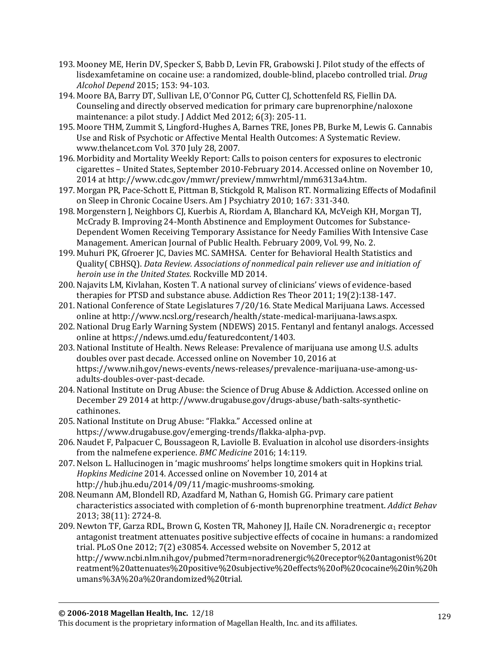- 193. Mooney ME, Herin DV, Specker S, Babb D, Levin FR, Grabowski J. Pilot study of the effects of lisdexamfetamine on cocaine use: a randomized, double-blind, placebo controlled trial. *Drug Alcohol Depend* 2015; 153: 94-103.
- 194. Moore BA, Barry DT, Sullivan LE, O'Connor PG, Cutter CJ, Schottenfeld RS, Fiellin DA. Counseling and directly observed medication for primary care buprenorphine/naloxone maintenance: a pilot study. J Addict Med 2012; 6(3): 205-11.
- 195. Moore THM, Zummit S, Lingford-Hughes A, Barnes TRE, Jones PB, Burke M, Lewis G. Cannabis Use and Risk of Psychotic or Affective Mental Health Outcomes: A Systematic Review. [www.thelancet.com](http://www.thelancet.com/) Vol. 370 July 28, 2007.
- 196. Morbidity and Mortality Weekly Report: Calls to poison centers for exposures to electronic cigarettes – United States, September 2010-February 2014. Accessed online on November 10, 2014 at [http://www.cdc.gov/mmwr/preview/mmwrhtml/mm6313a4.htm.](http://www.cdc.gov/mmwr/preview/mmwrhtml/mm6313a4.htm)
- 197. Morgan PR, Pace-Schott E, Pittman B, Stickgold R, Malison RT. Normalizing Effects of Modafinil on Sleep in Chronic Cocaine Users. Am J Psychiatry 2010; 167: 331-340.
- 198. Morgenstern J, Neighbors CJ, Kuerbis A, Riordam A, Blanchard KA, McVeigh KH, Morgan TJ, McCrady B. Improving 24-Month Abstinence and Employment Outcomes for Substance-Dependent Women Receiving Temporary Assistance for Needy Families With Intensive Case Management. American Journal of Public Health. February 2009, Vol. 99, No. 2.
- 199. Muhuri PK, Gfroerer JC, Davies MC. SAMHSA. Center for Behavioral Health Statistics and Quality( CBHSQ). *Data Review. Associations of nonmedical pain reliever use and initiation of heroin use in the United States*. Rockville MD 2014.
- 200. Najavits LM, Kivlahan, Kosten T. A national survey of clinicians' views of evidence-based therapies for PTSD and substance abuse. Addiction Res Theor 2011; 19(2):138-147.
- 201. National Conference of State Legislatures 7/20/16. State Medical Marijuana Laws. Accessed online at [http://www.ncsl.org/research/health/state-medical-marijuana-laws.aspx.](http://www.ncsl.org/research/health/state-medical-marijuana-laws.aspx)
- 202. National Drug Early Warning System (NDEWS) 2015. Fentanyl and fentanyl analogs. Accessed online at [https://ndews.umd.edu/featuredcontent/1403.](https://ndews.umd.edu/featuredcontent/1403)
- 203. National Institute of Health. News Release: Prevalence of marijuana use among U.S. adults doubles over past decade. Accessed online on November 10, 2016 at [https://www.nih.gov/news-events/news-releases/prevalence-marijuana-use-among-us](https://www.nih.gov/news-events/news-releases/prevalence-marijuana-use-among-us-adults-doubles-over-past-decade)[adults-doubles-over-past-decade.](https://www.nih.gov/news-events/news-releases/prevalence-marijuana-use-among-us-adults-doubles-over-past-decade)
- 204. National Institute on Drug Abuse: the Science of Drug Abuse & Addiction. Accessed online on December 29 2014 at [http://www.drugabuse.gov/drugs-abuse/bath-salts-synthetic](http://www.drugabuse.gov/drugs-abuse/bath-salts-synthetic-cathinones)[cathinones.](http://www.drugabuse.gov/drugs-abuse/bath-salts-synthetic-cathinones)
- 205. National Institute on Drug Abuse: "Flakka." Accessed online at https://www.drugabuse.gov/emerging-trends/flakka-alpha-pvp.
- 206. Naudet F, Palpacuer C, Boussageon R, Laviolle B. Evaluation in alcohol use disorders-insights from the nalmefene experience. *BMC Medicine* 2016; 14:119.
- 207. Nelson L. Hallucinogen in 'magic mushrooms' helps longtime smokers quit in Hopkins trial. *Hopkins Medicine* 2014. Accessed online on November 10, 2014 at [http://hub.jhu.edu/2014/09/11/magic-mushrooms-smoking.](http://hub.jhu.edu/2014/09/11/magic-mushrooms-smoking)
- 208. Neumann AM, Blondell RD, Azadfard M, Nathan G, Homish GG. Primary care patient characteristics associated with completion of 6-month buprenorphine treatment. *Addict Behav* 2013; 38(11): 2724-8.
- 209. Newton TF, Garza RDL, Brown G, Kosten TR, Mahoney JJ, Haile CN. Noradrenergic  $\alpha_1$  receptor antagonist treatment attenuates positive subjective effects of cocaine in humans: a randomized trial. PLoS One 2012; 7(2) e30854. Accessed website on November 5, 2012 at http://www.ncbi.nlm.nih.gov/pubmed?term=noradrenergic%20receptor%20antagonist%20t reatment%20attenuates%20positive%20subjective%20effects%20of%20cocaine%20in%20h umans%3A%20a%20randomized%20trial.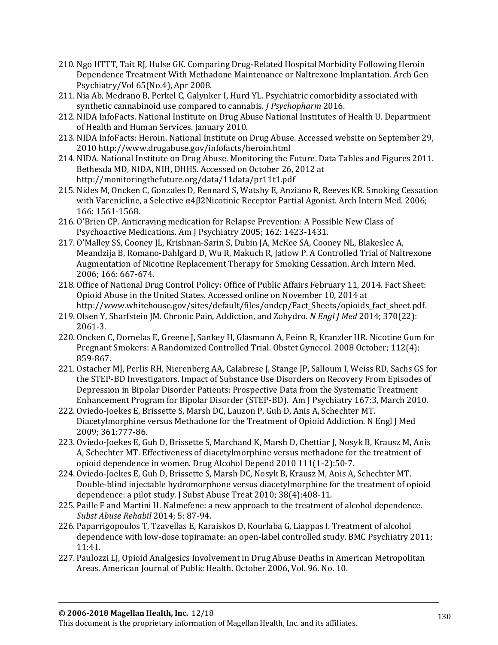- 210. Ngo HTTT, Tait RJ, Hulse GK. Comparing Drug-Related Hospital Morbidity Following Heroin Dependence Treatment With Methadone Maintenance or Naltrexone Implantation. Arch Gen Psychiatry/Vol 65(No.4), Apr 2008.
- 211. Nia Ab, Medrano B, Perkel C, Galynker I, Hurd YL. Psychiatric comorbidity associated with synthetic cannabinoid use compared to cannabis. *J Psychopharm* 2016.
- 212. NIDA InfoFacts. National Institute on Drug Abuse National Institutes of Health U. Department of Health and Human Services. January 2010.
- 213. NIDA InfoFacts: Heroin. National Institute on Drug Abuse. Accessed website on September 29, 2010<http://www.drugabuse.gov/infofacts/heroin.html>
- 214. NIDA. National Institute on Drug Abuse. Monitoring the Future. Data Tables and Figures 2011. Bethesda MD, NIDA, NIH, DHHS. Accessed on October 26, 2012 at <http://monitoringthefuture.org/data/11data/pr11t1.pdf>
- 215. Nides M, Oncken C, Gonzales D, Rennard S, Watshy E, Anziano R, Reeves KR. Smoking Cessation with Varenicline, a Selective α4β2Nicotinic Receptor Partial Agonist. Arch Intern Med. 2006; 166: 1561-1568.
- 216. O'Brien CP. Anticraving medication for Relapse Prevention: A Possible New Class of Psychoactive Medications. Am J Psychiatry 2005; 162: 1423-1431.
- 217. O'Malley SS, Cooney JL, Krishnan-Sarin S, Dubin JA, McKee SA, Cooney NL, Blakeslee A, Meandzija B, Romano-Dahlgard D, Wu R, Makuch R, Jatlow P. A Controlled Trial of Naltrexone Augmentation of Nicotine Replacement Therapy for Smoking Cessation. Arch Intern Med. 2006; 166: 667-674.
- 218. Office of National Drug Control Policy: Office of Public Affairs February 11, 2014. Fact Sheet: Opioid Abuse in the United States. Accessed online on November 10, 2014 at [http://www.whitehouse.gov/sites/default/files/ondcp/Fact\\_Sheets/opioids\\_fact\\_sheet.pdf.](http://www.whitehouse.gov/sites/default/files/ondcp/Fact_Sheets/opioids_fact_sheet.pdf)
- 219. Olsen Y, Sharfstein JM. Chronic Pain, Addiction, and Zohydro. *N Engl J Med* 2014; 370(22): 2061-3.
- 220. Oncken C, Dornelas E, Greene J, Sankey H, Glasmann A, Feinn R, Kranzler HR. Nicotine Gum for Pregnant Smokers: A Randomized Controlled Trial. Obstet Gynecol. 2008 October; 112(4): 859-867.
- 221. Ostacher MJ, Perlis RH, Nierenberg AA, Calabrese J, Stange JP, Salloum I, Weiss RD, Sachs GS for the STEP-BD Investigators. Impact of Substance Use Disorders on Recovery From Episodes of Depression in Bipolar Disorder Patients: Prospective Data from the Systematic Treatment Enhancement Program for Bipolar Disorder (STEP-BD). Am J Psychiatry 167:3, March 2010.
- 222. Oviedo-Joekes E, Brissette S, Marsh DC, Lauzon P, Guh D, Anis A, Schechter MT. Diacetylmorphine versus Methadone for the Treatment of Opioid Addiction. N Engl J Med 2009; 361:777-86.
- 223. Oviedo-Joekes E, Guh D, Brissette S, Marchand K, Marsh D, Chettiar J, Nosyk B, Krausz M, Anis A, Schechter MT. Effectiveness of diacetylmorphine versus methadone for the treatment of opioid dependence in women. Drug Alcohol Depend 2010 111(1-2):50-7.
- 224. Oviedo-Joekes E, Guh D, Brissette S, Marsh DC, Nosyk B, Krausz M, Anis A, Schechter MT. Double-blind injectable hydromorphone versus diacetylmorphine for the treatment of opioid dependence: a pilot study. J Subst Abuse Treat 2010; 38(4):408-11.
- 225. Paille F and Martini H. Nalmefene: a new approach to the treatment of alcohol dependence. *Subst Abuse Rehabil* 2014; 5: 87-94.
- 226. Paparrigopoulos T, Tzavellas E, Karaiskos D, Kourlaba G, Liappas I. Treatment of alcohol dependence with low-dose topiramate: an open-label controlled study. BMC Psychiatry 2011; 11:41.
- 227. Paulozzi LJ, Opioid Analgesics Involvement in Drug Abuse Deaths in American Metropolitan Areas. American Journal of Public Health. October 2006, Vol. 96. No. 10.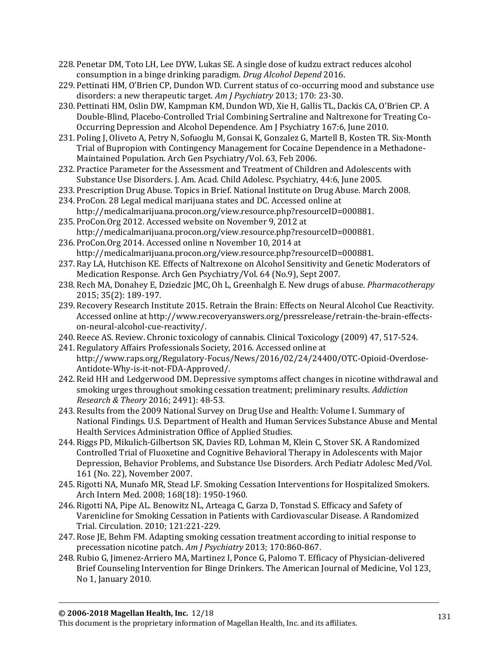- 228. Penetar DM, Toto LH, Lee DYW, Lukas SE. A single dose of kudzu extract reduces alcohol consumption in a binge drinking paradigm. *Drug Alcohol Depend* 2016.
- 229. Pettinati HM, O'Brien CP, Dundon WD. Current status of co-occurring mood and substance use disorders: a new therapeutic target. *Am J Psychiatry* 2013; 170: 23-30.
- 230. Pettinati HM, Oslin DW, Kampman KM, Dundon WD, Xie H, Gallis TL, Dackis CA, O'Brien CP. A Double-Blind, Placebo-Controlled Trial Combining Sertraline and Naltrexone for Treating Co-Occurring Depression and Alcohol Dependence. Am J Psychiatry 167:6, June 2010.
- 231. Poling J, Oliveto A, Petry N, Sofuoglu M, Gonsai K, Gonzalez G, Martell B, Kosten TR. Six-Month Trial of Bupropion with Contingency Management for Cocaine Dependence in a Methadone-Maintained Population. Arch Gen Psychiatry/Vol. 63, Feb 2006.
- 232. Practice Parameter for the Assessment and Treatment of Children and Adolescents with Substance Use Disorders. J. Am. Acad. Child Adolesc. Psychiatry, 44:6, June 2005.
- 233. Prescription Drug Abuse. Topics in Brief. National Institute on Drug Abuse. March 2008.
- 234. ProCon. 28 Legal medical marijuana states and DC. Accessed online at http://medicalmarijuana.procon.org/view.resource.php?resourceID=000881.
- 235. ProCon.Org 2012. Accessed website on November 9, 2012 at [http://medicalmarijuana.procon.org/view.resource.php?resourceID=000881.](http://medicalmarijuana.procon.org/view.resource.php?resourceID=000881)
- 236. ProCon.Org 2014. Accessed online n November 10, 2014 at http://medicalmarijuana.procon.org/view.resource.php?resourceID=000881.
- 237. Ray LA, Hutchison KE. Effects of Naltrexone on Alcohol Sensitivity and Genetic Moderators of Medication Response. Arch Gen Psychiatry/Vol. 64 (No.9), Sept 2007.
- 238. Rech MA, Donahey E, Dziedzic JMC, Oh L, Greenhalgh E. New drugs of abuse. *Pharmacotherapy* 2015; 35(2): 189-197.
- 239. Recovery Research Institute 2015. Retrain the Brain: Effects on Neural Alcohol Cue Reactivity. Accessed online at [http://www.recoveryanswers.org/pressrelease/retrain-the-brain-effects](http://www.recoveryanswers.org/pressrelease/retrain-the-brain-effects-on-neural-alcohol-cue-reactivity/)[on-neural-alcohol-cue-reactivity/.](http://www.recoveryanswers.org/pressrelease/retrain-the-brain-effects-on-neural-alcohol-cue-reactivity/)
- 240. Reece AS. Review. Chronic toxicology of cannabis. Clinical Toxicology (2009) 47, 517-524.
- 241. Regulatory Affairs Professionals Society, 2016. Accessed online at [http://www.raps.org/Regulatory-Focus/News/2016/02/24/24400/OTC-Opioid-Overdose-](http://www.raps.org/Regulatory-Focus/News/2016/02/24/24400/OTC-Opioid-Overdose-Antidote-Why-is-it-not-FDA-Approved/)[Antidote-Why-is-it-not-FDA-Approved/.](http://www.raps.org/Regulatory-Focus/News/2016/02/24/24400/OTC-Opioid-Overdose-Antidote-Why-is-it-not-FDA-Approved/)
- 242. Reid HH and Ledgerwood DM. Depressive symptoms affect changes in nicotine withdrawal and smoking urges throughout smoking cessation treatment; preliminary results. *Addiction Research & Theory* 2016; 2491): 48-53.
- 243. Results from the 2009 National Survey on Drug Use and Health: Volume I. Summary of National Findings. U.S. Department of Health and Human Services Substance Abuse and Mental Health Services Administration Office of Applied Studies.
- 244. Riggs PD, Mikulich-Gilbertson SK, Davies RD, Lohman M, Klein C, Stover SK. A Randomized Controlled Trial of Fluoxetine and Cognitive Behavioral Therapy in Adolescents with Major Depression, Behavior Problems, and Substance Use Disorders. Arch Pediatr Adolesc Med/Vol. 161 (No. 22), November 2007.
- 245. Rigotti NA, Munafo MR, Stead LF. Smoking Cessation Interventions for Hospitalized Smokers. Arch Intern Med. 2008; 168(18): 1950-1960.
- 246. Rigotti NA, Pipe AL. Benowitz NL, Arteaga C, Garza D, Tonstad S. Efficacy and Safety of Varenicline for Smoking Cessation in Patients with Cardiovascular Disease. A Randomized Trial. Circulation. 2010; 121:221-229.
- 247. Rose JE, Behm FM. Adapting smoking cessation treatment according to initial response to precessation nicotine patch. *Am J Psychiatry* 2013; 170:860-867.
- 248. Rubio G, Jimenez-Arriero MA, Martinez I, Ponce G, Palomo T. Efficacy of Physician-delivered Brief Counseling Intervention for Binge Drinkers. The American Journal of Medicine, Vol 123, No 1, January 2010.

This document is the proprietary information of Magellan Health, Inc. and its affiliates.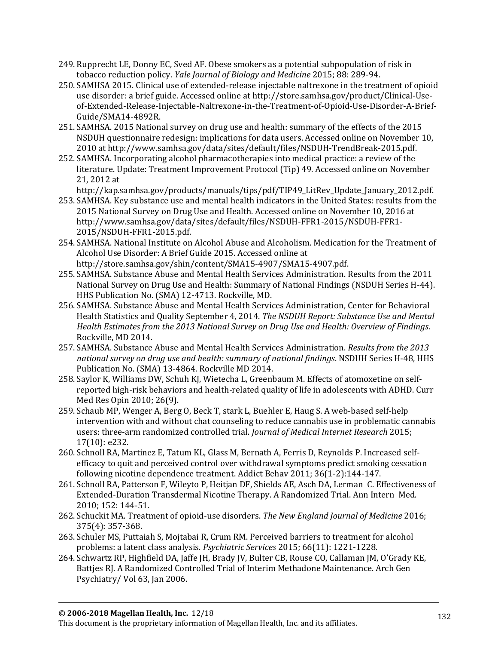- 249. Rupprecht LE, Donny EC, Sved AF. Obese smokers as a potential subpopulation of risk in tobacco reduction policy. *Yale Journal of Biology and Medicine* 2015; 88: 289-94.
- 250. SAMHSA 2015. Clinical use of extended-release injectable naltrexone in the treatment of opioid use disorder: a brief guide. Accessed online a[t http://store.samhsa.gov/product/Clinical-Use](http://store.samhsa.gov/product/Clinical-Use-of-Extended-Release-Injectable-Naltrexone-in-the-Treatment-of-Opioid-Use-Disorder-A-Brief-Guide/SMA14-4892R)[of-Extended-Release-Injectable-Naltrexone-in-the-Treatment-of-Opioid-Use-Disorder-A-Brief-](http://store.samhsa.gov/product/Clinical-Use-of-Extended-Release-Injectable-Naltrexone-in-the-Treatment-of-Opioid-Use-Disorder-A-Brief-Guide/SMA14-4892R)[Guide/SMA14-4892R.](http://store.samhsa.gov/product/Clinical-Use-of-Extended-Release-Injectable-Naltrexone-in-the-Treatment-of-Opioid-Use-Disorder-A-Brief-Guide/SMA14-4892R)
- 251. SAMHSA. 2015 National survey on drug use and health: summary of the effects of the 2015 NSDUH questionnaire redesign: implications for data users. Accessed online on November 10, 2010 at [http://www.samhsa.gov/data/sites/default/files/NSDUH-TrendBreak-2015.pdf.](http://www.samhsa.gov/data/sites/default/files/NSDUH-TrendBreak-2015.pdf)
- 252. SAMHSA. Incorporating alcohol pharmacotherapies into medical practice: a review of the literature. Update: Treatment Improvement Protocol (Tip) 49. Accessed online on November 21, 2012 at
	- http://kap.samhsa.gov/products/manuals/tips/pdf/TIP49\_LitRev\_Update\_January\_2012.pdf.
- 253. SAMHSA. Key substance use and mental health indicators in the United States: results from the 2015 National Survey on Drug Use and Health. Accessed online on November 10, 2016 at [http://www.samhsa.gov/data/sites/default/files/NSDUH-FFR1-2015/NSDUH-FFR1-](http://www.samhsa.gov/data/sites/default/files/NSDUH-FFR1-2015/NSDUH-FFR1-2015/NSDUH-FFR1-2015.pdf) [2015/NSDUH-FFR1-2015.pdf.](http://www.samhsa.gov/data/sites/default/files/NSDUH-FFR1-2015/NSDUH-FFR1-2015/NSDUH-FFR1-2015.pdf)
- 254. SAMHSA. National Institute on Alcohol Abuse and Alcoholism. Medication for the Treatment of Alcohol Use Disorder: A Brief Guide 2015. Accessed online at [http://store.samhsa.gov/shin/content/SMA15-4907/SMA15-4907.pdf.](http://store.samhsa.gov/shin/content/SMA15-4907/SMA15-4907.pdf)
- 255. SAMHSA. Substance Abuse and Mental Health Services Administration. Results from the 2011 National Survey on Drug Use and Health: Summary of National Findings (NSDUH Series H-44). HHS Publication No. (SMA) 12-4713. Rockville, MD.
- 256. SAMHSA. Substance Abuse and Mental Health Services Administration, Center for Behavioral Health Statistics and Quality September 4, 2014. *The NSDUH Report: Substance Use and Mental Health Estimates from the 2013 National Survey on Drug Use and Health: Overview of Findings*. Rockville, MD 2014.
- 257. SAMHSA. Substance Abuse and Mental Health Services Administration. *Results from the 2013 national survey on drug use and health: summary of national findings*. NSDUH Series H-48, HHS Publication No. (SMA) 13-4864. Rockville MD 2014.
- 258. Saylor K, Williams DW, Schuh KJ, Wietecha L, Greenbaum M. Effects of atomoxetine on selfreported high-risk behaviors and health-related quality of life in adolescents with ADHD. Curr Med Res Opin 2010; 26(9).
- 259. Schaub MP, Wenger A, Berg O, Beck T, stark L, Buehler E, Haug S. A web-based self-help intervention with and without chat counseling to reduce cannabis use in problematic cannabis users: three-arm randomized controlled trial. *Journal of Medical Internet Research* 2015; 17(10): e232.
- 260. Schnoll RA, Martinez E, Tatum KL, Glass M, Bernath A, Ferris D, Reynolds P. Increased selfefficacy to quit and perceived control over withdrawal symptoms predict smoking cessation following nicotine dependence treatment. Addict Behav 2011; 36(1-2):144-147.
- 261. Schnoll RA, Patterson F, Wileyto P, Heitjan DF, Shields AE, Asch DA, Lerman C. Effectiveness of Extended-Duration Transdermal Nicotine Therapy. A Randomized Trial. Ann Intern Med. 2010; 152: 144-51.
- 262. Schuckit MA. Treatment of opioid-use disorders. *The New England Journal of Medicine* 2016; 375(4): 357-368.
- 263. Schuler MS, Puttaiah S, Mojtabai R, Crum RM. Perceived barriers to treatment for alcohol problems: a latent class analysis. *Psychiatric Services* 2015; 66(11): 1221-1228.
- 264. Schwartz RP, Highfield DA, Jaffe JH, Brady JV, Bulter CB, Rouse CO, Callaman JM, O'Grady KE, Battjes RJ. A Randomized Controlled Trial of Interim Methadone Maintenance. Arch Gen Psychiatry/ Vol 63, Jan 2006.

This document is the proprietary information of Magellan Health, Inc. and its affiliates.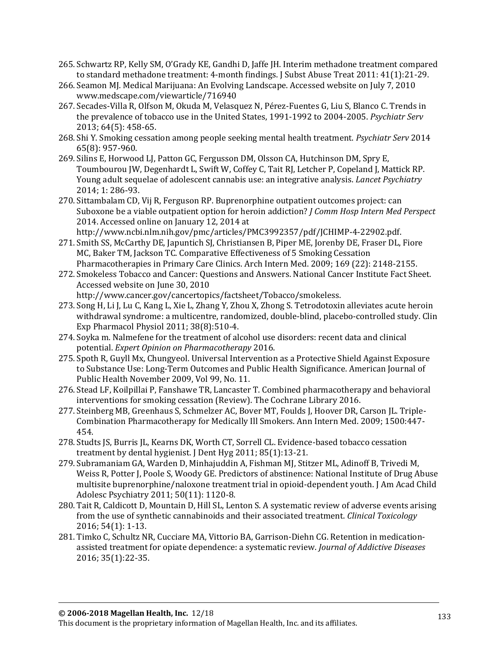- 265. Schwartz RP, Kelly SM, O'Grady KE, Gandhi D, Jaffe JH. Interim methadone treatment compared to standard methadone treatment: 4-month findings. J Subst Abuse Treat 2011: 41(1):21-29.
- 266. Seamon MJ. Medical Marijuana: An Evolving Landscape. Accessed website on July 7, 2010 [www.medscape.com/viewarticle/716940](http://www.medscape.com/viewarticle/716940)
- 267. Secades-Villa R, Olfson M, Okuda M, Velasquez N, Pérez-Fuentes G, Liu S, Blanco C. Trends in the prevalence of tobacco use in the United States, 1991-1992 to 2004-2005. *Psychiatr Serv* 2013; 64(5): 458-65.
- 268. Shi Y. Smoking cessation among people seeking mental health treatment. *Psychiatr Serv* 2014 65(8): 957-960.
- 269. Silins E, Horwood LJ, Patton GC, Fergusson DM, Olsson CA, Hutchinson DM, Spry E, Toumbourou JW, Degenhardt L, Swift W, Coffey C, Tait RJ, Letcher P, Copeland J, Mattick RP. Young adult sequelae of adolescent cannabis use: an integrative analysis. *Lancet Psychiatry* 2014; 1: 286-93.
- 270. Sittambalam CD, Vij R, Ferguson RP. Buprenorphine outpatient outcomes project: can Suboxone be a viable outpatient option for heroin addiction? *J Comm Hosp Intern Med Perspect*  2014. Accessed online on January 12, 2014 at http://www.ncbi.nlm.nih.gov/pmc/articles/PMC3992357/pdf/JCHIMP-4-22902.pdf.
- 271. Smith SS, McCarthy DE, Japuntich SJ, Christiansen B, Piper ME, Jorenby DE, Fraser DL, Fiore MC, Baker TM, Jackson TC. Comparative Effectiveness of 5 Smoking Cessation Pharmacotherapies in Primary Care Clinics. Arch Intern Med. 2009; 169 (22): 2148-2155.
- 272. Smokeless Tobacco and Cancer: Questions and Answers. National Cancer Institute Fact Sheet. Accessed website on June 30, 2010

[http://www.cancer.gov/cancertopics/factsheet/Tobacco/smokeless.](http://www.cancer.gov/cancertopics/factsheet/Tobacco/smokeless)

- 273. Song H, Li J, Lu C, Kang L, Xie L, Zhang Y, Zhou X, Zhong S. Tetrodotoxin alleviates acute heroin withdrawal syndrome: a multicentre, randomized, double-blind, placebo-controlled study. Clin Exp Pharmacol Physiol 2011; 38(8):510-4.
- 274. Soyka m. Nalmefene for the treatment of alcohol use disorders: recent data and clinical potential. *Expert Opinion on Pharmacotherapy* 2016.
- 275. Spoth R, Guyll Mx, Chungyeol. Universal Intervention as a Protective Shield Against Exposure to Substance Use: Long-Term Outcomes and Public Health Significance. American Journal of Public Health November 2009, Vol 99, No. 11.
- 276. Stead LF, Koilpillai P, Fanshawe TR, Lancaster T. Combined pharmacotherapy and behavioral interventions for smoking cessation (Review). The Cochrane Library 2016.
- 277. Steinberg MB, Greenhaus S, Schmelzer AC, Bover MT, Foulds J, Hoover DR, Carson JL. Triple-Combination Pharmacotherapy for Medically Ill Smokers. Ann Intern Med. 2009; 1500:447- 454.
- 278. Studts JS, Burris JL, Kearns DK, Worth CT, Sorrell CL. Evidence-based tobacco cessation treatment by dental hygienist. J Dent Hyg 2011; 85(1):13-21.
- 279. Subramaniam GA, Warden D, Minhajuddin A, Fishman MJ, Stitzer ML, Adinoff B, Trivedi M, Weiss R, Potter J, Poole S, Woody GE. Predictors of abstinence: National Institute of Drug Abuse multisite buprenorphine/naloxone treatment trial in opioid-dependent youth. J Am Acad Child Adolesc Psychiatry 2011; 50(11): 1120-8.
- 280. Tait R, Caldicott D, Mountain D, Hill SL, Lenton S. A systematic review of adverse events arising from the use of synthetic cannabinoids and their associated treatment. *Clinical Toxicology* 2016; 54(1): 1-13.
- 281. Timko C, Schultz NR, Cucciare MA, Vittorio BA, Garrison-Diehn CG. Retention in medicationassisted treatment for opiate dependence: a systematic review. *Journal of Addictive Diseases* 2016; 35(1):22-35.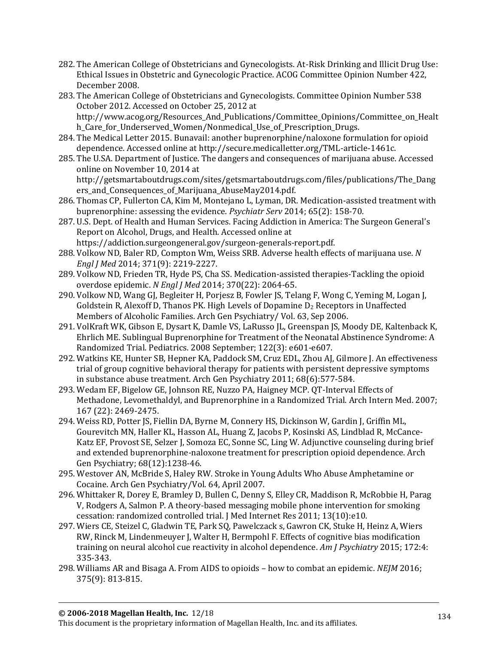- 282. The American College of Obstetricians and Gynecologists. At-Risk Drinking and Illicit Drug Use: Ethical Issues in Obstetric and Gynecologic Practice. ACOG Committee Opinion Number 422, December 2008.
- 283. The American College of Obstetricians and Gynecologists. Committee Opinion Number 538 October 2012. Accessed on October 25, 2012 at [http://www.acog.org/Resources\\_And\\_Publications/Committee\\_Opinions/Committee\\_on\\_Healt](http://www.acog.org/Resources_And_Publications/Committee_Opinions/Committee_on_Health_Care_for_Underserved_Women/Nonmedical_Use_of_Prescription_Drugs) [h\\_Care\\_for\\_Underserved\\_Women/Nonmedical\\_Use\\_of\\_Prescription\\_Drugs.](http://www.acog.org/Resources_And_Publications/Committee_Opinions/Committee_on_Health_Care_for_Underserved_Women/Nonmedical_Use_of_Prescription_Drugs)
- 284. The Medical Letter 2015. Bunavail: another buprenorphine/naloxone formulation for opioid dependence. Accessed online at [http://secure.medicalletter.org/TML-article-1461c.](http://secure.medicalletter.org/TML-article-1461c)
- 285. The U.SA. Department of Justice. The dangers and consequences of marijuana abuse. Accessed online on November 10, 2014 at http://getsmartaboutdrugs.com/sites/getsmartaboutdrugs.com/files/publications/The\_Dang ers and Consequences of Marijuana AbuseMay2014.pdf.
- 286. Thomas CP, Fullerton CA, Kim M, Montejano L, Lyman, DR. Medication-assisted treatment with buprenorphine: assessing the evidence. *Psychiatr Serv* 2014; 65(2): 158-70.
- 287. U.S. Dept. of Health and Human Services. Facing Addiction in America: The Surgeon General's Report on Alcohol, Drugs, and Health. Accessed online at [https://addiction.surgeongeneral.gov/surgeon-generals-report.pdf.](https://addiction.surgeongeneral.gov/surgeon-generals-report.pdf)
- 288. Volkow ND, Baler RD, Compton Wm, Weiss SRB. Adverse health effects of marijuana use. *N Engl J Med* 2014; 371(9): 2219-2227.
- 289. Volkow ND, Frieden TR, Hyde PS, Cha SS. Medication-assisted therapies-Tackling the opioid overdose epidemic. *N Engl J Med* 2014; 370(22): 2064-65.
- 290. Volkow ND, Wang GJ, Begleiter H, Porjesz B, Fowler JS, Telang F, Wong C, Yeming M, Logan J, Goldstein R, Alexoff D, Thanos PK. High Levels of Dopamine  $D_2$  Receptors in Unaffected Members of Alcoholic Families. Arch Gen Psychiatry/ Vol. 63, Sep 2006.
- 291. VolKraft WK, Gibson E, Dysart K, Damle VS, LaRusso JL, Greenspan JS, Moody DE, Kaltenback K, Ehrlich ME. Sublingual Buprenorphine for Treatment of the Neonatal Abstinence Syndrome: A Randomized Trial. Pediatrics. 2008 September; 122(3): e601-e607.
- 292. Watkins KE, Hunter SB, Hepner KA, Paddock SM, Cruz EDL, Zhou AJ, Gilmore J. An effectiveness trial of group cognitive behavioral therapy for patients with persistent depressive symptoms in substance abuse treatment. Arch Gen Psychiatry 2011; 68(6):577-584.
- 293. Wedam EF, Bigelow GE, Johnson RE, Nuzzo PA, Haigney MCP. QT-Interval Effects of Methadone, Levomethaldyl, and Buprenorphine in a Randomized Trial. Arch Intern Med. 2007; 167 (22): 2469-2475.
- 294. Weiss RD, Potter JS, Fiellin DA, Byrne M, Connery HS, Dickinson W, Gardin J, Griffin ML, Gourevitch MN, Haller KL, Hasson AL, Huang Z, Jacobs P, Kosinski AS, Lindblad R, McCance-Katz EF, Provost SE, Selzer J, Somoza EC, Sonne SC, Ling W. Adjunctive counseling during brief and extended buprenorphine-naloxone treatment for prescription opioid dependence. Arch Gen Psychiatry; 68(12):1238-46.
- 295. Westover AN, McBride S, Haley RW. Stroke in Young Adults Who Abuse Amphetamine or Cocaine. Arch Gen Psychiatry/Vol. 64, April 2007.
- 296. Whittaker R, Dorey E, Bramley D, Bullen C, Denny S, Elley CR, Maddison R, McRobbie H, Parag V, Rodgers A, Salmon P. A theory-based messaging mobile phone intervention for smoking cessation: randomized controlled trial. J Med Internet Res 2011; 13(10):e10.
- 297. Wiers CE, Steizel C, Gladwin TE, Park SQ, Pawelczack s, Gawron CK, Stuke H, Heinz A, Wiers RW, Rinck M, Lindenmeuyer J, Walter H, Bermpohl F. Effects of cognitive bias modification training on neural alcohol cue reactivity in alcohol dependence. *Am J Psychiatry* 2015; 172:4: 335-343.
- 298. Williams AR and Bisaga A. From AIDS to opioids how to combat an epidemic. *NEJM* 2016; 375(9): 813-815.